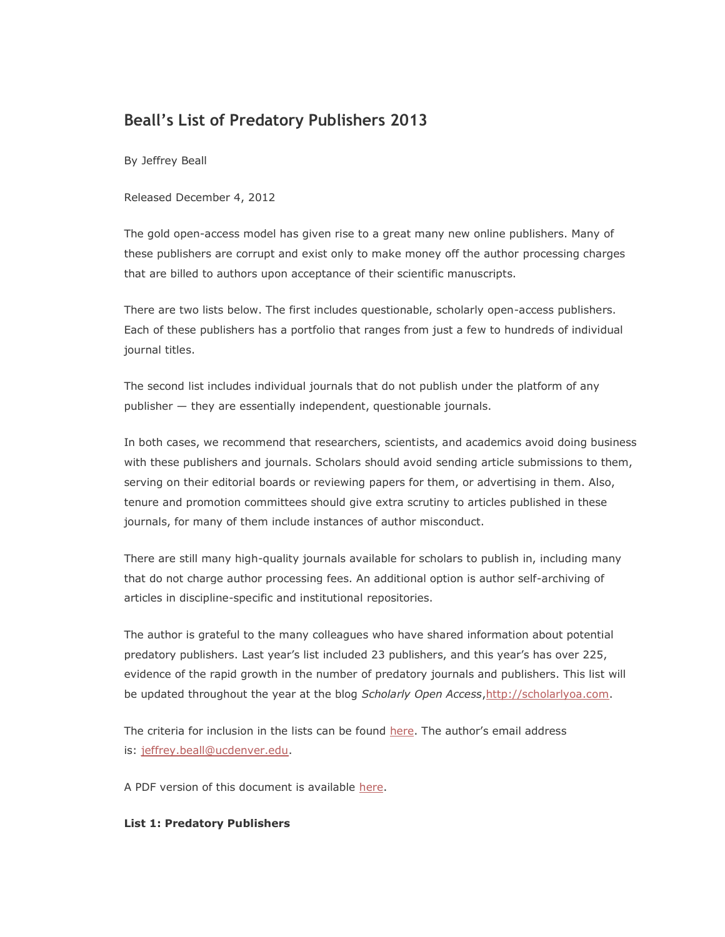### **Beall's List of Predatory Publishers 2013**

By Jeffrey Beall

Released December 4, 2012

The gold open-access model has given rise to a great many new online publishers. Many of these publishers are corrupt and exist only to make money off the author processing charges that are billed to authors upon acceptance of their scientific manuscripts.

There are two lists below. The first includes questionable, scholarly open-access publishers. Each of these publishers has a portfolio that ranges from just a few to hundreds of individual journal titles.

The second list includes individual journals that do not publish under the platform of any publisher — they are essentially independent, questionable journals.

In both cases, we recommend that researchers, scientists, and academics avoid doing business with these publishers and journals. Scholars should avoid sending article submissions to them, serving on their editorial boards or reviewing papers for them, or advertising in them. Also, tenure and promotion committees should give extra scrutiny to articles published in these journals, for many of them include instances of author misconduct.

There are still many high-quality journals available for scholars to publish in, including many that do not charge author processing fees. An additional option is author self-archiving of articles in discipline-specific and institutional repositories.

The author is grateful to the many colleagues who have shared information about potential predatory publishers. Last year's list included 23 publishers, and this year's has over 225, evidence of the rapid growth in the number of predatory journals and publishers. This list will be updated throughout the year at the blog *Scholarly Open Access*[,http://scholarlyoa.com.](https://scholarlyoa.com/)

The criteria for inclusion in the lists can be found [here](https://scholarlyoa.com/2012/11/30/criteria-for-determining-predatory-open-access-publishers-2nd-edition/). The author's email address is: [jeffrey.beall@ucdenver.edu.](mailto:jeffrey.beall@ucdenver.edu)

A PDF version of this document is available [here.](https://scholarlyoa.files.wordpress.com/2012/12/2013-lists2.pdf)

#### **List 1: Predatory Publishers**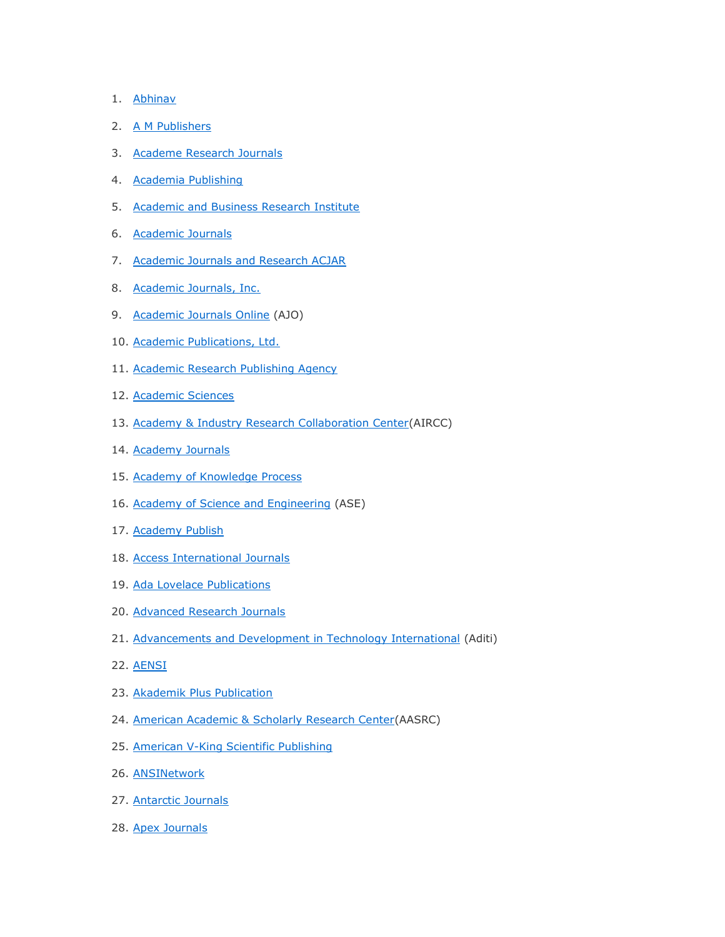- 1. [Abhinav](http://www.abhinavjournal.com/index.aspx)
- 2. [A M Publishers](http://ampublisher.com/index.html)
- 3. [Academe Research Journals](http://www.academeresearchjournals.org/)
- 4. [Academia Publishing](http://academiapublishing.org/index.htm)
- 5. [Academic and Business Research Institute](http://www.aabri.com/)
- 6. [Academic Journals](http://www.academicjournals.org/)
- 7. [Academic Journals and Research ACJAR](http://www.acjar.org/index.html)
- 8. [Academic Journals, Inc.](http://www.academicjournalsinc.com/)
- 9. [Academic Journals Online](http://www.academicjournalsonline.co.in/) (AJO)
- 10. [Academic Publications, Ltd.](http://www.acadpubl.eu/index.html)
- 11. [Academic Research Publishing Agency](http://www.arpapress.com/)
- 12. [Academic Sciences](http://www.ijaponline.org/)
- 13. [Academy & Industry Research Collaboration Center\(](http://airccse.org/index.php)AIRCC)
- 14. [Academy Journals](http://www.academyjournals.net/)
- 15. [Academy of Knowledge Process](http://akpinsight.webs.com/)
- 16. [Academy of Science and Engineering](http://www.asesite.org/Default.aspx) (ASE)
- 17. [Academy Publish](http://www.academypublish.org/)
- 18. [Access International Journals](http://www.accessinternationaljournals.org/)
- 19. [Ada Lovelace Publications](http://www.ada-lovelace.co.uk/)
- 20. [Advanced Research Journals](http://www.advancedresearchjournals.org/)
- 21. [Advancements and Development in Technology International](http://aditisci.com/index.php) (Aditi)
- 22. [AENSI](http://www.aensiweb.com/index.html)
- 23. [Akademik Plus Publication](http://www.akademikplus.com/)
- 24. [American Academic & Scholarly Research Center\(](http://aasrc.org/aasrj/)AASRC)
- 25. [American V-King Scientific Publishing](http://www.vkingpub.com/Index.aspx)
- 26. [ANSINetwork](http://www.ansinet.com/)
- 27. [Antarctic Journals](http://www.domainsmoon.com/)
- 28. [Apex Journals](http://www.apexjournals.org/index.html)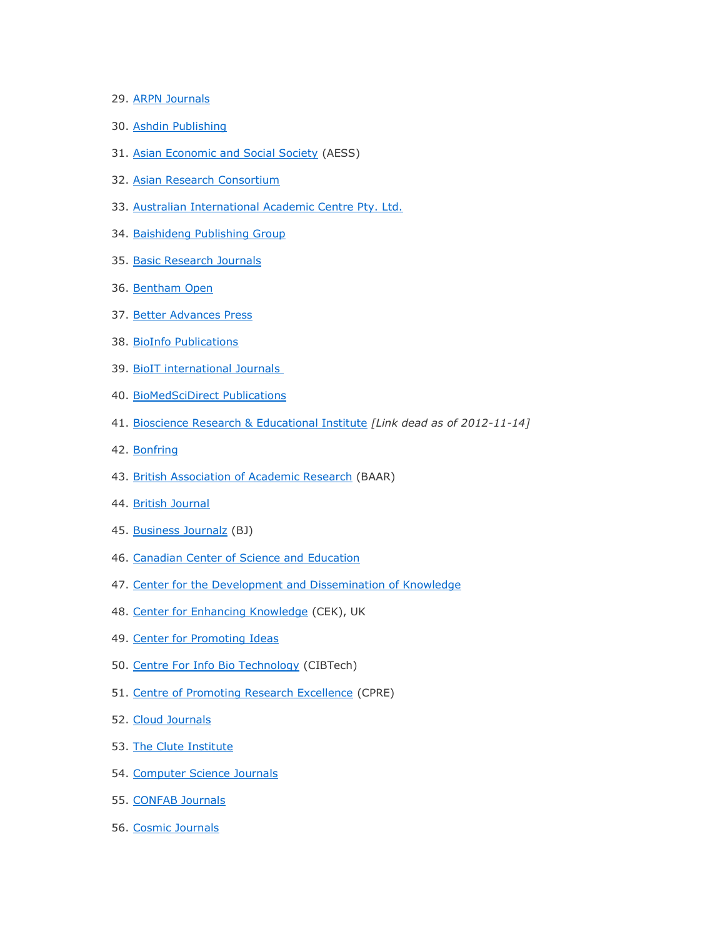- 29. [ARPN Journals](http://arpnjournals.com/)
- 30. [Ashdin Publishing](http://www.ashdin.com/)
- 31. [Asian Economic and Social Society](http://www.aessweb.com/index.php) (AESS)
- 32. [Asian Research Consortium](http://www.aijsh.org/?task=index)
- 33. [Australian International Academic Centre Pty. Ltd.](http://www.aiac.org.au/)
- 34. [Baishideng Publishing Group](http://www.wjgnet.com/)
- 35. [Basic Research Journals](http://basicresearchjournals.org/index.html)
- 36. [Bentham Open](http://www.bentham.org/open/)
- 37. [Better Advances Press](http://www.bapress.ca/index.html)
- 38. [BioInfo Publications](http://www.bioinfopublication.org/)
- 39. [BioIT international Journals](http://bipublication.com/index.html)
- 40. [BioMedSciDirect Publications](http://www.biomedscidirect.com/aboutjournal.php)
- 41. [Bioscience Research & Educational Institute](http://www.bret.ac.in/) *[Link dead as of 2012-11-14]*
- 42. [Bonfring](http://www.bonfring.org/)
- 43. [British Association of Academic Research](http://www.bjmhs.baar.org.uk/) (BAAR)
- 44. [British Journal](http://www.bjournal.co.uk/)
- 45. [Business Journalz](http://www.businessjournalz.org/) (BJ)
- 46. [Canadian Center of Science and Education](http://ccsenet.org/web/)
- 47. [Center for the Development and Dissemination of Knowledge](http://www.cddk.org/index.html)
- 48. [Center for Enhancing Knowledge](http://www.cekinfo.org.uk/) (CEK), UK
- 49. [Center for Promoting Ideas](http://www.cpinet.info/)
- 50. [Centre For Info Bio Technology](http://www.cibtech.org/index.htm) (CIBTech)
- 51. [Centre of Promoting Research Excellence](http://cprenet.com/home/) (CPRE)
- 52. [Cloud Journals](http://cloud-journals.com/)
- 53. [The Clute Institute](http://www.cluteinstitute.com/index.html)
- 54. [Computer Science Journals](http://www.cscjournals.org/csc/home.php)
- 55. [CONFAB Journals](http://www.confabjournals.com/)
- 56. [Cosmic Journals](http://cosmicjournals.com/)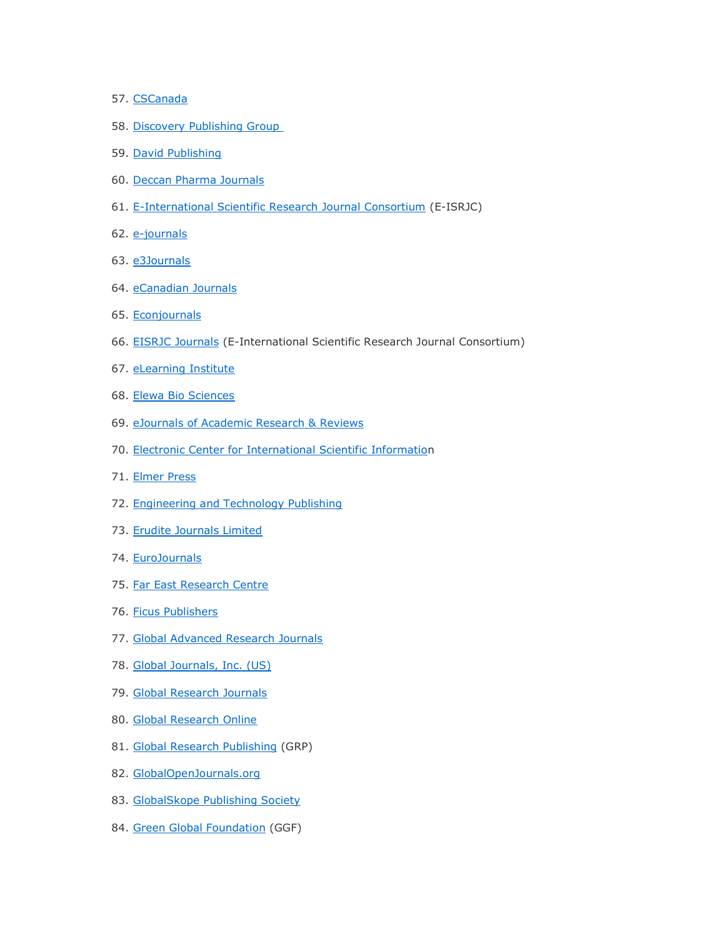- 57. [CSCanada](http://cscanada.net/)
- 58. [Discovery Publishing Group](http://www.discovery.org.in/)
- 59. [David Publishing](http://www.davidpublishing.org/)
- 60. [Deccan Pharma Journals](http://www.deccanpharmajournals.com/)
- 61. [E-International Scientific Research Journal Consortium](http://www.eisrjc.com/) (E-ISRJC)
- 62. [e-journals](http://www.shankargargh.net/index.php)
- 63. [e3Journals](http://www.e3journals.org/index.php)
- 64. [eCanadian Journals](http://www.ecanadianjournals.com/ecanadian/)
- 65. [Econjournals](http://www.econjournals.com/index.php/index)
- 66. [EISRJC Journals](http://www.eisrjc.com/) (E-International Scientific Research Journal Consortium)
- 67. [eLearning Institute](http://www.theelearninginstitute.org/)
- 68. [Elewa Bio Sciences](http://www.m.elewa.org/index.php)
- 69. [eJournals of Academic Research & Reviews](http://www.ejarr.com/)
- 70. [Electronic Center for International Scientific Information](http://ecisi.com/)
- 71. [Elmer Press](http://www.elmerpress.com/)
- 72. [Engineering and Technology Publishing](http://www.etpub.com/index.htm)
- 73. [Erudite Journals Limited](http://eruditejournals.org/ejb/index.htm)
- 74. [EuroJournals](http://eurojournals.com/)
- 75. [Far East Research Centre](http://www.fareastjournals.com/)
- 76. [Ficus Publishers](http://ficuspublishers.com/Home.php)
- 77. [Global Advanced Research Journals](http://garj.org/)
- 78. [Global Journals, Inc. \(US\)](https://globaljournals.org/)
- 79. [Global Research Journals](http://www.globalresearchjournals.org/)
- 80. [Global Research Online](http://www.globalresearchonline.net/)
- 81. [Global Research Publishing](http://www.grpjournal.org/) (GRP)
- 82. [GlobalOpenJournals.org](http://globalopenjournals.org/index.html)
- 83. [GlobalSkope Publishing Society](http://globalskope.com/ijesr/index.html)
- 84. [Green Global Foundation](http://www.ggfagro.com/) (GGF)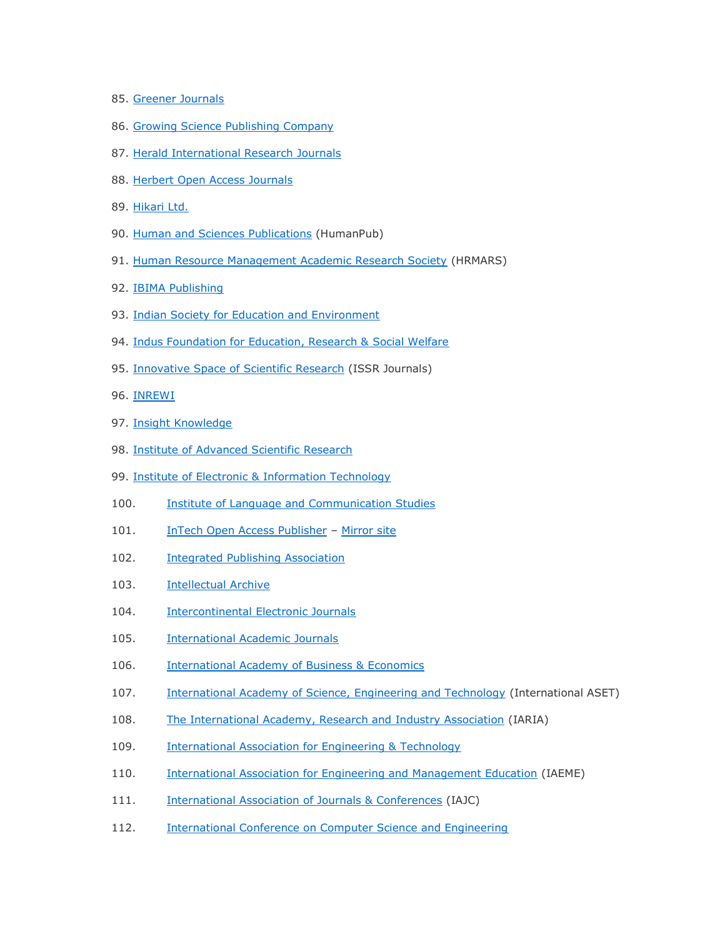- 85. [Greener Journals](http://www.gjournals.org/Index.html)
- 86. [Growing Science Publishing Company](http://growingscience.com/index.html)
- 87. [Herald International Research Journals](http://heraldjournals.org/index.htm)
- 88. [Herbert Open Access Journals](http://www.hoajonline.com/)
- 89. [Hikari Ltd.](http://www.m-hikari.com/)
- 90. [Human and Sciences Publications](http://www.humanpub.org/) (HumanPub)
- 91. [Human Resource Management Academic Research Society](http://hrmars.com/index.php?page=our%20journals%20f) (HRMARS)
- 92. [IBIMA Publishing](http://www.ibimapublishing.com/)
- 93. [Indian Society for Education and Environment](http://www.iseeadyar.org/index.html)
- 94. [Indus Foundation for Education, Research & Social Welfare](http://www.indusedu.org/aboutus.html)
- 95. [Innovative Space of Scientific Research](http://www.issr-journals.org/) (ISSR Journals)
- 96. [INREWI](http://www.inrewi.com/home)
- 97. [Insight Knowledge](http://insightknowledge.co.uk/index.php)
- 98. [Institute of Advanced Scientific Research](http://www.i-asr.com/journals.aspx)
- 99. [Institute of Electronic & Information Technology](http://www.ieit-web.org/apscj/editorialboard.html)
- 100. [Institute of Language and Communication Studies](http://www.inlcs.org/)
- 101. **[InTech Open Access Publisher](http://www.intechweb.org/) [Mirror site](http://www.intechopen.com/)**
- 102. **[Integrated Publishing Association](http://www.ipublishing.co.in/)**
- 103. [Intellectual Archive](http://www.intellectualarchive.com/)
- 104. [Intercontinental Electronic Journals](http://www.intercontinentalresearchjournals.org/)
- 105. **[International Academic Journals](http://www.inacj.com/)**
- 106. [International Academy of Business & Economics](http://www.iabe.org/)
- 107. [International Academy of Science, Engineering and Technology](http://international-aset.com/index.html) (International ASET)
- 108. [The International Academy, Research and Industry Association](http://www.iaria.org/) (IARIA)
- 109. [International Association for Engineering & Technology](http://www.iaetjournals.com/)
- 110. **[International Association for Engineering and Management Education](http://www.iaeme.com/about.asp) (IAEME)**
- 111. [International Association of Journals & Conferences](http://www.iajc.org/overview.html) (IAJC)
- 112. [International Conference on Computer Science and Engineering](http://www.icgst.com/)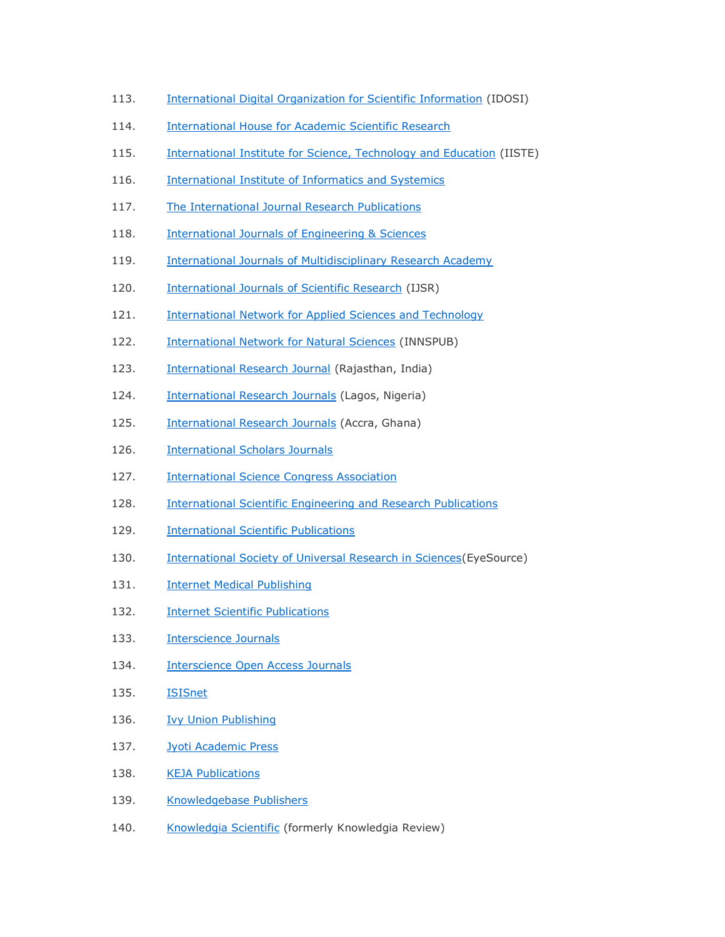- 113. [International Digital Organization for Scientific Information](http://idosi.org/index.htm) (IDOSI)
- 114. [International House for Academic](http://www.ihasr.org/) Scientific Research
- 115. [International Institute for Science, Technology and Education](http://www.iiste.org/Journals/) (IISTE)
- 116. [International Institute of Informatics and Systemics](http://www.iiis.org/)
- 117. [The International Journal Research Publications](http://www.theinternationaljournal.org/ojs/index1.htm)
- 118. [International Journals of Engineering & Sciences](http://www.ijens.org/)
- 119. [International Journals of Multidisciplinary Research Academy](http://www.ijmra.us/)
- 120. [International Journals of Scientific Research](http://ijscience.com/default.htm) (IJSR)
- 121. International [Network for Applied Sciences and Technology](http://www.inast.org/)
- 122. [International Network for Natural Sciences](http://www.innspub.net/) (INNSPUB)
- 123. [International Research Journal](http://www.ssmrae.com/) (Rajasthan, India)
- 124. **[International Research Journals](http://www.interesjournals.org/index.htm) (Lagos, Nigeria)**
- 125. [International Research Journals](http://resjournals.com/) (Accra, Ghana)
- 126. [International Scholars Journals](http://internationalscholarsjournals.org/)
- 127. **[International Science Congress Association](http://www.isca.in/)**
- 128. [International Scientific Engineering and Research Publications](http://iserp.org/)
- 129. [International Scientific Publications](http://www.scientific-publications.net/)
- 130. International Society of Universal Research in Sciences (EyeSource)
- 131. **[Internet Medical Publishing](http://imedpub.com/)**
- 132. **[Internet Scientific Publications](http://www.ispub.com/)**
- 133. **[Interscience Journals](http://interscience.org.uk/)**
- 134. **[Interscience Open Access Journals](http://www.interscience.in/)**
- 135. [ISISnet](http://www.isisn.org/)
- 136. [Ivy Union Publishing](http://www.ivyunion.org/)
- 137. [Jyoti Academic Press](http://jyotiacademicpress.com/)
- 138. [KEJA Publications](http://www.kejapub.com/)
- 139. [Knowledgebase Publishers](http://www.knowledgebasepublishers.org/)
- 140. [Knowledgia Scientific](http://www.knowledgia.net/) (formerly Knowledgia Review)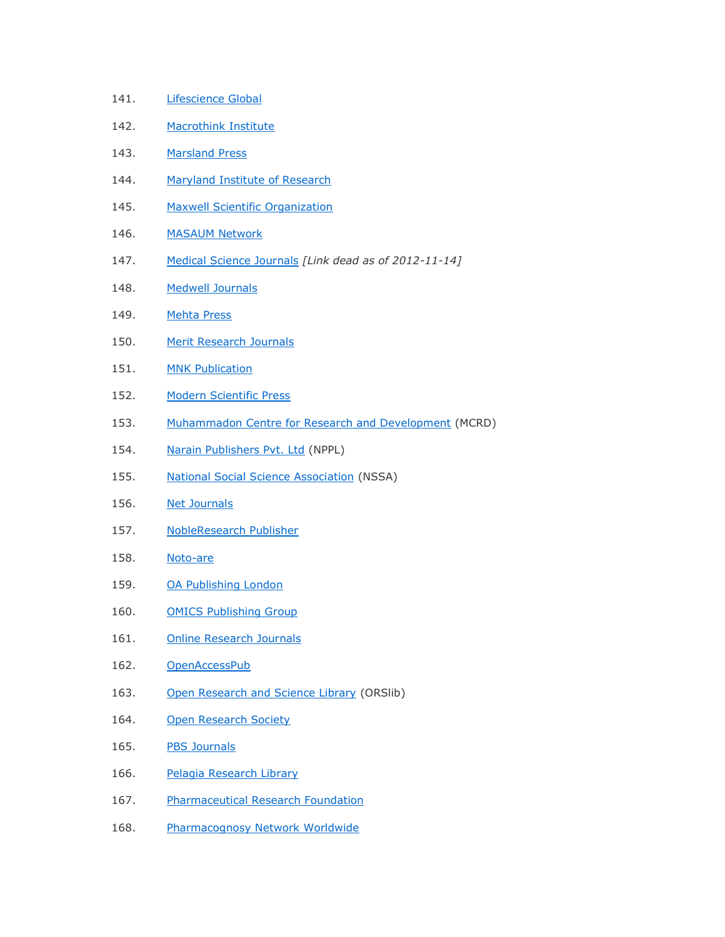- 141. [Lifescience Global](http://www.lifescienceglobal.com/)
- 142. [Macrothink Institute](http://www.macrothink.org/)
- 143. [Marsland Press](http://www.sciencepub.net/)
- 144. [Maryland Institute of Research](http://miredu.org/)
- 145. [Maxwell Scientific Organization](http://maxwellsci.com/jlist.php)
- 146. [MASAUM Network](http://www.masaumnet.com/)
- 147. [Medical Science Journals](http://medical.sciencejournals.cc/) *[Link dead as of 2012-11-14]*
- 148. [Medwell Journals](http://www.medwelljournals.com/home.php)
- 149. [Mehta Press](http://www.mehtapress.com/)
- 150. [Merit Research Journals](http://meritresearchjournals.org/index.htm)
- 151. [MNK Publication](http://www.mnkjournals.com/index.htm)
- 152. [Modern Scientific Press](http://modernscientificpress.com/)
- 153. [Muhammadon Centre for Research and Development](http://www.muhammadon.org/index.php) (MCRD)
- 154. [Narain Publishers Pvt. Ltd](http://www.npplweb.com/) (NPPL)
- 155. [National Social Science Association](http://www.nssa.us/) (NSSA)
- 156. [Net Journals](http://www.netjournals.org/)
- 157. [NobleResearch Publisher](http://www.nobleresearch.org/home.aspx)
- 158. [Noto-are](https://www.notoare.com/)
- 159. [OA Publishing London](http://oapublishinglondon.com/index.php)
- 160. [OMICS Publishing Group](http://www.omicsonline.org/)
- 161. [Online Research Journals](http://onlineresearchjournals.org/index.htm)
- 162. [OpenAccessPub](http://openaccesspub.org/index.php)
- 163. [Open Research and Science Library](http://www.orslib.org/index.html) (ORSlib)
- 164. [Open Research Society](http://www.open-knowledge-society.org/)
- 165. [PBS Journals](http://pbsjournals.com/index.php)
- 166. [Pelagia Research Library](http://pelagiaresearchlibrary.com/index.html)
- 167. [Pharmaceutical Research Foundation](http://pharmresfoundation.com/)
- 168. [Pharmacognosy Network Worldwide](http://phcog.net/)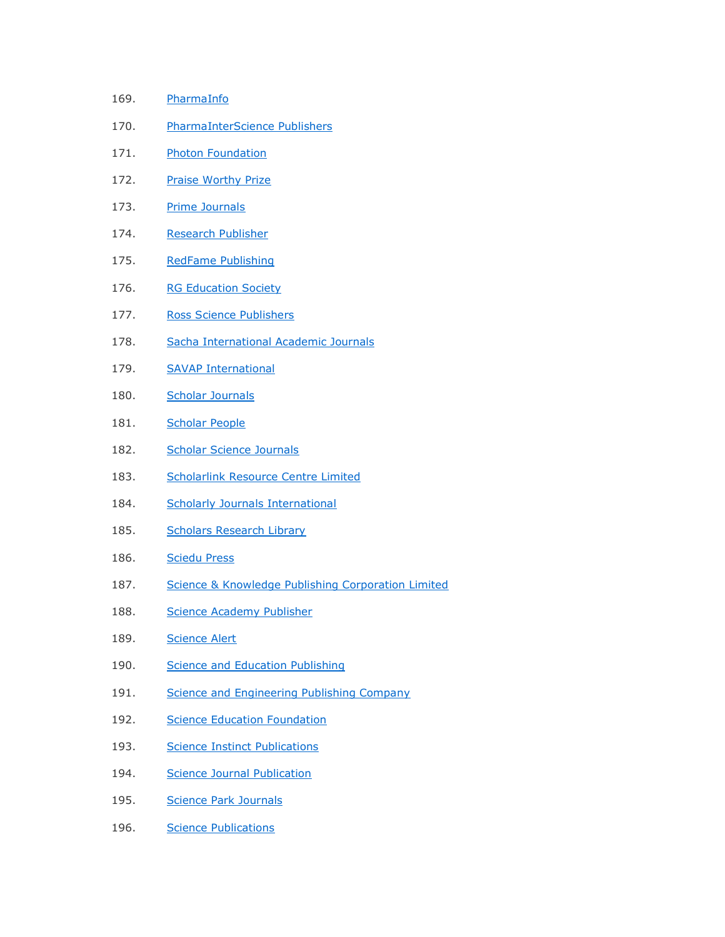- 169. [PharmaInfo](http://www.pharmainfo.in/)
- 170. [PharmaInterScience Publishers](http://www.pharmainterscience.com/)
- 171. [Photon Foundation](https://sites.google.com/site/photonfoundationorganization/)
- 172. [Praise Worthy Prize](http://www.praiseworthyprize.com/)
- 173. [Prime Journals](http://www.primejournal.org/index.html)
- 174. [Research Publisher](http://researchpub.org/index.html)
- 175. [RedFame Publishing](http://www.redfame.com/home/)
- 176. [RG Education Society](http://www.rgsociety.org/)
- 177. [Ross Science Publishers](http://rossscience.org/index.php)
- 178. [Sacha International Academic Journals](http://www.sachajournals.com/index.php)
- 179. [SAVAP International](http://www.journals.savap.org.pk/)
- 180. [Scholar Journals](http://www.scholarjournals.org/)
- 181. [Scholar People](http://scholarpeople.org/)
- 182. [Scholar Science Journals](http://www.ssjournals.com/)
- 183. [Scholarlink Resource Centre Limited](http://scholarlinkresearch.org/)
- 184. [Scholarly Journals International](http://scholarly-journals.com/index.html)
- 185. [Scholars Research Library](http://scholarsresearchlibrary.com/)
- 186. [Sciedu Press](http://sciedu.ca/web/)
- 187. [Science & Knowledge Publishing Corporation Limited](http://scik.org/)
- 188. [Science Academy Publisher](http://www.sciacademypublisher.com/)
- 189. [Science Alert](http://scialert.net/index.php)
- 190. [Science and Education Publishing](http://www.sciepub.com/portal/Home)
- 191. [Science and Engineering Publishing Company](https://scholarlyoa.com/2012/09/26/a-publisher-with-no-website-science-and-engineering-publishing-company/)
- 192. [Science Education Foundation](http://www.ejournalnet.com/)
- 193. [Science Instinct Publications](http://www.sciipub.com/)
- 194. [Science Journal Publication](http://www.sjpub.org/)
- 195. [Science Park Journals](http://scienceparkjournals.org/index.html)
- 196. [Science Publications](http://www.thescipub.com/)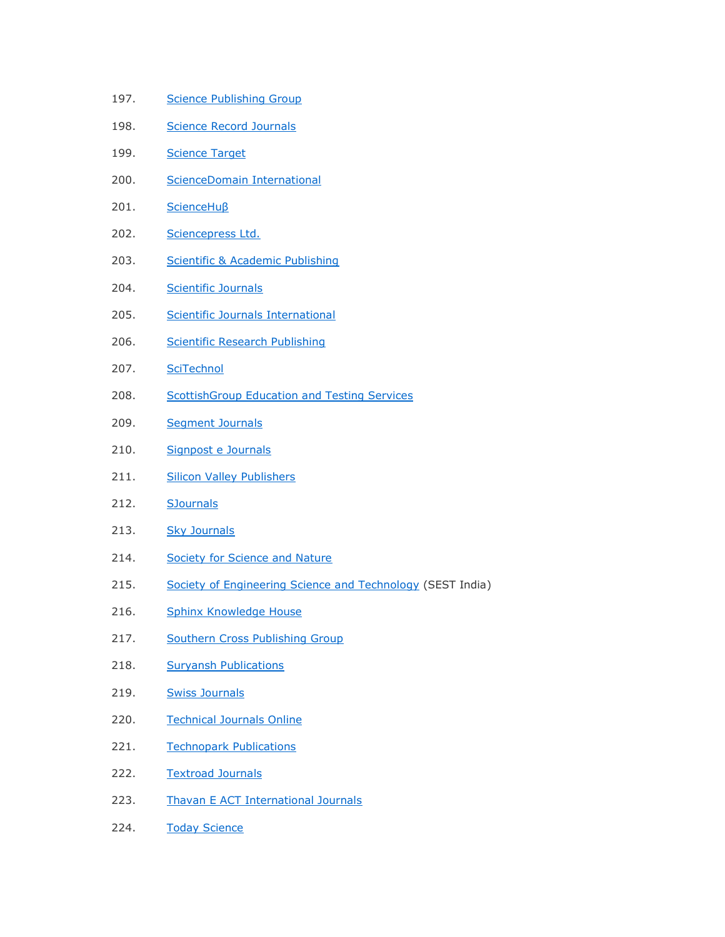- 197. [Science Publishing Group](http://www.sciencepublishinggroup.com/home/index.aspx)
- 198. [Science Record Journals](http://www.sciencerecord.com/)
- 199. [Science Target](http://www.sciencetarget.com/)
- 200. [ScienceDomain International](http://www.sciencedomain.org/)
- 201. [ScienceHuβ](http://www.scihub.org/index.html)
- 202. [Sciencepress Ltd.](http://www.scienpress.com/Default.asp)
- 203. [Scientific & Academic Publishing](http://www.sapub.org/journal/index.aspx)
- 204. [Scientific Journals](http://www.scientific-journals.co.uk/)
- 205. [Scientific Journals International](http://www.scientificjournals.org/)
- 206. [Scientific Research Publishing](http://www.scirp.org/)
- 207. [SciTechnol](http://scitechnol.com/)
- 208. [ScottishGroup Education and Testing Services](http://scottishjournal.co.uk/)
- 209. [Segment Journals](http://www.segmentjournals.com/)
- 210. [Signpost e Journals](http://www.journals.academicpursuits.us/)
- 211. [Silicon Valley Publishers](http://www.svpublishers.co.uk/)
- 212. [SJournals](http://www.sjournals.com/)
- 213. [Sky Journals](http://skyjournals.org/index.html)
- 214. [Society for Science and Nature](http://scienceandnature.org/index.php)
- 215. [Society of Engineering Science and Technology](http://www.sestindia.org/) (SEST India)
- 216. [Sphinx Knowledge House](http://sphinxsai.com/)
- 217. [Southern Cross Publishing Group](http://www.sciencej.com/submit.html)
- 218. [Suryansh Publications](https://scholarlyoa.com/publishers/www.suryanshpublications.inf)
- 219. [Swiss Journals](http://www.swissjournals.org/)
- 220. [Technical Journals Online](http://www.technicaljournalsonline.com/index.html)
- 221. [Technopark Publications](http://technoparkpublications.com/)
- 222. [Textroad Journals](http://www.textroad.com/)
- 223. [Thavan E ACT International Journals](http://www.thavan.org/)
- 224. [Today Science](http://www.todayscience.org/)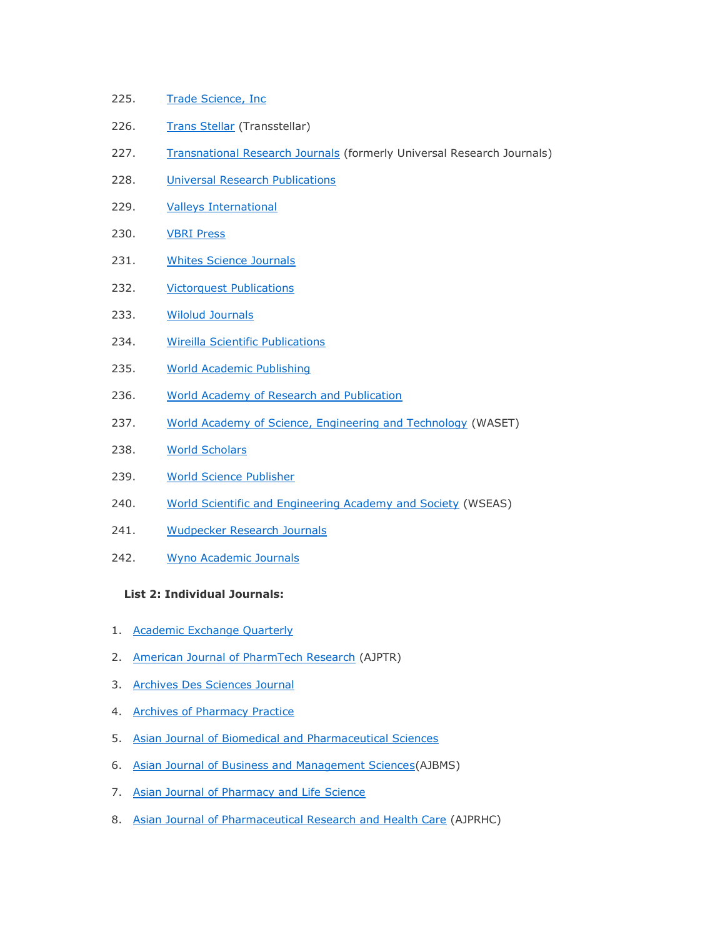- 225. [Trade Science, Inc](http://www.tsijournals.com/)
- 226. [Trans Stellar](http://www.tjprc.org/index.php) (Transstellar)
- 227. [Transnational Research Journals](http://universalresearchjournals.org/) (formerly Universal Research Journals)
- 228. **[Universal Research Publications](http://urpjournals.com/contactus.php)**
- 229. [Valleys International](http://valleys.co.in/)
- 230. [VBRI Press](http://www.vbripress.com/aboutus.aspx)
- 231. Whites [Science Journals](http://whitesscience.com/Default.aspx)
- 232. [Victorquest Publications](http://victorquestpub.com/)
- 233. [Wilolud Journals](http://www.wiloludjournal.com/page.php?3)
- 234. [Wireilla Scientific Publications](http://wireilla.com/)
- 235. [World Academic Publishing](http://www.academicpub.org/)
- 236. [World Academy of Research and Publication](http://www.warponline.org/)
- 237. [World Academy of Science, Engineering and Technology](http://www.waset.org/publications.php) (WASET)
- 238. [World Scholars](http://wscholars.com/)
- 239. [World Science Publisher](http://www.worldsciencepublisher.org/index.php)
- 240. [World Scientific and Engineering Academy and Society](http://www.wseas.org/) (WSEAS)
- 241. [Wudpecker Research Journals](http://www.wudpeckerresearchjournals.org/)
- 242. [Wyno Academic Journals](http://www.wynoacademicjournals.org/index.html)

#### **List 2: Individual Journals:**

- 1. [Academic Exchange Quarterly](http://www.rapidintellect.com/AEQweb/)
- 2. [American Journal of PharmTech Research](http://www.ajptr.com/) (AJPTR)
- 3. [Archives Des Sciences Journal](http://www.sciencesarchive.com/)
- 4. [Archives of Pharmacy Practice](http://www.archivepp.com/)
- 5. Asian Journal of [Biomedical and Pharmaceutical Sciences](http://www.jbiopharm.com/index.php/ajbp)
- 6. [Asian Journal of Business and Management Sciences\(](http://www.ajbms.org/index.php)AJBMS)
- 7. [Asian Journal of Pharmacy and Life Science](http://www.ajpls.com/index.html)
- 8. [Asian Journal of Pharmaceutical Research and Health Care](http://jprhc.in/index.php) (AJPRHC)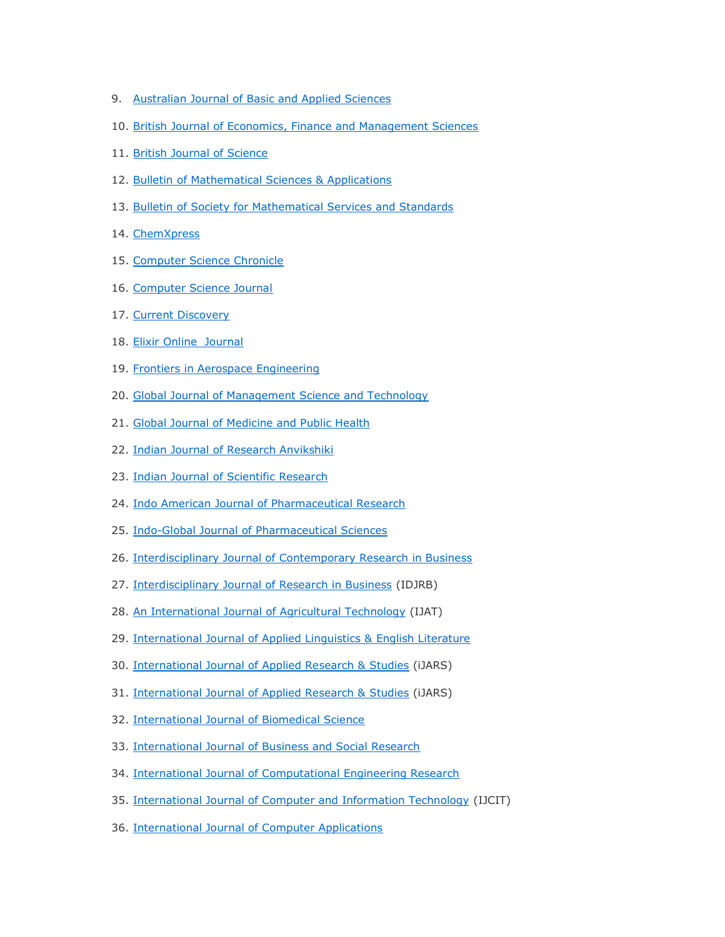- 9. [Australian Journal of Basic and Applied Sciences](http://www.ajbasweb.com/)
- 10. [British Journal of Economics, Finance and Management Sciences](http://www.ajournal.co.uk/BJEFM.htm)
- 11. [British Journal of Science](http://www.ajournal.co.uk/index.htm)
- 12. Bulletin [of Mathematical Sciences & Applications](http://www.bmsa.us/index.php)
- 13. [Bulletin of Society for Mathematical Services and Standards](http://www.jsomass.com/index.php)
- 14. [ChemXpress](http://www.globalpublication.org/)
- 15. [Computer Science Chronicle](http://www.cschronicle.org/)
- 16. [Computer Science Journal](http://comsj.org/)
- 17. [Current Discovery](http://www.ijcdi.com/)
- 18. [Elixir Online](http://www.elixirjournal.org/) Journal
- 19. [Frontiers in Aerospace Engineering](http://www.fae-journal.org/index.aspx)
- 20. [Global Journal of Management Science and Technology](http://gjmst.com/index.htm)
- 21. [Global Journal of Medicine and Public Health](http://www.gjmedph.org/)
- 22. [Indian Journal of Research Anvikshiki](http://www.anvikshikijournal.com/)
- 23. [Indian Journal of Scientific Research](http://www.ijsr.in/index.php)
- 24. [Indo American Journal of Pharmaceutical Research](http://www.iajpr.com/index.php/en/)
- 25. [Indo-Global Journal of Pharmaceutical Sciences](http://iglobaljournal.com/)
- 26. [Interdisciplinary Journal of Contemporary Research in Business](http://ijcrb.webs.com/)
- 27. [Interdisciplinary Journal of Research in Business](http://www.idjrb.com/index.php) (IDJRB)
- 28. An [International Journal of Agricultural Technology](http://www.ijat-aatsea.com/overview.html) (IJAT)
- 29. [International Journal of Applied Linguistics & English Literature](http://www.ijalel.org/Default.aspx)
- 30. [International Journal of Applied Research & Studies](http://www.ijars.in/) (iJARS)
- 31. [International Journal of Applied Research & Studies](http://www.ijars.in/) (iJARS)
- 32. [International Journal of Biomedical Science](http://www.ijbs.org/HomePage.aspx)
- 33. [International Journal of Business and Social Research](http://www.ijbsr.org/)
- 34. [International Journal of Computational Engineering Research](http://www.ijceronline.com/editorial-board.html)
- 35. [International Journal of Computer and Information Technology](http://www.ijcit.com/) (IJCIT)
- 36. [International Journal of Computer Applications](http://www.ijcaonline.org/)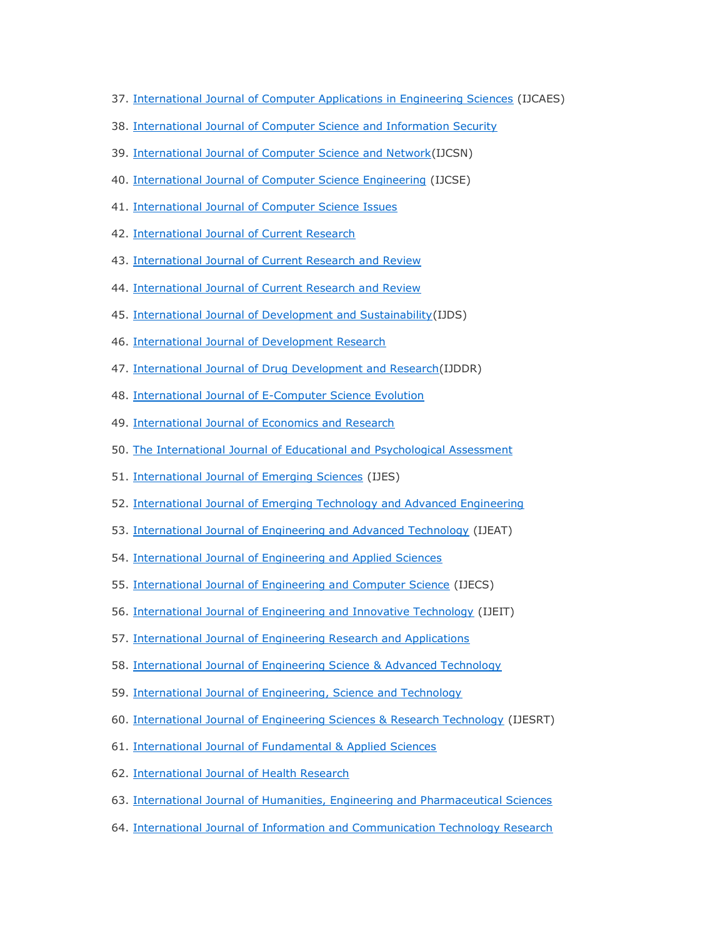- 37. [International Journal of Computer Applications in Engineering Sciences](http://www.caesjournals.org/) (IJCAES)
- 38. [International Journal of Computer Science and Information Security](https://sites.google.com/site/ijcsis/)
- 39. [International Journal of Computer Science and Network\(](http://ijcsn.org/)IJCSN)
- 40. [International Journal of Computer Science Engineering](http://www.ijcse.net/index.php) (IJCSE)
- 41. [International Journal of Computer Science Issues](http://ijcsi.org/index.php)
- 42. [International Journal of Current Research](http://www.journalcra.com/)
- 43. [International Journal of Current Research](http://www.ijcrr.com/current_issue.html) and Review
- 44. [International Journal of Current Research and Review](http://www.ijcrr.com/)
- 45. [International Journal of Development and Sustainability\(](http://isdsnet.com/ijds/)IJDS)
- 46. [International Journal of Development Research](http://www.journalijdr.com/)
- 47. [International Journal of Drug Development and Research\(](http://www.ijddr.in/)IJDDR)
- 48. [International Journal of E-Computer Science Evolution](http://www.ijecse.com/)
- 49. [International Journal of Economics and Research](http://www.ijeronline.com/)
- 50. [The International Journal of Educational and](http://tijepa.books.officelive.com/main.aspx) Psychological Assessment
- 51. [International Journal of Emerging Sciences](http://ijes.info/index.html) (IJES)
- 52. [International Journal of Emerging Technology and Advanced Engineering](http://www.ijetae.com/index.html)
- 53. [International Journal of Engineering and Advanced Technology](http://www.ijeat.org/) (IJEAT)
- 54. [International Journal of Engineering and Applied Sciences](http://eaas-journal.org/)
- 55. [International Journal of Engineering and Computer Science](http://www.ijecs.in/) (IJECS)
- 56. [International Journal of Engineering and Innovative Technology](http://ijeit.com/index.php) (IJEIT)
- 57. [International Journal of Engineering Research and Applications](http://www.ijera.com/index.html)
- 58. [International Journal of Engineering Science & Advanced Technology](http://ijesat.org/)
- 59. [International Journal of Engineering, Science and Technology](http://www.ijest-ng.com/)
- 60. [International Journal of Engineering Sciences & Research Technology](http://www.ijesrt.com/index.html) (IJESRT)
- 61. [International Journal of Fundamental & Applied Sciences](http://www.bma.org.in/IJFAS.aspx)
- 62. [International Journal of Health Research](http://www.ijhr.org/)
- 63. [International Journal of Humanities, Engineering and Pharmaceutical Sciences](http://ijheps.org/)
- 64. [International Journal of Information and Communication Technology Research](http://esjournals.org/index.php)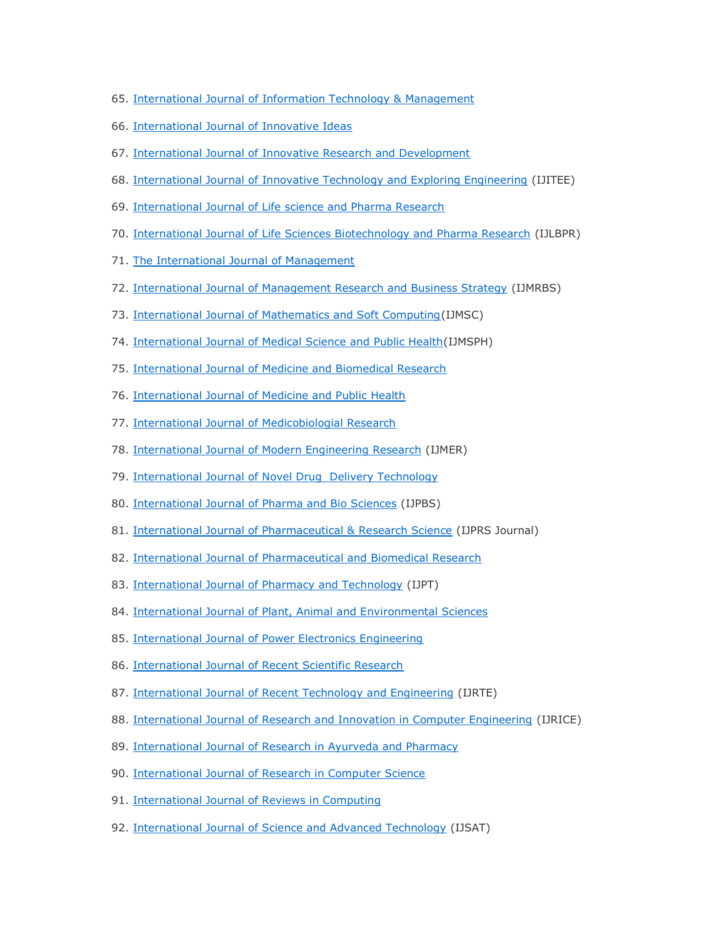- 65. International Journal [of Information Technology & Management](http://www.jitbm.com/)
- 66. [International Journal of Innovative Ideas](http://www.publishtopublic.com/)
- 67. [International Journal of Innovative Research and Development](http://www.ijird.com/)
- 68. [International Journal of Innovative Technology and Exploring Engineering](http://www.ijitee.org/) (IJITEE)
- 69. [International Journal of Life science and Pharma Research](http://www.ijlpr.com/)
- 70. [International Journal of Life Sciences Biotechnology and Pharma Research](http://www.ijlbpr.com/index.php) (IJLBPR)
- 71. [The International Journal of Management](http://www.theijm.com/)
- 72. [International Journal of Management Research and Business Strategy](http://www.ijmrbs.com/) (IJMRBS)
- 73. [International Journal of Mathematics and Soft Computing\(](http://www.ijmsc.com/index.php/ijmsc/index)IJMSC)
- 74. [International Journal of Medical Science and Public Health\(](http://www.ijmsph.com/)IJMSPH)
- 75. [International Journal of Medicine and Biomedical Research](http://ijmbr.com/index.php)
- 76. [International Journal of Medicine and Public Health](http://www.ijmedph.org/)
- 77. [International Journal of Medicobiologial Research](http://www.ijmedres.com/)
- 78. [International Journal of Modern Engineering Research](http://www.ijmer.com/) (IJMER)
- 79. [International Journal of Novel Drug Delivery Technology](http://www.scopemed.org/?jid=15)
- 80. [International Journal of Pharma and Bio Sciences](http://www.ijpbs.net/index.html) (IJPBS)
- 81. [International Journal of Pharmaceutical & Research Science](http://www.ijprsjournal.com/index.html) (IJPRS Journal)
- 82. [International Journal of Pharmaceutical and Biomedical Research](http://www.pharmscidirect.com/)
- 83. [International Journal of Pharmacy and Technology](http://www.ijptonline.com/) (IJPT)
- 84. [International Journal of Plant, Animal and Environmental Sciences](http://www.ijpaes.com/)
- 85. [International Journal of Power Electronics Engineering](http://www.ijpee.com/index.php/ijpee)
- 86. [International Journal of Recent Scientific Research](http://www.recentscientific.com/)
- 87. [International Journal of Recent Technology and Engineering](http://www.ijrte.org/) (IJRTE)
- 88. [International Journal of Research and Innovation in Computer Engineering](http://www.ijrice.com/) (IJRICE)
- 89. [International Journal of Research in Ayurveda and Pharmacy](http://www.ijrap.net/)
- 90. [International Journal of Research in Computer Science](http://www.ijorcs.org/)
- 91. [International Journal of Reviews in Computing](http://www.ijric.org/index.php)
- 92. [International Journal of Science and Advanced Technology](http://www.ijsat.com/) (IJSAT)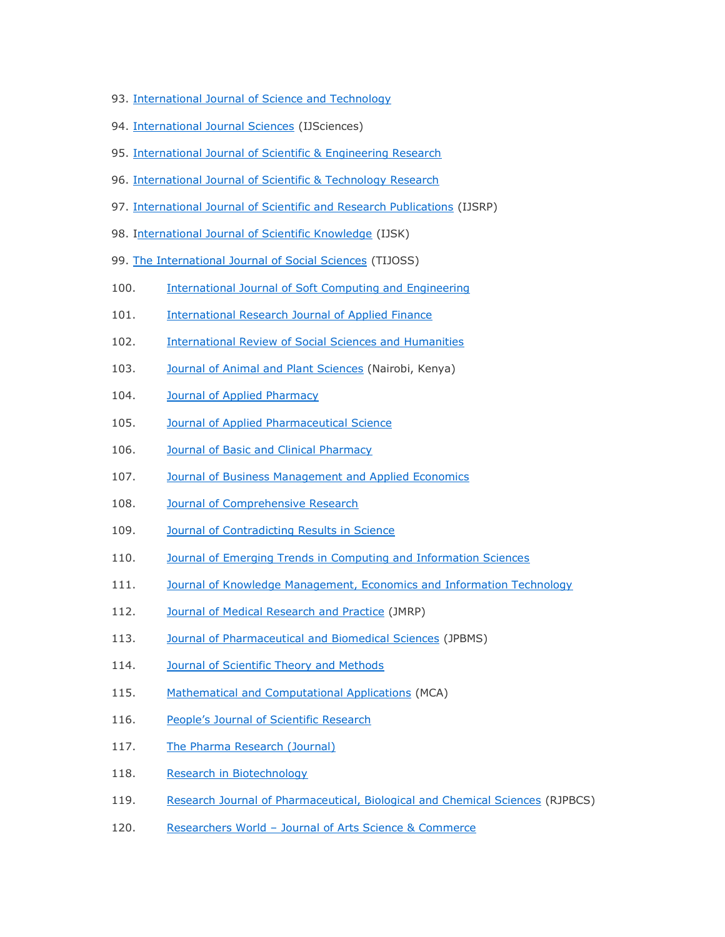- 93. International Journal [of Science and Technology](http://ejournalofsciences.org/)
- 94. [International Journal Sciences](http://www.ijsciences.com/) (IJSciences)
- 95. [International Journal of Scientific & Engineering Research](http://www.ijser.org/)
- 96. [International Journal of Scientific & Technology Research](http://www.ijstr.org/)
- 97. [International Journal of Scientific and Research Publications](http://www.ijsrp.org/) (IJSRP)
- 98. [International Journal of Scientific Knowledge](http://www.ijsk.org/index.html) (IJSK)
- 99. [The International Journal of Social Sciences](http://www.tijoss.com/index.html) (TIJOSS)
- 100. [International Journal of Soft Computing and Engineering](http://www.ijsce.org/)
- 101. [International Research Journal of Applied Finance](http://irjaf.com/Home_Page.html)
- 102. [International Review of Social Sciences and Humanities](http://www.irssh.com/home)
- 103. [Journal of Animal and Plant Sciences](http://www.m.elewa.org/JAPS/) (Nairobi, Kenya)
- 104. [Journal of Applied Pharmacy](http://japharmacy.com/master/Default.aspx)
- 105. **[Journal of Applied Pharmaceutical Science](http://www.japsonline.com/index.php)**
- 106. **[Journal of Basic and Clinical Pharmacy](http://jbclinpharm.com/default.aspx)**
- 107. **[Journal of Business Management and Applied Economics](http://jbmae.scientificpapers.org/)**
- 108. [Journal of Comprehensive Research](http://jupapadoc.startlogic.com/compresearch/)
- 109. [Journal of Contradicting Results in Science](http://jcrsci.org/)
- 110. [Journal of Emerging Trends in Computing and Information Sciences](http://cisjournal.org/)
- 111. [Journal of Knowledge Management, Economics and Information Technology](http://www.scientificpapers.org/)
- 112. **[Journal of Medical Research and Practice](http://jmrp.info/index.php/jmrp) (JMRP)**
- 113. [Journal of Pharmaceutical and Biomedical Sciences](http://www.jpbms.info/) (JPBMS)
- 114. [Journal of Scientific Theory and Methods](http://journalofscientifictheoryandmethods.com/)
- 115. [Mathematical and Computational Applications](http://mcajournal.cbu.edu.tr/) (MCA)
- 116. People's Jo[urnal of Scientific Research](http://www.pjsr.org/Home.html)
- 117. [The Pharma Research \(Journal\)](http://www.thepharmaresearch.info/)
- 118. [Research in Biotechnology](http://www.researchinbiotechnology.com/home)
- 119. [Research Journal of Pharmaceutical, Biological and Chemical Sciences](http://www.rjpbcs.com/index.html) (RJPBCS)
- 120. Researchers World [Journal of Arts Science & Commerce](http://www.researchersworld.com/index.html)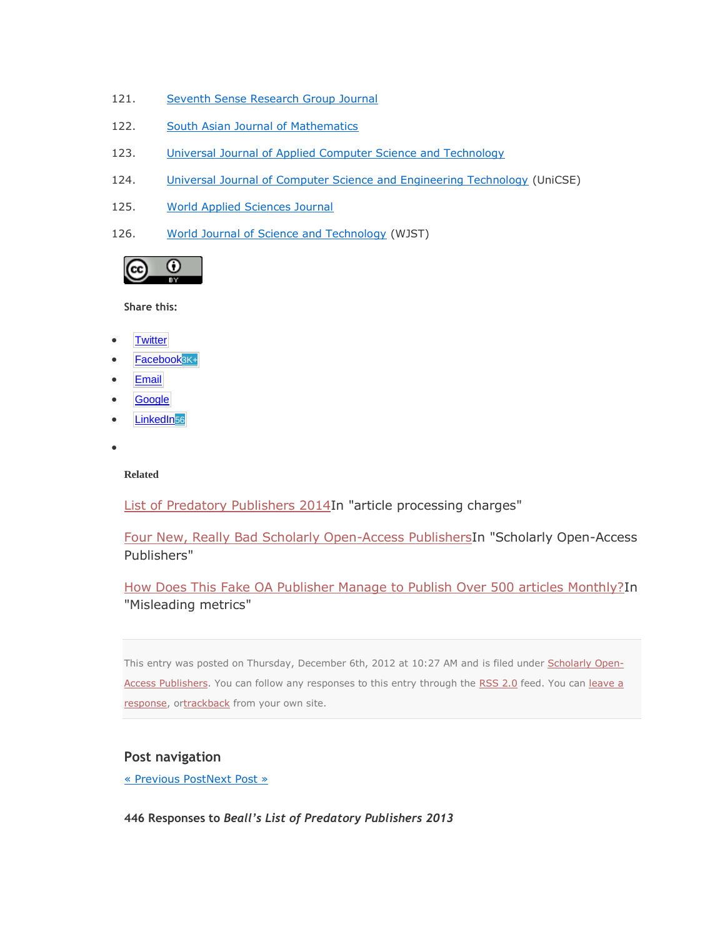- 121. [Seventh Sense Research Group Journal](http://ssrgj.blogspot.com/)
- 122. [South Asian Journal of Mathematics](http://www.sajm.com.nu/index.htm)
- 123. [Universal Journal of Applied Computer Science and Technology](http://uniascit.in/index.php)
- 124. [Universal Journal of Computer Science and Engineering Technology](http://www.unicse.org/) (UniCSE)
- 125. [World Applied Sciences Journal](http://www.wasj.org/)
- 126. [World Journal of Science and Technology](http://worldjournalofscience.com/) (WJST)



**Share this:**

- **[Twitter](https://scholarlyoa.com/2012/12/06/bealls-list-of-predatory-publishers-2013/?share=twitter&nb=1)**
- [Facebook](https://scholarlyoa.com/2012/12/06/bealls-list-of-predatory-publishers-2013/?share=facebook&nb=1)3K+
- **[Email](https://scholarlyoa.com/2012/12/06/bealls-list-of-predatory-publishers-2013/?share=email&nb=1)**
- **[Google](https://scholarlyoa.com/2012/12/06/bealls-list-of-predatory-publishers-2013/?share=google-plus-1&nb=1)**
- [LinkedIn](https://scholarlyoa.com/2012/12/06/bealls-list-of-predatory-publishers-2013/?share=linkedin&nb=1)<sub>56</sub>
- $\bullet$

#### **Related**

[List of Predatory Publishers 2014I](https://scholarlyoa.com/2014/01/02/list-of-predatory-publishers-2014/)n "article processing charges"

[Four New, Really Bad Scholarly Open-Access PublishersI](https://scholarlyoa.com/2012/03/15/four-new-really-bad-scholarly-open-access-publishers/)n "Scholarly Open-Access Publishers"

[How Does This Fake OA Publisher Manage to Publish Over 500 articles Monthly?I](https://scholarlyoa.com/2015/03/05/how-does-this-fake-oa-publisher-manage-to-publish-over-500-articles-monthly/)n "Misleading metrics"

This entry was posted on Thursday, December 6th, 2012 at 10:27 AM and is filed under [Scholarly Open-](https://scholarlyoa.com/category/scholarly-open-access-publishers/)[Access Publishers.](https://scholarlyoa.com/category/scholarly-open-access-publishers/) You can follow any responses to this entry through the [RSS 2.0](https://scholarlyoa.com/2012/12/06/bealls-list-of-predatory-publishers-2013/feed/) feed. You can leave a [response,](https://scholarlyoa.com/2012/12/06/bealls-list-of-predatory-publishers-2013/#respond) o[rtrackback](https://scholarlyoa.com/2012/12/06/bealls-list-of-predatory-publishers-2013/trackback/) from your own site.

#### **Post navigation**

[« Previous PostNext Post »](https://scholarlyoa.com/2012/12/05/three-new-questionable-open-access-publishers/)

**446 Responses to** *Beall's List of Predatory Publishers 2013*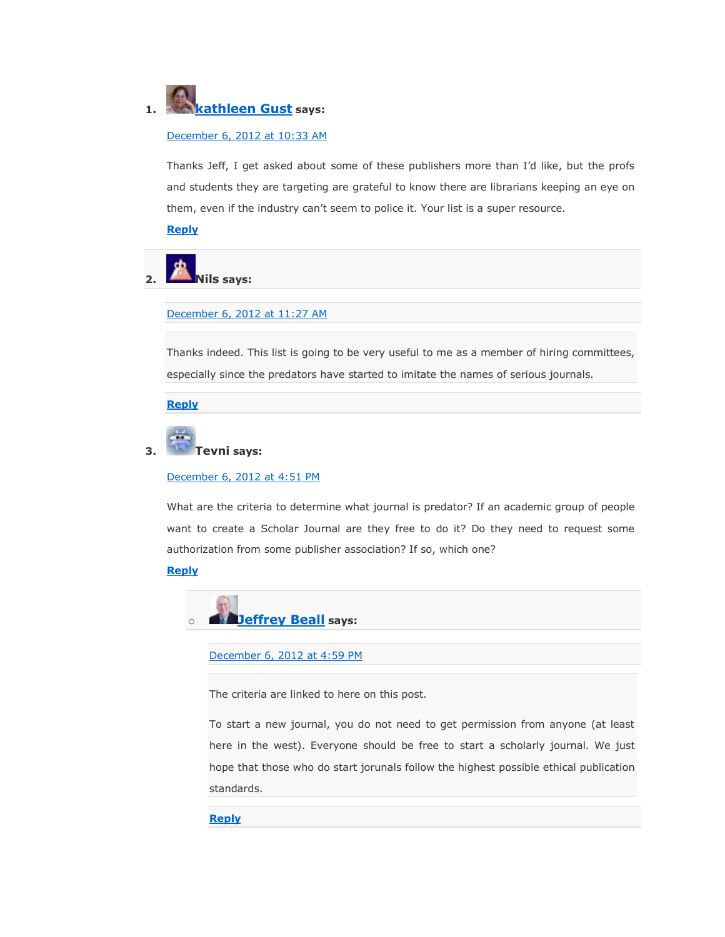# **1. [kathleen Gust](http://gravatar.com/kgust) says:**

#### [December 6, 2012 at 10:33 AM](https://scholarlyoa.com/2012/12/06/bealls-list-of-predatory-publishers-2013/#comment-5312)

Thanks Jeff, I get asked about some of these publishers more than I'd like, but the profs and students they are targeting are grateful to know there are librarians keeping an eye on them, even if the industry can't seem to police it. Your list is a super resource.

#### **[Reply](https://scholarlyoa.com/2012/12/06/bealls-list-of-predatory-publishers-2013/?replytocom=5312#respond)**

**2. Nils says:**

[December 6, 2012 at 11:27 AM](https://scholarlyoa.com/2012/12/06/bealls-list-of-predatory-publishers-2013/#comment-5314)

Thanks indeed. This list is going to be very useful to me as a member of hiring committees, especially since the predators have started to imitate the names of serious journals.

**[Reply](https://scholarlyoa.com/2012/12/06/bealls-list-of-predatory-publishers-2013/?replytocom=5314#respond)**

# **3. Tevni says:**

[December 6, 2012 at 4:51 PM](https://scholarlyoa.com/2012/12/06/bealls-list-of-predatory-publishers-2013/#comment-5324)

What are the criteria to determine what journal is predator? If an academic group of people want to create a Scholar Journal are they free to do it? Do they need to request some authorization from some publisher association? If so, which one?

#### **[Reply](https://scholarlyoa.com/2012/12/06/bealls-list-of-predatory-publishers-2013/?replytocom=5324#respond)**



[December 6, 2012 at 4:59 PM](https://scholarlyoa.com/2012/12/06/bealls-list-of-predatory-publishers-2013/#comment-5325)

The criteria are linked to here on this post.

To start a new journal, you do not need to get permission from anyone (at least here in the west). Everyone should be free to start a scholarly journal. We just hope that those who do start jorunals follow the highest possible ethical publication standards.

#### **[Reply](https://scholarlyoa.com/2012/12/06/bealls-list-of-predatory-publishers-2013/?replytocom=5325#respond)**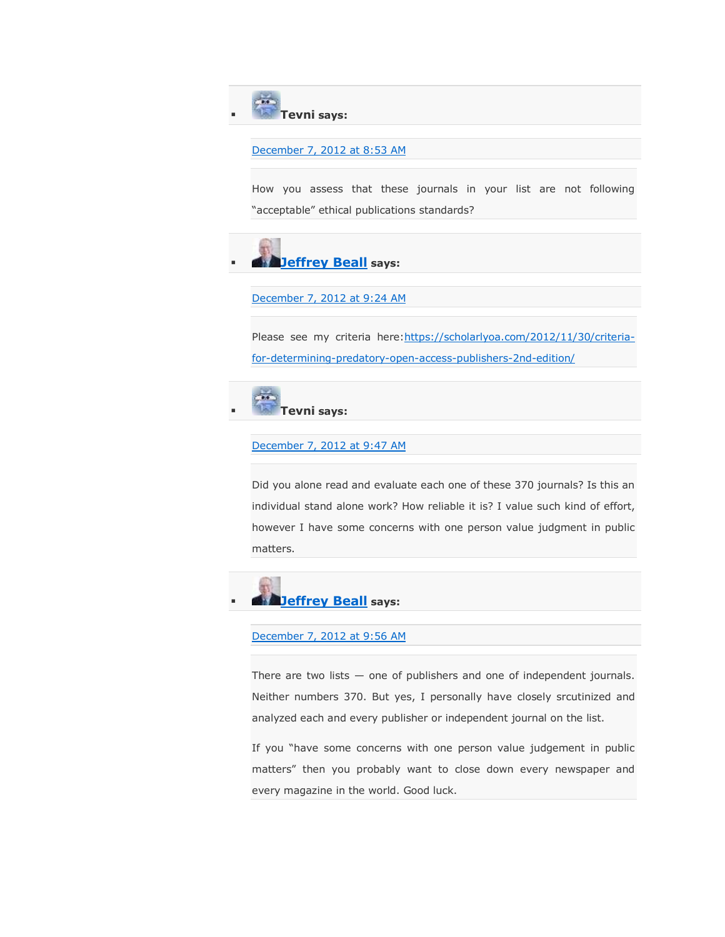**Tevni says:**

#### [December 7, 2012 at 8:53 AM](https://scholarlyoa.com/2012/12/06/bealls-list-of-predatory-publishers-2013/#comment-5355)

How you assess that these journals in your list are not following "acceptable" ethical publications standards?



[December 7, 2012 at 9:24 AM](https://scholarlyoa.com/2012/12/06/bealls-list-of-predatory-publishers-2013/#comment-5357)

Please see my criteria here: https://scholarlyoa.com/2012/11/30/criteria[for-determining-predatory-open-access-publishers-2nd-edition/](https://scholarlyoa.com/2012/11/30/criteria-for-determining-predatory-open-access-publishers-2nd-edition/)



#### [December 7, 2012 at 9:47 AM](https://scholarlyoa.com/2012/12/06/bealls-list-of-predatory-publishers-2013/#comment-5358)

Did you alone read and evaluate each one of these 370 journals? Is this an individual stand alone work? How reliable it is? I value such kind of effort, however I have some concerns with one person value judgment in public matters.



#### [December 7, 2012 at 9:56 AM](https://scholarlyoa.com/2012/12/06/bealls-list-of-predatory-publishers-2013/#comment-5359)

There are two lists — one of publishers and one of independent journals. Neither numbers 370. But yes, I personally have closely srcutinized and analyzed each and every publisher or independent journal on the list.

If you "have some concerns with one person value judgement in public matters" then you probably want to close down every newspaper and every magazine in the world. Good luck.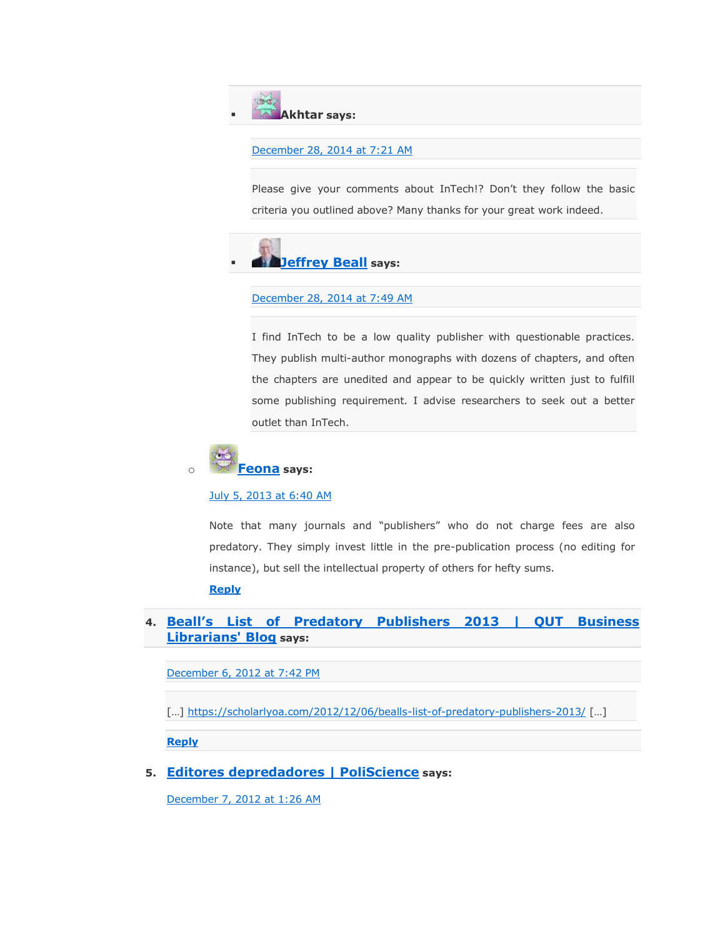**Akhtar says:**

#### [December 28, 2014 at 7:21 AM](https://scholarlyoa.com/2012/12/06/bealls-list-of-predatory-publishers-2013/#comment-226097)

Please give your comments about InTech!? Don't they follow the basic criteria you outlined above? Many thanks for your great work indeed.



#### [December 28, 2014 at 7:49 AM](https://scholarlyoa.com/2012/12/06/bealls-list-of-predatory-publishers-2013/#comment-226112)

I find InTech to be a low quality publisher with questionable practices. They publish multi-author monographs with dozens of chapters, and often the chapters are unedited and appear to be quickly written just to fulfill some publishing requirement. I advise researchers to seek out a better outlet than InTech.



#### [July 5, 2013 at 6:40 AM](https://scholarlyoa.com/2012/12/06/bealls-list-of-predatory-publishers-2013/#comment-22328)

Note that many journals and "publishers" who do not charge fees are also predatory. They simply invest little in the pre-publication process (no editing for instance), but sell the intellectual property of others for hefty sums.

**[Reply](https://scholarlyoa.com/2012/12/06/bealls-list-of-predatory-publishers-2013/?replytocom=22328#respond)**

#### **4. [Beall's List of Predatory Publishers 2013 | QUT](http://businesslibrarian.wordpress.com/2012/12/07/bealls-list-of-predatory-publishers-2013/) Business [Librarians' Blog](http://businesslibrarian.wordpress.com/2012/12/07/bealls-list-of-predatory-publishers-2013/) says:**

[December 6, 2012 at 7:42 PM](https://scholarlyoa.com/2012/12/06/bealls-list-of-predatory-publishers-2013/#comment-5330)

[…] <https://scholarlyoa.com/2012/12/06/bealls-list-of-predatory-publishers-2013/> […]

**[Reply](https://scholarlyoa.com/2012/12/06/bealls-list-of-predatory-publishers-2013/?replytocom=5330#respond)**

**5. [Editores depredadores | PoliScience](http://poliscience.blogs.upv.es/2012/12/07/editores-depredadores/) says:**

[December 7, 2012 at 1:26 AM](https://scholarlyoa.com/2012/12/06/bealls-list-of-predatory-publishers-2013/#comment-5343)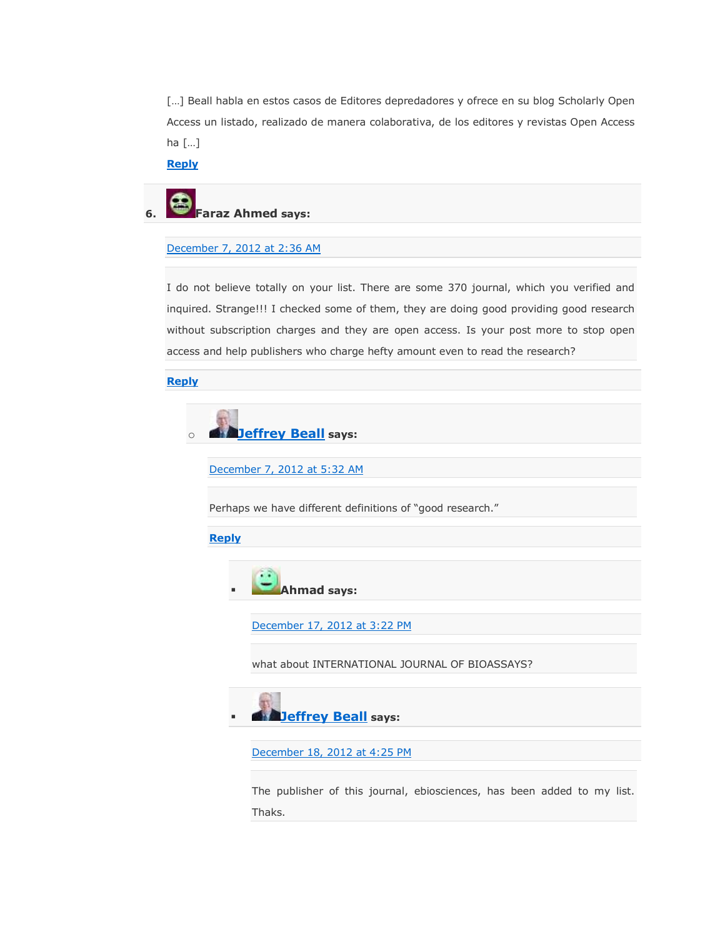[...] Beall habla en estos casos de Editores depredadores y ofrece en su blog Scholarly Open Access un listado, realizado de manera colaborativa, de los editores y revistas Open Access ha […]

**[Reply](https://scholarlyoa.com/2012/12/06/bealls-list-of-predatory-publishers-2013/?replytocom=5343#respond)**

# **6. Faraz Ahmed says:**

#### [December 7, 2012 at 2:36 AM](https://scholarlyoa.com/2012/12/06/bealls-list-of-predatory-publishers-2013/#comment-5345)

I do not believe totally on your list. There are some 370 journal, which you verified and inquired. Strange!!! I checked some of them, they are doing good providing good research without subscription charges and they are open access. Is your post more to stop open access and help publishers who charge hefty amount even to read the research?

**[Reply](https://scholarlyoa.com/2012/12/06/bealls-list-of-predatory-publishers-2013/?replytocom=5345#respond)**



[December 7, 2012 at 5:32 AM](https://scholarlyoa.com/2012/12/06/bealls-list-of-predatory-publishers-2013/#comment-5348)

Perhaps we have different definitions of "good research."

#### **[Reply](https://scholarlyoa.com/2012/12/06/bealls-list-of-predatory-publishers-2013/?replytocom=5348#respond)**



[December 17, 2012 at 3:22 PM](https://scholarlyoa.com/2012/12/06/bealls-list-of-predatory-publishers-2013/#comment-5988)

what about INTERNATIONAL JOURNAL OF BIOASSAYS?



[December 18, 2012 at 4:25 PM](https://scholarlyoa.com/2012/12/06/bealls-list-of-predatory-publishers-2013/#comment-6042)

The publisher of this journal, ebiosciences, has been added to my list. Thaks.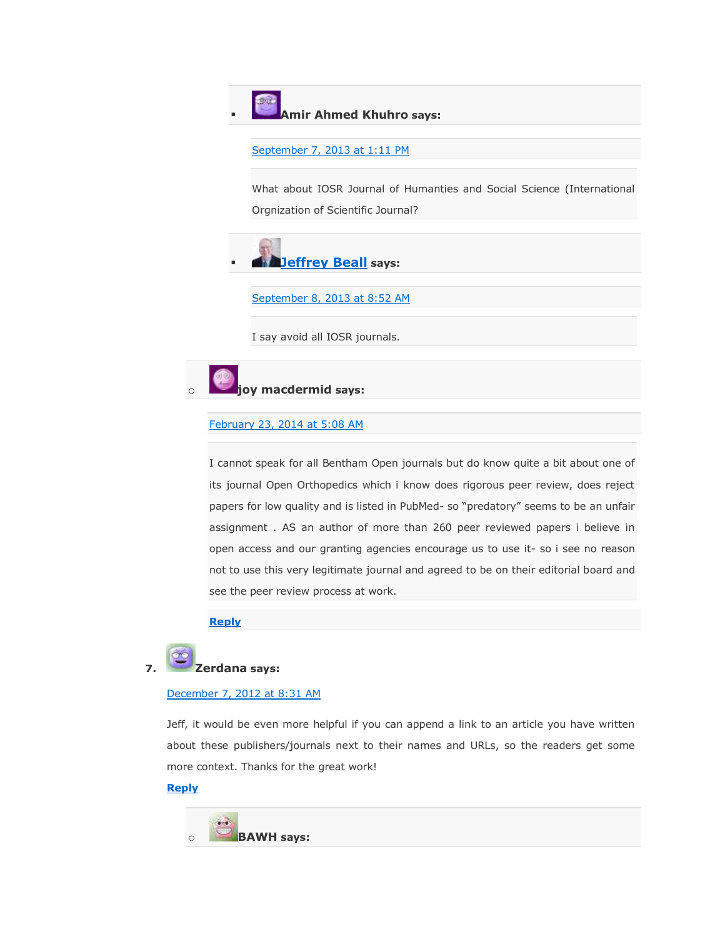#### **Amir Ahmed Khuhro says:**

```
September 7, 2013 at 1:11 PM
```
What about IOSR Journal of Humanties and Social Science (International Orgnization of Scientific Journal?



[September 8, 2013 at 8:52 AM](https://scholarlyoa.com/2012/12/06/bealls-list-of-predatory-publishers-2013/#comment-25187)

I say avoid all IOSR journals.



#### [February 23, 2014 at 5:08 AM](https://scholarlyoa.com/2012/12/06/bealls-list-of-predatory-publishers-2013/#comment-47148)

I cannot speak for all Bentham Open journals but do know quite a bit about one of its journal Open Orthopedics which i know does rigorous peer review, does reject papers for low quality and is listed in PubMed- so "predatory" seems to be an unfair assignment . AS an author of more than 260 peer reviewed papers i believe in open access and our granting agencies encourage us to use it- so i see no reason not to use this very legitimate journal and agreed to be on their editorial board and see the peer review process at work.

#### **[Reply](https://scholarlyoa.com/2012/12/06/bealls-list-of-predatory-publishers-2013/?replytocom=47148#respond)**



#### [December 7, 2012 at 8:31 AM](https://scholarlyoa.com/2012/12/06/bealls-list-of-predatory-publishers-2013/#comment-5353)

Jeff, it would be even more helpful if you can append a link to an article you have written about these publishers/journals next to their names and URLs, so the readers get some more context. Thanks for the great work!

#### **[Reply](https://scholarlyoa.com/2012/12/06/bealls-list-of-predatory-publishers-2013/?replytocom=5353#respond)**

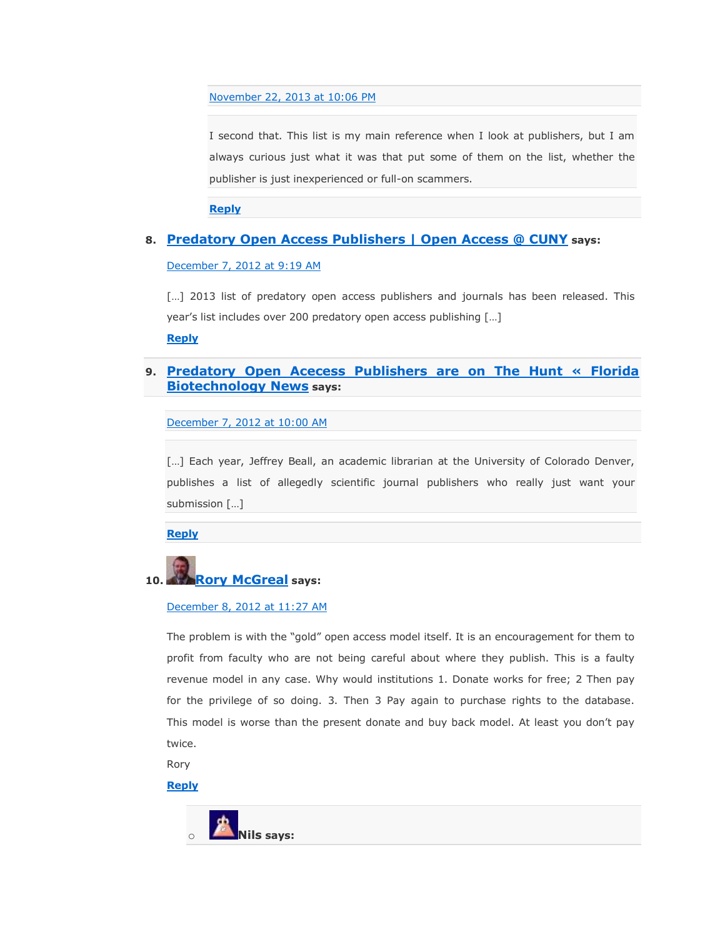[November 22, 2013 at 10:06 PM](https://scholarlyoa.com/2012/12/06/bealls-list-of-predatory-publishers-2013/#comment-31421)

I second that. This list is my main reference when I look at publishers, but I am always curious just what it was that put some of them on the list, whether the publisher is just inexperienced or full-on scammers.

**[Reply](https://scholarlyoa.com/2012/12/06/bealls-list-of-predatory-publishers-2013/?replytocom=31421#respond)**

#### **8. [Predatory Open Access Publishers | Open Access @ CUNY](http://openaccess.commons.gc.cuny.edu/2012/12/07/predatory-open-access-publishers/) says:**

[December 7, 2012 at 9:19 AM](https://scholarlyoa.com/2012/12/06/bealls-list-of-predatory-publishers-2013/#comment-5356)

[...] 2013 list of predatory open access publishers and journals has been released. This year's list includes over 200 predatory open access publishing […]

**[Reply](https://scholarlyoa.com/2012/12/06/bealls-list-of-predatory-publishers-2013/?replytocom=5356#respond)**

#### **9. [Predatory Open Acecess Publishers are on The Hunt « Florida](http://floridabiotechnews.com/news/predatory-open-acecess-publishers-are-on-the-hunt/11444/)  [Biotechnology News](http://floridabiotechnews.com/news/predatory-open-acecess-publishers-are-on-the-hunt/11444/) says:**

[December 7, 2012 at 10:00 AM](https://scholarlyoa.com/2012/12/06/bealls-list-of-predatory-publishers-2013/#comment-5360)

[...] Each year, Jeffrey Beall, an academic librarian at the University of Colorado Denver, publishes a list of allegedly scientific journal publishers who really just want your submission […]

**[Reply](https://scholarlyoa.com/2012/12/06/bealls-list-of-predatory-publishers-2013/?replytocom=5360#respond)**



# **10. Rory [McGreal](http://unescochair.athabascau.ca/) says:**

#### [December 8, 2012 at 11:27 AM](https://scholarlyoa.com/2012/12/06/bealls-list-of-predatory-publishers-2013/#comment-5411)

The problem is with the "gold" open access model itself. It is an encouragement for them to profit from faculty who are not being careful about where they publish. This is a faulty revenue model in any case. Why would institutions 1. Donate works for free; 2 Then pay for the privilege of so doing. 3. Then 3 Pay again to purchase rights to the database. This model is worse than the present donate and buy back model. At least you don't pay twice.

Rory

#### **[Reply](https://scholarlyoa.com/2012/12/06/bealls-list-of-predatory-publishers-2013/?replytocom=5411#respond)**

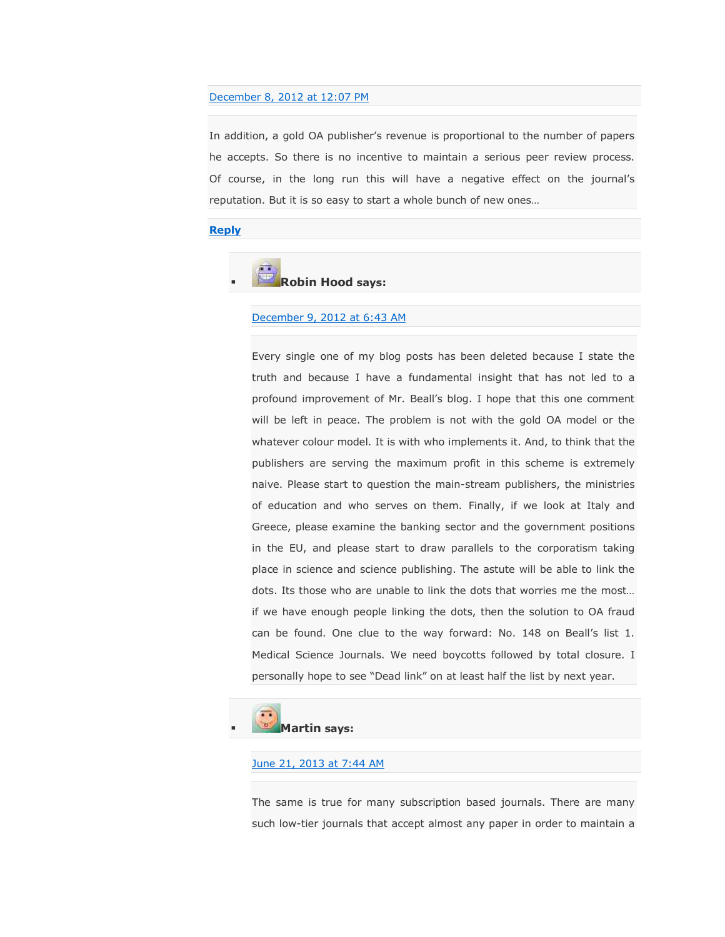#### [December 8, 2012 at 12:07 PM](https://scholarlyoa.com/2012/12/06/bealls-list-of-predatory-publishers-2013/#comment-5413)

In addition, a gold OA publisher's revenue is proportional to the number of papers he accepts. So there is no incentive to maintain a serious peer review process. Of course, in the long run this will have a negative effect on the journal's reputation. But it is so easy to start a whole bunch of new ones…

#### **[Reply](https://scholarlyoa.com/2012/12/06/bealls-list-of-predatory-publishers-2013/?replytocom=5413#respond)**

**Robin Hood says:**

#### [December 9, 2012 at 6:43 AM](https://scholarlyoa.com/2012/12/06/bealls-list-of-predatory-publishers-2013/#comment-5454)

Every single one of my blog posts has been deleted because I state the truth and because I have a fundamental insight that has not led to a profound improvement of Mr. Beall's blog. I hope that this one comment will be left in peace. The problem is not with the gold OA model or the whatever colour model. It is with who implements it. And, to think that the publishers are serving the maximum profit in this scheme is extremely naive. Please start to question the main-stream publishers, the ministries of education and who serves on them. Finally, if we look at Italy and Greece, please examine the banking sector and the government positions in the EU, and please start to draw parallels to the corporatism taking place in science and science publishing. The astute will be able to link the dots. Its those who are unable to link the dots that worries me the most… if we have enough people linking the dots, then the solution to OA fraud can be found. One clue to the way forward: No. 148 on Beall's list 1. Medical Science Journals. We need boycotts followed by total closure. I personally hope to see "Dead link" on at least half the list by next year.



#### [June 21, 2013 at 7:44 AM](https://scholarlyoa.com/2012/12/06/bealls-list-of-predatory-publishers-2013/#comment-21414)

The same is true for many subscription based journals. There are many such low-tier journals that accept almost any paper in order to maintain a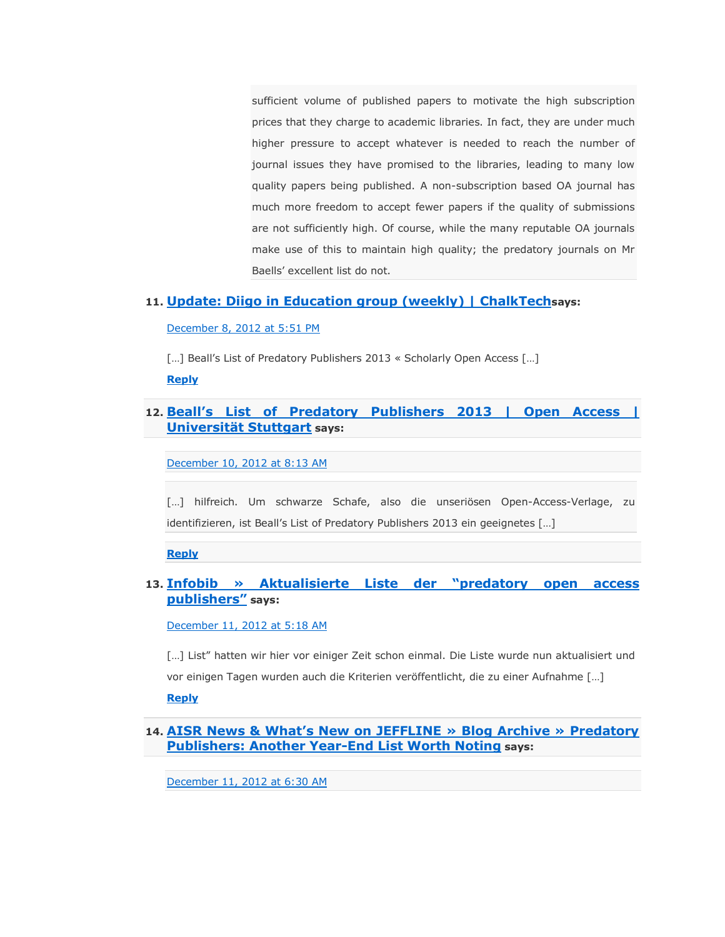sufficient volume of published papers to motivate the high subscription prices that they charge to academic libraries. In fact, they are under much higher pressure to accept whatever is needed to reach the number of journal issues they have promised to the libraries, leading to many low quality papers being published. A non-subscription based OA journal has much more freedom to accept fewer papers if the quality of submissions are not sufficiently high. Of course, while the many reputable OA journals make use of this to maintain high quality; the predatory journals on Mr Baells' excellent list do not.

#### **11. [Update: Diigo in Education group \(weekly\) | ChalkTech](http://chalktech.com/wp/update-diigo-in-education-group-weekly-9/)says:**

[December 8, 2012 at 5:51 PM](https://scholarlyoa.com/2012/12/06/bealls-list-of-predatory-publishers-2013/#comment-5430)

[...] Beall's List of Predatory Publishers 2013 « Scholarly Open Access [...]

**[Reply](https://scholarlyoa.com/2012/12/06/bealls-list-of-predatory-publishers-2013/?replytocom=5430#respond)**

#### **12. [Beall's List of Predatory Publishers 2013 | Open Access |](http://oa.uni-stuttgart.de/news/news_2012-12-10.html)  [Universität Stuttgart](http://oa.uni-stuttgart.de/news/news_2012-12-10.html) says:**

[December 10, 2012 at 8:13 AM](https://scholarlyoa.com/2012/12/06/bealls-list-of-predatory-publishers-2013/#comment-5501)

[...] hilfreich. Um schwarze Schafe, also die unseriösen Open-Access-Verlage, zu identifizieren, ist Beall's List of Predatory Publishers 2013 ein geeignetes […]

**[Reply](https://scholarlyoa.com/2012/12/06/bealls-list-of-predatory-publishers-2013/?replytocom=5501#respond)**

#### 13. Infobib » Aktualisierte Liste der "predatory open access **[publishers‖](http://infobib.de/blog/2012/12/07/aktualisierte-liste-der-predatory-open-access-publishers/) says:**

[December 11, 2012 at 5:18 AM](https://scholarlyoa.com/2012/12/06/bealls-list-of-predatory-publishers-2013/#comment-5559)

[...] List" hatten wir hier vor einiger Zeit schon einmal. Die Liste wurde nun aktualisiert und vor einigen Tagen wurden auch die Kriterien veröffentlicht, die zu einer Aufnahme […]

**[Reply](https://scholarlyoa.com/2012/12/06/bealls-list-of-predatory-publishers-2013/?replytocom=5559#respond)**

**14. [AISR News & What's New on JEFFLINE » Blog Archive » Predatory](http://jeffline.jefferson.edu/aisrnews/?p=3494)  [Publishers: Another Year-End List Worth Noting](http://jeffline.jefferson.edu/aisrnews/?p=3494) says:**

[December 11, 2012 at 6:30 AM](https://scholarlyoa.com/2012/12/06/bealls-list-of-predatory-publishers-2013/#comment-5566)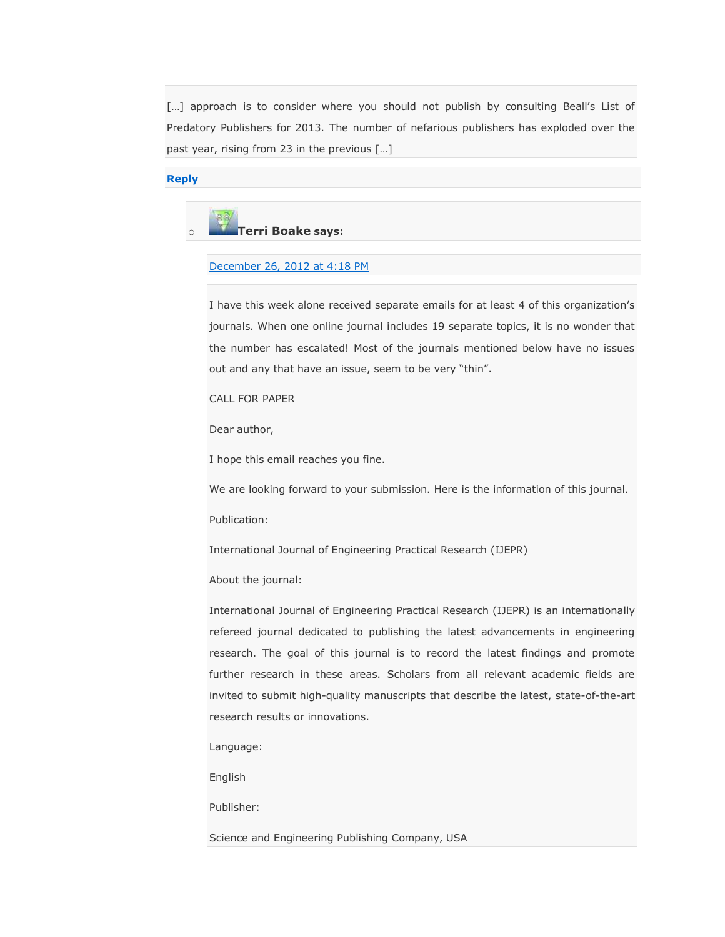[...] approach is to consider where you should not publish by consulting Beall's List of Predatory Publishers for 2013. The number of nefarious publishers has exploded over the past year, rising from 23 in the previous […]

#### **[Reply](https://scholarlyoa.com/2012/12/06/bealls-list-of-predatory-publishers-2013/?replytocom=5566#respond)**



#### [December 26, 2012 at 4:18 PM](https://scholarlyoa.com/2012/12/06/bealls-list-of-predatory-publishers-2013/#comment-6489)

I have this week alone received separate emails for at least 4 of this organization's journals. When one online journal includes 19 separate topics, it is no wonder that the number has escalated! Most of the journals mentioned below have no issues out and any that have an issue, seem to be very "thin".

CALL FOR PAPER

Dear author,

I hope this email reaches you fine.

We are looking forward to your submission. Here is the information of this journal.

Publication:

International Journal of Engineering Practical Research (IJEPR)

About the journal:

International Journal of Engineering Practical Research (IJEPR) is an internationally refereed journal dedicated to publishing the latest advancements in engineering research. The goal of this journal is to record the latest findings and promote further research in these areas. Scholars from all relevant academic fields are invited to submit high-quality manuscripts that describe the latest, state-of-the-art research results or innovations.

Language:

English

Publisher:

Science and Engineering Publishing Company, USA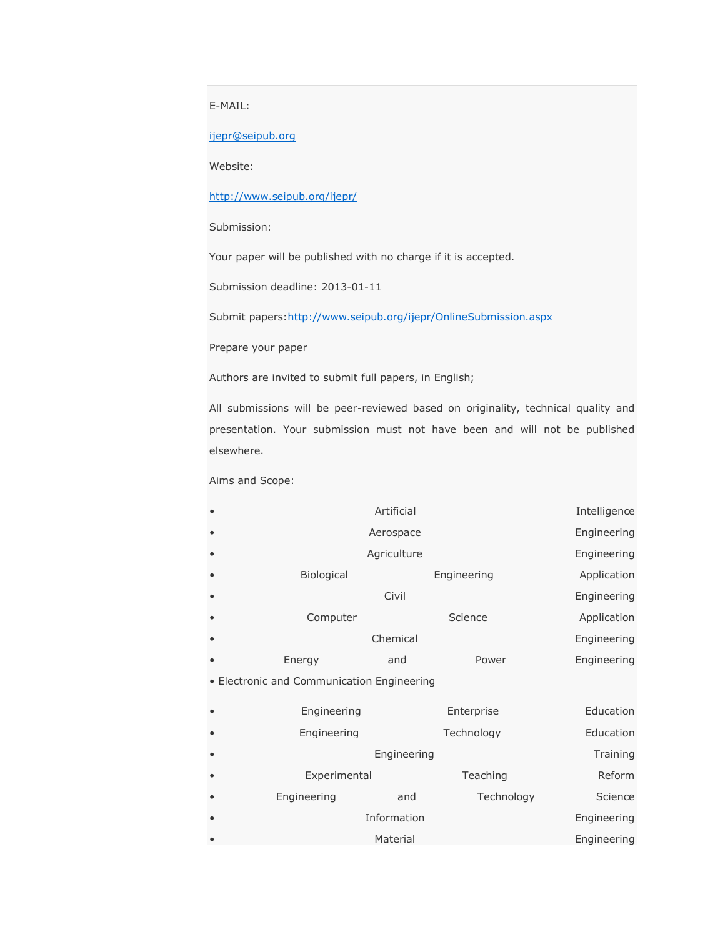E-MAIL:

[ijepr@seipub.org](mailto:ijepr@seipub.org)

Website:

<http://www.seipub.org/ijepr/>

Submission:

Your paper will be published with no charge if it is accepted.

Submission deadline: 2013-01-11

Submit papers: http://www.seipub.org/ijepr/OnlineSubmission.aspx

Prepare your paper

Authors are invited to submit full papers, in English;

All submissions will be peer-reviewed based on originality, technical quality and presentation. Your submission must not have been and will not be published elsewhere.

Aims and Scope:

| Artificial                                 |             |             | Intelligence |
|--------------------------------------------|-------------|-------------|--------------|
| Aerospace                                  |             |             | Engineering  |
| Agriculture                                |             |             | Engineering  |
| Biological                                 |             | Engineering | Application  |
| Civil                                      |             |             | Engineering  |
| Computer                                   |             | Science     | Application  |
|                                            | Chemical    |             | Engineering  |
| Energy                                     | and         | Power       | Engineering  |
| • Electronic and Communication Engineering |             |             |              |
| Engineering                                |             | Enterprise  | Education    |
| Engineering                                |             | Technology  | Education    |
| Engineering                                | Training    |             |              |
| Experimental                               |             | Teaching    | Reform       |
| Engineering                                | <b>p</b> nd | Technology  | Science      |

|           | Engineering | and      | Technology | Science     |
|-----------|-------------|----------|------------|-------------|
|           | Information |          |            | Engineering |
| $\bullet$ |             | Material |            | Engineering |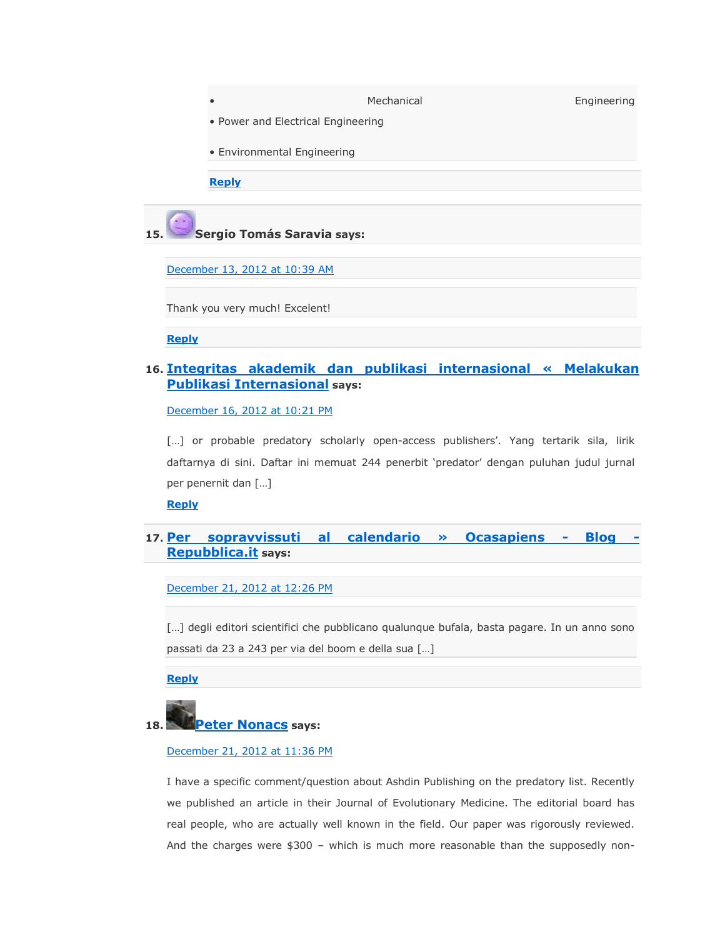|     |                               | Mechanical | Engineering |  |  |
|-----|-------------------------------|------------|-------------|--|--|
|     |                               |            |             |  |  |
|     | • Environmental Engineering   |            |             |  |  |
|     |                               |            |             |  |  |
|     |                               |            |             |  |  |
| 15. | Sergio Tomás Saravia says:    |            |             |  |  |
|     | December 13, 2012 at 10:39 AM |            |             |  |  |

Thank you very much! Excelent!

**[Reply](https://scholarlyoa.com/2012/12/06/bealls-list-of-predatory-publishers-2013/?replytocom=5678#respond)**

#### **16. Integritas [akademik dan publikasi internasional « Melakukan](http://publikasiinternasional.wordpress.com/2012/08/13/integritas-akademik-dan-publikasi-internasional/)  [Publikasi Internasional](http://publikasiinternasional.wordpress.com/2012/08/13/integritas-akademik-dan-publikasi-internasional/) says:**

[December 16, 2012 at 10:21 PM](https://scholarlyoa.com/2012/12/06/bealls-list-of-predatory-publishers-2013/#comment-5899)

[...] or probable predatory scholarly open-access publishers'. Yang tertarik sila, lirik daftarnya di sini. Daftar ini memuat 244 penerbit 'predator' dengan puluhan judul jurnal per penernit dan […]

**[Reply](https://scholarlyoa.com/2012/12/06/bealls-list-of-predatory-publishers-2013/?replytocom=5899#respond)**

### **17. [Per sopravvissuti al calendario » Ocasapiens -](http://ocasapiens-dweb.blogautore.repubblica.it/2012/12/21/per-sopravvissuti-al-calendario/) Blog - [Repubblica.it](http://ocasapiens-dweb.blogautore.repubblica.it/2012/12/21/per-sopravvissuti-al-calendario/) says:**

[December 21, 2012 at 12:26 PM](https://scholarlyoa.com/2012/12/06/bealls-list-of-predatory-publishers-2013/#comment-6224)

[...] degli editori scientifici che pubblicano qualunque bufala, basta pagare. In un anno sono passati da 23 a 243 per via del boom e della sua […]

**[Reply](https://scholarlyoa.com/2012/12/06/bealls-list-of-predatory-publishers-2013/?replytocom=6224#respond)**



#### [December 21, 2012 at 11:36 PM](https://scholarlyoa.com/2012/12/06/bealls-list-of-predatory-publishers-2013/#comment-6245)

I have a specific comment/question about Ashdin Publishing on the predatory list. Recently we published an article in their Journal of Evolutionary Medicine. The editorial board has real people, who are actually well known in the field. Our paper was rigorously reviewed. And the charges were \$300 – which is much more reasonable than the supposedly non-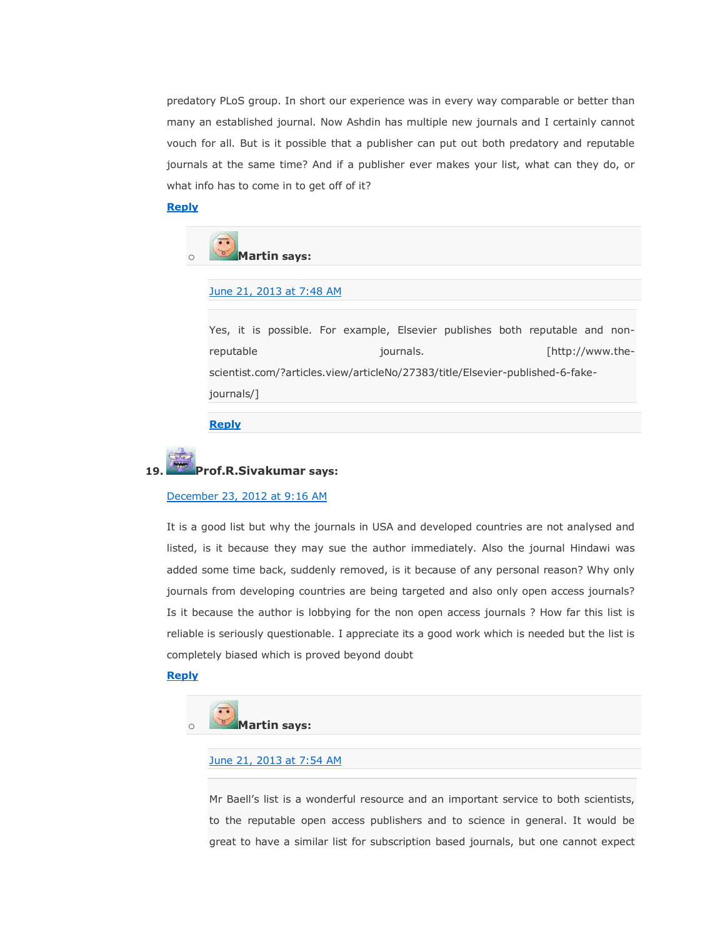predatory PLoS group. In short our experience was in every way comparable or better than many an established journal. Now Ashdin has multiple new journals and I certainly cannot vouch for all. But is it possible that a publisher can put out both predatory and reputable journals at the same time? And if a publisher ever makes your list, what can they do, or what info has to come in to get off of it?

#### **[Reply](https://scholarlyoa.com/2012/12/06/bealls-list-of-predatory-publishers-2013/?replytocom=6245#respond)**



[June 21, 2013 at 7:48 AM](https://scholarlyoa.com/2012/12/06/bealls-list-of-predatory-publishers-2013/#comment-21415)

Yes, it is possible. For example, Elsevier publishes both reputable and nonreputable journals. [http://www.thescientist.com/?articles.view/articleNo/27383/title/Elsevier-published-6-fakejournals/]

#### **[Reply](https://scholarlyoa.com/2012/12/06/bealls-list-of-predatory-publishers-2013/?replytocom=21415#respond)**



#### **19. Prof.R.Sivakumar says:**

#### [December 23, 2012 at 9:16 AM](https://scholarlyoa.com/2012/12/06/bealls-list-of-predatory-publishers-2013/#comment-6305)

It is a good list but why the journals in USA and developed countries are not analysed and listed, is it because they may sue the author immediately. Also the journal Hindawi was added some time back, suddenly removed, is it because of any personal reason? Why only journals from developing countries are being targeted and also only open access journals? Is it because the author is lobbying for the non open access journals ? How far this list is reliable is seriously questionable. I appreciate its a good work which is needed but the list is completely biased which is proved beyond doubt

#### **[Reply](https://scholarlyoa.com/2012/12/06/bealls-list-of-predatory-publishers-2013/?replytocom=6305#respond)**



#### June [21, 2013 at 7:54 AM](https://scholarlyoa.com/2012/12/06/bealls-list-of-predatory-publishers-2013/#comment-21417)

Mr Baell's list is a wonderful resource and an important service to both scientists, to the reputable open access publishers and to science in general. It would be great to have a similar list for subscription based journals, but one cannot expect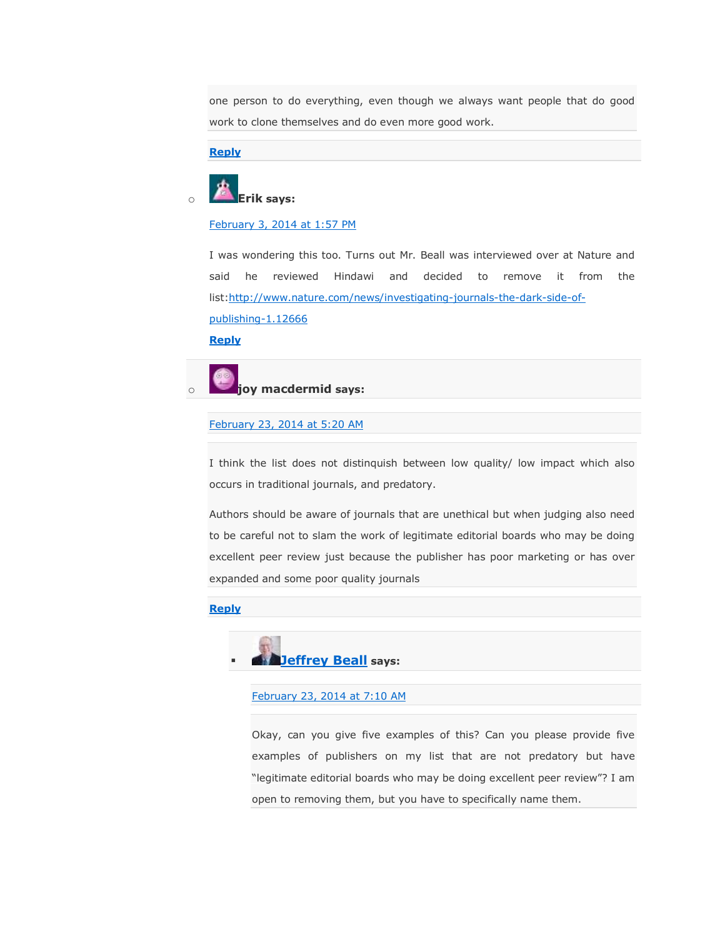one person to do everything, even though we always want people that do good work to clone themselves and do even more good work.

#### **[Reply](https://scholarlyoa.com/2012/12/06/bealls-list-of-predatory-publishers-2013/?replytocom=21417#respond)**

# o **Erik says:**

[February 3, 2014 at 1:57 PM](https://scholarlyoa.com/2012/12/06/bealls-list-of-predatory-publishers-2013/#comment-42276)

I was wondering this too. Turns out Mr. Beall was interviewed over at Nature and said he reviewed Hindawi and decided to remove it from the list[:http://www.nature.com/news/investigating-journals-the-dark-side-of](http://www.nature.com/news/investigating-journals-the-dark-side-of-publishing-1.12666)[publishing-1.12666](http://www.nature.com/news/investigating-journals-the-dark-side-of-publishing-1.12666)

**[Reply](https://scholarlyoa.com/2012/12/06/bealls-list-of-predatory-publishers-2013/?replytocom=42276#respond)**



#### [February 23, 2014 at 5:20 AM](https://scholarlyoa.com/2012/12/06/bealls-list-of-predatory-publishers-2013/#comment-47151)

I think the list does not distinquish between low quality/ low impact which also occurs in traditional journals, and predatory.

Authors should be aware of journals that are unethical but when judging also need to be careful not to slam the work of legitimate editorial boards who may be doing excellent peer review just because the publisher has poor marketing or has over expanded and some poor quality journals

#### **[Reply](https://scholarlyoa.com/2012/12/06/bealls-list-of-predatory-publishers-2013/?replytocom=47151#respond)**



[February 23, 2014 at 7:10 AM](https://scholarlyoa.com/2012/12/06/bealls-list-of-predatory-publishers-2013/#comment-47167)

Okay, can you give five examples of this? Can you please provide five examples of publishers on my list that are not predatory but have "legitimate editorial boards who may be doing excellent peer review"? I am open to removing them, but you have to specifically name them.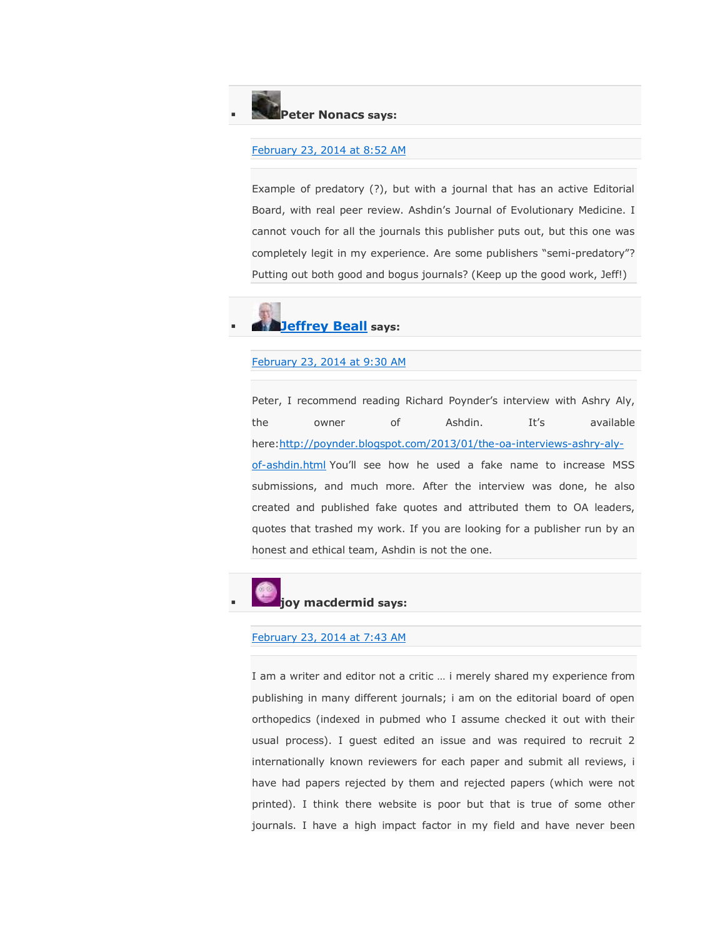#### **Peter Nonacs says:**

#### [February 23, 2014 at 8:52 AM](https://scholarlyoa.com/2012/12/06/bealls-list-of-predatory-publishers-2013/#comment-47204)

Example of predatory (?), but with a journal that has an active Editorial Board, with real peer review. Ashdin's Journal of Evolutionary Medicine. I cannot vouch for all the journals this publisher puts out, but this one was completely legit in my experience. Are some publishers "semi-predatory"? Putting out both good and bogus journals? (Keep up the good work, Jeff!)

# **[Jeffrey Beall](https://scholarlyoa.wordpress.com/) says:**

#### [February 23, 2014 at 9:30 AM](https://scholarlyoa.com/2012/12/06/bealls-list-of-predatory-publishers-2013/#comment-47221)

Peter, I recommend reading Richard Poynder's interview with Ashry Aly, the owner of Ashdin. It's available here[:http://poynder.blogspot.com/2013/01/the-oa-interviews-ashry-aly](http://poynder.blogspot.com/2013/01/the-oa-interviews-ashry-aly-of-ashdin.html)[of-ashdin.html](http://poynder.blogspot.com/2013/01/the-oa-interviews-ashry-aly-of-ashdin.html) You'll see how he used a fake name to increase MSS submissions, and much more. After the interview was done, he also created and published fake quotes and attributed them to OA leaders, quotes that trashed my work. If you are looking for a publisher run by an honest and ethical team, Ashdin is not the one.

### **joy macdermid says:**

#### [February 23, 2014 at 7:43 AM](https://scholarlyoa.com/2012/12/06/bealls-list-of-predatory-publishers-2013/#comment-47176)

I am a writer and editor not a critic … i merely shared my experience from publishing in many different journals; i am on the editorial board of open orthopedics (indexed in pubmed who I assume checked it out with their usual process). I guest edited an issue and was required to recruit 2 internationally known reviewers for each paper and submit all reviews, i have had papers rejected by them and rejected papers (which were not printed). I think there website is poor but that is true of some other journals. I have a high impact factor in my field and have never been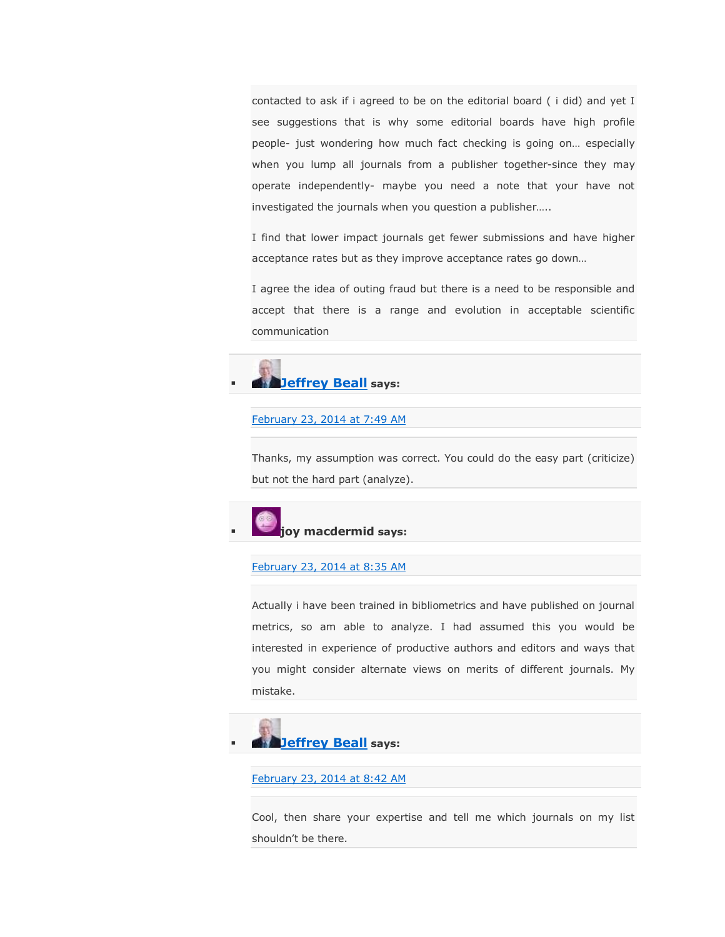contacted to ask if i agreed to be on the editorial board ( i did) and yet I see suggestions that is why some editorial boards have high profile people- just wondering how much fact checking is going on… especially when you lump all journals from a publisher together-since they may operate independently- maybe you need a note that your have not investigated the journals when you question a publisher…..

I find that lower impact journals get fewer submissions and have higher acceptance rates but as they improve acceptance rates go down…

I agree the idea of outing fraud but there is a need to be responsible and accept that there is a range and evolution in acceptable scientific communication



#### [February 23, 2014 at 7:49 AM](https://scholarlyoa.com/2012/12/06/bealls-list-of-predatory-publishers-2013/#comment-47179)

Thanks, my assumption was correct. You could do the easy part (criticize) but not the hard part (analyze).



#### [February 23, 2014 at 8:35 AM](https://scholarlyoa.com/2012/12/06/bealls-list-of-predatory-publishers-2013/#comment-47192)

Actually i have been trained in bibliometrics and have published on journal metrics, so am able to analyze. I had assumed this you would be interested in experience of productive authors and editors and ways that you might consider alternate views on merits of different journals. My mistake.



## [February 23, 2014 at 8:42 AM](https://scholarlyoa.com/2012/12/06/bealls-list-of-predatory-publishers-2013/#comment-47197)

Cool, then share your expertise and tell me which journals on my list shouldn't be there.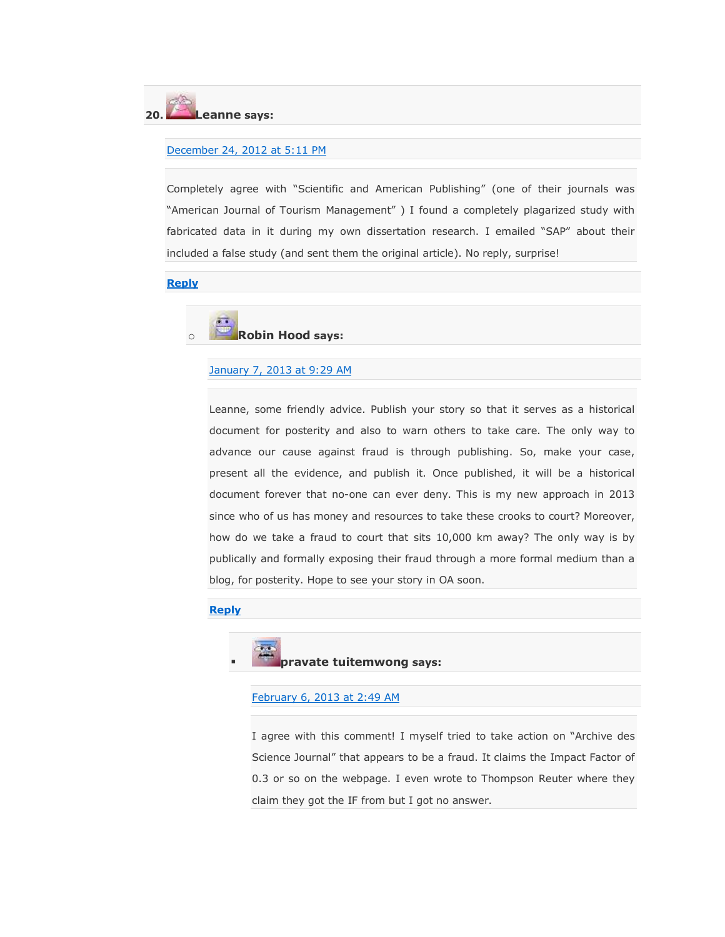#### **20. Leanne says:**

#### [December 24, 2012 at 5:11 PM](https://scholarlyoa.com/2012/12/06/bealls-list-of-predatory-publishers-2013/#comment-6396)

Completely agree with "Scientific and American Publishing" (one of their journals was "American Journal of Tourism Management") I found a completely plagarized study with fabricated data in it during my own dissertation research. I emailed "SAP" about their included a false study (and sent them the original article). No reply, surprise!

#### **[Reply](https://scholarlyoa.com/2012/12/06/bealls-list-of-predatory-publishers-2013/?replytocom=6396#respond)**

### ä. o **Robin Hood says:**

#### [January 7, 2013 at 9:29 AM](https://scholarlyoa.com/2012/12/06/bealls-list-of-predatory-publishers-2013/#comment-7057)

Leanne, some friendly advice. Publish your story so that it serves as a historical document for posterity and also to warn others to take care. The only way to advance our cause against fraud is through publishing. So, make your case, present all the evidence, and publish it. Once published, it will be a historical document forever that no-one can ever deny. This is my new approach in 2013 since who of us has money and resources to take these crooks to court? Moreover, how do we take a fraud to court that sits 10,000 km away? The only way is by publically and formally exposing their fraud through a more formal medium than a blog, for posterity. Hope to see your story in OA soon.

#### **[Reply](https://scholarlyoa.com/2012/12/06/bealls-list-of-predatory-publishers-2013/?replytocom=7057#respond)**



[February 6, 2013 at 2:49 AM](https://scholarlyoa.com/2012/12/06/bealls-list-of-predatory-publishers-2013/#comment-10867)

I agree with this comment! I myself tried to take action on "Archive des Science Journal" that appears to be a fraud. It claims the Impact Factor of 0.3 or so on the webpage. I even wrote to Thompson Reuter where they claim they got the IF from but I got no answer.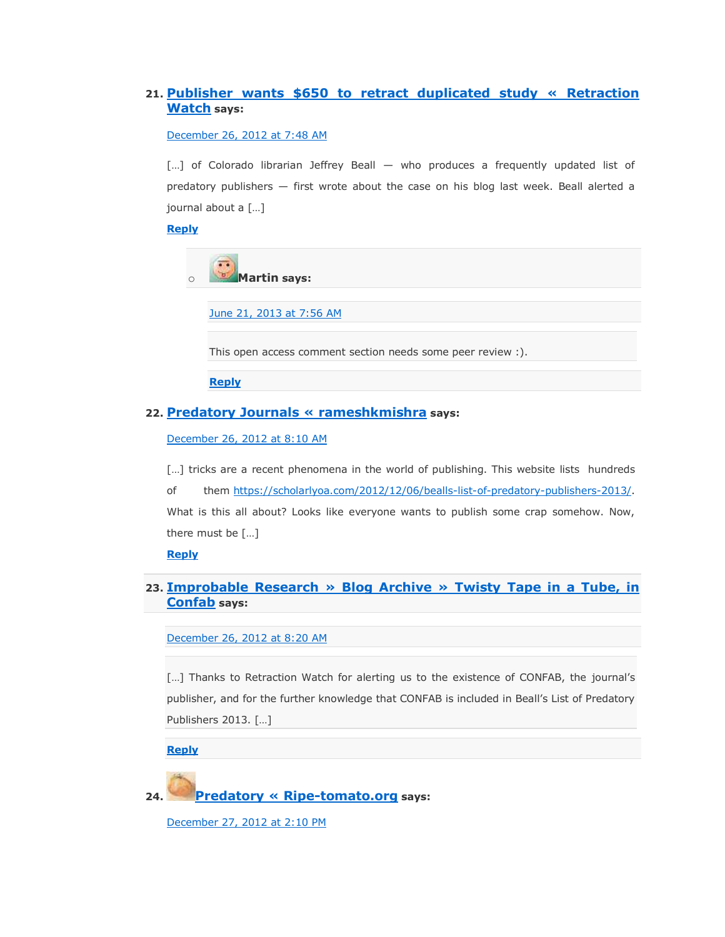#### **21. [Publisher wants \\$650 to retract duplicated study « Retraction](http://retractionwatch.wordpress.com/2012/12/26/publisher-wants-650-to-retract-duplicated-study/)  [Watch](http://retractionwatch.wordpress.com/2012/12/26/publisher-wants-650-to-retract-duplicated-study/) says:**

#### [December 26, 2012 at 7:48 AM](https://scholarlyoa.com/2012/12/06/bealls-list-of-predatory-publishers-2013/#comment-6473)

[...] of Colorado librarian Jeffrey Beall — who produces a frequently updated list of predatory publishers — first wrote about the case on his blog last week. Beall alerted a journal about a […]

#### **[Reply](https://scholarlyoa.com/2012/12/06/bealls-list-of-predatory-publishers-2013/?replytocom=6473#respond)**

o **Martin says:**

[June 21, 2013 at 7:56 AM](https://scholarlyoa.com/2012/12/06/bealls-list-of-predatory-publishers-2013/#comment-21418)

This open access comment section needs some peer review :).

**[Reply](https://scholarlyoa.com/2012/12/06/bealls-list-of-predatory-publishers-2013/?replytocom=21418#respond)**

#### **22. [Predatory Journals « rameshkmishra](http://rameshkmishra.wordpress.com/2012/12/26/predatory-journals/) says:**

[December 26, 2012 at 8:10 AM](https://scholarlyoa.com/2012/12/06/bealls-list-of-predatory-publishers-2013/#comment-6475)

[...] tricks are a recent phenomena in the world of publishing. This website lists hundreds of them [https://scholarlyoa.com/2012/12/06/bealls-list-of-predatory-publishers-2013/.](https://scholarlyoa.com/2012/12/06/bealls-list-of-predatory-publishers-2013/) What is this all about? Looks like everyone wants to publish some crap somehow. Now, there must be […]

**[Reply](https://scholarlyoa.com/2012/12/06/bealls-list-of-predatory-publishers-2013/?replytocom=6475#respond)**

#### **23. [Improbable Research » Blog Archive » Twisty Tape in a Tube, in](http://www.improbable.com/2012/12/26/twisty-tape-in-a-tube-in-confab/)  [Confab](http://www.improbable.com/2012/12/26/twisty-tape-in-a-tube-in-confab/) says:**

[December 26, 2012 at 8:20 AM](https://scholarlyoa.com/2012/12/06/bealls-list-of-predatory-publishers-2013/#comment-6476)

[...] Thanks to Retraction Watch for alerting us to the existence of CONFAB, the journal's publisher, and for the further knowledge that CONFAB is included in Beall's List of Predatory Publishers 2013. […]

**[Reply](https://scholarlyoa.com/2012/12/06/bealls-list-of-predatory-publishers-2013/?replytocom=6476#respond)**

**24. [Predatory « Ripe-tomato.org](http://ripe-tomato.org/2012/12/27/predatory/) says:**

[December 27, 2012 at 2:10 PM](https://scholarlyoa.com/2012/12/06/bealls-list-of-predatory-publishers-2013/#comment-6519)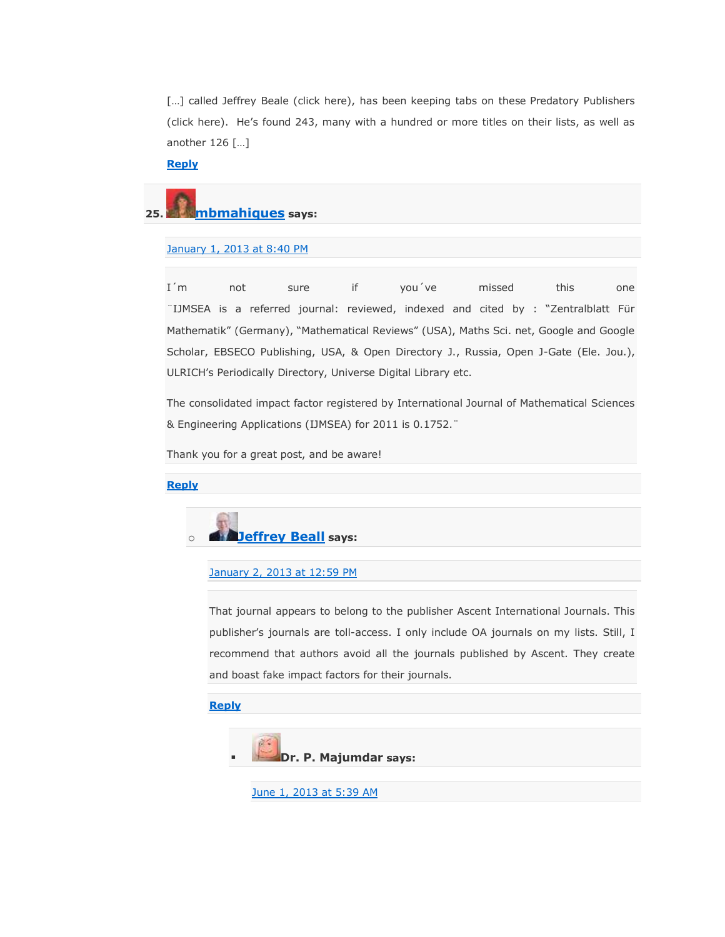[...] called Jeffrey Beale (click here), has been keeping tabs on these Predatory Publishers (click here). He's found 243, many with a hundred or more titles on their lists, as well as another 126 […]

**[Reply](https://scholarlyoa.com/2012/12/06/bealls-list-of-predatory-publishers-2013/?replytocom=6519#respond)**

# **25. [mbmahiques](http://gravatar.com/mbmahiques) says:**

#### [January 1, 2013 at 8:40 PM](https://scholarlyoa.com/2012/12/06/bealls-list-of-predatory-publishers-2013/#comment-6740)

I´m not sure if you´ve missed this one ¨IJMSEA is a referred journal: reviewed, indexed and cited by : ―Zentralblatt Für Mathematik" (Germany), "Mathematical Reviews" (USA), Maths Sci. net, Google and Google Scholar, EBSECO Publishing, USA, & Open Directory J., Russia, Open J-Gate (Ele. Jou.), ULRICH's Periodically Directory, Universe Digital Library etc.

The consolidated impact factor registered by International Journal of Mathematical Sciences & Engineering Applications (IJMSEA) for 2011 is 0.1752.¨

Thank you for a great post, and be aware!

#### **[Reply](https://scholarlyoa.com/2012/12/06/bealls-list-of-predatory-publishers-2013/?replytocom=6740#respond)**



#### [January 2, 2013 at 12:59 PM](https://scholarlyoa.com/2012/12/06/bealls-list-of-predatory-publishers-2013/#comment-6764)

That journal appears to belong to the publisher Ascent International Journals. This publisher's journals are toll-access. I only include OA journals on my lists. Still, I recommend that authors avoid all the journals published by Ascent. They create and boast fake impact factors for their journals.

#### **[Reply](https://scholarlyoa.com/2012/12/06/bealls-list-of-predatory-publishers-2013/?replytocom=6764#respond)**



[June 1, 2013 at 5:39 AM](https://scholarlyoa.com/2012/12/06/bealls-list-of-predatory-publishers-2013/#comment-20353)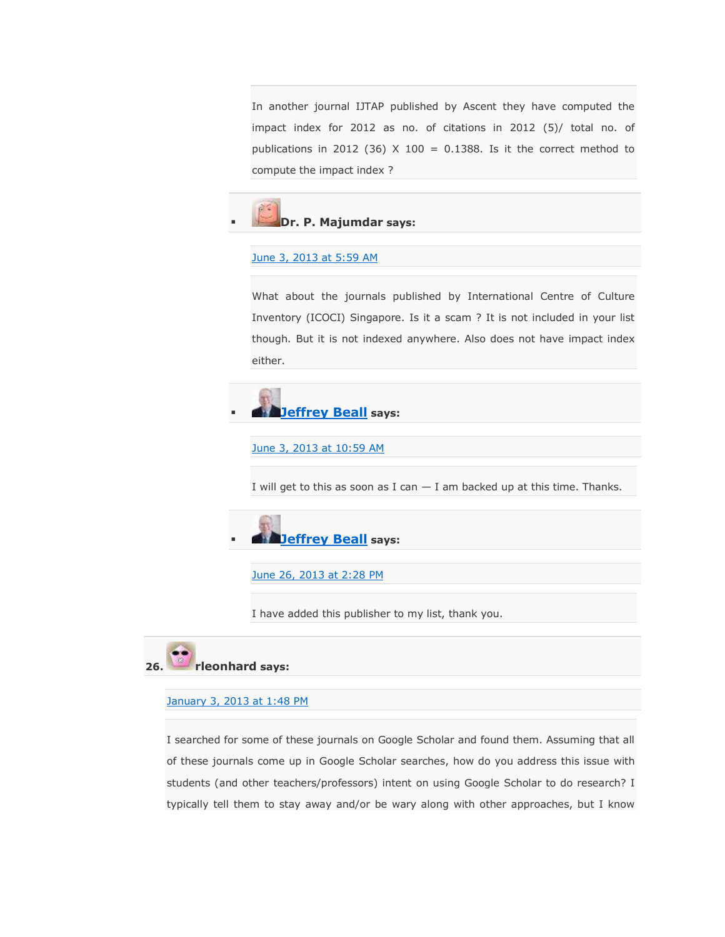In another journal IJTAP published by Ascent they have computed the impact index for 2012 as no. of citations in 2012 (5)/ total no. of publications in 2012 (36)  $X$  100 = 0.1388. Is it the correct method to compute the impact index ?



#### [June 3, 2013 at 5:59 AM](https://scholarlyoa.com/2012/12/06/bealls-list-of-predatory-publishers-2013/#comment-20468)

What about the journals published by International Centre of Culture Inventory (ICOCI) Singapore. Is it a scam ? It is not included in your list though. But it is not indexed anywhere. Also does not have impact index either.



[June 3, 2013 at 10:59 AM](https://scholarlyoa.com/2012/12/06/bealls-list-of-predatory-publishers-2013/#comment-20477)

I will get to this as soon as I can  $-$  I am backed up at this time. Thanks.



[June 26, 2013 at 2:28 PM](https://scholarlyoa.com/2012/12/06/bealls-list-of-predatory-publishers-2013/#comment-21748)

I have added this publisher to my list, thank you.



#### [January 3, 2013 at 1:48 PM](https://scholarlyoa.com/2012/12/06/bealls-list-of-predatory-publishers-2013/#comment-6809)

I searched for some of these journals on Google Scholar and found them. Assuming that all of these journals come up in Google Scholar searches, how do you address this issue with students (and other teachers/professors) intent on using Google Scholar to do research? I typically tell them to stay away and/or be wary along with other approaches, but I know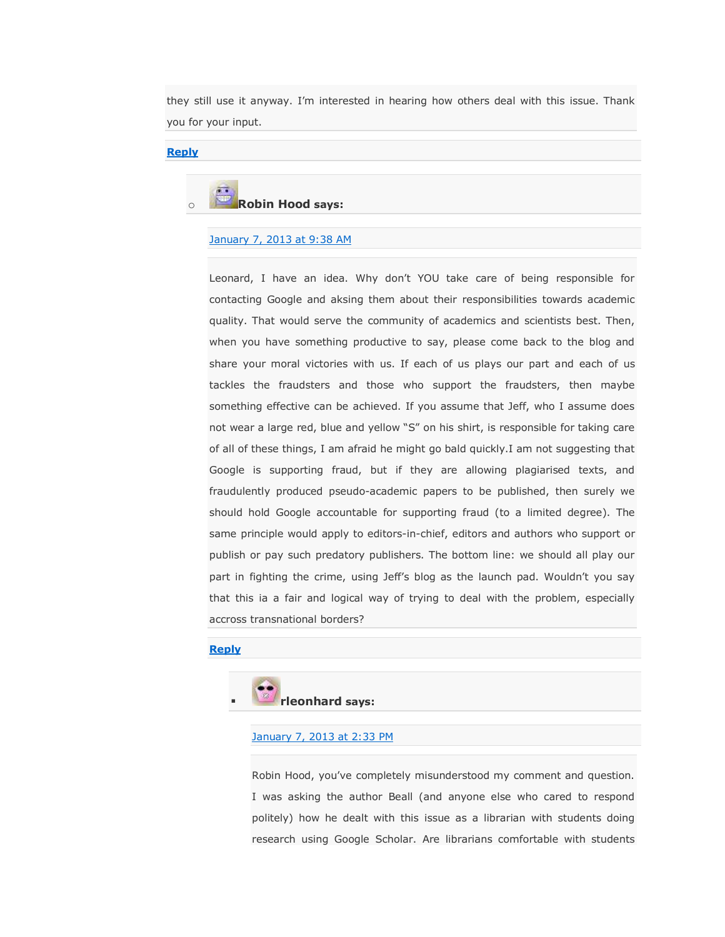they still use it anyway. I'm interested in hearing how others deal with this issue. Thank you for your input.

#### **[Reply](https://scholarlyoa.com/2012/12/06/bealls-list-of-predatory-publishers-2013/?replytocom=6809#respond)**



[January 7, 2013 at 9:38 AM](https://scholarlyoa.com/2012/12/06/bealls-list-of-predatory-publishers-2013/#comment-7059)

Leonard, I have an idea. Why don't YOU take care of being responsible for contacting Google and aksing them about their responsibilities towards academic quality. That would serve the community of academics and scientists best. Then, when you have something productive to say, please come back to the blog and share your moral victories with us. If each of us plays our part and each of us tackles the fraudsters and those who support the fraudsters, then maybe something effective can be achieved. If you assume that Jeff, who I assume does not wear a large red, blue and yellow "S" on his shirt, is responsible for taking care of all of these things, I am afraid he might go bald quickly.I am not suggesting that Google is supporting fraud, but if they are allowing plagiarised texts, and fraudulently produced pseudo-academic papers to be published, then surely we should hold Google accountable for supporting fraud (to a limited degree). The same principle would apply to editors-in-chief, editors and authors who support or publish or pay such predatory publishers. The bottom line: we should all play our part in fighting the crime, using Jeff's blog as the launch pad. Wouldn't you say that this ia a fair and logical way of trying to deal with the problem, especially accross transnational borders?

#### **[Reply](https://scholarlyoa.com/2012/12/06/bealls-list-of-predatory-publishers-2013/?replytocom=7059#respond)**



#### [January 7, 2013 at 2:33 PM](https://scholarlyoa.com/2012/12/06/bealls-list-of-predatory-publishers-2013/#comment-7076)

Robin Hood, you've completely misunderstood my comment and question. I was asking the author Beall (and anyone else who cared to respond politely) how he dealt with this issue as a librarian with students doing research using Google Scholar. Are librarians comfortable with students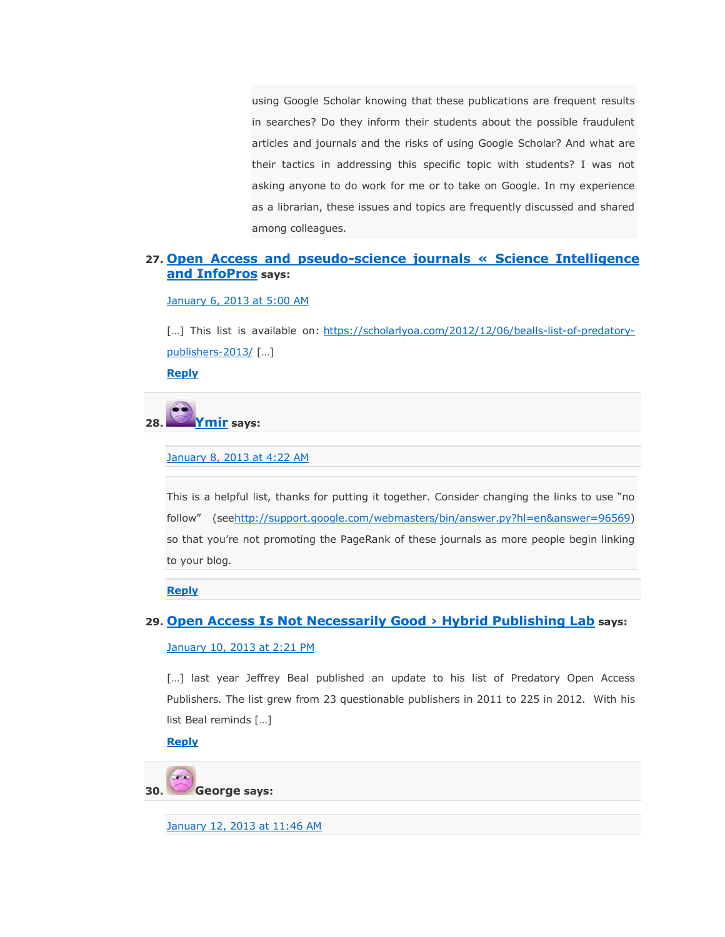using Google Scholar knowing that these publications are frequent results in searches? Do they inform their students about the possible fraudulent articles and journals and the risks of using Google Scholar? And what are their tactics in addressing this specific topic with students? I was not asking anyone to do work for me or to take on Google. In my experience as a librarian, these issues and topics are frequently discussed and shared among colleagues.

#### **27. [Open Access and pseudo-science journals « Science Intelligence](http://scienceintelligence.wordpress.com/2013/01/06/open-access-and-pseudo-science-journals/)  [and InfoPros](http://scienceintelligence.wordpress.com/2013/01/06/open-access-and-pseudo-science-journals/) says:**

[January 6, 2013 at 5:00 AM](https://scholarlyoa.com/2012/12/06/bealls-list-of-predatory-publishers-2013/#comment-6972)

[...] This list is available on: [https://scholarlyoa.com/2012/12/06/bealls-list-of-predatory](https://scholarlyoa.com/2012/12/06/bealls-list-of-predatory-publishers-2013/)[publishers-2013/](https://scholarlyoa.com/2012/12/06/bealls-list-of-predatory-publishers-2013/) […]

**[Reply](https://scholarlyoa.com/2012/12/06/bealls-list-of-predatory-publishers-2013/?replytocom=6972#respond)**



[January 8, 2013 at 4:22 AM](https://scholarlyoa.com/2012/12/06/bealls-list-of-predatory-publishers-2013/#comment-7111)

This is a helpful list, thanks for putting it together. Consider changing the links to use "no follow‖ (see[http://support.google.com/webmasters/bin/answer.py?hl=en&answer=96569\)](http://support.google.com/webmasters/bin/answer.py?hl=en&answer=96569) so that you're not promoting the PageRank of these journals as more people begin linking to your blog.

**[Reply](https://scholarlyoa.com/2012/12/06/bealls-list-of-predatory-publishers-2013/?replytocom=7111#respond)**

#### **29. Open Access [Is Not Necessarily Good › Hybrid Publishing Lab](http://projects.digital-cultures.net/hybrid-publishing-lab/2013/01/open-access-not-necessarily-good/) says:**

#### [January 10, 2013 at 2:21 PM](https://scholarlyoa.com/2012/12/06/bealls-list-of-predatory-publishers-2013/#comment-7370)

[...] last year Jeffrey Beal published an update to his list of Predatory Open Access Publishers. The list grew from 23 questionable publishers in 2011 to 225 in 2012. With his list Beal reminds […]

**[Reply](https://scholarlyoa.com/2012/12/06/bealls-list-of-predatory-publishers-2013/?replytocom=7370#respond)**

**30. George says:**

[January 12, 2013 at 11:46 AM](https://scholarlyoa.com/2012/12/06/bealls-list-of-predatory-publishers-2013/#comment-7528)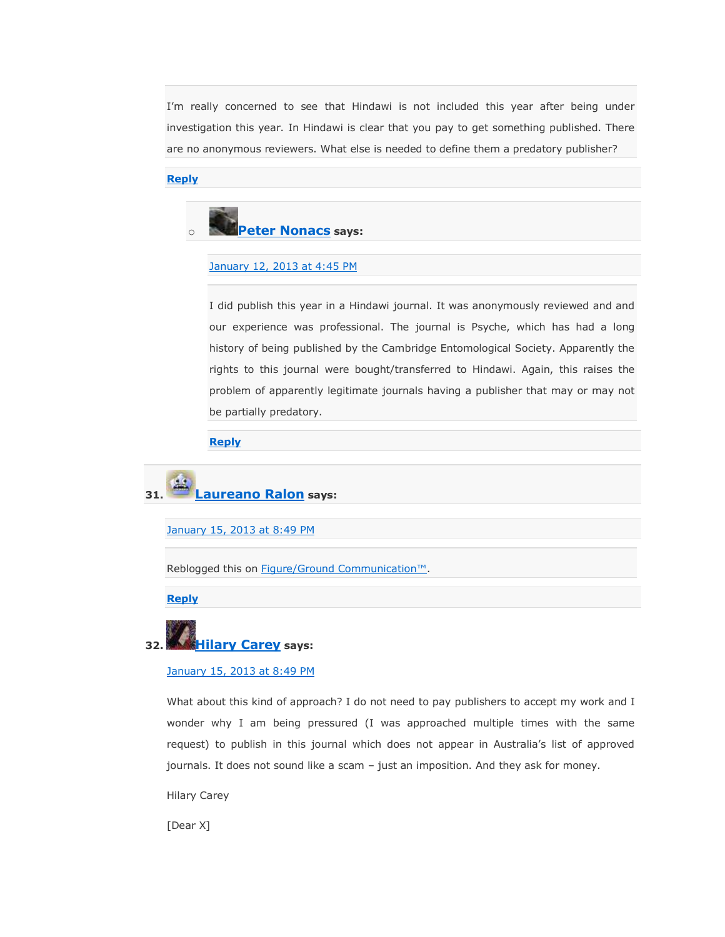I'm really concerned to see that Hindawi is not included this year after being under investigation this year. In Hindawi is clear that you pay to get something published. There are no anonymous reviewers. What else is needed to define them a predatory publisher?

# **[Reply](https://scholarlyoa.com/2012/12/06/bealls-list-of-predatory-publishers-2013/?replytocom=7528#respond)**



# [January 12, 2013 at 4:45 PM](https://scholarlyoa.com/2012/12/06/bealls-list-of-predatory-publishers-2013/#comment-7541)

I did publish this year in a Hindawi journal. It was anonymously reviewed and and our experience was professional. The journal is Psyche, which has had a long history of being published by the Cambridge Entomological Society. Apparently the rights to this journal were bought/transferred to Hindawi. Again, this raises the problem of apparently legitimate journals having a publisher that may or may not be partially predatory.

# **[Reply](https://scholarlyoa.com/2012/12/06/bealls-list-of-predatory-publishers-2013/?replytocom=7541#respond)**

# **31. [Laureano Ralon](http://www.figureground.ca/) says:**

[January 15, 2013 at 8:49 PM](https://scholarlyoa.com/2012/12/06/bealls-list-of-predatory-publishers-2013/#comment-7755)

Reblogged this on [Figure/Ground Communication™](http://figureground.ca/2013/01/16/12110/).

**[Reply](https://scholarlyoa.com/2012/12/06/bealls-list-of-predatory-publishers-2013/?replytocom=7755#respond)**

# **32. [Hilary Carey](http://gravatar.com/hmc276) says:**

### [January 15, 2013 at 8:49 PM](https://scholarlyoa.com/2012/12/06/bealls-list-of-predatory-publishers-2013/#comment-7756)

What about this kind of approach? I do not need to pay publishers to accept my work and I wonder why I am being pressured (I was approached multiple times with the same request) to publish in this journal which does not appear in Australia's list of approved journals. It does not sound like a scam – just an imposition. And they ask for money.

Hilary Carey

[Dear X]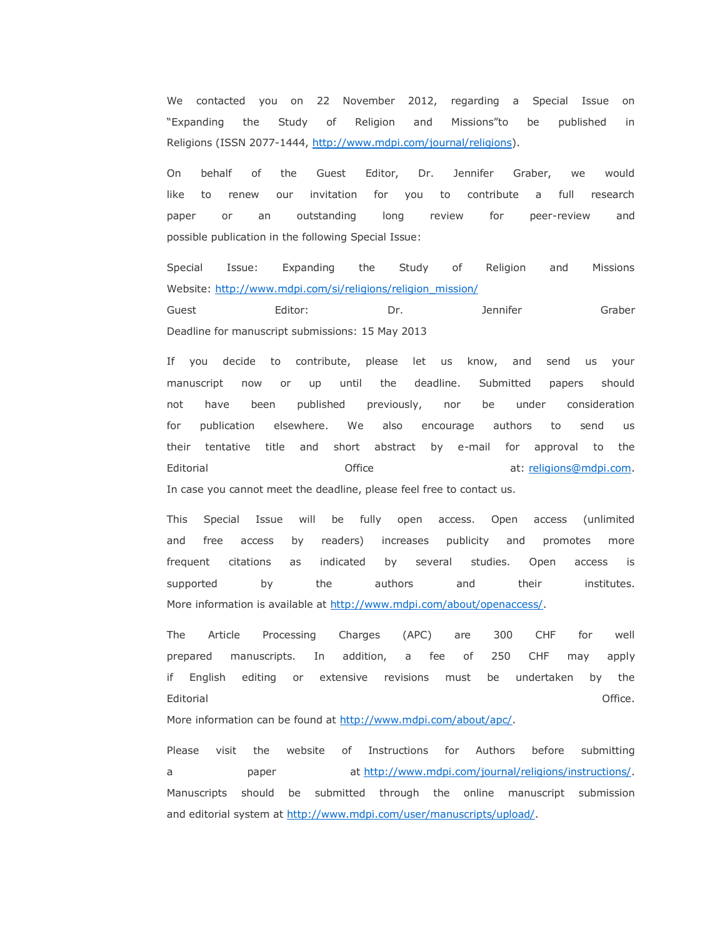We contacted you on 22 November 2012, regarding a Special Issue on ―Expanding the Study of Religion and Missions‖to be published in Religions (ISSN 2077-1444, [http://www.mdpi.com/journal/religions\)](http://www.mdpi.com/journal/religions).

On behalf of the Guest Editor, Dr. Jennifer Graber, we would like to renew our invitation for you to contribute a full research paper or an outstanding long review for peer-review and possible publication in the following Special Issue:

Special Issue: Expanding the Study of Religion and Missions Website: [http://www.mdpi.com/si/religions/religion\\_mission/](http://www.mdpi.com/si/religions/religion_mission/) Guest Editor: Dr. Jennifer Graber

Deadline for manuscript submissions: 15 May 2013

If you decide to contribute, please let us know, and send us your manuscript now or up until the deadline. Submitted papers should not have been published previously, nor be under consideration for publication elsewhere. We also encourage authors to send us their tentative title and short abstract by e-mail for approval to the Editorial **Editorial** Christian Computer Computer at: [religions@mdpi.com.](mailto:religions@mdpi.com) In case you cannot meet the deadline, please feel free to contact us.

This Special Issue will be fully open access. Open access (unlimited and free access by readers) increases publicity and promotes more frequent citations as indicated by several studies. Open access is supported by the authors and their institutes. More information is available at [http://www.mdpi.com/about/openaccess/.](http://www.mdpi.com/about/openaccess/)

The Article Processing Charges (APC) are 300 CHF for well prepared manuscripts. In addition, a fee of 250 CHF may apply if English editing or extensive revisions must be undertaken by the Editorial Office.

More information can be found at [http://www.mdpi.com/about/apc/.](http://www.mdpi.com/about/apc/)

Please visit the website of Instructions for Authors before submitting a paper at [http://www.mdpi.com/journal/religions/instructions/.](http://www.mdpi.com/journal/religions/instructions/) Manuscripts should be submitted through the online manuscript submission and editorial system at [http://www.mdpi.com/user/manuscripts/upload/.](http://www.mdpi.com/user/manuscripts/upload/)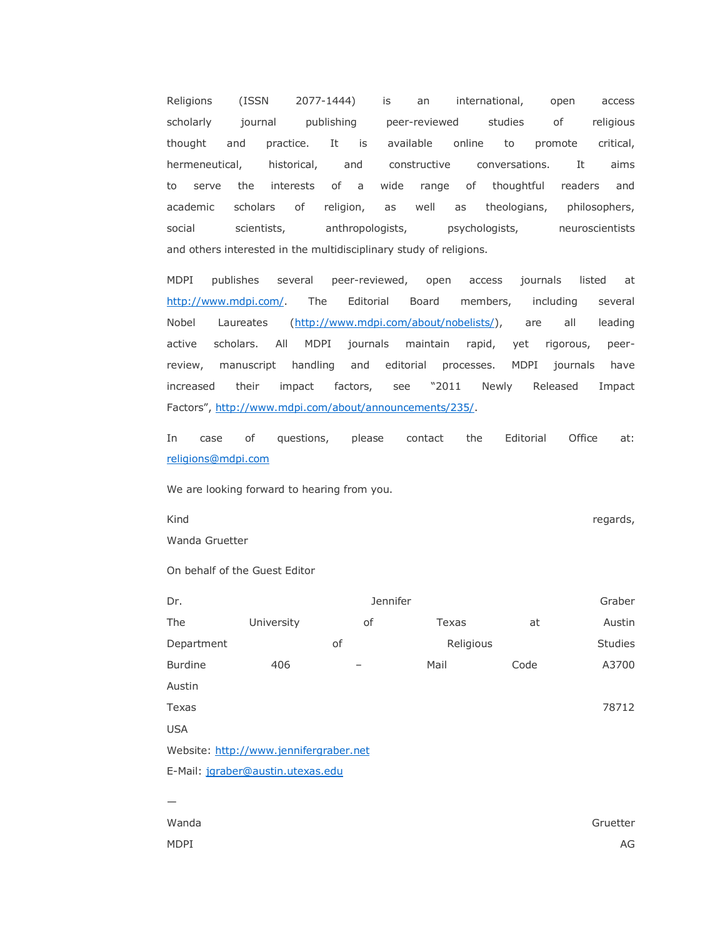Religions (ISSN 2077-1444) is an international, open access scholarly journal publishing peer-reviewed studies of religious thought and practice. It is available online to promote critical, hermeneutical, historical, and constructive conversations. It aims to serve the interests of a wide range of thoughtful readers and academic scholars of religion, as well as theologians, philosophers, social scientists, anthropologists, psychologists, neuroscientists and others interested in the multidisciplinary study of religions.

MDPI publishes several peer-reviewed, open access journals listed at [http://www.mdpi.com/.](http://www.mdpi.com/) The Editorial Board members, including several Nobel Laureates [\(http://www.mdpi.com/about/nobelists/\)](http://www.mdpi.com/about/nobelists/), are all leading active scholars. All MDPI journals maintain rapid, yet rigorous, peerreview, manuscript handling and editorial processes. MDPI journals have increased their impact factors, see "2011 Newly Released Impact Factors", [http://www.mdpi.com/about/announcements/235/.](http://www.mdpi.com/about/announcements/235/)

In case of questions, please contact the Editorial Office at: [religions@mdpi.com](mailto:religions@mdpi.com)

We are looking forward to hearing from you.

Kind regards, Wanda Gruetter

On behalf of the Guest Editor

| Dr.                                    |            | Jennifer |           |      | Graber  |  |
|----------------------------------------|------------|----------|-----------|------|---------|--|
| The                                    | University | οf       | Texas     | at   | Austin  |  |
| Department                             |            | of       | Religious |      | Studies |  |
| <b>Burdine</b>                         | 406        |          | Mail      | Code | A3700   |  |
| Austin                                 |            |          |           |      |         |  |
| Texas                                  |            |          |           |      | 78712   |  |
| <b>USA</b>                             |            |          |           |      |         |  |
| Website: http://www.jennifergraber.net |            |          |           |      |         |  |
| E-Mail: jgraber@austin.utexas.edu      |            |          |           |      |         |  |
|                                        |            |          |           |      |         |  |
| $\cdots$                               |            |          |           |      |         |  |

Wanda Gruetter MDPI AG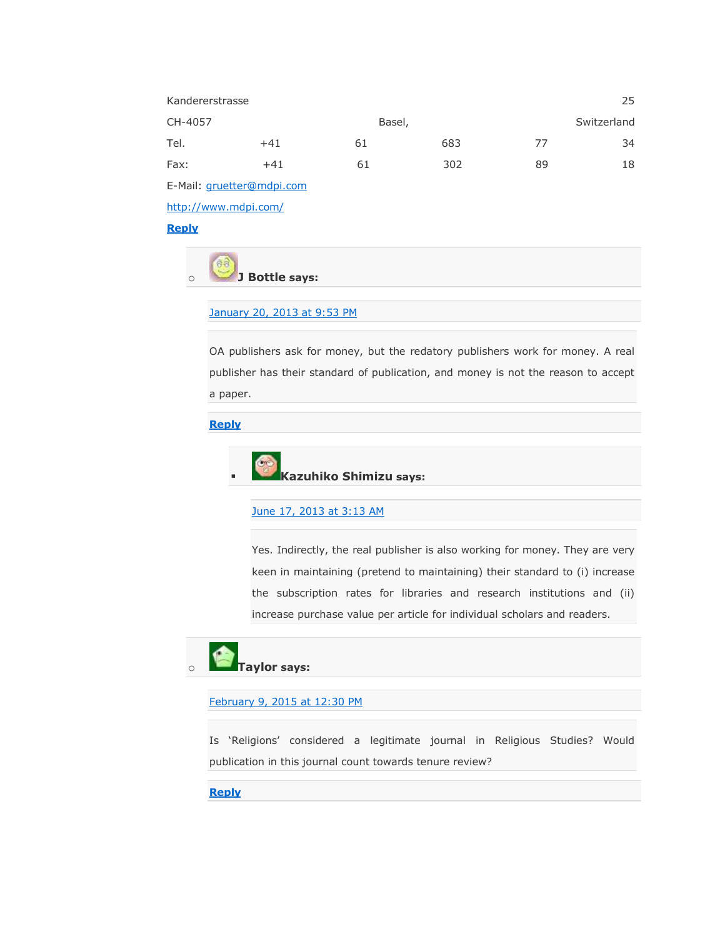| Kandererstrasse           |       | 25 |        |    |             |  |
|---------------------------|-------|----|--------|----|-------------|--|
| CH-4057                   |       |    | Basel, |    | Switzerland |  |
| Tel.                      | $+41$ | 61 | 683    | 77 | 34          |  |
| Fax:                      | $+41$ | 61 | 302    | 89 | 18          |  |
| E-Mail: gruetter@mdpi.com |       |    |        |    |             |  |

<http://www.mdpi.com/>

**[Reply](https://scholarlyoa.com/2012/12/06/bealls-list-of-predatory-publishers-2013/?replytocom=7756#respond)**

o **J Bottle says:**

# [January 20, 2013 at 9:53 PM](https://scholarlyoa.com/2012/12/06/bealls-list-of-predatory-publishers-2013/#comment-8282)

OA publishers ask for money, but the redatory publishers work for money. A real publisher has their standard of publication, and money is not the reason to accept a paper.

# **[Reply](https://scholarlyoa.com/2012/12/06/bealls-list-of-predatory-publishers-2013/?replytocom=8282#respond)**



## [June 17, 2013 at 3:13 AM](https://scholarlyoa.com/2012/12/06/bealls-list-of-predatory-publishers-2013/#comment-21100)

Yes. Indirectly, the real publisher is also working for money. They are very keen in maintaining (pretend to maintaining) their standard to (i) increase the subscription rates for libraries and research institutions and (ii) increase purchase value per article for individual scholars and readers.

# o **Taylor says:**

[February 9, 2015 at 12:30 PM](https://scholarlyoa.com/2012/12/06/bealls-list-of-predatory-publishers-2013/#comment-256871)

Is 'Religions' considered a legitimate journal in Religious Studies? Would publication in this journal count towards tenure review?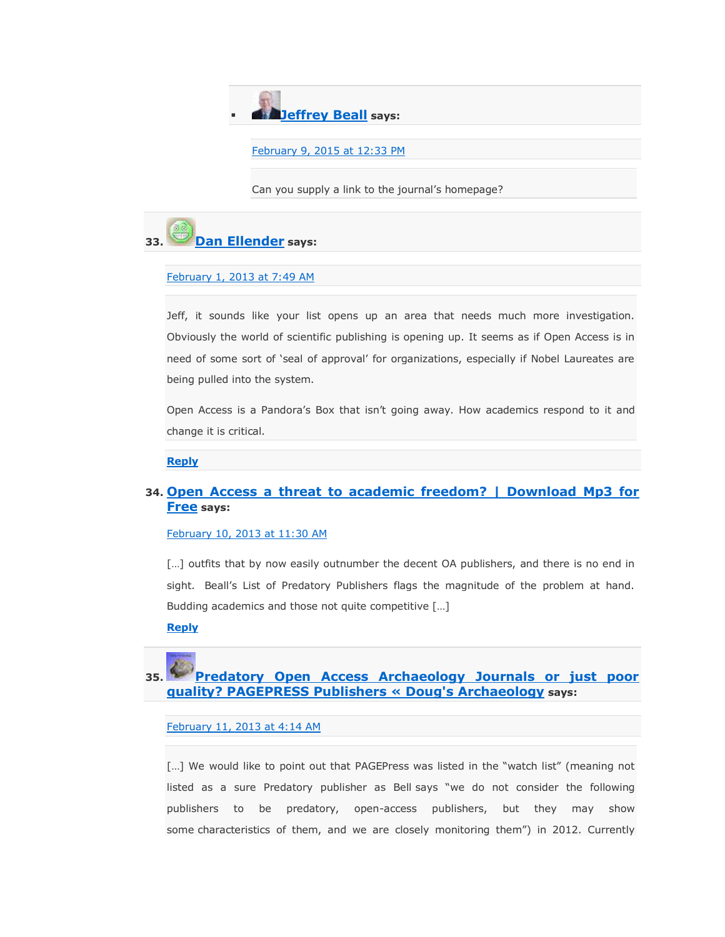

### [February 9, 2015 at 12:33 PM](https://scholarlyoa.com/2012/12/06/bealls-list-of-predatory-publishers-2013/#comment-256872)

Can you supply a link to the journal's homepage?



### [February 1, 2013 at 7:49 AM](https://scholarlyoa.com/2012/12/06/bealls-list-of-predatory-publishers-2013/#comment-10250)

Jeff, it sounds like your list opens up an area that needs much more investigation. Obviously the world of scientific publishing is opening up. It seems as if Open Access is in need of some sort of 'seal of approval' for organizations, especially if Nobel Laureates are being pulled into the system.

Open Access is a Pandora's Box that isn't going away. How academics respond to it and change it is critical.

# **[Reply](https://scholarlyoa.com/2012/12/06/bealls-list-of-predatory-publishers-2013/?replytocom=10250#respond)**

# **34. [Open Access a threat to academic freedom? | Download Mp3 for](http://downloadmp3for.6te.net/wordpress/2013/02/10/open-access-a-threat-to-academic-freedom/)  [Free](http://downloadmp3for.6te.net/wordpress/2013/02/10/open-access-a-threat-to-academic-freedom/) says:**

### [February 10, 2013 at 11:30 AM](https://scholarlyoa.com/2012/12/06/bealls-list-of-predatory-publishers-2013/#comment-11507)

[...] outfits that by now easily outnumber the decent OA publishers, and there is no end in sight. Beall's List of Predatory Publishers flags the magnitude of the problem at hand. Budding academics and those not quite competitive […]

### **[Reply](https://scholarlyoa.com/2012/12/06/bealls-list-of-predatory-publishers-2013/?replytocom=11507#respond)**

# **35. [Predatory Open Access Archaeology Journals or just poor](http://dougsarchaeology.wordpress.com/2013/02/11/predatory-open-access-archaeology-journals-or-just-poor-quality-pagepress-publishers/)  [quality? PAGEPRESS Publishers « Doug's Archaeology](http://dougsarchaeology.wordpress.com/2013/02/11/predatory-open-access-archaeology-journals-or-just-poor-quality-pagepress-publishers/) says:**

[February 11, 2013 at 4:14 AM](https://scholarlyoa.com/2012/12/06/bealls-list-of-predatory-publishers-2013/#comment-11603)

[...] We would like to point out that PAGEPress was listed in the "watch list" (meaning not listed as a sure Predatory publisher as Bell says "we do not consider the following publishers to be predatory, open-access publishers, but they may show some characteristics of them, and we are closely monitoring them<sup>"</sup>) in 2012. Currently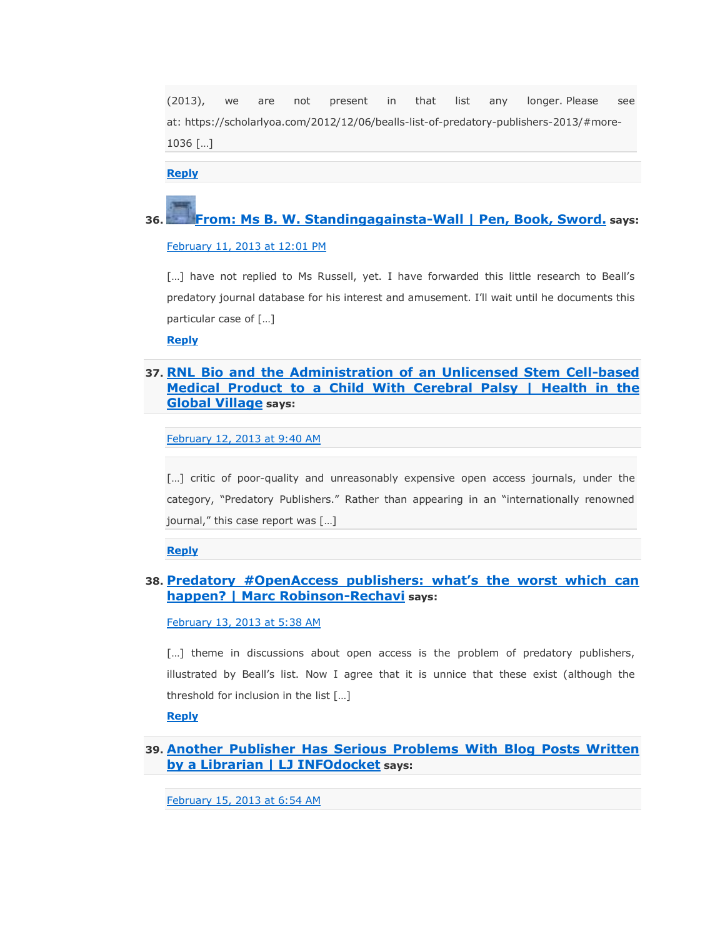(2013), we are not present in that list any longer. Please see at: https://scholarlyoa.com/2012/12/06/bealls-list-of-predatory-publishers-2013/#more-1036 […]

**[Reply](https://scholarlyoa.com/2012/12/06/bealls-list-of-predatory-publishers-2013/?replytocom=11603#respond)**

# **36. [From: Ms B. W. Standingagainsta-Wall | Pen, Book, Sword.](http://penbooksword.wordpress.com/2013/02/11/from-ms-b-w-standingagainsta-wall/) says:**

[February 11, 2013 at 12:01 PM](https://scholarlyoa.com/2012/12/06/bealls-list-of-predatory-publishers-2013/#comment-11640)

[...] have not replied to Ms Russell, yet. I have forwarded this little research to Beall's predatory journal database for his interest and amusement. I'll wait until he documents this particular case of […]

**[Reply](https://scholarlyoa.com/2012/12/06/bealls-list-of-predatory-publishers-2013/?replytocom=11640#respond)**

# **37. [RNL Bio and the Administration of an Unlicensed Stem Cell-based](http://www.healthintheglobalvillage.com/2013/02/12/rnl-bio-and-the-administration-of-an-unlicensed-stem-cell-based-medical-product-to-a-child-with-cerebral-palsy/)  [Medical Product to a Child With Cerebral Palsy | Health in the](http://www.healthintheglobalvillage.com/2013/02/12/rnl-bio-and-the-administration-of-an-unlicensed-stem-cell-based-medical-product-to-a-child-with-cerebral-palsy/)  [Global Village](http://www.healthintheglobalvillage.com/2013/02/12/rnl-bio-and-the-administration-of-an-unlicensed-stem-cell-based-medical-product-to-a-child-with-cerebral-palsy/) says:**

[February 12, 2013 at 9:40 AM](https://scholarlyoa.com/2012/12/06/bealls-list-of-predatory-publishers-2013/#comment-11779)

[...] critic of poor-quality and unreasonably expensive open access journals, under the category, "Predatory Publishers." Rather than appearing in an "internationally renowned journal," this case report was [...]

**[Reply](https://scholarlyoa.com/2012/12/06/bealls-list-of-predatory-publishers-2013/?replytocom=11779#respond)**

# **38. [Predatory #OpenAccess publishers: what's the worst which can](http://people.unil.ch/marcrobinsonrechavi/2013/02/predatory-openaccess-publishers-whats-the-worst-which-can-happen/)  [happen? | Marc Robinson-Rechavi](http://people.unil.ch/marcrobinsonrechavi/2013/02/predatory-openaccess-publishers-whats-the-worst-which-can-happen/) says:**

[February 13, 2013 at 5:38 AM](https://scholarlyoa.com/2012/12/06/bealls-list-of-predatory-publishers-2013/#comment-11962)

[...] theme in discussions about open access is the problem of predatory publishers, illustrated by Beall's list. Now I agree that it is unnice that these exist (although the threshold for inclusion in the list […]

**[Reply](https://scholarlyoa.com/2012/12/06/bealls-list-of-predatory-publishers-2013/?replytocom=11962#respond)**

# **39. [Another Publisher Has Serious Problems With Blog Posts Written](http://www.infodocket.com/2013/02/15/another-publisher-has-serious-problems-with-blog-posts-written-by-a-librarian/)  [by a Librarian | LJ INFOdocket](http://www.infodocket.com/2013/02/15/another-publisher-has-serious-problems-with-blog-posts-written-by-a-librarian/) says:**

[February 15, 2013 at 6:54 AM](https://scholarlyoa.com/2012/12/06/bealls-list-of-predatory-publishers-2013/#comment-12278)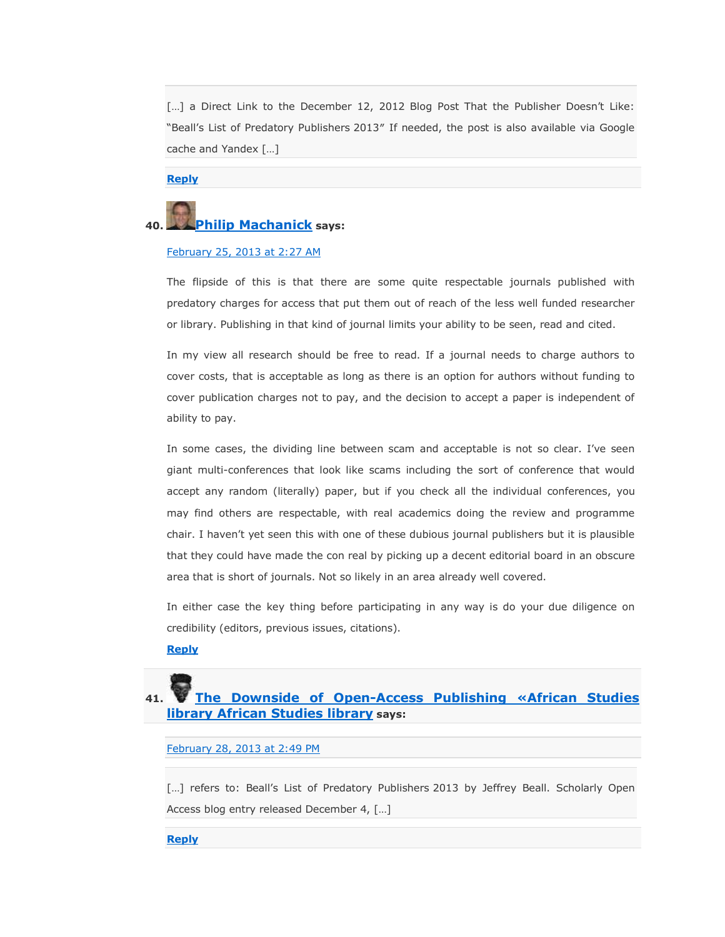[...] a Direct Link to the December 12, 2012 Blog Post That the Publisher Doesn't Like: "Beall's List of Predatory Publishers 2013" If needed, the post is also available via Google cache and Yandex […]

**[Reply](https://scholarlyoa.com/2012/12/06/bealls-list-of-predatory-publishers-2013/?replytocom=12278#respond)**

# **40. [Philip Machanick](http://opinion-nation.blogspot.com/) says:**

### [February 25, 2013 at 2:27 AM](https://scholarlyoa.com/2012/12/06/bealls-list-of-predatory-publishers-2013/#comment-13383)

The flipside of this is that there are some quite respectable journals published with predatory charges for access that put them out of reach of the less well funded researcher or library. Publishing in that kind of journal limits your ability to be seen, read and cited.

In my view all research should be free to read. If a journal needs to charge authors to cover costs, that is acceptable as long as there is an option for authors without funding to cover publication charges not to pay, and the decision to accept a paper is independent of ability to pay.

In some cases, the dividing line between scam and acceptable is not so clear. I've seen giant multi-conferences that look like scams including the sort of conference that would accept any random (literally) paper, but if you check all the individual conferences, you may find others are respectable, with real academics doing the review and programme chair. I haven't yet seen this with one of these dubious journal publishers but it is plausible that they could have made the con real by picking up a decent editorial board in an obscure area that is short of journals. Not so likely in an area already well covered.

In either case the key thing before participating in any way is do your due diligence on credibility (editors, previous issues, citations).

# **[Reply](https://scholarlyoa.com/2012/12/06/bealls-list-of-predatory-publishers-2013/?replytocom=13383#respond)**

# **41. [The Downside of Open-Access Publishing «African Studies](http://africanstudieslibrary.wordpress.com/2013/02/28/the-downside-of-open-access-publishing/)  [library African Studies library](http://africanstudieslibrary.wordpress.com/2013/02/28/the-downside-of-open-access-publishing/) says:**

### [February 28, 2013 at 2:49 PM](https://scholarlyoa.com/2012/12/06/bealls-list-of-predatory-publishers-2013/#comment-13883)

[...] refers to: Beall's List of Predatory Publishers 2013 by Jeffrey Beall. Scholarly Open Access blog entry released December 4, […]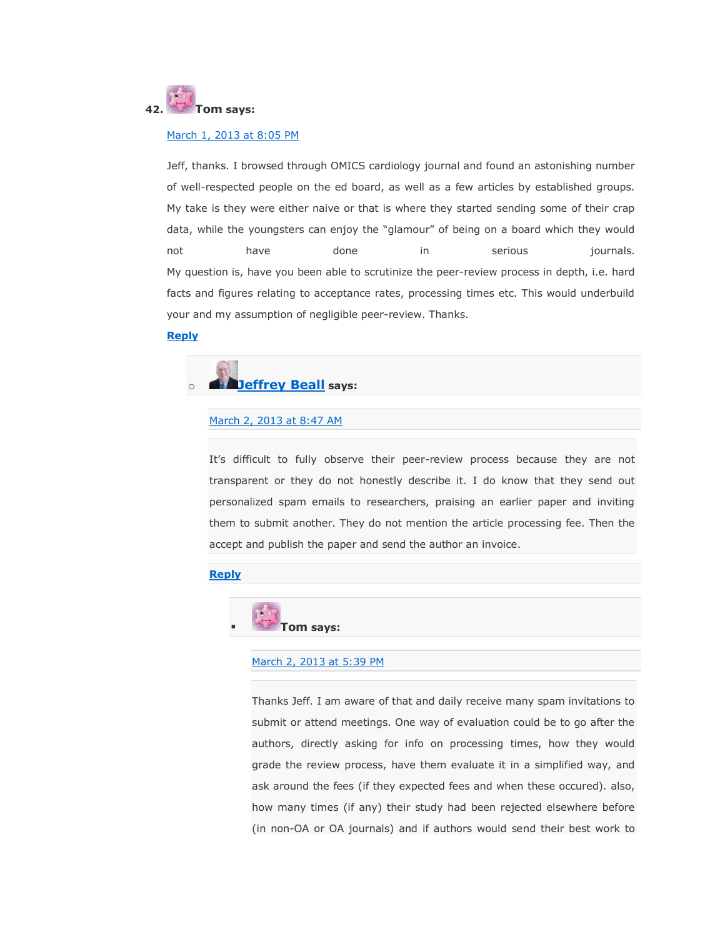

# [March 1, 2013 at 8:05 PM](https://scholarlyoa.com/2012/12/06/bealls-list-of-predatory-publishers-2013/#comment-14097)

Jeff, thanks. I browsed through OMICS cardiology journal and found an astonishing number of well-respected people on the ed board, as well as a few articles by established groups. My take is they were either naive or that is where they started sending some of their crap data, while the youngsters can enjoy the "glamour" of being on a board which they would not have done in serious journals. My question is, have you been able to scrutinize the peer-review process in depth, i.e. hard facts and figures relating to acceptance rates, processing times etc. This would underbuild your and my assumption of negligible peer-review. Thanks.

### **[Reply](https://scholarlyoa.com/2012/12/06/bealls-list-of-predatory-publishers-2013/?replytocom=14097#respond)**



#### [March 2, 2013 at 8:47 AM](https://scholarlyoa.com/2012/12/06/bealls-list-of-predatory-publishers-2013/#comment-14161)

It's difficult to fully observe their peer-review process because they are not transparent or they do not honestly describe it. I do know that they send out personalized spam emails to researchers, praising an earlier paper and inviting them to submit another. They do not mention the article processing fee. Then the accept and publish the paper and send the author an invoice.

## **[Reply](https://scholarlyoa.com/2012/12/06/bealls-list-of-predatory-publishers-2013/?replytocom=14161#respond)**



### [March 2, 2013 at 5:39 PM](https://scholarlyoa.com/2012/12/06/bealls-list-of-predatory-publishers-2013/#comment-14197)

Thanks Jeff. I am aware of that and daily receive many spam invitations to submit or attend meetings. One way of evaluation could be to go after the authors, directly asking for info on processing times, how they would grade the review process, have them evaluate it in a simplified way, and ask around the fees (if they expected fees and when these occured). also, how many times (if any) their study had been rejected elsewhere before (in non-OA or OA journals) and if authors would send their best work to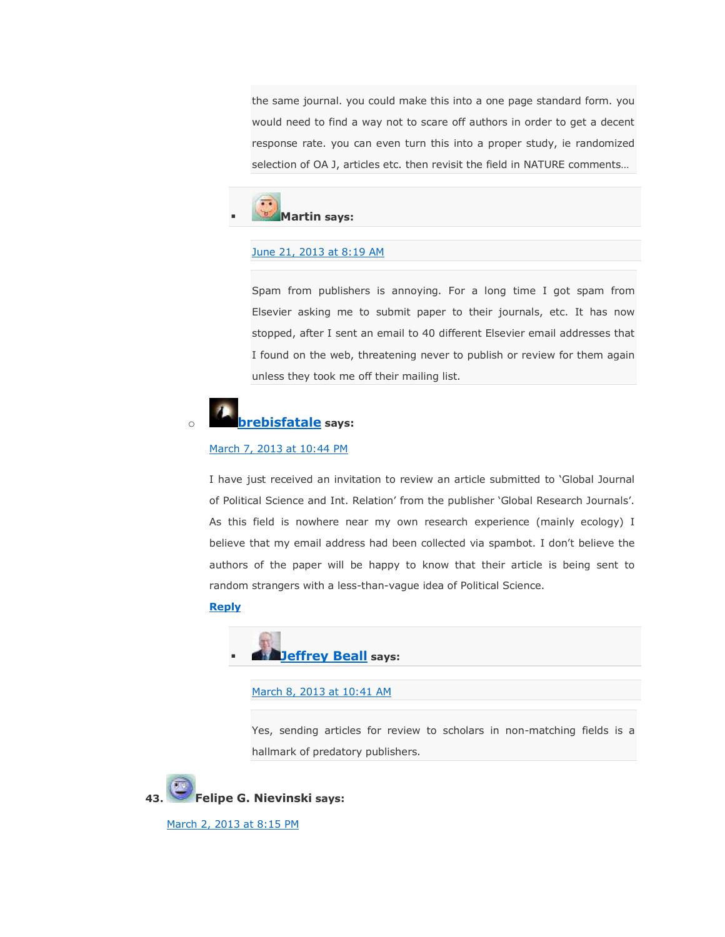the same journal. you could make this into a one page standard form. you would need to find a way not to scare off authors in order to get a decent response rate. you can even turn this into a proper study, ie randomized selection of OA J, articles etc. then revisit the field in NATURE comments…



### [June 21, 2013 at 8:19 AM](https://scholarlyoa.com/2012/12/06/bealls-list-of-predatory-publishers-2013/#comment-21420)

Spam from publishers is annoying. For a long time I got spam from Elsevier asking me to submit paper to their journals, etc. It has now stopped, after I sent an email to 40 different Elsevier email addresses that I found on the web, threatening never to publish or review for them again unless they took me off their mailing list.

# o **[brebisfatale](http://rumoursofangels.wordpress.com/) says:**

# [March 7, 2013 at 10:44 PM](https://scholarlyoa.com/2012/12/06/bealls-list-of-predatory-publishers-2013/#comment-15173)

I have just received an invitation to review an article submitted to 'Global Journal of Political Science and Int. Relation' from the publisher 'Global Research Journals'. As this field is nowhere near my own research experience (mainly ecology) I believe that my email address had been collected via spambot. I don't believe the authors of the paper will be happy to know that their article is being sent to random strangers with a less-than-vague idea of Political Science.

# **[Reply](https://scholarlyoa.com/2012/12/06/bealls-list-of-predatory-publishers-2013/?replytocom=15173#respond)**



[March 8, 2013 at 10:41 AM](https://scholarlyoa.com/2012/12/06/bealls-list-of-predatory-publishers-2013/#comment-15209)

Yes, sending articles for review to scholars in non-matching fields is a hallmark of predatory publishers.

**43. Felipe G. Nievinski says:**

[March 2, 2013 at 8:15 PM](https://scholarlyoa.com/2012/12/06/bealls-list-of-predatory-publishers-2013/#comment-14208)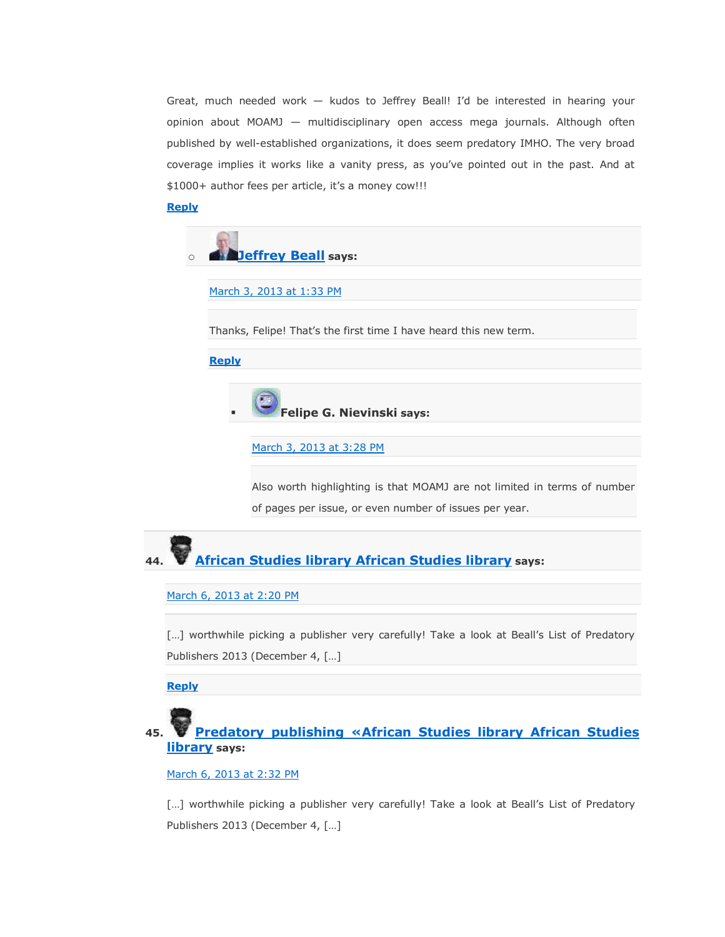Great, much needed work — kudos to Jeffrey Beall! I'd be interested in hearing your opinion about MOAMJ — multidisciplinary open access mega journals. Although often published by well-established organizations, it does seem predatory IMHO. The very broad coverage implies it works like a vanity press, as you've pointed out in the past. And at \$1000+ author fees per article, it's a money cow!!!

# **[Reply](https://scholarlyoa.com/2012/12/06/bealls-list-of-predatory-publishers-2013/?replytocom=14208#respond)**



[March 3, 2013 at 1:33 PM](https://scholarlyoa.com/2012/12/06/bealls-list-of-predatory-publishers-2013/#comment-14323)

Thanks, Felipe! That's the first time I have heard this new term.

## **[Reply](https://scholarlyoa.com/2012/12/06/bealls-list-of-predatory-publishers-2013/?replytocom=14323#respond)**



[March 3, 2013 at 3:28 PM](https://scholarlyoa.com/2012/12/06/bealls-list-of-predatory-publishers-2013/#comment-14335)

Also worth highlighting is that MOAMJ are not limited in terms of number of pages per issue, or even number of issues per year.



### [March 6, 2013 at 2:20 PM](https://scholarlyoa.com/2012/12/06/bealls-list-of-predatory-publishers-2013/#comment-15032)

[...] worthwhile picking a publisher very carefully! Take a look at Beall's List of Predatory Publishers 2013 (December 4, […]

**[Reply](https://scholarlyoa.com/2012/12/06/bealls-list-of-predatory-publishers-2013/?replytocom=15032#respond)**

# **45. [Predatory publishing «African Studies library African Studies](http://africanstudieslibrary.wordpress.com/2013/03/06/predatory-publishing/)  [library](http://africanstudieslibrary.wordpress.com/2013/03/06/predatory-publishing/) says:**

# [March 6, 2013 at 2:32 PM](https://scholarlyoa.com/2012/12/06/bealls-list-of-predatory-publishers-2013/#comment-15035)

[...] worthwhile picking a publisher very carefully! Take a look at Beall's List of Predatory Publishers 2013 (December 4, […]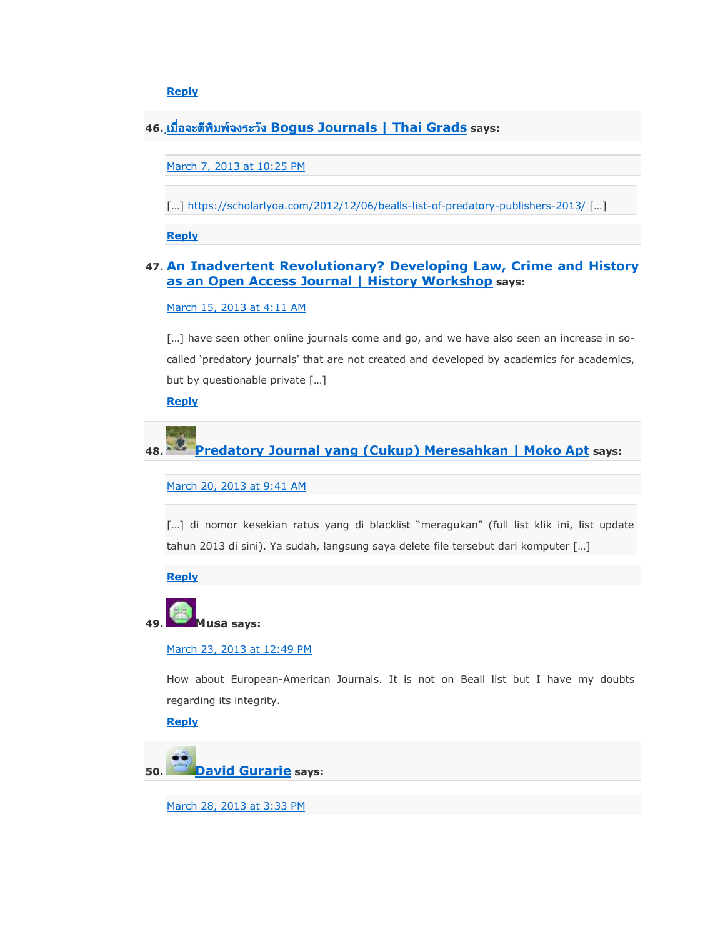**[Reply](https://scholarlyoa.com/2012/12/06/bealls-list-of-predatory-publishers-2013/?replytocom=15035#respond)**

**46. [Bogus Journals | Thai Grads](http://thaigrads.wordpress.com/2013/03/08/bogus-journals/) says:**

[March 7, 2013 at 10:25 PM](https://scholarlyoa.com/2012/12/06/bealls-list-of-predatory-publishers-2013/#comment-15168)

[...] <https://scholarlyoa.com/2012/12/06/bealls-list-of-predatory-publishers-2013/> [...]

**[Reply](https://scholarlyoa.com/2012/12/06/bealls-list-of-predatory-publishers-2013/?replytocom=15168#respond)**

# **47. [An Inadvertent Revolutionary? Developing Law, Crime and History](http://www.historyworkshop.org.uk/an-inadvertent-revolutionary-developing-law-crime-and-history-as-an-open-access-journal/)  [as an Open Access Journal | History Workshop](http://www.historyworkshop.org.uk/an-inadvertent-revolutionary-developing-law-crime-and-history-as-an-open-access-journal/) says:**

[March 15, 2013 at 4:11 AM](https://scholarlyoa.com/2012/12/06/bealls-list-of-predatory-publishers-2013/#comment-15660)

[...] have seen other online journals come and go, and we have also seen an increase in socalled 'predatory journals' that are not created and developed by academics for academics, but by questionable private […]

**[Reply](https://scholarlyoa.com/2012/12/06/bealls-list-of-predatory-publishers-2013/?replytocom=15660#respond)**

**48. [Predatory Journal yang \(Cukup\) Meresahkan | Moko Apt](http://moko31.wordpress.com/2013/03/20/predatory-journal-yang-cukup-meresahkan/) says:**

[March 20, 2013 at 9:41 AM](https://scholarlyoa.com/2012/12/06/bealls-list-of-predatory-publishers-2013/#comment-15877)

[...] di nomor kesekian ratus yang di blacklist "meragukan" (full list klik ini, list update tahun 2013 di sini). Ya sudah, langsung saya delete file tersebut dari komputer […]

**[Reply](https://scholarlyoa.com/2012/12/06/bealls-list-of-predatory-publishers-2013/?replytocom=15877#respond)**



March [23, 2013 at 12:49 PM](https://scholarlyoa.com/2012/12/06/bealls-list-of-predatory-publishers-2013/#comment-15988)

How about European-American Journals. It is not on Beall list but I have my doubts regarding its integrity.

**[Reply](https://scholarlyoa.com/2012/12/06/bealls-list-of-predatory-publishers-2013/?replytocom=15988#respond)**



[March 28, 2013 at 3:33 PM](https://scholarlyoa.com/2012/12/06/bealls-list-of-predatory-publishers-2013/#comment-16114)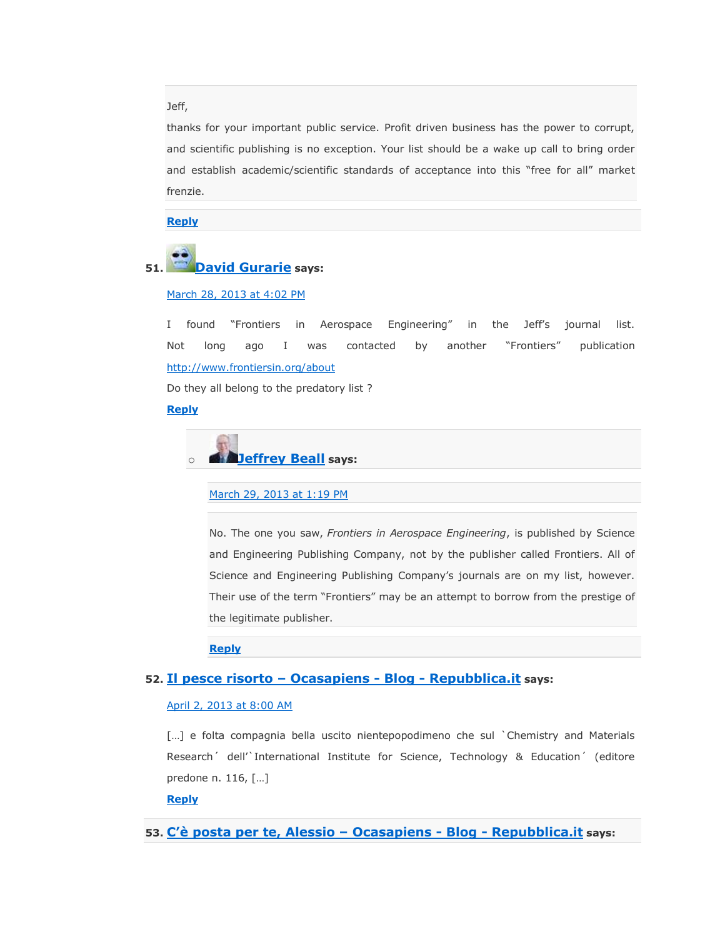## Jeff,

thanks for your important public service. Profit driven business has the power to corrupt, and scientific publishing is no exception. Your list should be a wake up call to bring order and establish academic/scientific standards of acceptance into this "free for all" market frenzie.

**[Reply](https://scholarlyoa.com/2012/12/06/bealls-list-of-predatory-publishers-2013/?replytocom=16114#respond)**

# **51. [David Gurarie](http://www.cwru.edu/artsci/math/gurarie/home.html) says:**

# [March 28, 2013 at 4:02 PM](https://scholarlyoa.com/2012/12/06/bealls-list-of-predatory-publishers-2013/#comment-16115)

I found "Frontiers in Aerospace Engineering" in the Jeff's journal list. Not long ago I was contacted by another "Frontiers" publication <http://www.frontiersin.org/about>

Do they all belong to the predatory list ?

# **[Reply](https://scholarlyoa.com/2012/12/06/bealls-list-of-predatory-publishers-2013/?replytocom=16115#respond)**

o **[Jeffrey Beall](https://scholarlyoa.wordpress.com/) says:**

## [March 29, 2013 at 1:19 PM](https://scholarlyoa.com/2012/12/06/bealls-list-of-predatory-publishers-2013/#comment-16141)

No. The one you saw, *Frontiers in Aerospace Engineering*, is published by Science and Engineering Publishing Company, not by the publisher called Frontiers. All of Science and Engineering Publishing Company's journals are on my list, however. Their use of the term "Frontiers" may be an attempt to borrow from the prestige of the legitimate publisher.

**[Reply](https://scholarlyoa.com/2012/12/06/bealls-list-of-predatory-publishers-2013/?replytocom=16141#respond)**

# **52. [Il pesce risorto](http://ocasapiens-dweb.blogautore.repubblica.it/2013/04/02/il-pesce-risorto/) – Ocasapiens - Blog - Repubblica.it says:**

### [April 2, 2013 at 8:00 AM](https://scholarlyoa.com/2012/12/06/bealls-list-of-predatory-publishers-2013/#comment-16222)

[...] e folta compagnia bella uscito nientepopodimeno che sul `Chemistry and Materials Research´ dell'`International Institute for Science, Technology & Education´ (editore predone n. 116, […]

# **[Reply](https://scholarlyoa.com/2012/12/06/bealls-list-of-predatory-publishers-2013/?replytocom=16222#respond)**

# **53. [C'è posta per te, Alessio –](http://ocasapiens-dweb.blogautore.repubblica.it/2013/04/08/ce-posta-per-te-alessio/) Ocasapiens - Blog - Repubblica.it says:**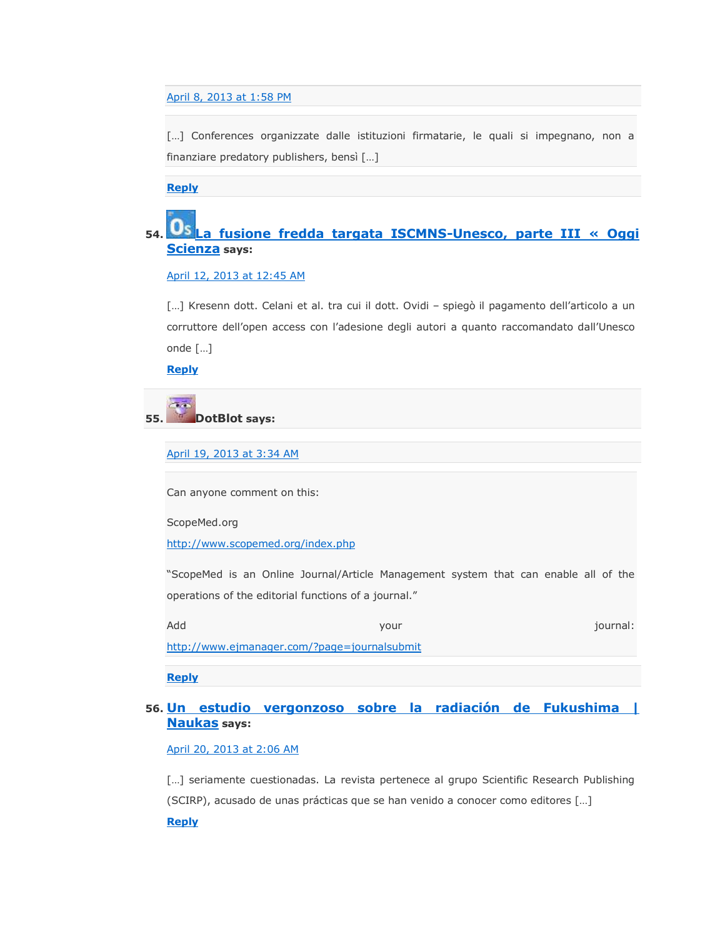# [April 8, 2013 at 1:58 PM](https://scholarlyoa.com/2012/12/06/bealls-list-of-predatory-publishers-2013/#comment-16540)

[...] Conferences organizzate dalle istituzioni firmatarie, le quali si impegnano, non a finanziare predatory publishers, bensì […]

**[Reply](https://scholarlyoa.com/2012/12/06/bealls-list-of-predatory-publishers-2013/?replytocom=16540#respond)**

# **54. [La fusione fredda targata ISCMNS-Unesco, parte III « Oggi](http://oggiscienza.wordpress.com/2013/04/12/la-fusione-fredda-targata-iscmns-unesco-parte-iii/)  [Scienza](http://oggiscienza.wordpress.com/2013/04/12/la-fusione-fredda-targata-iscmns-unesco-parte-iii/) says:**

# [April 12, 2013 at 12:45 AM](https://scholarlyoa.com/2012/12/06/bealls-list-of-predatory-publishers-2013/#comment-16813)

[...] Kresenn dott. Celani et al. tra cui il dott. Ovidi - spiegò il pagamento dell'articolo a un corruttore dell'open access con l'adesione degli autori a quanto raccomandato dall'Unesco onde […]

**[Reply](https://scholarlyoa.com/2012/12/06/bealls-list-of-predatory-publishers-2013/?replytocom=16813#respond)**

# **55. DotBlot says:**

[April 19, 2013 at 3:34 AM](https://scholarlyoa.com/2012/12/06/bealls-list-of-predatory-publishers-2013/#comment-17167)

Can anyone comment on this:

ScopeMed.org

<http://www.scopemed.org/index.php>

―ScopeMed is an Online Journal/Article Management system that can enable all of the operations of the editorial functions of a journal."

Add your journal:

<http://www.ejmanager.com/?page=journalsubmit>

**[Reply](https://scholarlyoa.com/2012/12/06/bealls-list-of-predatory-publishers-2013/?replytocom=17167#respond)**

# **56. [Un estudio vergonzoso sobre la radiación de Fukushima |](http://naukas.com/2013/04/20/un-estudio-vergonzoso-sobre-la-radiacion-de-fukushima/)  [Naukas](http://naukas.com/2013/04/20/un-estudio-vergonzoso-sobre-la-radiacion-de-fukushima/) says:**

[April 20, 2013 at 2:06 AM](https://scholarlyoa.com/2012/12/06/bealls-list-of-predatory-publishers-2013/#comment-17233)

[...] seriamente cuestionadas. La revista pertenece al grupo Scientific Research Publishing (SCIRP), acusado de unas prácticas que se han venido a conocer como editores […] **[Reply](https://scholarlyoa.com/2012/12/06/bealls-list-of-predatory-publishers-2013/?replytocom=17233#respond)**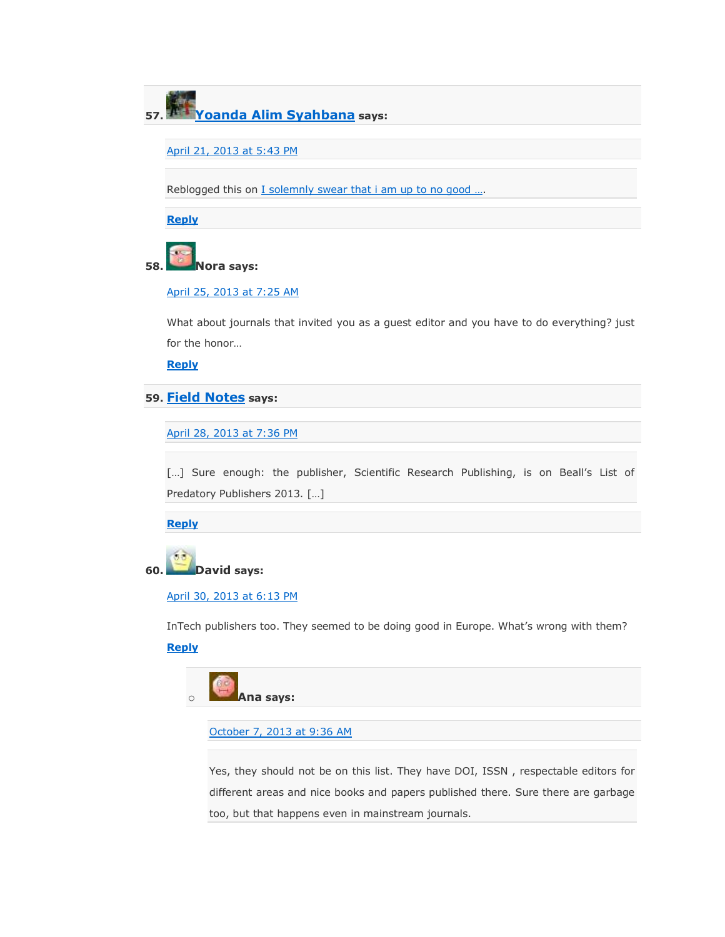**57. [Yoanda Alim Syahbana](http://yoandaalimsyahbana.wordpress.com/) says:**

[April 21, 2013 at 5:43 PM](https://scholarlyoa.com/2012/12/06/bealls-list-of-predatory-publishers-2013/#comment-17361)

Reblogged this on [I solemnly swear that i am up to no](http://yoandaalimsyahbana.wordpress.com/2013/04/21/bealls-list-of-predatory-publishers-2013/) good ...

**[Reply](https://scholarlyoa.com/2012/12/06/bealls-list-of-predatory-publishers-2013/?replytocom=17361#respond)**

# **58. Nora says:**

# [April 25, 2013 at 7:25 AM](https://scholarlyoa.com/2012/12/06/bealls-list-of-predatory-publishers-2013/#comment-17653)

What about journals that invited you as a guest editor and you have to do everything? just for the honor…

**[Reply](https://scholarlyoa.com/2012/12/06/bealls-list-of-predatory-publishers-2013/?replytocom=17653#respond)**

# **59. [Field Notes](http://commfieldnotes.org/2013/04/%e2%86%92-predatory-open-access-publishing-hits-communication/) says:**

[April 28, 2013 at 7:36 PM](https://scholarlyoa.com/2012/12/06/bealls-list-of-predatory-publishers-2013/#comment-17867)

[...] Sure enough: the publisher, Scientific Research Publishing, is on Beall's List of Predatory Publishers 2013. […]

**[Reply](https://scholarlyoa.com/2012/12/06/bealls-list-of-predatory-publishers-2013/?replytocom=17867#respond)**



## [April 30, 2013 at 6:13 PM](https://scholarlyoa.com/2012/12/06/bealls-list-of-predatory-publishers-2013/#comment-17988)

InTech publishers too. They seemed to be doing good in Europe. What's wrong with them? **[Reply](https://scholarlyoa.com/2012/12/06/bealls-list-of-predatory-publishers-2013/?replytocom=17988#respond)**



## [October 7, 2013 at 9:36 AM](https://scholarlyoa.com/2012/12/06/bealls-list-of-predatory-publishers-2013/#comment-26711)

Yes, they should not be on this list. They have DOI, ISSN , respectable editors for different areas and nice books and papers published there. Sure there are garbage too, but that happens even in mainstream journals.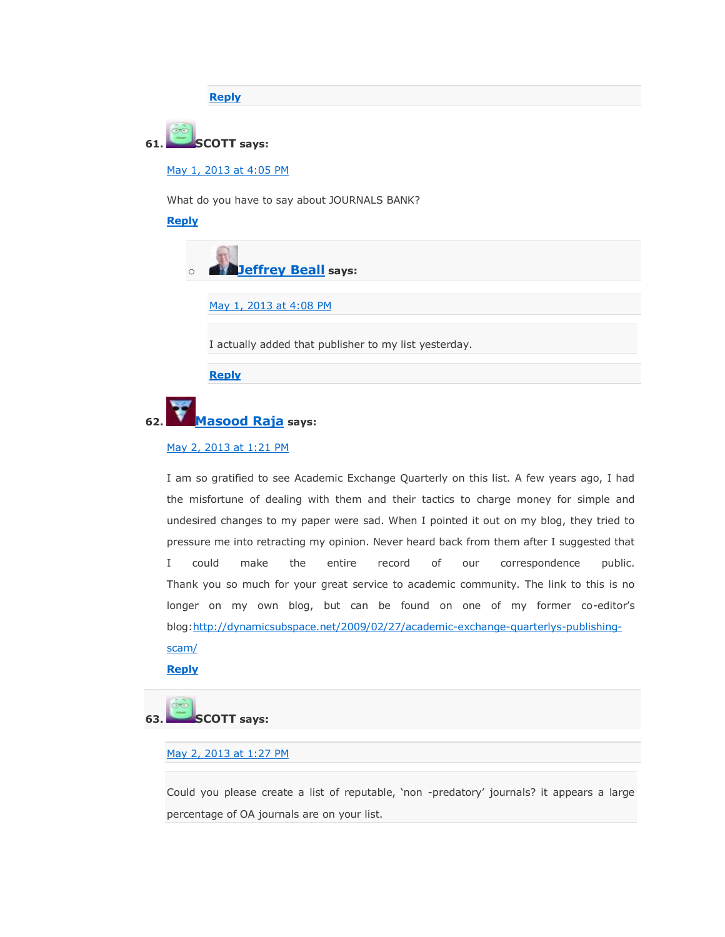**[Reply](https://scholarlyoa.com/2012/12/06/bealls-list-of-predatory-publishers-2013/?replytocom=26711#respond)**

# **61. SCOTT says:**

[May 1, 2013 at 4:05 PM](https://scholarlyoa.com/2012/12/06/bealls-list-of-predatory-publishers-2013/#comment-18044)

What do you have to say about JOURNALS BANK?

**[Reply](https://scholarlyoa.com/2012/12/06/bealls-list-of-predatory-publishers-2013/?replytocom=18044#respond)**



[May 1, 2013 at 4:08 PM](https://scholarlyoa.com/2012/12/06/bealls-list-of-predatory-publishers-2013/#comment-18045)

I actually added that publisher to my list yesterday.

**[Reply](https://scholarlyoa.com/2012/12/06/bealls-list-of-predatory-publishers-2013/?replytocom=18045#respond)**



# [May 2, 2013 at 1:21 PM](https://scholarlyoa.com/2012/12/06/bealls-list-of-predatory-publishers-2013/#comment-18124)

I am so gratified to see Academic Exchange Quarterly on this list. A few years ago, I had the misfortune of dealing with them and their tactics to charge money for simple and undesired changes to my paper were sad. When I pointed it out on my blog, they tried to pressure me into retracting my opinion. Never heard back from them after I suggested that I could make the entire record of our correspondence public. Thank you so much for your great service to academic community. The link to this is no longer on my own blog, but can be found on one of my former co-editor's blog[:http://dynamicsubspace.net/2009/02/27/academic-exchange-quarterlys-publishing](http://dynamicsubspace.net/2009/02/27/academic-exchange-quarterlys-publishing-scam/)[scam/](http://dynamicsubspace.net/2009/02/27/academic-exchange-quarterlys-publishing-scam/)

**[Reply](https://scholarlyoa.com/2012/12/06/bealls-list-of-predatory-publishers-2013/?replytocom=18124#respond)**

**63. SCOTT says:**

# [May 2, 2013 at 1:27 PM](https://scholarlyoa.com/2012/12/06/bealls-list-of-predatory-publishers-2013/#comment-18125)

Could you please create a list of reputable, 'non -predatory' journals? it appears a large percentage of OA journals are on your list.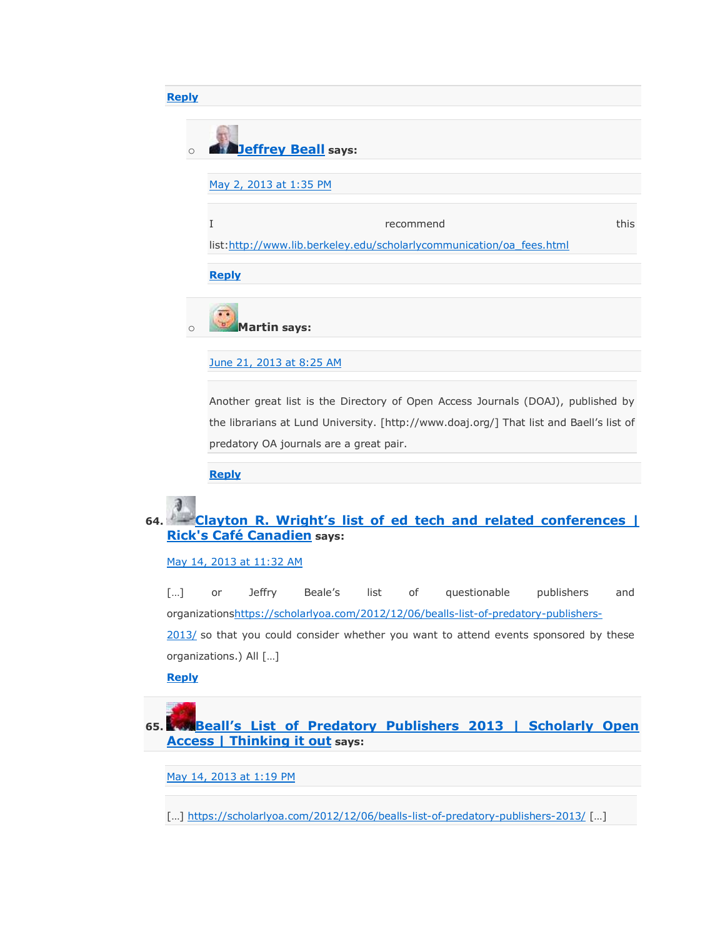| <b>Reply</b> |         |                                                                      |
|--------------|---------|----------------------------------------------------------------------|
|              |         |                                                                      |
|              | $\circ$ | <b>Deffrey Beall</b> says:                                           |
|              |         |                                                                      |
|              |         | May 2, 2013 at 1:35 PM                                               |
|              |         |                                                                      |
|              |         | T<br>this<br>recommend                                               |
|              |         | list:http://www.lib.berkeley.edu/scholarlycommunication/oa fees.html |
|              |         | <b>Reply</b>                                                         |
|              | O       | <b>Martin says:</b>                                                  |
|              |         |                                                                      |

[June 21, 2013 at 8:25 AM](https://scholarlyoa.com/2012/12/06/bealls-list-of-predatory-publishers-2013/#comment-21421)

Another great list is the Directory of Open Access Journals (DOAJ), published by the librarians at Lund University. [http://www.doaj.org/] That list and Baell's list of predatory OA journals are a great pair.

**[Reply](https://scholarlyoa.com/2012/12/06/bealls-list-of-predatory-publishers-2013/?replytocom=21421#respond)**

# **64. [Clayton R. Wright's list of ed tech and related conferences |](http://rickscafe.wordpress.com/2013/05/14/clayton-r-wrights-list-of-ed-tech-and-related-conferences/)  [Rick's Café Canadien](http://rickscafe.wordpress.com/2013/05/14/clayton-r-wrights-list-of-ed-tech-and-related-conferences/) says:**

# [May 14, 2013 at 11:32 AM](https://scholarlyoa.com/2012/12/06/bealls-list-of-predatory-publishers-2013/#comment-19103)

[…] or Jeffry Beale's list of questionable publishers and organization[shttps://scholarlyoa.com/2012/12/06/bealls-list-of-predatory-publishers-](https://scholarlyoa.com/2012/12/06/bealls-list-of-predatory-publishers-2013/)[2013/](https://scholarlyoa.com/2012/12/06/bealls-list-of-predatory-publishers-2013/) so that you could consider whether you want to attend events sponsored by these organizations.) All […]

# **[Reply](https://scholarlyoa.com/2012/12/06/bealls-list-of-predatory-publishers-2013/?replytocom=19103#respond)**

# **65. [Beall's List of Predatory Publishers 2013 | Scholarly Open](http://applyingcriticalanalysis.wordpress.com/2013/05/14/bealls-list-of-predatory-publishers-2013-scholarly-open-access/)  [Access | Thinking it out](http://applyingcriticalanalysis.wordpress.com/2013/05/14/bealls-list-of-predatory-publishers-2013-scholarly-open-access/) says:**

[May 14, 2013 at 1:19 PM](https://scholarlyoa.com/2012/12/06/bealls-list-of-predatory-publishers-2013/#comment-19107)

[...] <https://scholarlyoa.com/2012/12/06/bealls-list-of-predatory-publishers-2013/> [...]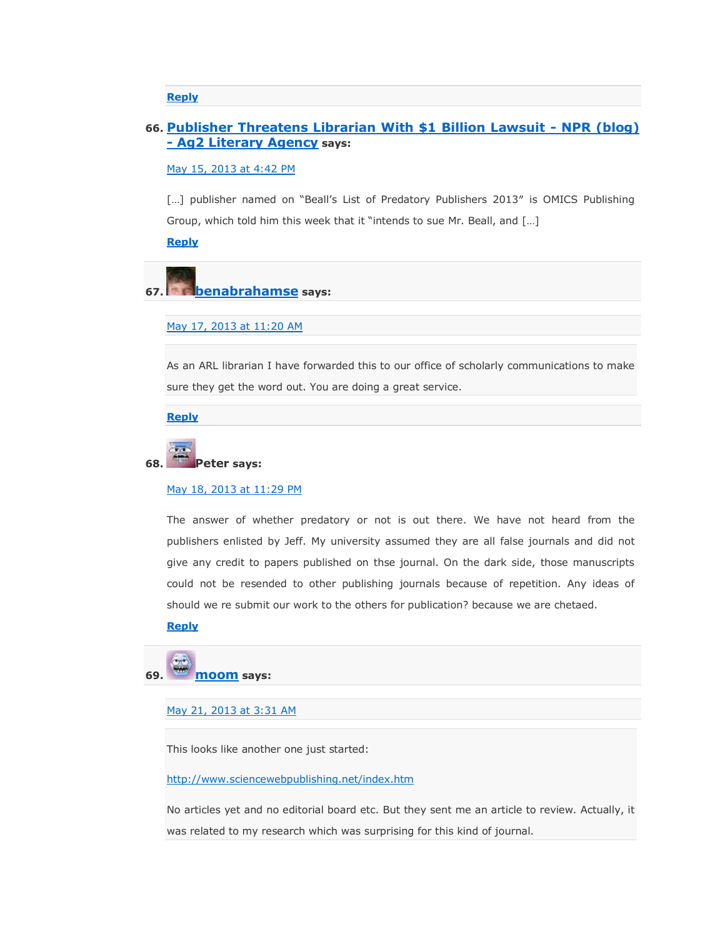**[Reply](https://scholarlyoa.com/2012/12/06/bealls-list-of-predatory-publishers-2013/?replytocom=19107#respond)**

# **66. [Publisher Threatens Librarian With \\$1 Billion Lawsuit -](http://en.agencialiteraria2.com.br/2013/05/15/publisher-threatens-librarian-with-1-billion-lawsuit-npr-blog/) NPR (blog) - [Ag2 Literary Agency](http://en.agencialiteraria2.com.br/2013/05/15/publisher-threatens-librarian-with-1-billion-lawsuit-npr-blog/) says:**

# [May 15, 2013 at 4:42 PM](https://scholarlyoa.com/2012/12/06/bealls-list-of-predatory-publishers-2013/#comment-19202)

[...] publisher named on "Beall's List of Predatory Publishers 2013" is OMICS Publishing Group, which told him this week that it "intends to sue Mr. Beall, and [...]

**[Reply](https://scholarlyoa.com/2012/12/06/bealls-list-of-predatory-publishers-2013/?replytocom=19202#respond)**

# **67. [benabrahamse](http://gravatar.com/benabrahamse) says:**

#### [May 17, 2013 at 11:20 AM](https://scholarlyoa.com/2012/12/06/bealls-list-of-predatory-publishers-2013/#comment-19447)

As an ARL librarian I have forwarded this to our office of scholarly communications to make sure they get the word out. You are doing a great service.

**[Reply](https://scholarlyoa.com/2012/12/06/bealls-list-of-predatory-publishers-2013/?replytocom=19447#respond)**

# **68. Peter says:**

#### [May 18, 2013 at 11:29 PM](https://scholarlyoa.com/2012/12/06/bealls-list-of-predatory-publishers-2013/#comment-19570)

The answer of whether predatory or not is out there. We have not heard from the publishers enlisted by Jeff. My university assumed they are all false journals and did not give any credit to papers published on thse journal. On the dark side, those manuscripts could not be resended to other publishing journals because of repetition. Any ideas of should we re submit our work to the others for publication? because we are chetaed.

# **[Reply](https://scholarlyoa.com/2012/12/06/bealls-list-of-predatory-publishers-2013/?replytocom=19570#respond)**

# **69. moom says:**

[May 21, 2013 at 3:31 AM](https://scholarlyoa.com/2012/12/06/bealls-list-of-predatory-publishers-2013/#comment-19730)

This looks like another one just started:

<http://www.sciencewebpublishing.net/index.htm>

No articles yet and no editorial board etc. But they sent me an article to review. Actually, it was related to my research which was surprising for this kind of journal.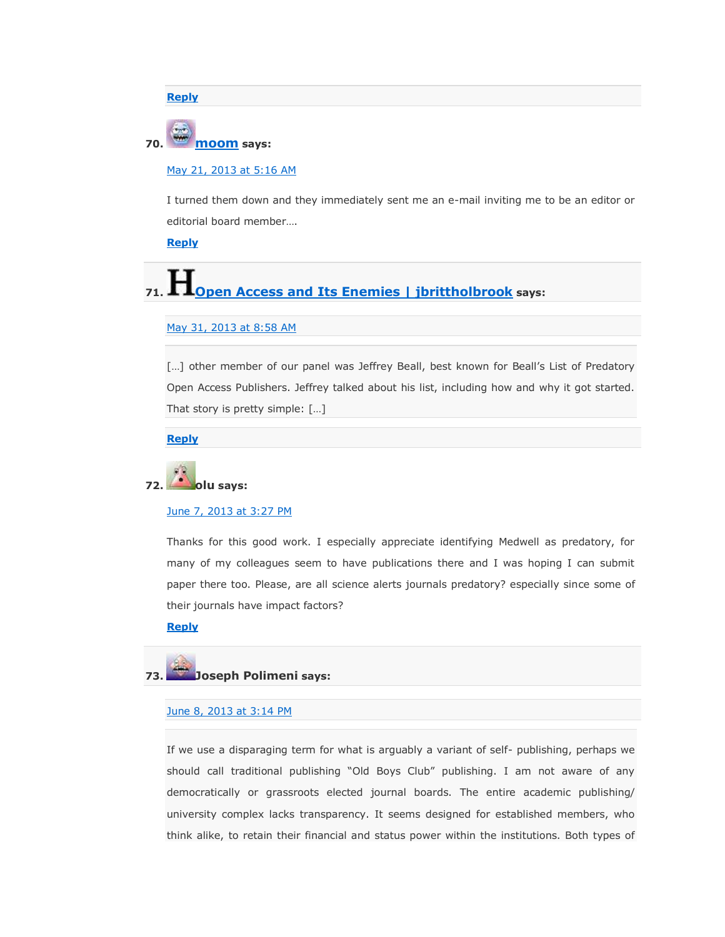**[Reply](https://scholarlyoa.com/2012/12/06/bealls-list-of-predatory-publishers-2013/?replytocom=19730#respond)**

# **70. moom says:**

### [May 21, 2013 at 5:16 AM](https://scholarlyoa.com/2012/12/06/bealls-list-of-predatory-publishers-2013/#comment-19739)

I turned them down and they immediately sent me an e-mail inviting me to be an editor or editorial board member….

**[Reply](https://scholarlyoa.com/2012/12/06/bealls-list-of-predatory-publishers-2013/?replytocom=19739#respond)**

# **71. [Open Access and Its Enemies | jbrittholbrook](http://jbrittholbrook.wordpress.com/2013/05/31/open-access-and-its-enemies/) says:**

### May [31, 2013 at 8:58 AM](https://scholarlyoa.com/2012/12/06/bealls-list-of-predatory-publishers-2013/#comment-20307)

[...] other member of our panel was Jeffrey Beall, best known for Beall's List of Predatory Open Access Publishers. Jeffrey talked about his list, including how and why it got started. That story is pretty simple: […]

**[Reply](https://scholarlyoa.com/2012/12/06/bealls-list-of-predatory-publishers-2013/?replytocom=20307#respond)**

# **72. olu says:**

#### [June 7, 2013 at 3:27 PM](https://scholarlyoa.com/2012/12/06/bealls-list-of-predatory-publishers-2013/#comment-20667)

Thanks for this good work. I especially appreciate identifying Medwell as predatory, for many of my colleagues seem to have publications there and I was hoping I can submit paper there too. Please, are all science alerts journals predatory? especially since some of their journals have impact factors?

**[Reply](https://scholarlyoa.com/2012/12/06/bealls-list-of-predatory-publishers-2013/?replytocom=20667#respond)**

# **73. Joseph Polimeni says:**

### [June 8, 2013 at 3:14 PM](https://scholarlyoa.com/2012/12/06/bealls-list-of-predatory-publishers-2013/#comment-20729)

If we use a disparaging term for what is arguably a variant of self- publishing, perhaps we should call traditional publishing "Old Boys Club" publishing. I am not aware of any democratically or grassroots elected journal boards. The entire academic publishing/ university complex lacks transparency. It seems designed for established members, who think alike, to retain their financial and status power within the institutions. Both types of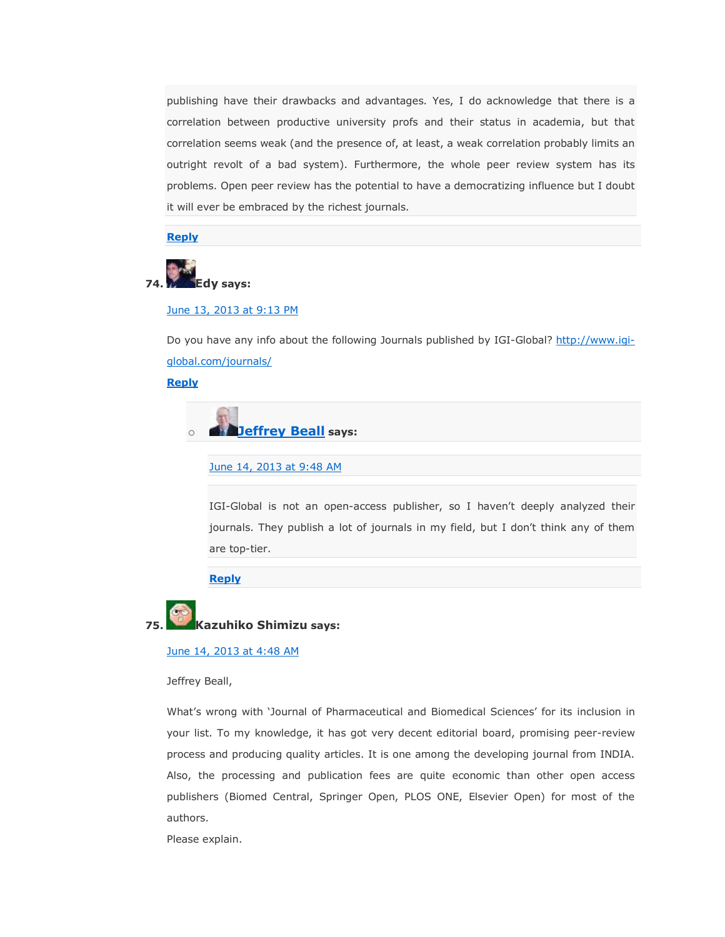publishing have their drawbacks and advantages. Yes, I do acknowledge that there is a correlation between productive university profs and their status in academia, but that correlation seems weak (and the presence of, at least, a weak correlation probably limits an outright revolt of a bad system). Furthermore, the whole peer review system has its problems. Open peer review has the potential to have a democratizing influence but I doubt it will ever be embraced by the richest journals.

**[Reply](https://scholarlyoa.com/2012/12/06/bealls-list-of-predatory-publishers-2013/?replytocom=20729#respond)**



### [June 13, 2013 at 9:13 PM](https://scholarlyoa.com/2012/12/06/bealls-list-of-predatory-publishers-2013/#comment-20962)

Do you have any info about the following Journals published by IGI-Global? [http://www.igi](http://www.igi-global.com/journals/)[global.com/journals/](http://www.igi-global.com/journals/)

**[Reply](https://scholarlyoa.com/2012/12/06/bealls-list-of-predatory-publishers-2013/?replytocom=20962#respond)**

o **[Jeffrey Beall](https://scholarlyoa.wordpress.com/) says:**

[June 14, 2013 at 9:48 AM](https://scholarlyoa.com/2012/12/06/bealls-list-of-predatory-publishers-2013/#comment-20992)

IGI-Global is not an open-access publisher, so I haven't deeply analyzed their journals. They publish a lot of journals in my field, but I don't think any of them are top-tier.

**[Reply](https://scholarlyoa.com/2012/12/06/bealls-list-of-predatory-publishers-2013/?replytocom=20992#respond)**

# **75. Kazuhiko Shimizu says:**

# [June 14, 2013 at 4:48 AM](https://scholarlyoa.com/2012/12/06/bealls-list-of-predatory-publishers-2013/#comment-20980)

Jeffrey Beall,

What's wrong with ‗Journal of Pharmaceutical and Biomedical Sciences' for its inclusion in your list. To my knowledge, it has got very decent editorial board, promising peer-review process and producing quality articles. It is one among the developing journal from INDIA. Also, the processing and publication fees are quite economic than other open access publishers (Biomed Central, Springer Open, PLOS ONE, Elsevier Open) for most of the authors.

Please explain.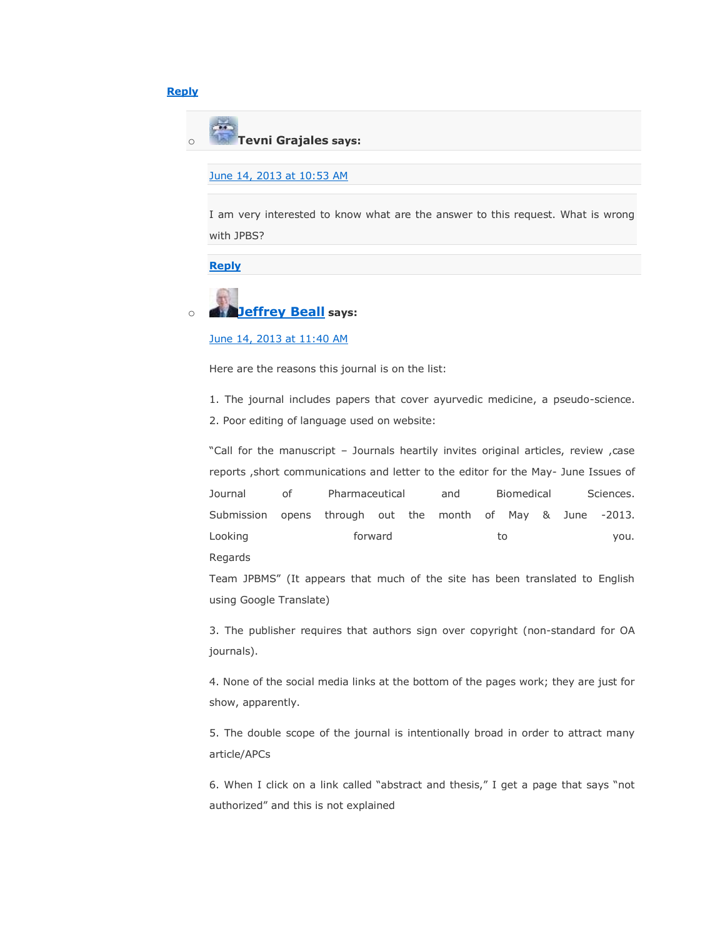# **[Reply](https://scholarlyoa.com/2012/12/06/bealls-list-of-predatory-publishers-2013/?replytocom=20980#respond)**



# [June 14, 2013 at 10:53 AM](https://scholarlyoa.com/2012/12/06/bealls-list-of-predatory-publishers-2013/#comment-20994)

I am very interested to know what are the answer to this request. What is wrong with JPBS?

# **[Reply](https://scholarlyoa.com/2012/12/06/bealls-list-of-predatory-publishers-2013/?replytocom=20994#respond)**



# [June 14, 2013 at 11:40 AM](https://scholarlyoa.com/2012/12/06/bealls-list-of-predatory-publishers-2013/#comment-20996)

Here are the reasons this journal is on the list:

1. The journal includes papers that cover ayurvedic medicine, a pseudo-science.

2. Poor editing of language used on website:

"Call for the manuscript - Journals heartily invites original articles, review, case reports ,short communications and letter to the editor for the May- June Issues of Journal of Pharmaceutical and Biomedical Sciences. Submission opens through out the month of May & June -2013. Looking the second to the second to the second to the second to the second vou. Regards

Team JPBMS" (It appears that much of the site has been translated to English using Google Translate)

3. The publisher requires that authors sign over copyright (non-standard for OA journals).

4. None of the social media links at the bottom of the pages work; they are just for show, apparently.

5. The double scope of the journal is intentionally broad in order to attract many article/APCs

6. When I click on a link called "abstract and thesis," I get a page that says "not authorized" and this is not explained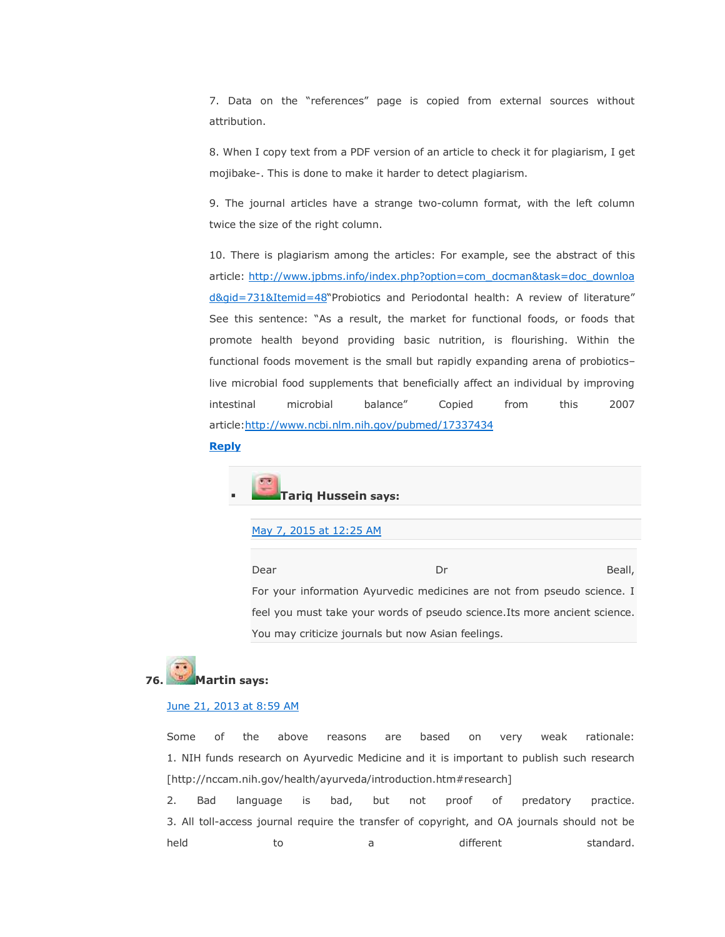7. Data on the "references" page is copied from external sources without attribution.

8. When I copy text from a PDF version of an article to check it for plagiarism, I get mojibake-. This is done to make it harder to detect plagiarism.

9. The journal articles have a strange two-column format, with the left column twice the size of the right column.

10. There is plagiarism among the articles: For example, see the abstract of this article: [http://www.jpbms.info/index.php?option=com\\_docman&task=doc\\_downloa](http://www.jpbms.info/index.php?option=com_docman&task=doc_download&gid=731&Itemid=48) [d&gid=731&Itemid=48](http://www.jpbms.info/index.php?option=com_docman&task=doc_download&gid=731&Itemid=48)"Probiotics and Periodontal health: A review of literature" See this sentence: "As a result, the market for functional foods, or foods that promote health beyond providing basic nutrition, is flourishing. Within the functional foods movement is the small but rapidly expanding arena of probiotics– live microbial food supplements that beneficially affect an individual by improving intestinal microbial balance‖ Copied from this 2007 article[:http://www.ncbi.nlm.nih.gov/pubmed/17337434](http://www.ncbi.nlm.nih.gov/pubmed/17337434)

### **[Reply](https://scholarlyoa.com/2012/12/06/bealls-list-of-predatory-publishers-2013/?replytocom=20996#respond)**

# **Tariq Hussein says:**

#### [May 7, 2015 at 12:25 AM](https://scholarlyoa.com/2012/12/06/bealls-list-of-predatory-publishers-2013/#comment-286446)

Dear Dr Beall, For your information Ayurvedic medicines are not from pseudo science. I feel you must take your words of pseudo science.Its more ancient science. You may criticize journals but now Asian feelings.

# **76. Martin says:**

### [June 21, 2013 at 8:59 AM](https://scholarlyoa.com/2012/12/06/bealls-list-of-predatory-publishers-2013/#comment-21422)

Some of the above reasons are based on very weak rationale: 1. NIH funds research on Ayurvedic Medicine and it is important to publish such research [http://nccam.nih.gov/health/ayurveda/introduction.htm#research]

2. Bad language is bad, but not proof of predatory practice. 3. All toll-access journal require the transfer of copyright, and OA journals should not be held **to** a different standard.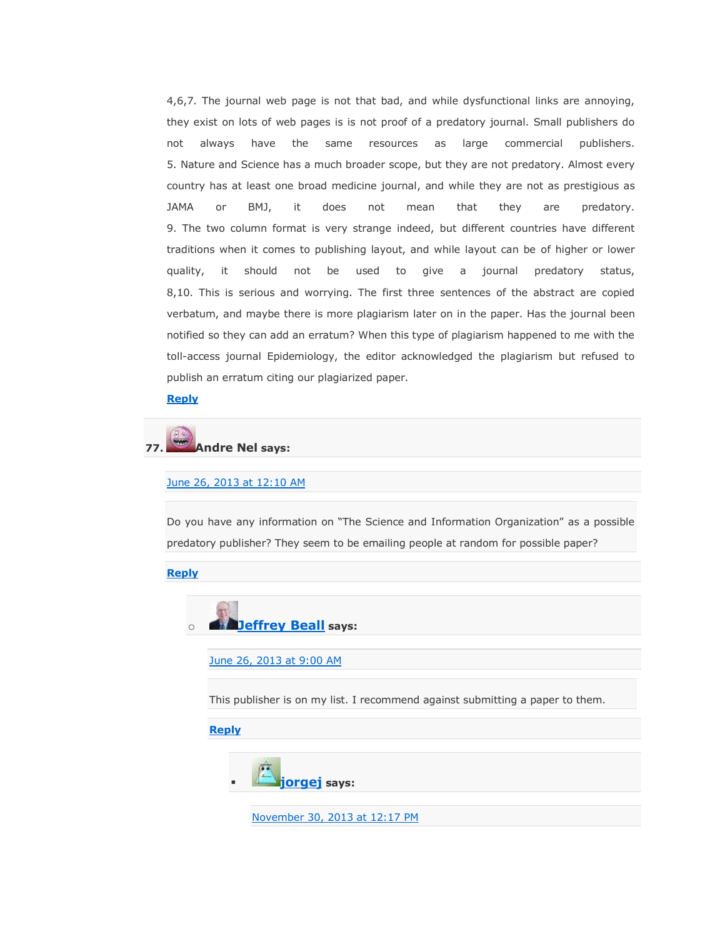4,6,7. The journal web page is not that bad, and while dysfunctional links are annoying, they exist on lots of web pages is is not proof of a predatory journal. Small publishers do not always have the same resources as large commercial publishers. 5. Nature and Science has a much broader scope, but they are not predatory. Almost every country has at least one broad medicine journal, and while they are not as prestigious as JAMA or BMJ, it does not mean that they are predatory. 9. The two column format is very strange indeed, but different countries have different traditions when it comes to publishing layout, and while layout can be of higher or lower quality, it should not be used to give a journal predatory status, 8,10. This is serious and worrying. The first three sentences of the abstract are copied verbatum, and maybe there is more plagiarism later on in the paper. Has the journal been notified so they can add an erratum? When this type of plagiarism happened to me with the toll-access journal Epidemiology, the editor acknowledged the plagiarism but refused to publish an erratum citing our plagiarized paper.

**[Reply](https://scholarlyoa.com/2012/12/06/bealls-list-of-predatory-publishers-2013/?replytocom=21422#respond)**

# **77. Andre Nel says:**

#### [June 26, 2013 at 12:10 AM](https://scholarlyoa.com/2012/12/06/bealls-list-of-predatory-publishers-2013/#comment-21712)

Do you have any information on "The Science and Information Organization" as a possible predatory publisher? They seem to be emailing people at random for possible paper?

**[Reply](https://scholarlyoa.com/2012/12/06/bealls-list-of-predatory-publishers-2013/?replytocom=21712#respond)**



[June 26, 2013 at 9:00 AM](https://scholarlyoa.com/2012/12/06/bealls-list-of-predatory-publishers-2013/#comment-21729)

This publisher is on my list. I recommend against submitting a paper to them.

**[Reply](https://scholarlyoa.com/2012/12/06/bealls-list-of-predatory-publishers-2013/?replytocom=21729#respond)**



[November 30, 2013 at 12:17 PM](https://scholarlyoa.com/2012/12/06/bealls-list-of-predatory-publishers-2013/#comment-31942)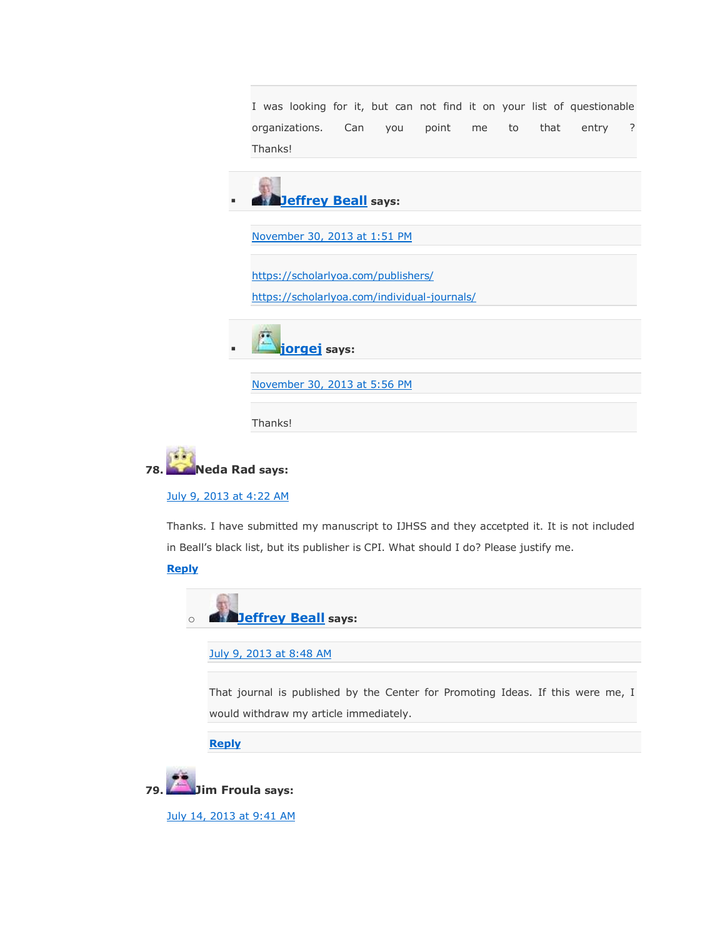I was looking for it, but can not find it on your list of questionable organizations. Can you point me to that entry ? Thanks!



[November 30, 2013 at 1:51 PM](https://scholarlyoa.com/2012/12/06/bealls-list-of-predatory-publishers-2013/#comment-31947)

<https://scholarlyoa.com/publishers/>

<https://scholarlyoa.com/individual-journals/>

**[jorgej](http://jorgej.wordpress.com/) says:**

[November 30, 2013 at 5:56 PM](https://scholarlyoa.com/2012/12/06/bealls-list-of-predatory-publishers-2013/#comment-31956)

Thanks!



[July 9, 2013 at 4:22 AM](https://scholarlyoa.com/2012/12/06/bealls-list-of-predatory-publishers-2013/#comment-22612)

Thanks. I have submitted my manuscript to IJHSS and they accetpted it. It is not included in Beall's black list, but its publisher is CPI. What should I do? Please justify me.

**[Reply](https://scholarlyoa.com/2012/12/06/bealls-list-of-predatory-publishers-2013/?replytocom=22612#respond)**



[July 9, 2013 at 8:48 AM](https://scholarlyoa.com/2012/12/06/bealls-list-of-predatory-publishers-2013/#comment-22629)

That journal is published by the Center for Promoting Ideas. If this were me, I would withdraw my article immediately.

**[Reply](https://scholarlyoa.com/2012/12/06/bealls-list-of-predatory-publishers-2013/?replytocom=22629#respond)**

**79. Jim Froula says:**

[July 14, 2013 at 9:41 AM](https://scholarlyoa.com/2012/12/06/bealls-list-of-predatory-publishers-2013/#comment-22926)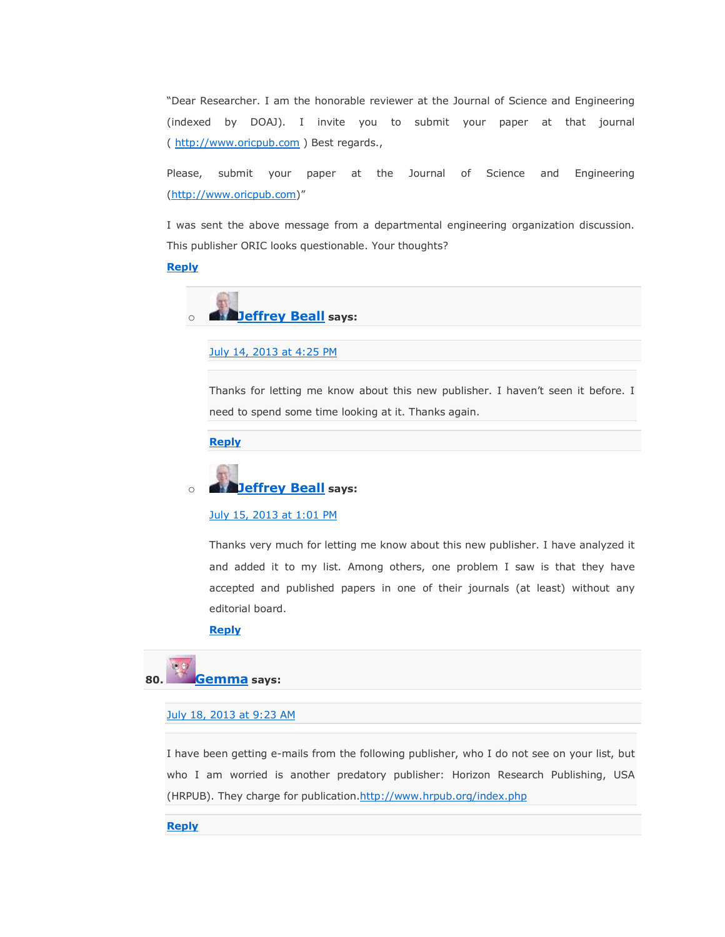"Dear Researcher. I am the honorable reviewer at the Journal of Science and Engineering (indexed by DOAJ). I invite you to submit your paper at that journal ( [http://www.oricpub.com](http://www.oricpub.com/) ) Best regards.,

Please, submit your paper at the Journal of Science and Engineering [\(http://www.oricpub.com](http://www.oricpub.com/))"

I was sent the above message from a departmental engineering organization discussion. This publisher ORIC looks questionable. Your thoughts?

# **[Reply](https://scholarlyoa.com/2012/12/06/bealls-list-of-predatory-publishers-2013/?replytocom=22926#respond)**



# [July 14, 2013 at 4:25 PM](https://scholarlyoa.com/2012/12/06/bealls-list-of-predatory-publishers-2013/#comment-22939)

Thanks for letting me know about this new publisher. I haven't seen it before. I need to spend some time looking at it. Thanks again.

**[Reply](https://scholarlyoa.com/2012/12/06/bealls-list-of-predatory-publishers-2013/?replytocom=22939#respond)**

# o **[Jeffrey Beall](https://scholarlyoa.wordpress.com/) says:**

### [July 15, 2013 at 1:01 PM](https://scholarlyoa.com/2012/12/06/bealls-list-of-predatory-publishers-2013/#comment-22983)

Thanks very much for letting me know about this new publisher. I have analyzed it and added it to my list. Among others, one problem I saw is that they have accepted and published papers in one of their journals (at least) without any editorial board.

## **[Reply](https://scholarlyoa.com/2012/12/06/bealls-list-of-predatory-publishers-2013/?replytocom=22983#respond)**

# **80. [Gemma](http://gravatar.com/gricha5) says:**

# [July 18, 2013 at 9:23 AM](https://scholarlyoa.com/2012/12/06/bealls-list-of-predatory-publishers-2013/#comment-23114)

I have been getting e-mails from the following publisher, who I do not see on your list, but who I am worried is another predatory publisher: Horizon Research Publishing, USA (HRPUB). They charge for publication[.http://www.hrpub.org/index.php](http://www.hrpub.org/index.php)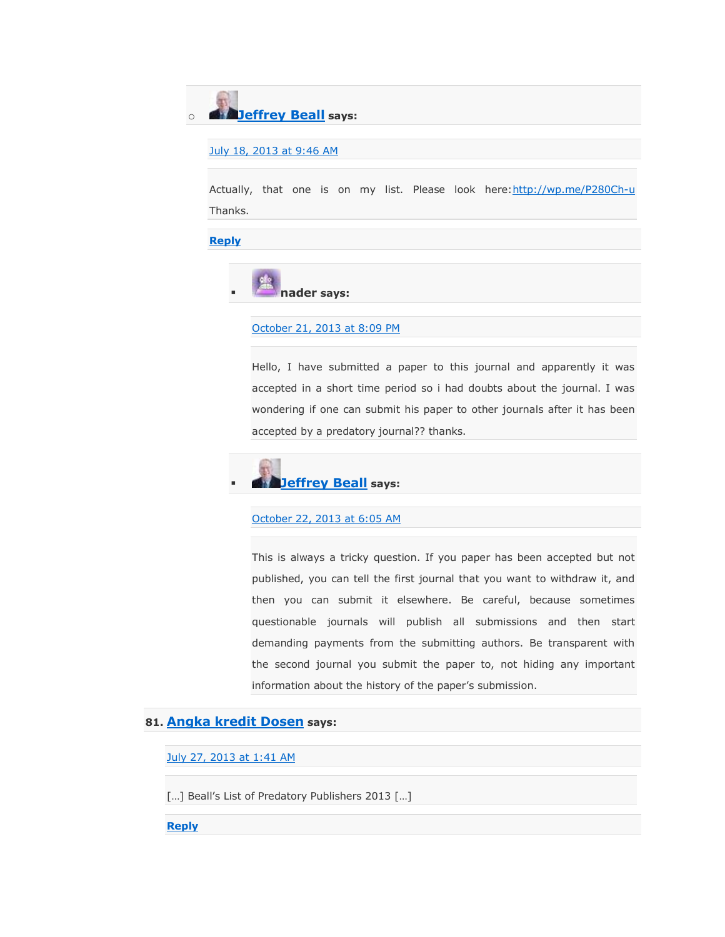o **[Jeffrey Beall](https://scholarlyoa.wordpress.com/) says:**

[July 18, 2013 at 9:46 AM](https://scholarlyoa.com/2012/12/06/bealls-list-of-predatory-publishers-2013/#comment-23115)

Actually, that one is on my list. Please look here: http://wp.me/P280Ch-u Thanks.

**[Reply](https://scholarlyoa.com/2012/12/06/bealls-list-of-predatory-publishers-2013/?replytocom=23115#respond)**



### [October 21, 2013 at 8:09 PM](https://scholarlyoa.com/2012/12/06/bealls-list-of-predatory-publishers-2013/#comment-27248)

Hello, I have submitted a paper to this journal and apparently it was accepted in a short time period so i had doubts about the journal. I was wondering if one can submit his paper to other journals after it has been accepted by a predatory journal?? thanks.



### [October 22, 2013 at 6:05 AM](https://scholarlyoa.com/2012/12/06/bealls-list-of-predatory-publishers-2013/#comment-27265)

This is always a tricky question. If you paper has been accepted but not published, you can tell the first journal that you want to withdraw it, and then you can submit it elsewhere. Be careful, because sometimes questionable journals will publish all submissions and then start demanding payments from the submitting authors. Be transparent with the second journal you submit the paper to, not hiding any important information about the history of the paper's submission.

# **81. [Angka kredit Dosen](http://lppm.narotama.ac.id/2013/07/27/angka-kredit-dosen/) says:**

[July 27, 2013 at 1:41 AM](https://scholarlyoa.com/2012/12/06/bealls-list-of-predatory-publishers-2013/#comment-23451)

[…] Beall's List of Predatory Publishers 2013 […]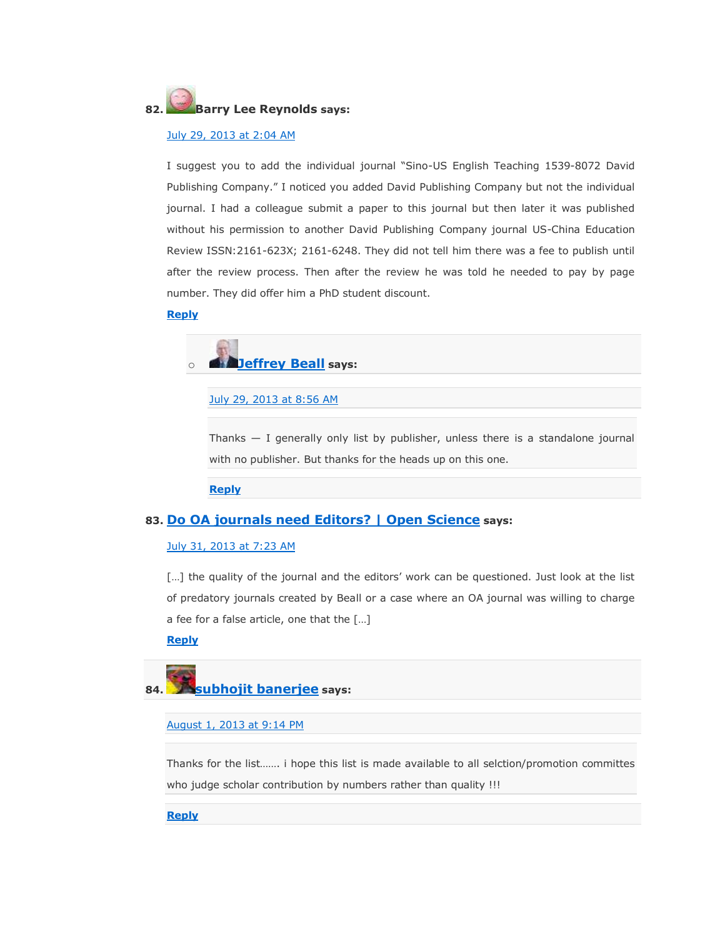# **82. Barry Lee Reynolds says:**

# [July 29, 2013 at 2:04 AM](https://scholarlyoa.com/2012/12/06/bealls-list-of-predatory-publishers-2013/#comment-23532)

I suggest you to add the individual journal "Sino-US English Teaching 1539-8072 David Publishing Company." I noticed you added David Publishing Company but not the individual journal. I had a colleague submit a paper to this journal but then later it was published without his permission to another David Publishing Company journal US-China Education Review ISSN:2161-623X; 2161-6248. They did not tell him there was a fee to publish until after the review process. Then after the review he was told he needed to pay by page number. They did offer him a PhD student discount.

### **[Reply](https://scholarlyoa.com/2012/12/06/bealls-list-of-predatory-publishers-2013/?replytocom=23532#respond)**

o **[Jeffrey Beall](https://scholarlyoa.wordpress.com/) says:**

[July 29, 2013 at 8:56 AM](https://scholarlyoa.com/2012/12/06/bealls-list-of-predatory-publishers-2013/#comment-23543)

Thanks — I generally only list by publisher, unless there is a standalone journal with no publisher. But thanks for the heads up on this one.

**[Reply](https://scholarlyoa.com/2012/12/06/bealls-list-of-predatory-publishers-2013/?replytocom=23543#respond)**

# **83. [Do OA journals need Editors? | Open Science](http://openscience.com/do-oa-journals-need-editors/) says:**

### [July 31, 2013 at 7:23 AM](https://scholarlyoa.com/2012/12/06/bealls-list-of-predatory-publishers-2013/#comment-23617)

[...] the quality of the journal and the editors' work can be questioned. Just look at the list of predatory journals created by Beall or a case where an OA journal was willing to charge a fee for a false article, one that the […]

## **[Reply](https://scholarlyoa.com/2012/12/06/bealls-list-of-predatory-publishers-2013/?replytocom=23617#respond)**

# **84. [subhojit banerjee](http://gravatar.com/subhojitbanerjee) says:**

# [August 1, 2013 at 9:14 PM](https://scholarlyoa.com/2012/12/06/bealls-list-of-predatory-publishers-2013/#comment-23711)

Thanks for the list……. i hope this list is made available to all selction/promotion committes who judge scholar contribution by numbers rather than quality !!!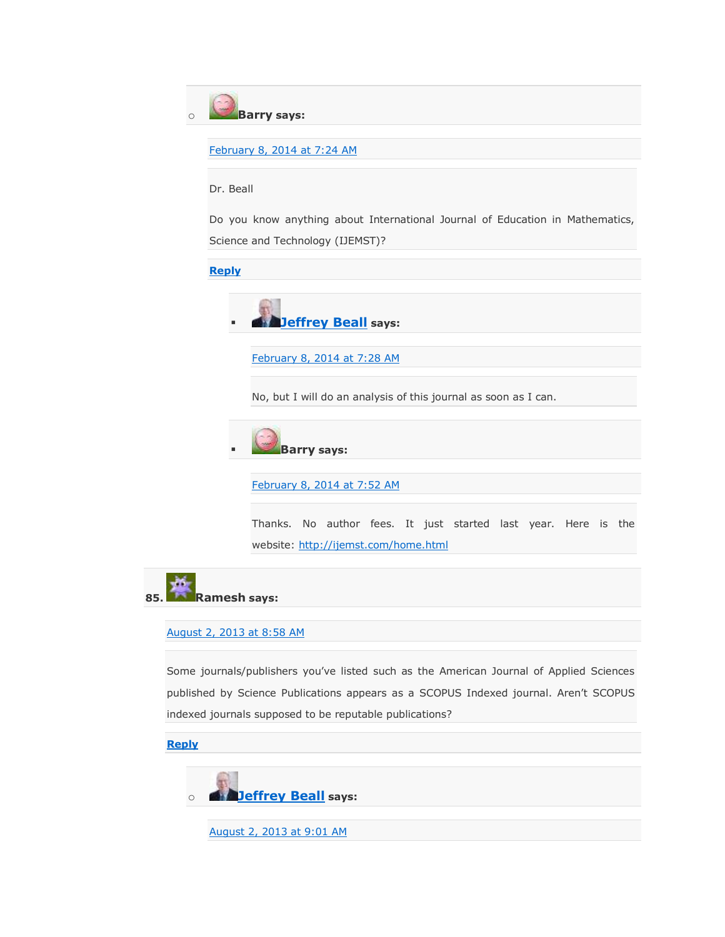

[February 8, 2014 at 7:24 AM](https://scholarlyoa.com/2012/12/06/bealls-list-of-predatory-publishers-2013/#comment-43401)

# Dr. Beall

Do you know anything about International Journal of Education in Mathematics, Science and Technology (IJEMST)?

**[Reply](https://scholarlyoa.com/2012/12/06/bealls-list-of-predatory-publishers-2013/?replytocom=43401#respond)**



[February 8, 2014 at 7:28 AM](https://scholarlyoa.com/2012/12/06/bealls-list-of-predatory-publishers-2013/#comment-43402)

No, but I will do an analysis of this journal as soon as I can.



[February 8, 2014 at 7:52 AM](https://scholarlyoa.com/2012/12/06/bealls-list-of-predatory-publishers-2013/#comment-43413)

Thanks. No author fees. It just started last year. Here is the website: <http://ijemst.com/home.html>

**85. Ramesh says:**

### [August 2, 2013 at 8:58 AM](https://scholarlyoa.com/2012/12/06/bealls-list-of-predatory-publishers-2013/#comment-23734)

Some journals/publishers you've listed such as the American Journal of Applied Sciences published by Science Publications appears as a SCOPUS Indexed journal. Aren't SCOPUS indexed journals supposed to be reputable publications?

**[Reply](https://scholarlyoa.com/2012/12/06/bealls-list-of-predatory-publishers-2013/?replytocom=23734#respond)**

o **[Jeffrey Beall](https://scholarlyoa.wordpress.com/) says:**

[August 2, 2013 at 9:01 AM](https://scholarlyoa.com/2012/12/06/bealls-list-of-predatory-publishers-2013/#comment-23735)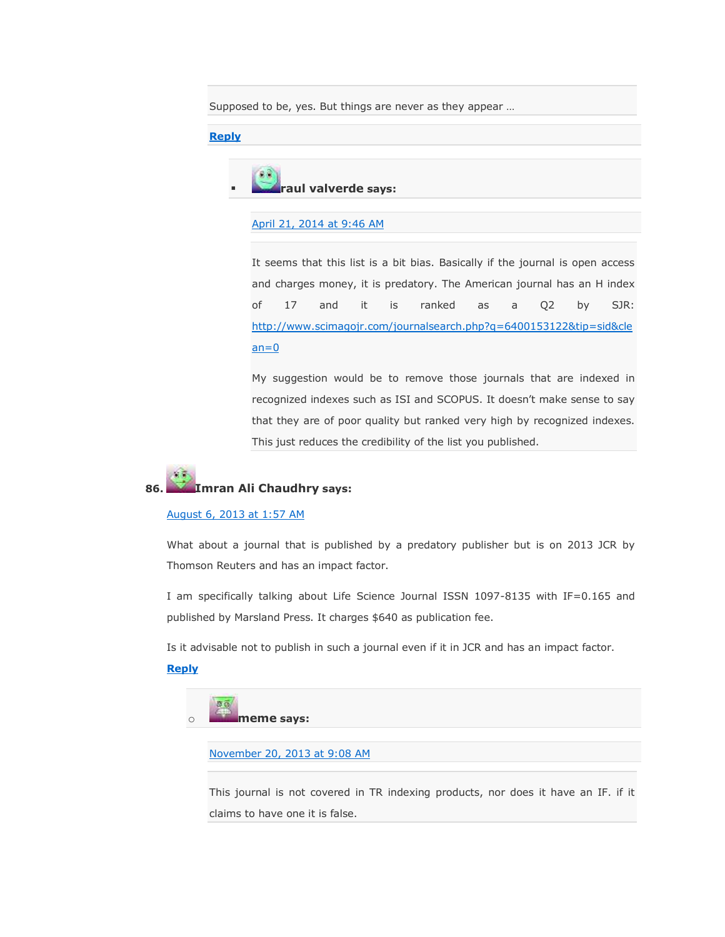Supposed to be, yes. But things are never as they appear …

### **[Reply](https://scholarlyoa.com/2012/12/06/bealls-list-of-predatory-publishers-2013/?replytocom=23735#respond)**



# [April 21, 2014 at 9:46 AM](https://scholarlyoa.com/2012/12/06/bealls-list-of-predatory-publishers-2013/#comment-71279)

It seems that this list is a bit bias. Basically if the journal is open access and charges money, it is predatory. The American journal has an H index of 17 and it is ranked as a Q2 by SJR: [http://www.scimagojr.com/journalsearch.php?q=6400153122&tip=sid&cle](http://www.scimagojr.com/journalsearch.php?q=6400153122&tip=sid&clean=0)  $an=0$ 

My suggestion would be to remove those journals that are indexed in recognized indexes such as ISI and SCOPUS. It doesn't make sense to say that they are of poor quality but ranked very high by recognized indexes. This just reduces the credibility of the list you published.

# **86. Imran Ali Chaudhry says:**

## [August 6, 2013 at 1:57 AM](https://scholarlyoa.com/2012/12/06/bealls-list-of-predatory-publishers-2013/#comment-23867)

What about a journal that is published by a predatory publisher but is on 2013 JCR by Thomson Reuters and has an impact factor.

I am specifically talking about Life Science Journal ISSN 1097-8135 with IF=0.165 and published by Marsland Press. It charges \$640 as publication fee.

Is it advisable not to publish in such a journal even if it in JCR and has an impact factor.

# **[Reply](https://scholarlyoa.com/2012/12/06/bealls-list-of-predatory-publishers-2013/?replytocom=23867#respond)**



[November 20, 2013 at 9:08 AM](https://scholarlyoa.com/2012/12/06/bealls-list-of-predatory-publishers-2013/#comment-31279)

This journal is not covered in TR indexing products, nor does it have an IF. if it claims to have one it is false.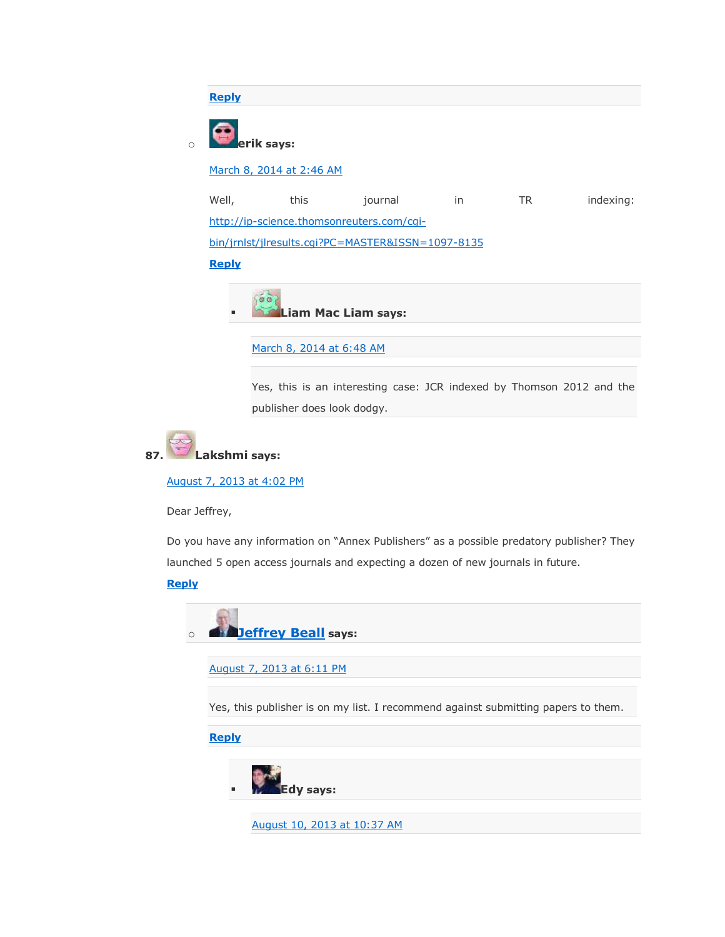

Yes, this is an interesting case: JCR indexed by Thomson 2012 and the publisher does look dodgy.



[August 7, 2013 at 4:02 PM](https://scholarlyoa.com/2012/12/06/bealls-list-of-predatory-publishers-2013/#comment-23921)

Dear Jeffrey,

Do you have any information on "Annex Publishers" as a possible predatory publisher? They launched 5 open access journals and expecting a dozen of new journals in future.

# **[Reply](https://scholarlyoa.com/2012/12/06/bealls-list-of-predatory-publishers-2013/?replytocom=23921#respond)**



[August 7, 2013 at 6:11 PM](https://scholarlyoa.com/2012/12/06/bealls-list-of-predatory-publishers-2013/#comment-23927)

Yes, this publisher is on my list. I recommend against submitting papers to them.

**[Reply](https://scholarlyoa.com/2012/12/06/bealls-list-of-predatory-publishers-2013/?replytocom=23927#respond)**

**Edy says:**

[August 10, 2013 at 10:37 AM](https://scholarlyoa.com/2012/12/06/bealls-list-of-predatory-publishers-2013/#comment-23999)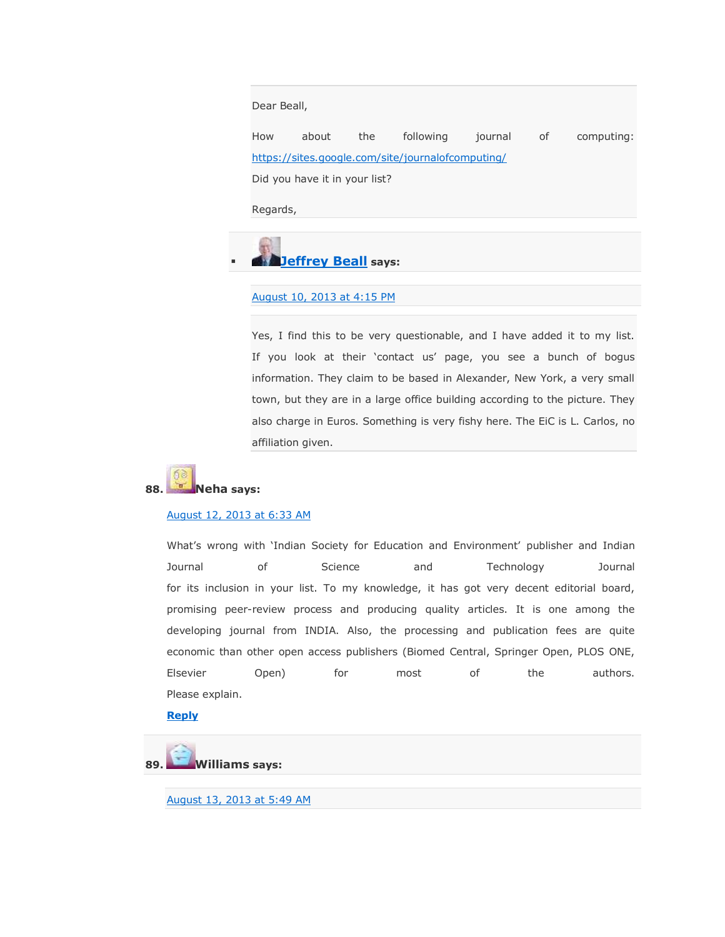Dear Beall,

How about the following journal of computing: <https://sites.google.com/site/journalofcomputing/> Did you have it in your list?

Regards,

**[Jeffrey Beall](https://scholarlyoa.wordpress.com/) says:**

## [August 10, 2013 at 4:15 PM](https://scholarlyoa.com/2012/12/06/bealls-list-of-predatory-publishers-2013/#comment-24006)

Yes, I find this to be very questionable, and I have added it to my list. If you look at their 'contact us' page, you see a bunch of bogus information. They claim to be based in Alexander, New York, a very small town, but they are in a large office building according to the picture. They also charge in Euros. Something is very fishy here. The EiC is L. Carlos, no affiliation given.



### [August 12, 2013 at 6:33 AM](https://scholarlyoa.com/2012/12/06/bealls-list-of-predatory-publishers-2013/#comment-24034)

What's wrong with 'Indian Society for Education and Environment' publisher and Indian Journal of Science and Technology Journal for its inclusion in your list. To my knowledge, it has got very decent editorial board, promising peer-review process and producing quality articles. It is one among the developing journal from INDIA. Also, the processing and publication fees are quite economic than other open access publishers (Biomed Central, Springer Open, PLOS ONE, Elsevier Open) for most of the authors. Please explain.

**[Reply](https://scholarlyoa.com/2012/12/06/bealls-list-of-predatory-publishers-2013/?replytocom=24034#respond)**



[August 13, 2013 at 5:49 AM](https://scholarlyoa.com/2012/12/06/bealls-list-of-predatory-publishers-2013/#comment-24064)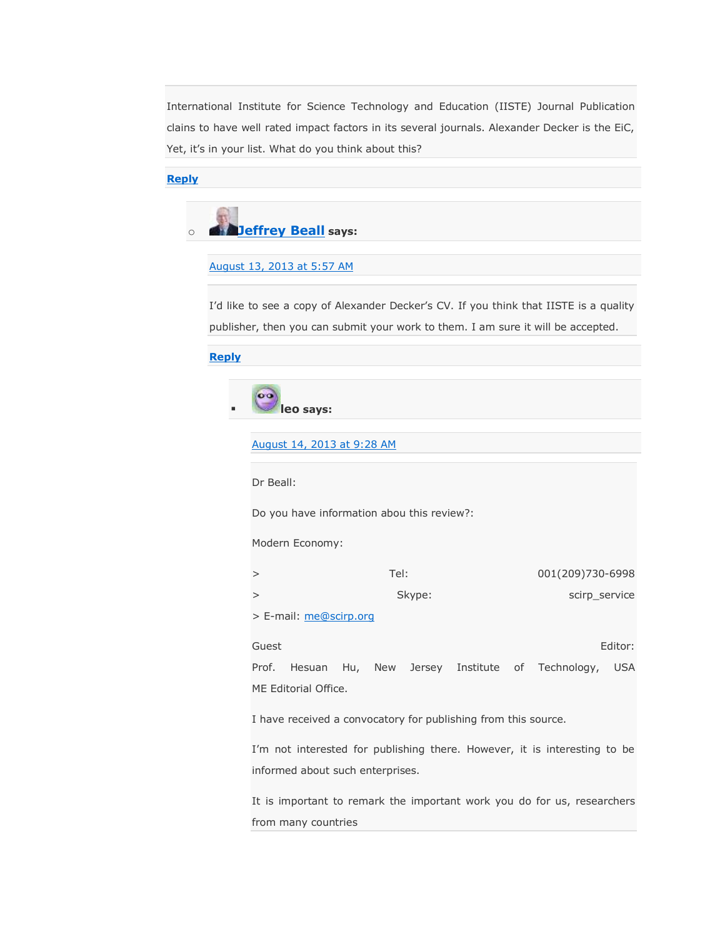International Institute for Science Technology and Education (IISTE) Journal Publication clains to have well rated impact factors in its several journals. Alexander Decker is the EiC, Yet, it's in your list. What do you think about this?

**[Reply](https://scholarlyoa.com/2012/12/06/bealls-list-of-predatory-publishers-2013/?replytocom=24064#respond)**



# [August 13, 2013 at 5:57 AM](https://scholarlyoa.com/2012/12/06/bealls-list-of-predatory-publishers-2013/#comment-24065)

I'd like to see a copy of Alexander Decker's CV. If you think that IISTE is a quality publisher, then you can submit your work to them. I am sure it will be accepted.

# **[Reply](https://scholarlyoa.com/2012/12/06/bealls-list-of-predatory-publishers-2013/?replytocom=24065#respond)**

| $\alpha$ |           |
|----------|-----------|
|          | leo says: |

### August [14, 2013 at 9:28 AM](https://scholarlyoa.com/2012/12/06/bealls-list-of-predatory-publishers-2013/#comment-24123)

Dr Beall:

Do you have information abou this review?:

Modern Economy:

| Tel:   | 001(209)730-6998 |
|--------|------------------|
| Skype: | scirp service    |

> E-mail: [me@scirp.org](mailto:me@scirp.org)

Guest Editor: Prof. Hesuan Hu, New Jersey Institute of Technology, USA ME Editorial Office.

I have received a convocatory for publishing from this source.

I'm not interested for publishing there. However, it is interesting to be informed about such enterprises.

It is important to remark the important work you do for us, researchers from many countries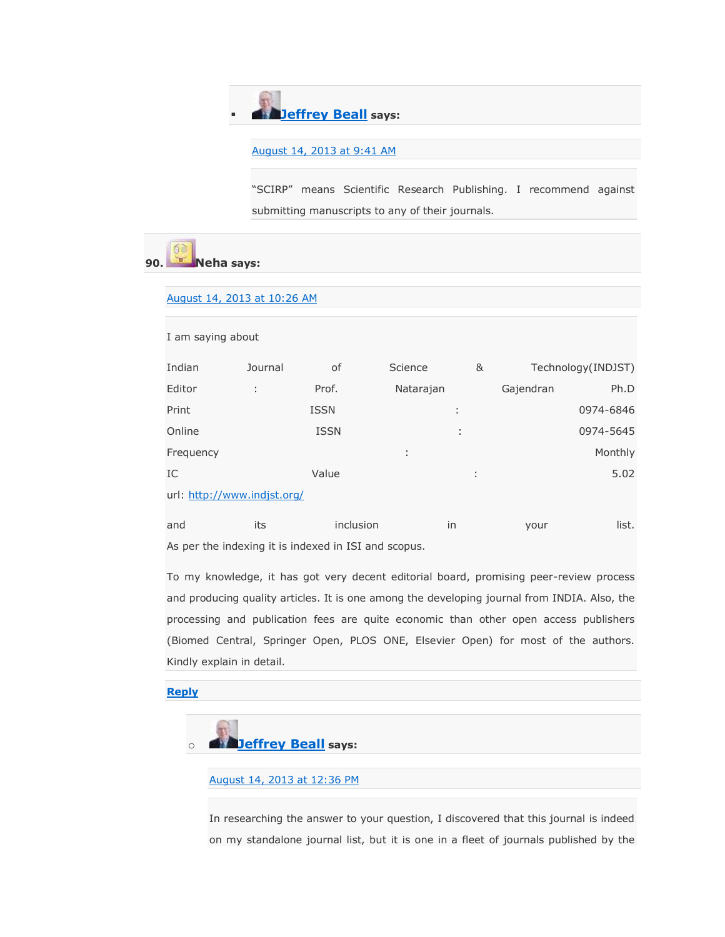# **[Jeffrey Beall](https://scholarlyoa.wordpress.com/) says:**

## [August 14, 2013 at 9:41 AM](https://scholarlyoa.com/2012/12/06/bealls-list-of-predatory-publishers-2013/#comment-24125)

"SCIRP" means Scientific Research Publishing. I recommend against submitting manuscripts to any of their journals.

# **90. Neha says:**

## [August 14, 2013 at 10:26 AM](https://scholarlyoa.com/2012/12/06/bealls-list-of-predatory-publishers-2013/#comment-24129)

| I am saying about           |         |             |           |                     |           |                    |
|-----------------------------|---------|-------------|-----------|---------------------|-----------|--------------------|
| Indian                      | Journal | 0f          | Science   | &                   |           | Technology(INDJST) |
| Editor                      | ÷       | Prof.       | Natarajan |                     | Gajendran | Ph.D               |
| Print                       |         | <b>ISSN</b> | ÷         |                     |           | 0974-6846          |
| Online                      |         | <b>ISSN</b> | ÷         |                     |           | 0974-5645          |
| Frequency                   |         |             | ÷         |                     |           | Monthly            |
| IC                          |         | Value       |           | ٠<br>$\blacksquare$ |           | 5.02               |
| url: http://www.indjst.org/ |         |             |           |                     |           |                    |

| and | inclusion                                            | vour | list. |
|-----|------------------------------------------------------|------|-------|
|     | As ner the indexing it is indexed in ISI and scopus. |      |       |

As per the indexing it is indexed in ISI and scopus.

To my knowledge, it has got very decent editorial board, promising peer-review process and producing quality articles. It is one among the developing journal from INDIA. Also, the processing and publication fees are quite economic than other open access publishers (Biomed Central, Springer Open, PLOS ONE, Elsevier Open) for most of the authors. Kindly explain in detail.

## **[Reply](https://scholarlyoa.com/2012/12/06/bealls-list-of-predatory-publishers-2013/?replytocom=24129#respond)**



## [August 14, 2013 at 12:36 PM](https://scholarlyoa.com/2012/12/06/bealls-list-of-predatory-publishers-2013/#comment-24139)

In researching the answer to your question, I discovered that this journal is indeed on my standalone journal list, but it is one in a fleet of journals published by the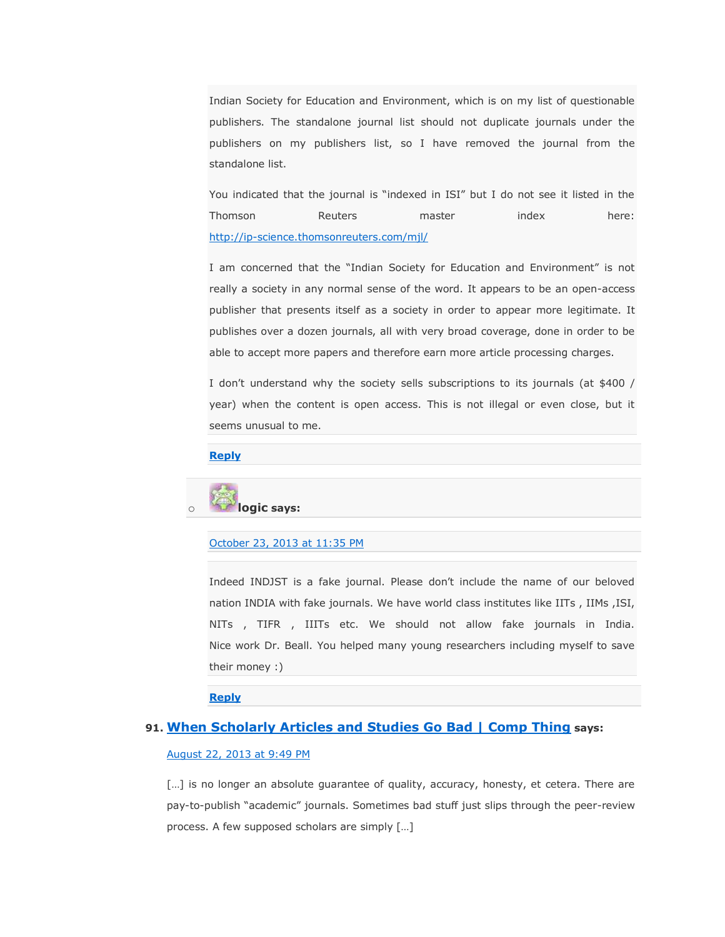Indian Society for Education and Environment, which is on my list of questionable publishers. The standalone journal list should not duplicate journals under the publishers on my publishers list, so I have removed the journal from the standalone list.

You indicated that the journal is "indexed in ISI" but I do not see it listed in the Thomson Reuters master index here: <http://ip-science.thomsonreuters.com/mjl/>

I am concerned that the "Indian Society for Education and Environment" is not really a society in any normal sense of the word. It appears to be an open-access publisher that presents itself as a society in order to appear more legitimate. It publishes over a dozen journals, all with very broad coverage, done in order to be able to accept more papers and therefore earn more article processing charges.

I don't understand why the society sells subscriptions to its journals (at \$400 / year) when the content is open access. This is not illegal or even close, but it seems unusual to me.

### **[Reply](https://scholarlyoa.com/2012/12/06/bealls-list-of-predatory-publishers-2013/?replytocom=24139#respond)**



## [October 23, 2013 at 11:35 PM](https://scholarlyoa.com/2012/12/06/bealls-list-of-predatory-publishers-2013/#comment-27309)

Indeed INDJST is a fake journal. Please don't include the name of our beloved nation INDIA with fake journals. We have world class institutes like IITs , IIMs ,ISI, NITs , TIFR , IIITs etc. We should not allow fake journals in India. Nice work Dr. Beall. You helped many young researchers including myself to save their money :)

# **[Reply](https://scholarlyoa.com/2012/12/06/bealls-list-of-predatory-publishers-2013/?replytocom=27309#respond)**

# **91. [When Scholarly Articles and Studies Go Bad | Comp Thing](http://compthing.wordpress.com/2013/04/09/when-scholarly-articles-and-studies-go-bad/) says:**

# [August 22, 2013 at 9:49 PM](https://scholarlyoa.com/2012/12/06/bealls-list-of-predatory-publishers-2013/#comment-24515)

[...] is no longer an absolute guarantee of quality, accuracy, honesty, et cetera. There are pay-to-publish "academic" journals. Sometimes bad stuff just slips through the peer-review process. A few supposed scholars are simply […]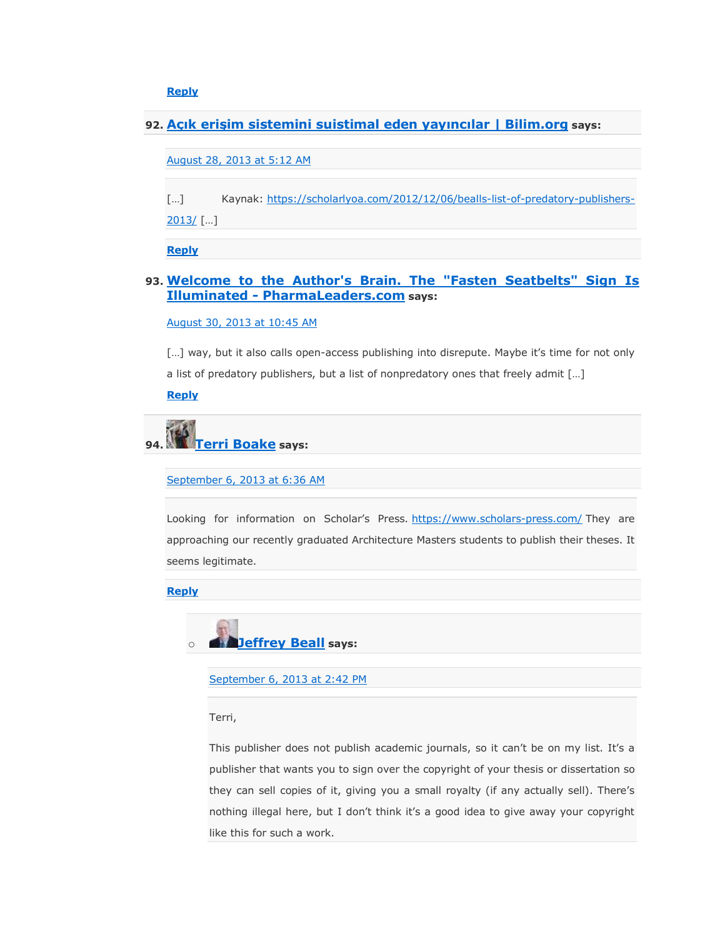**[Reply](https://scholarlyoa.com/2012/12/06/bealls-list-of-predatory-publishers-2013/?replytocom=24515#respond)**

**92. [Açık erişim sistemini suistimal eden yayıncılar | Bilim.org](http://www.bilim.org/acik-erisim-sistemini-suistimal-eden-yayincilar.html) says:**

[August 28, 2013 at 5:12 AM](https://scholarlyoa.com/2012/12/06/bealls-list-of-predatory-publishers-2013/#comment-24688)

[...] Kaynak: [https://scholarlyoa.com/2012/12/06/bealls-list-of-predatory-publishers-](https://scholarlyoa.com/2012/12/06/bealls-list-of-predatory-publishers-2013/)[2013/](https://scholarlyoa.com/2012/12/06/bealls-list-of-predatory-publishers-2013/) […]

**[Reply](https://scholarlyoa.com/2012/12/06/bealls-list-of-predatory-publishers-2013/?replytocom=24688#respond)**

# **93. [Welcome to the Author's Brain. The "Fasten Seatbelts" Sign Is](http://pharmaleaders.net/welcome-to-the-authors-brain-the-fasten-seatbelts-sign-is-illuminated/)  Illuminated - [PharmaLeaders.com](http://pharmaleaders.net/welcome-to-the-authors-brain-the-fasten-seatbelts-sign-is-illuminated/) says:**

[August 30, 2013 at 10:45 AM](https://scholarlyoa.com/2012/12/06/bealls-list-of-predatory-publishers-2013/#comment-24788)

[...] way, but it also calls open-access publishing into disrepute. Maybe it's time for not only a list of predatory publishers, but a list of nonpredatory ones that freely admit […] **[Reply](https://scholarlyoa.com/2012/12/06/bealls-list-of-predatory-publishers-2013/?replytocom=24788#respond)**

**94. [Terri Boake](https://www.facebook.com/tboake) says:**

[September 6, 2013 at 6:36 AM](https://scholarlyoa.com/2012/12/06/bealls-list-of-predatory-publishers-2013/#comment-25025)

Looking for information on Scholar's Press. <https://www.scholars-press.com/> They are approaching our recently graduated Architecture Masters students to publish their theses. It seems legitimate.

**[Reply](https://scholarlyoa.com/2012/12/06/bealls-list-of-predatory-publishers-2013/?replytocom=25025#respond)**



[September 6, 2013 at 2:42 PM](https://scholarlyoa.com/2012/12/06/bealls-list-of-predatory-publishers-2013/#comment-25049)

Terri,

This publisher does not publish academic journals, so it can't be on my list. It's a publisher that wants you to sign over the copyright of your thesis or dissertation so they can sell copies of it, giving you a small royalty (if any actually sell). There's nothing illegal here, but I don't think it's a good idea to give away your copyright like this for such a work.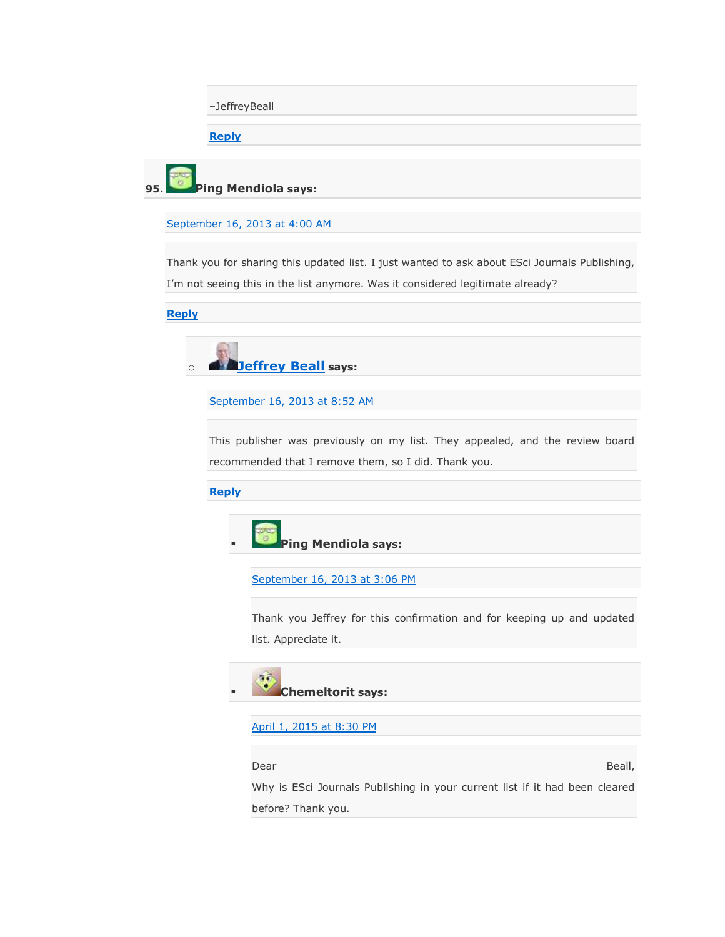–JeffreyBeall

**[Reply](https://scholarlyoa.com/2012/12/06/bealls-list-of-predatory-publishers-2013/?replytocom=25049#respond)**

**95. Ping Mendiola says:**

[September 16, 2013 at 4:00 AM](https://scholarlyoa.com/2012/12/06/bealls-list-of-predatory-publishers-2013/#comment-25606)

Thank you for sharing this updated list. I just wanted to ask about ESci Journals Publishing, I'm not seeing this in the list anymore. Was it considered legitimate already?

**[Reply](https://scholarlyoa.com/2012/12/06/bealls-list-of-predatory-publishers-2013/?replytocom=25606#respond)**



[September 16, 2013 at 8:52 AM](https://scholarlyoa.com/2012/12/06/bealls-list-of-predatory-publishers-2013/#comment-25611)

This publisher was previously on my list. They appealed, and the review board recommended that I remove them, so I did. Thank you.

**[Reply](https://scholarlyoa.com/2012/12/06/bealls-list-of-predatory-publishers-2013/?replytocom=25611#respond)**



[September 16, 2013 at 3:06 PM](https://scholarlyoa.com/2012/12/06/bealls-list-of-predatory-publishers-2013/#comment-25631)

Thank you Jeffrey for this confirmation and for keeping up and updated list. Appreciate it.



[April 1, 2015 at 8:30 PM](https://scholarlyoa.com/2012/12/06/bealls-list-of-predatory-publishers-2013/#comment-274849)

Dear Beall,

Why is ESci Journals Publishing in your current list if it had been cleared before? Thank you.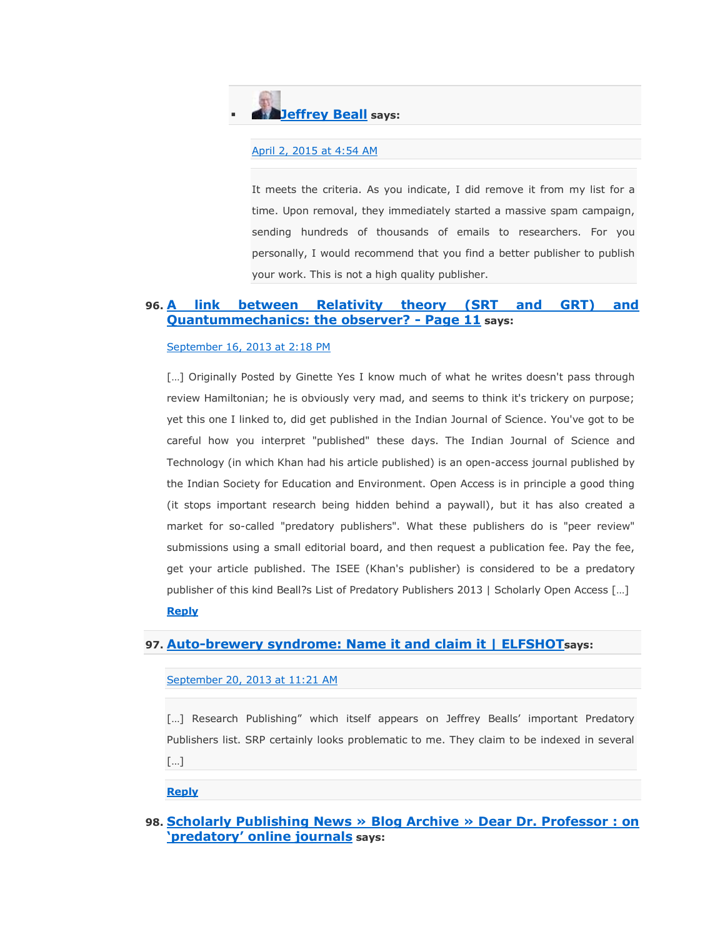# **[Jeffrey Beall](https://scholarlyoa.wordpress.com/) says:**

## [April 2, 2015 at 4:54 AM](https://scholarlyoa.com/2012/12/06/bealls-list-of-predatory-publishers-2013/#comment-274979)

It meets the criteria. As you indicate, I did remove it from my list for a time. Upon removal, they immediately started a massive spam campaign, sending hundreds of thousands of emails to researchers. For you personally, I would recommend that you find a better publisher to publish your work. This is not a high quality publisher.

# **96. [A link between Relativity theory \(SRT and GRT\) and](http://www.spacetimeandtheuniverse.com/space-time-universe/6667-link-between-relativity-theory-srt-grt-quantummechanics-observer-11.html#post23277)  [Quantummechanics: the observer? -](http://www.spacetimeandtheuniverse.com/space-time-universe/6667-link-between-relativity-theory-srt-grt-quantummechanics-observer-11.html#post23277) Page 11 says:**

### [September 16, 2013 at 2:18 PM](https://scholarlyoa.com/2012/12/06/bealls-list-of-predatory-publishers-2013/#comment-25630)

[...] Originally Posted by Ginette Yes I know much of what he writes doesn't pass through review Hamiltonian; he is obviously very mad, and seems to think it's trickery on purpose; yet this one I linked to, did get published in the Indian Journal of Science. You've got to be careful how you interpret "published" these days. The Indian Journal of Science and Technology (in which Khan had his article published) is an open-access journal published by the Indian Society for Education and Environment. Open Access is in principle a good thing (it stops important research being hidden behind a paywall), but it has also created a market for so-called "predatory publishers". What these publishers do is "peer review" submissions using a small editorial board, and then request a publication fee. Pay the fee, get your article published. The ISEE (Khan's publisher) is considered to be a predatory publisher of this kind Beall?s List of Predatory Publishers 2013 | Scholarly Open Access […] **[Reply](https://scholarlyoa.com/2012/12/06/bealls-list-of-predatory-publishers-2013/?replytocom=25630#respond)**

# **97. [Auto-brewery syndrome: Name it and claim it | ELFSHOT](http://elfshot.info/auto-brewery-syndrome-name-it-and-claim-it/)says:**

[September 20, 2013 at 11:21 AM](https://scholarlyoa.com/2012/12/06/bealls-list-of-predatory-publishers-2013/#comment-25891)

[...] Research Publishing" which itself appears on Jeffrey Bealls' important Predatory Publishers list. SRP certainly looks problematic to me. They claim to be indexed in several […]

### **[Reply](https://scholarlyoa.com/2012/12/06/bealls-list-of-predatory-publishers-2013/?replytocom=25891#respond)**

**98. [Scholarly Publishing News » Blog Archive » Dear Dr. Professor : on](http://blogs.sfu.ca/departments/library/scholarlypublishing/?p=758)  [‗predatory' online journals](http://blogs.sfu.ca/departments/library/scholarlypublishing/?p=758) says:**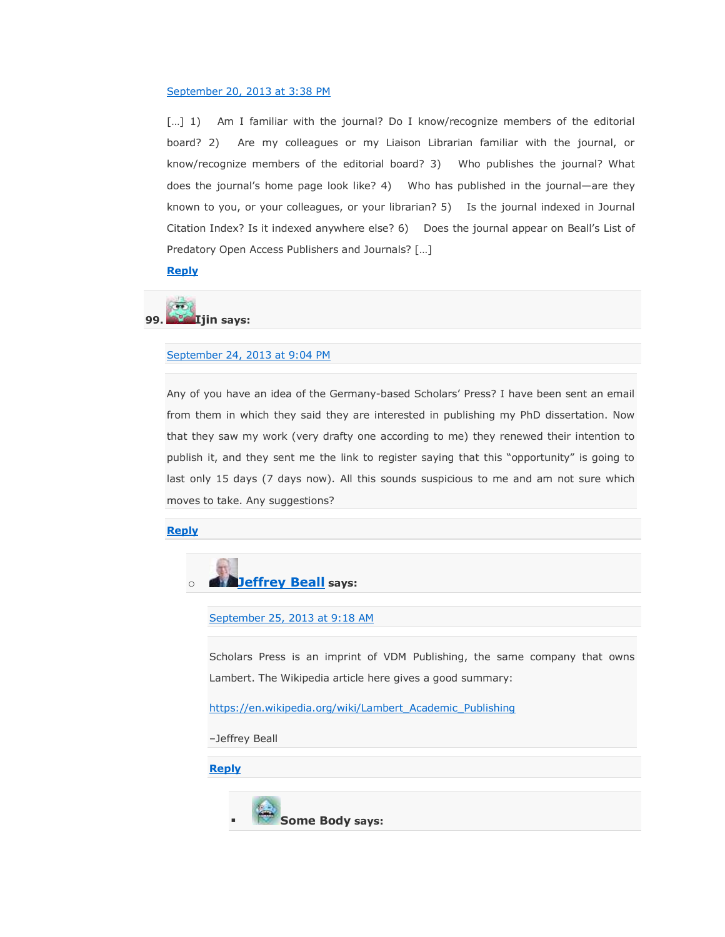#### [September 20, 2013 at 3:38 PM](https://scholarlyoa.com/2012/12/06/bealls-list-of-predatory-publishers-2013/#comment-25910)

[...] 1) Am I familiar with the journal? Do I know/recognize members of the editorial board? 2) Are my colleagues or my Liaison Librarian familiar with the journal, or know/recognize members of the editorial board? 3) Who publishes the journal? What does the journal's home page look like? 4) Who has published in the journal—are they known to you, or your colleagues, or your librarian? 5) Is the journal indexed in Journal Citation Index? Is it indexed anywhere else? 6) Does the journal appear on Beall's List of Predatory Open Access Publishers and Journals? […]

**[Reply](https://scholarlyoa.com/2012/12/06/bealls-list-of-predatory-publishers-2013/?replytocom=25910#respond)**

**99. Ijin says:**

#### [September 24, 2013 at 9:04 PM](https://scholarlyoa.com/2012/12/06/bealls-list-of-predatory-publishers-2013/#comment-26096)

Any of you have an idea of the Germany-based Scholars' Press? I have been sent an email from them in which they said they are interested in publishing my PhD dissertation. Now that they saw my work (very drafty one according to me) they renewed their intention to publish it, and they sent me the link to register saying that this "opportunity" is going to last only 15 days (7 days now). All this sounds suspicious to me and am not sure which moves to take. Any suggestions?

**[Reply](https://scholarlyoa.com/2012/12/06/bealls-list-of-predatory-publishers-2013/?replytocom=26096#respond)**



#### [September 25, 2013 at 9:18 AM](https://scholarlyoa.com/2012/12/06/bealls-list-of-predatory-publishers-2013/#comment-26142)

Scholars Press is an imprint of VDM Publishing, the same company that owns Lambert. The Wikipedia article here gives a good summary:

[https://en.wikipedia.org/wiki/Lambert\\_Academic\\_Publishing](https://en.wikipedia.org/wiki/Lambert_Academic_Publishing)

–Jeffrey Beall

**[Reply](https://scholarlyoa.com/2012/12/06/bealls-list-of-predatory-publishers-2013/?replytocom=26142#respond)**

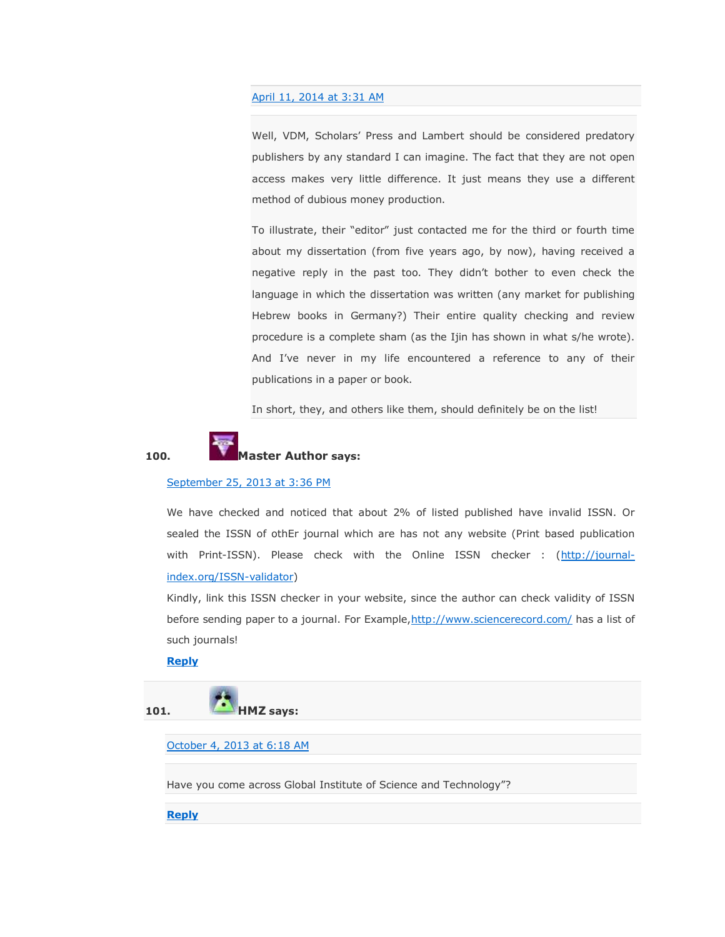#### [April 11, 2014 at 3:31 AM](https://scholarlyoa.com/2012/12/06/bealls-list-of-predatory-publishers-2013/#comment-66612)

Well, VDM, Scholars' Press and Lambert should be considered predatory publishers by any standard I can imagine. The fact that they are not open access makes very little difference. It just means they use a different method of dubious money production.

To illustrate, their "editor" just contacted me for the third or fourth time about my dissertation (from five years ago, by now), having received a negative reply in the past too. They didn't bother to even check the language in which the dissertation was written (any market for publishing Hebrew books in Germany?) Their entire quality checking and review procedure is a complete sham (as the Ijin has shown in what s/he wrote). And I've never in my life encountered a reference to any of their publications in a paper or book.

In short, they, and others like them, should definitely be on the list!



#### 100. **Master Author** says:

#### [September 25, 2013 at](https://scholarlyoa.com/2012/12/06/bealls-list-of-predatory-publishers-2013/#comment-26154) 3:36 PM

We have checked and noticed that about 2% of listed published have invalid ISSN. Or sealed the ISSN of othEr journal which are has not any website (Print based publication with Print-ISSN). Please check with the Online ISSN checker : [\(http://journal](http://journal-index.org/ISSN-validator)[index.org/ISSN-validator\)](http://journal-index.org/ISSN-validator)

Kindly, link this ISSN checker in your website, since the author can check validity of ISSN before sending paper to a journal. For Example, http://www.sciencerecord.com/ has a list of such journals!

#### **[Reply](https://scholarlyoa.com/2012/12/06/bealls-list-of-predatory-publishers-2013/?replytocom=26154#respond)**

**101. HMZ says:**

[October 4, 2013 at 6:18 AM](https://scholarlyoa.com/2012/12/06/bealls-list-of-predatory-publishers-2013/#comment-26534)

Have you come across Global Institute of Science and Technology"?

**[Reply](https://scholarlyoa.com/2012/12/06/bealls-list-of-predatory-publishers-2013/?replytocom=26534#respond)**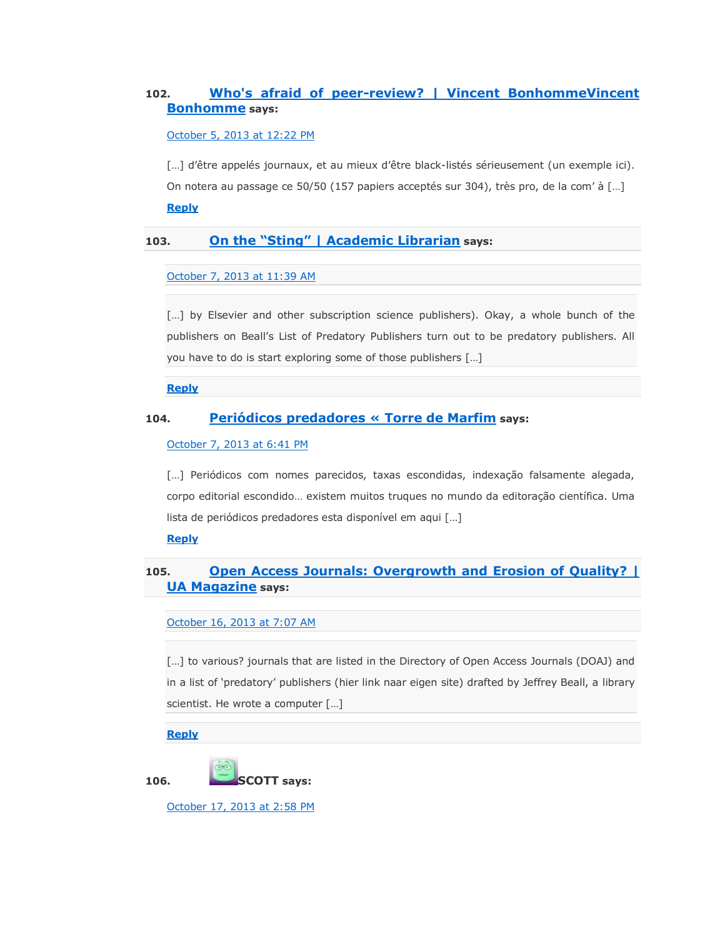### **102. [Who's afraid of peer-review? | Vincent BonhommeVincent](http://www.vincentbonhomme.fr/2013/10/whos-afraid-peer-review/)  [Bonhomme](http://www.vincentbonhomme.fr/2013/10/whos-afraid-peer-review/) says:**

[October 5, 2013 at 12:22 PM](https://scholarlyoa.com/2012/12/06/bealls-list-of-predatory-publishers-2013/#comment-26627)

[...] d'être appelés journaux, et au mieux d'être black-listés sérieusement (un exemple ici). On notera au passage ce 50/50 (157 papiers acceptés sur 304), très pro, de la com' à […] **[Reply](https://scholarlyoa.com/2012/12/06/bealls-list-of-predatory-publishers-2013/?replytocom=26627#respond)**

#### 103. **On the "Sting" | Academic Librarian** says:

[October 7, 2013 at 11:39 AM](https://scholarlyoa.com/2012/12/06/bealls-list-of-predatory-publishers-2013/#comment-26717)

[...] by Elsevier and other subscription science publishers). Okay, a whole bunch of the publishers on Beall's List of Predatory Publishers turn out to be predatory publishers. All you have to do is start exploring some of those publishers […]

**[Reply](https://scholarlyoa.com/2012/12/06/bealls-list-of-predatory-publishers-2013/?replytocom=26717#respond)**

#### **104. [Periódicos predadores « Torre de Marfim](http://sendin.org/blog/2013/10/08/periodicos-predadores/) says:**

#### [October 7, 2013 at 6:41 PM](https://scholarlyoa.com/2012/12/06/bealls-list-of-predatory-publishers-2013/#comment-26733)

[...] Periódicos com nomes parecidos, taxas escondidas, indexação falsamente alegada, corpo editorial escondido… existem muitos truques no mundo da editoração científica. Uma lista de periódicos predadores esta disponível em aqui […]

#### **[Reply](https://scholarlyoa.com/2012/12/06/bealls-list-of-predatory-publishers-2013/?replytocom=26733#respond)**

#### **105. [Open Access Journals: Overgrowth and Erosion of Quality? |](http://www.united-academics.org/magazine/sex-society/open-access-journals-overgrowth-and-erosion-of-quality/)  [UA Magazine](http://www.united-academics.org/magazine/sex-society/open-access-journals-overgrowth-and-erosion-of-quality/) says:**

#### [October 16, 2013 at 7:07 AM](https://scholarlyoa.com/2012/12/06/bealls-list-of-predatory-publishers-2013/#comment-27042)

[...] to various? journals that are listed in the Directory of Open Access Journals (DOAJ) and in a list of 'predatory' publishers (hier link naar eigen site) drafted by Jeffrey Beall, a library scientist. He wrote a computer […]

#### **[Reply](https://scholarlyoa.com/2012/12/06/bealls-list-of-predatory-publishers-2013/?replytocom=27042#respond)**



[October 17, 2013 at 2:58 PM](https://scholarlyoa.com/2012/12/06/bealls-list-of-predatory-publishers-2013/#comment-27096)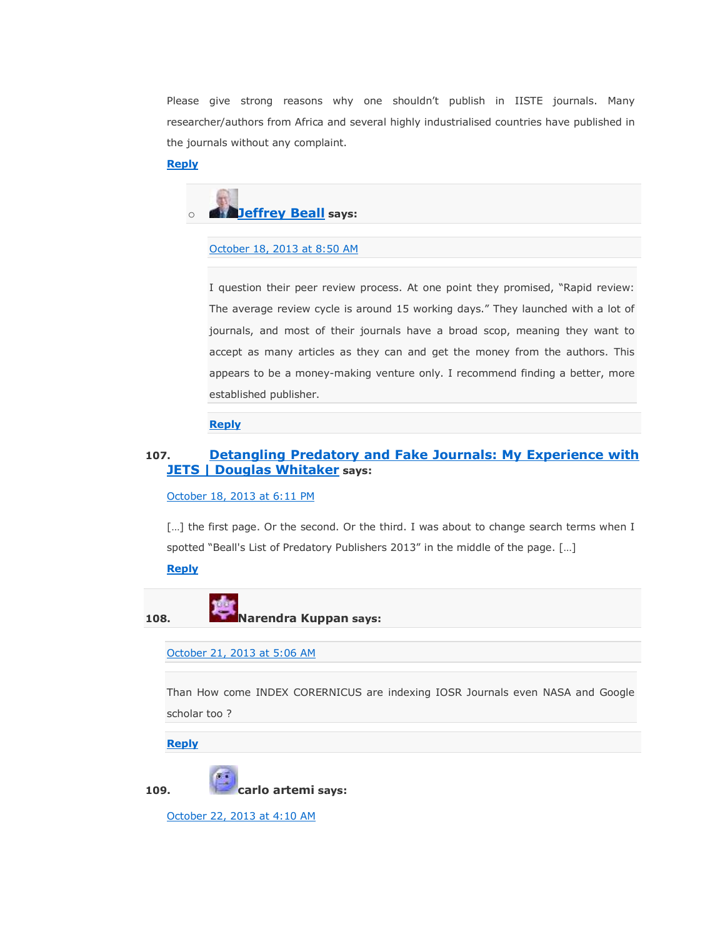Please give strong reasons why one shouldn't publish in IISTE journals. Many researcher/authors from Africa and several highly industrialised countries have published in the journals without any complaint.

**[Reply](https://scholarlyoa.com/2012/12/06/bealls-list-of-predatory-publishers-2013/?replytocom=27096#respond)**



```
October 18, 2013 at 8:50 AM
```
I question their peer review process. At one point they promised, "Rapid review: The average review cycle is around 15 working days." They launched with a lot of journals, and most of their journals have a broad scop, meaning they want to accept as many articles as they can and get the money from the authors. This appears to be a money-making venture only. I recommend finding a better, more established publisher.

**[Reply](https://scholarlyoa.com/2012/12/06/bealls-list-of-predatory-publishers-2013/?replytocom=27130#respond)**

#### **107. [Detangling Predatory and Fake Journals: My Experience with](http://douglaswhitaker.com/detangling-predatory-and-fake-journals-my-experience-with-jets/)  [JETS | Douglas Whitaker](http://douglaswhitaker.com/detangling-predatory-and-fake-journals-my-experience-with-jets/) says:**

[October 18, 2013 at 6:11 PM](https://scholarlyoa.com/2012/12/06/bealls-list-of-predatory-publishers-2013/#comment-27152)

[...] the first page. Or the second. Or the third. I was about to change search terms when I spotted "Beall's List of Predatory Publishers 2013" in the middle of the page. [...]

#### **[Reply](https://scholarlyoa.com/2012/12/06/bealls-list-of-predatory-publishers-2013/?replytocom=27152#respond)**

**108. Narendra Kuppan says:**

[October 21, 2013 at 5:06 AM](https://scholarlyoa.com/2012/12/06/bealls-list-of-predatory-publishers-2013/#comment-27224)

Than How come INDEX CORERNICUS are indexing IOSR Journals even NASA and Google scholar too ?

**[Reply](https://scholarlyoa.com/2012/12/06/bealls-list-of-predatory-publishers-2013/?replytocom=27224#respond)**

**109. carlo artemi says:**

[October 22, 2013 at 4:10 AM](https://scholarlyoa.com/2012/12/06/bealls-list-of-predatory-publishers-2013/#comment-27262)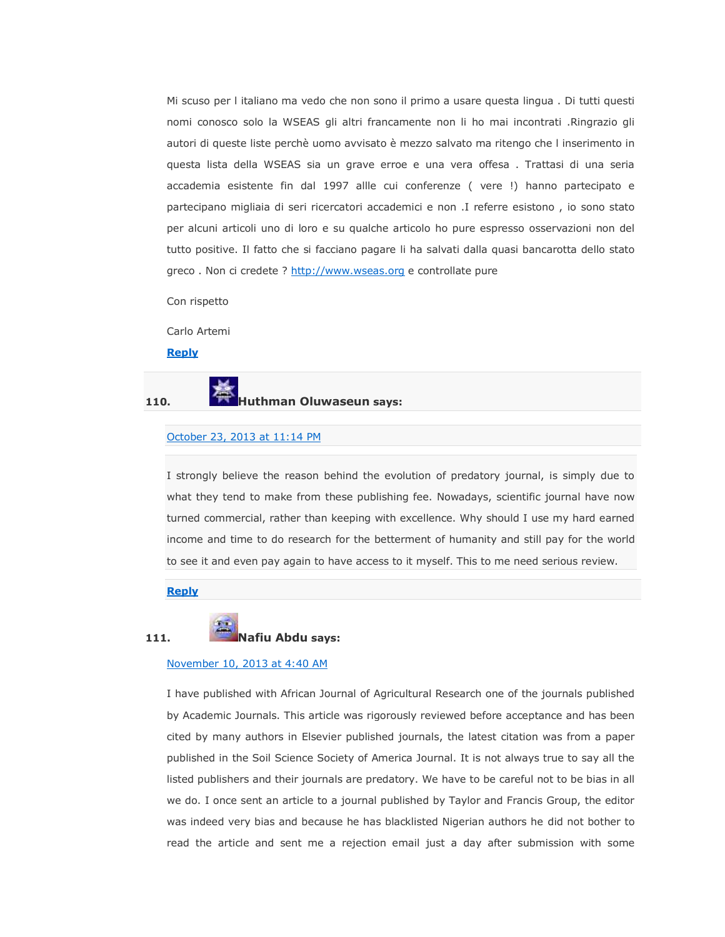Mi scuso per l italiano ma vedo che non sono il primo a usare questa lingua . Di tutti questi nomi conosco solo la WSEAS gli altri francamente non li ho mai incontrati .Ringrazio gli autori di queste liste perchè uomo avvisato è mezzo salvato ma ritengo che l inserimento in questa lista della WSEAS sia un grave erroe e una vera offesa . Trattasi di una seria accademia esistente fin dal 1997 allle cui conferenze ( vere !) hanno partecipato e partecipano migliaia di seri ricercatori accademici e non .I referre esistono , io sono stato per alcuni articoli uno di loro e su qualche articolo ho pure espresso osservazioni non del tutto positive. Il fatto che si facciano pagare li ha salvati dalla quasi bancarotta dello stato greco. Non ci credete ? [http://www.wseas.org](http://www.wseas.org/) e controllate pure

Con rispetto

Carlo Artemi

**[Reply](https://scholarlyoa.com/2012/12/06/bealls-list-of-predatory-publishers-2013/?replytocom=27262#respond)**

#### **110. Huthman Oluwaseun says:**

#### [October 23, 2013 at 11:14 PM](https://scholarlyoa.com/2012/12/06/bealls-list-of-predatory-publishers-2013/#comment-27308)

I strongly believe the reason behind the evolution of predatory journal, is simply due to what they tend to make from these publishing fee. Nowadays, scientific journal have now turned commercial, rather than keeping with excellence. Why should I use my hard earned income and time to do research for the betterment of humanity and still pay for the world to see it and even pay again to have access to it myself. This to me need serious review.

#### **[Reply](https://scholarlyoa.com/2012/12/06/bealls-list-of-predatory-publishers-2013/?replytocom=27308#respond)**

#### **111. Nafiu Abdu says:**

#### [November 10, 2013 at 4:40 AM](https://scholarlyoa.com/2012/12/06/bealls-list-of-predatory-publishers-2013/#comment-29921)

I have published with African Journal of Agricultural Research one of the journals published by Academic Journals. This article was rigorously reviewed before acceptance and has been cited by many authors in Elsevier published journals, the latest citation was from a paper published in the Soil Science Society of America Journal. It is not always true to say all the listed publishers and their journals are predatory. We have to be careful not to be bias in all we do. I once sent an article to a journal published by Taylor and Francis Group, the editor was indeed very bias and because he has blacklisted Nigerian authors he did not bother to read the article and sent me a rejection email just a day after submission with some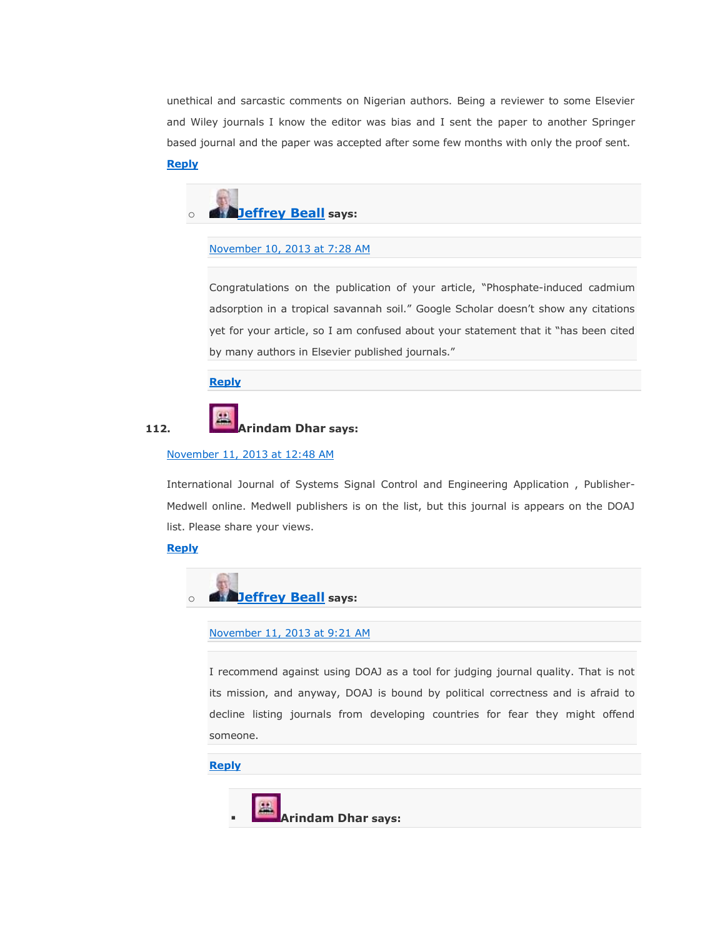unethical and sarcastic comments on Nigerian authors. Being a reviewer to some Elsevier and Wiley journals I know the editor was bias and I sent the paper to another Springer based journal and the paper was accepted after some few months with only the proof sent.

#### **[Reply](https://scholarlyoa.com/2012/12/06/bealls-list-of-predatory-publishers-2013/?replytocom=29921#respond)**



#### [November 10, 2013 at 7:28 AM](https://scholarlyoa.com/2012/12/06/bealls-list-of-predatory-publishers-2013/#comment-29936)

Congratulations on the publication of your article, "Phosphate-induced cadmium adsorption in a tropical savannah soil." Google Scholar doesn't show any citations yet for your article, so I am confused about your statement that it "has been cited by many authors in Elsevier published journals."

**[Reply](https://scholarlyoa.com/2012/12/06/bealls-list-of-predatory-publishers-2013/?replytocom=29936#respond)**



#### November [11, 2013 at 12:48 AM](https://scholarlyoa.com/2012/12/06/bealls-list-of-predatory-publishers-2013/#comment-30052)

International Journal of Systems Signal Control and Engineering Application , Publisher-Medwell online. Medwell publishers is on the list, but this journal is appears on the DOAJ list. Please share your views.

#### **[Reply](https://scholarlyoa.com/2012/12/06/bealls-list-of-predatory-publishers-2013/?replytocom=30052#respond)**



#### [November 11, 2013 at 9:21 AM](https://scholarlyoa.com/2012/12/06/bealls-list-of-predatory-publishers-2013/#comment-30127)

I recommend against using DOAJ as a tool for judging journal quality. That is not its mission, and anyway, DOAJ is bound by political correctness and is afraid to decline listing journals from developing countries for fear they might offend someone.

#### **[Reply](https://scholarlyoa.com/2012/12/06/bealls-list-of-predatory-publishers-2013/?replytocom=30127#respond)**

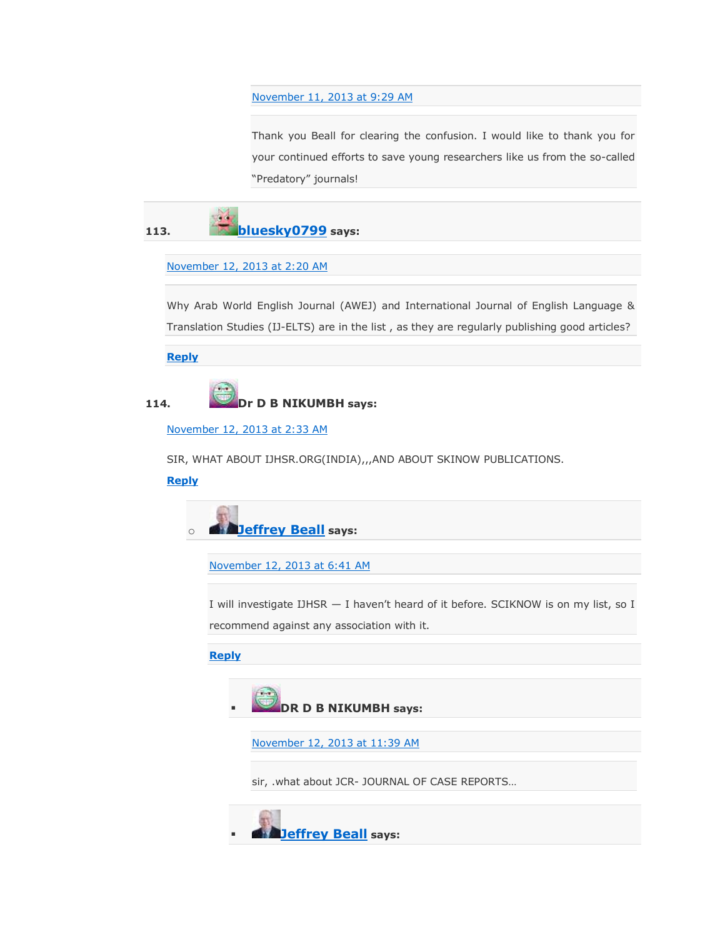#### [November 11, 2013 at 9:29 AM](https://scholarlyoa.com/2012/12/06/bealls-list-of-predatory-publishers-2013/#comment-30128)

Thank you Beall for clearing the confusion. I would like to thank you for your continued efforts to save young researchers like us from the so-called "Predatory" journals!



#### [November 12, 2013 at 2:20 AM](https://scholarlyoa.com/2012/12/06/bealls-list-of-predatory-publishers-2013/#comment-30276)

Why Arab World English Journal (AWEJ) and International Journal of English Language & Translation Studies (IJ-ELTS) are in the list , as they are regularly publishing good articles?

**[Reply](https://scholarlyoa.com/2012/12/06/bealls-list-of-predatory-publishers-2013/?replytocom=30276#respond)**

```
114. Dr D B NIKUMBH says:
```
[November 12, 2013 at 2:33 AM](https://scholarlyoa.com/2012/12/06/bealls-list-of-predatory-publishers-2013/#comment-30279)

SIR, WHAT ABOUT IJHSR.ORG(INDIA),,,AND ABOUT SKINOW PUBLICATIONS.

#### **[Reply](https://scholarlyoa.com/2012/12/06/bealls-list-of-predatory-publishers-2013/?replytocom=30279#respond)**



[November 12, 2013 at 6:41 AM](https://scholarlyoa.com/2012/12/06/bealls-list-of-predatory-publishers-2013/#comment-30310)

I will investigate IJHSR — I haven't heard of it before. SCIKNOW is on my list, so I recommend against any association with it.

#### **[Reply](https://scholarlyoa.com/2012/12/06/bealls-list-of-predatory-publishers-2013/?replytocom=30310#respond)**



[November 12, 2013 at 11:39 AM](https://scholarlyoa.com/2012/12/06/bealls-list-of-predatory-publishers-2013/#comment-30345)

sir, .what about JCR- JOURNAL OF CASE REPORTS…

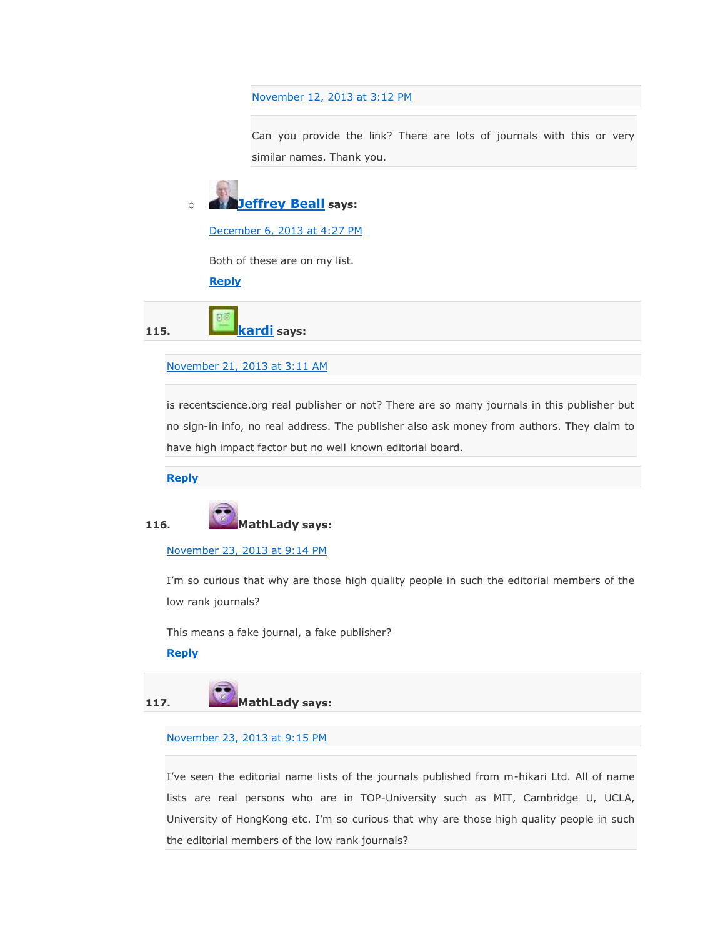[November 12, 2013 at 3:12 PM](https://scholarlyoa.com/2012/12/06/bealls-list-of-predatory-publishers-2013/#comment-30378)

Can you provide the link? There are lots of journals with this or very similar names. Thank you.



[December 6, 2013 at 4:27 PM](https://scholarlyoa.com/2012/12/06/bealls-list-of-predatory-publishers-2013/#comment-32662)

Both of these are on my list.

**[Reply](https://scholarlyoa.com/2012/12/06/bealls-list-of-predatory-publishers-2013/?replytocom=32662#respond)**

**115. [kardi](http://people.revoledu.com/kardi/) says:**

[November 21, 2013 at 3:11 AM](https://scholarlyoa.com/2012/12/06/bealls-list-of-predatory-publishers-2013/#comment-31337)

is recentscience.org real publisher or not? There are so many journals in this publisher but no sign-in info, no real address. The publisher also ask money from authors. They claim to have high impact factor but no well known editorial board.

**[Reply](https://scholarlyoa.com/2012/12/06/bealls-list-of-predatory-publishers-2013/?replytocom=31337#respond)**



[November 23, 2013 at 9:14 PM](https://scholarlyoa.com/2012/12/06/bealls-list-of-predatory-publishers-2013/#comment-31474)

I'm so curious that why are those high quality people in such the editorial members of the low rank journals?

This means a fake journal, a fake publisher?

**[Reply](https://scholarlyoa.com/2012/12/06/bealls-list-of-predatory-publishers-2013/?replytocom=31474#respond)**



#### [November 23, 2013 at 9:15 PM](https://scholarlyoa.com/2012/12/06/bealls-list-of-predatory-publishers-2013/#comment-31475)

I've seen the editorial name lists of the journals published from m-hikari Ltd. All of name lists are real persons who are in TOP-University such as MIT, Cambridge U, UCLA, University of HongKong etc. I'm so curious that why are those high quality people in such the editorial members of the low rank journals?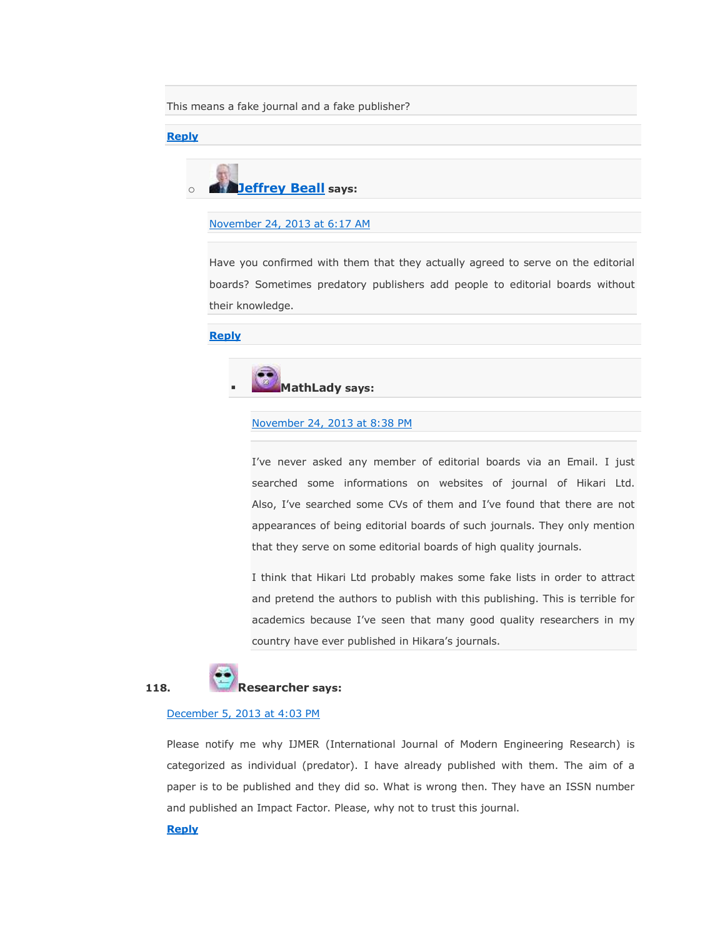This means a fake journal and a fake publisher?

#### **[Reply](https://scholarlyoa.com/2012/12/06/bealls-list-of-predatory-publishers-2013/?replytocom=31475#respond)**



#### [November 24, 2013 at 6:17 AM](https://scholarlyoa.com/2012/12/06/bealls-list-of-predatory-publishers-2013/#comment-31486)

Have you confirmed with them that they actually agreed to serve on the editorial boards? Sometimes predatory publishers add people to editorial boards without their knowledge.

#### **[Reply](https://scholarlyoa.com/2012/12/06/bealls-list-of-predatory-publishers-2013/?replytocom=31486#respond)**



#### [November 24, 2013 at 8:38 PM](https://scholarlyoa.com/2012/12/06/bealls-list-of-predatory-publishers-2013/#comment-31510)

I've never asked any member of editorial boards via an Email. I just searched some informations on websites of journal of Hikari Ltd. Also, I've searched some CVs of them and I've found that there are not appearances of being editorial boards of such journals. They only mention that they serve on some editorial boards of high quality journals.

I think that Hikari Ltd probably makes some fake lists in order to attract and pretend the authors to publish with this publishing. This is terrible for academics because I've seen that many good quality researchers in my country have ever published in Hikara's journals.



#### **118. Researcher says:**

#### [December 5, 2013 at 4:03 PM](https://scholarlyoa.com/2012/12/06/bealls-list-of-predatory-publishers-2013/#comment-32474)

Please notify me why IJMER (International Journal of Modern Engineering Research) is categorized as individual (predator). I have already published with them. The aim of a paper is to be published and they did so. What is wrong then. They have an ISSN number and published an Impact Factor. Please, why not to trust this journal.

#### **[Reply](https://scholarlyoa.com/2012/12/06/bealls-list-of-predatory-publishers-2013/?replytocom=32474#respond)**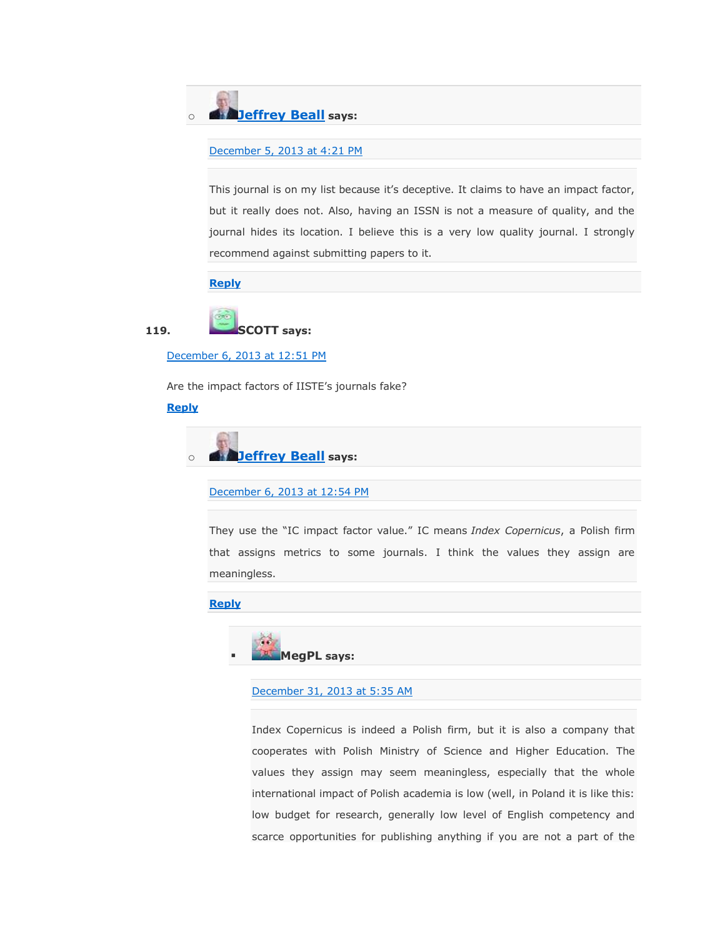

```
December 5, 2013 at 4:21 PM
```
This journal is on my list because it's deceptive. It claims to have an impact factor, but it really does not. Also, having an ISSN is not a measure of quality, and the journal hides its location. I believe this is a very low quality journal. I strongly recommend against submitting papers to it.

#### **[Reply](https://scholarlyoa.com/2012/12/06/bealls-list-of-predatory-publishers-2013/?replytocom=32478#respond)**



[December 6, 2013 at 12:51 PM](https://scholarlyoa.com/2012/12/06/bealls-list-of-predatory-publishers-2013/#comment-32635)

Are the impact factors of IISTE's journals fake?

#### **[Reply](https://scholarlyoa.com/2012/12/06/bealls-list-of-predatory-publishers-2013/?replytocom=32635#respond)**

o **[Jeffrey Beall](https://scholarlyoa.wordpress.com/) says:**

[December 6, 2013 at 12:54 PM](https://scholarlyoa.com/2012/12/06/bealls-list-of-predatory-publishers-2013/#comment-32636)

They use the "IC impact factor value." IC means *Index Copernicus*, a Polish firm that assigns metrics to some journals. I think the values they assign are meaningless.

#### **[Reply](https://scholarlyoa.com/2012/12/06/bealls-list-of-predatory-publishers-2013/?replytocom=32636#respond)**



[December 31, 2013 at 5:35 AM](https://scholarlyoa.com/2012/12/06/bealls-list-of-predatory-publishers-2013/#comment-36481)

Index Copernicus is indeed a Polish firm, but it is also a company that cooperates with Polish Ministry of Science and Higher Education. The values they assign may seem meaningless, especially that the whole international impact of Polish academia is low (well, in Poland it is like this: low budget for research, generally low level of English competency and scarce opportunities for publishing anything if you are not a part of the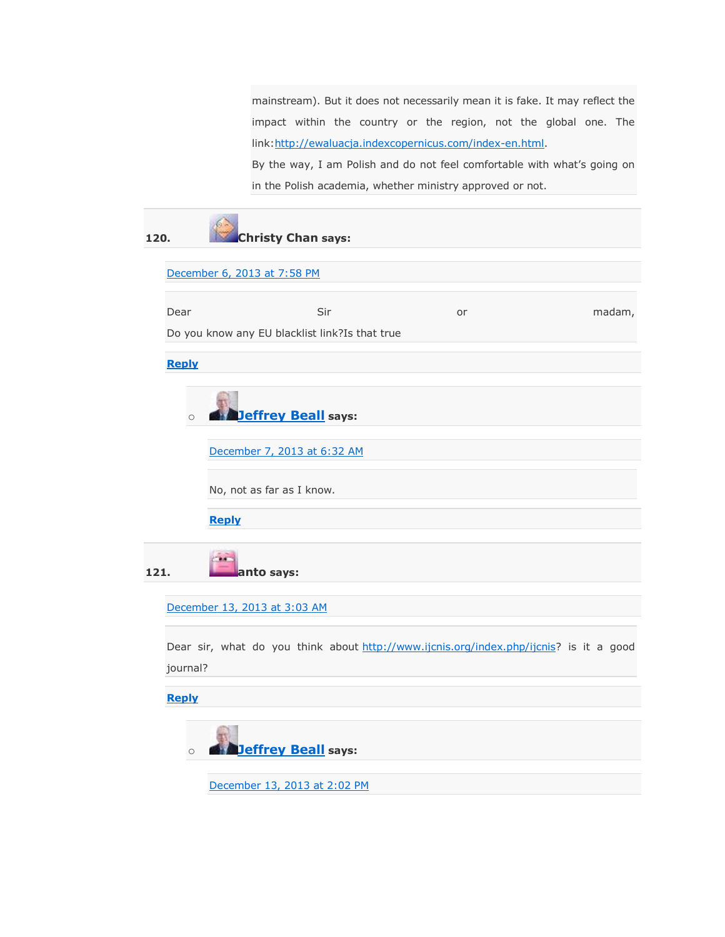mainstream). But it does not necessarily mean it is fake. It may reflect the impact within the country or the region, not the global one. The link: http://ewaluacja.indexcopernicus.com/index-en.html.

By the way, I am Polish and do not feel comfortable with what's going on in the Polish academia, whether ministry approved or not.

| 120.                                  |              | <b>Christy Chan says:</b>                                                              |    |        |  |  |  |  |  |
|---------------------------------------|--------------|----------------------------------------------------------------------------------------|----|--------|--|--|--|--|--|
|                                       |              | December 6, 2013 at 7:58 PM                                                            |    |        |  |  |  |  |  |
|                                       | Dear         | Sir                                                                                    | or | madam, |  |  |  |  |  |
|                                       |              | Do you know any EU blacklist link?Is that true                                         |    |        |  |  |  |  |  |
|                                       | <b>Reply</b> |                                                                                        |    |        |  |  |  |  |  |
|                                       | $\circ$      | <b>Jeffrey Beall</b> says:                                                             |    |        |  |  |  |  |  |
|                                       |              | December 7, 2013 at 6:32 AM                                                            |    |        |  |  |  |  |  |
|                                       |              | No, not as far as I know.                                                              |    |        |  |  |  |  |  |
|                                       |              | <b>Reply</b>                                                                           |    |        |  |  |  |  |  |
| 121.                                  |              | anto says:                                                                             |    |        |  |  |  |  |  |
|                                       |              | December 13, 2013 at 3:03 AM                                                           |    |        |  |  |  |  |  |
|                                       | journal?     | Dear sir, what do you think about http://www.ijcnis.org/index.php/ijcnis? is it a good |    |        |  |  |  |  |  |
|                                       | <b>Reply</b> |                                                                                        |    |        |  |  |  |  |  |
| <b>Jeffrey Beall</b> says:<br>$\circ$ |              |                                                                                        |    |        |  |  |  |  |  |
|                                       |              | December 13, 2013 at 2:02 PM                                                           |    |        |  |  |  |  |  |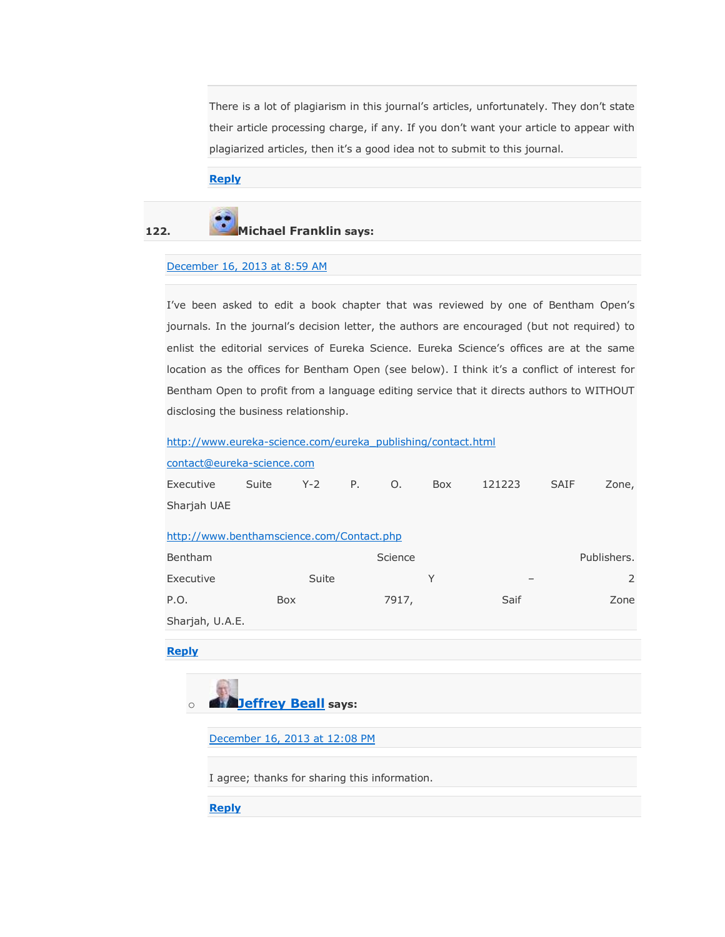There is a lot of plagiarism in this journal's articles, unfortunately. They don't state their article processing charge, if any. If you don't want your article to appear with plagiarized articles, then it's a good idea not to submit to this journal.

#### **[Reply](https://scholarlyoa.com/2012/12/06/bealls-list-of-predatory-publishers-2013/?replytocom=33881#respond)**

# **122. Michael Franklin says:**

#### [December 16, 2013 at 8:59 AM](https://scholarlyoa.com/2012/12/06/bealls-list-of-predatory-publishers-2013/#comment-34382)

I've been asked to edit a book chapter that was reviewed by one of Bentham Open's journals. In the journal's decision letter, the authors are encouraged (but not required) to enlist the editorial services of Eureka Science. Eureka Science's offices are at the same location as the offices for Bentham Open (see below). I think it's a conflict of interest for Bentham Open to profit from a language editing service that it directs authors to WITHOUT disclosing the business relationship.

#### [http://www.eureka-science.com/eureka\\_publishing/contact.html](http://www.eureka-science.com/eureka_publishing/contact.html)

| contact@eureka-science.com                |       |         |    |         |     |                          |             |             |
|-------------------------------------------|-------|---------|----|---------|-----|--------------------------|-------------|-------------|
| Executive                                 | Suite | $Y - 2$ | Ρ. | Ο.      | Box | 121223                   | <b>SAIF</b> | Zone,       |
| Sharjah UAE                               |       |         |    |         |     |                          |             |             |
| http://www.benthamscience.com/Contact.php |       |         |    |         |     |                          |             |             |
| <b>Bentham</b>                            |       |         |    | Science |     |                          |             | Publishers. |
| Executive                                 |       | Suite   |    |         | Υ   | $\overline{\phantom{0}}$ |             | 2           |
| P.O.                                      | Box   |         |    | 7917,   |     | Saif                     |             | Zone        |
| Sharjah, U.A.E.                           |       |         |    |         |     |                          |             |             |

#### **[Reply](https://scholarlyoa.com/2012/12/06/bealls-list-of-predatory-publishers-2013/?replytocom=34382#respond)**



[December 16, 2013 at 12:08 PM](https://scholarlyoa.com/2012/12/06/bealls-list-of-predatory-publishers-2013/#comment-34415)

I agree; thanks for sharing this information.

**[Reply](https://scholarlyoa.com/2012/12/06/bealls-list-of-predatory-publishers-2013/?replytocom=34415#respond)**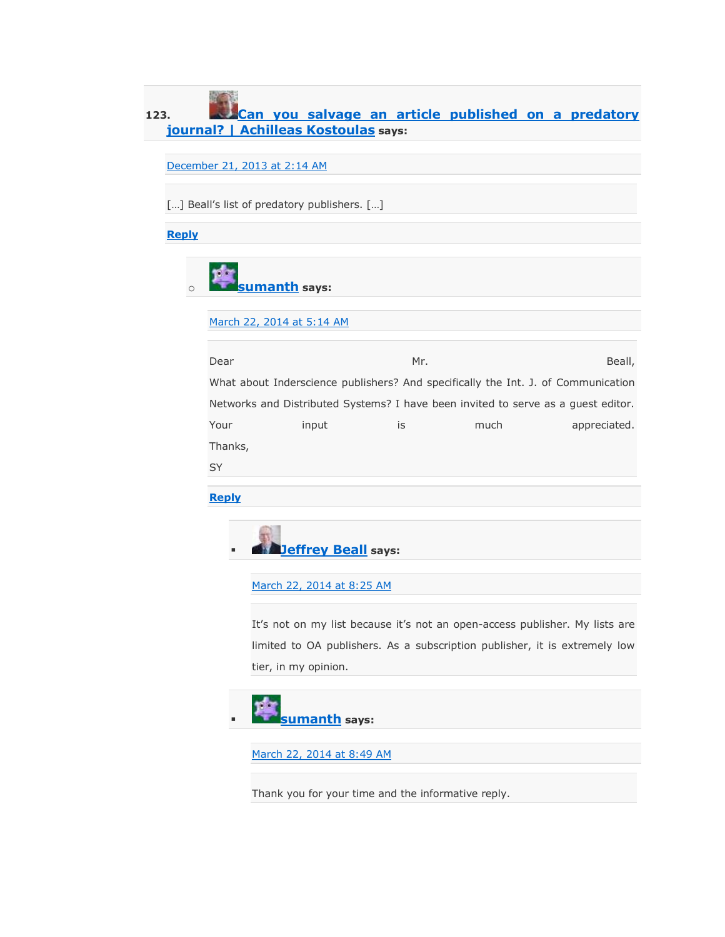### **123. [Can you salvage an article published on a predatory](http://achilleaskostoulas.com/2013/12/21/can-you-salvage-an-article-published-on-a-predatory-journal/)  [journal? | Achilleas Kostoulas](http://achilleaskostoulas.com/2013/12/21/can-you-salvage-an-article-published-on-a-predatory-journal/) says:**

December [21, 2013 at 2:14 AM](https://scholarlyoa.com/2012/12/06/bealls-list-of-predatory-publishers-2013/#comment-35266)

[...] Beall's list of predatory publishers. [...]

**[Reply](https://scholarlyoa.com/2012/12/06/bealls-list-of-predatory-publishers-2013/?replytocom=35266#respond)**

o **[sumanth](http://www.inderscience.com/info/ingeneral/cfp.php?id=2530) says:**

[March 22, 2014 at 5:14 AM](https://scholarlyoa.com/2012/12/06/bealls-list-of-predatory-publishers-2013/#comment-58495)

| Dear                                                                              |       | Mr. |      | Beall,       |  |  |  |
|-----------------------------------------------------------------------------------|-------|-----|------|--------------|--|--|--|
| What about Inderscience publishers? And specifically the Int. J. of Communication |       |     |      |              |  |  |  |
| Networks and Distributed Systems? I have been invited to serve as a quest editor. |       |     |      |              |  |  |  |
| Your                                                                              | input | İS  | much | appreciated. |  |  |  |
| Thanks,                                                                           |       |     |      |              |  |  |  |
|                                                                                   |       |     |      |              |  |  |  |

**[Reply](https://scholarlyoa.com/2012/12/06/bealls-list-of-predatory-publishers-2013/?replytocom=58495#respond)**



[March 22, 2014 at 8:25 AM](https://scholarlyoa.com/2012/12/06/bealls-list-of-predatory-publishers-2013/#comment-58551)

It's not on my list because it's not an open-access publisher. My lists are limited to OA publishers. As a subscription publisher, it is extremely low tier, in my opinion.



[March 22, 2014 at 8:49 AM](https://scholarlyoa.com/2012/12/06/bealls-list-of-predatory-publishers-2013/#comment-58560)

Thank you for your time and the informative reply.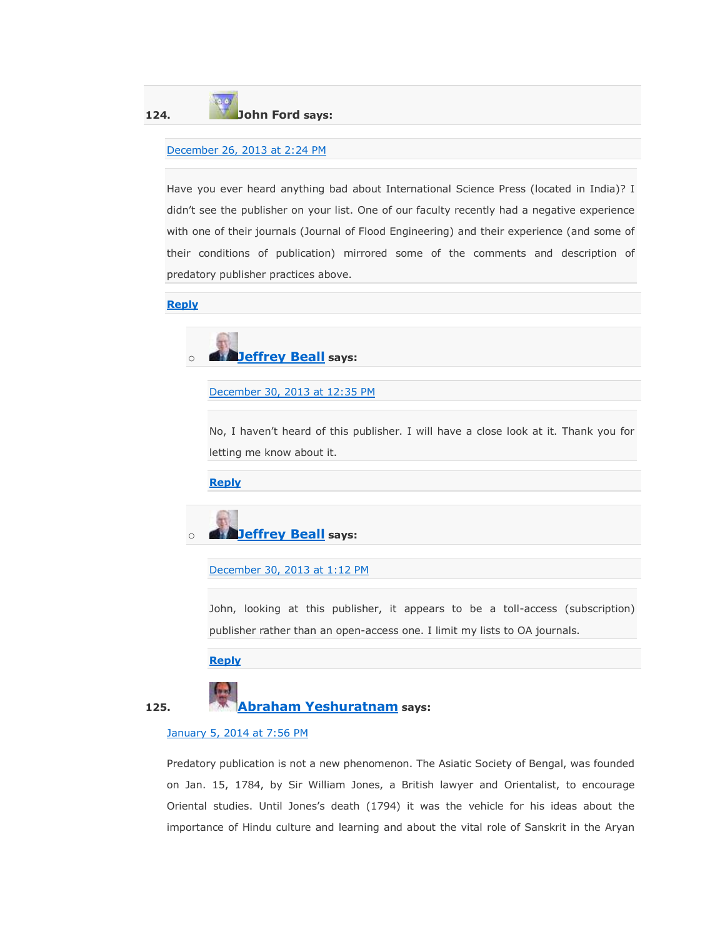### **124. John Ford says:**

#### [December 26, 2013 at 2:24 PM](https://scholarlyoa.com/2012/12/06/bealls-list-of-predatory-publishers-2013/#comment-36004)

Have you ever heard anything bad about International Science Press (located in India)? I didn't see the publisher on your list. One of our faculty recently had a negative experience with one of their journals (Journal of Flood Engineering) and their experience (and some of their conditions of publication) mirrored some of the comments and description of predatory publisher practices above.

#### **[Reply](https://scholarlyoa.com/2012/12/06/bealls-list-of-predatory-publishers-2013/?replytocom=36004#respond)**



[December 30, 2013 at 12:35 PM](https://scholarlyoa.com/2012/12/06/bealls-list-of-predatory-publishers-2013/#comment-36400)

No, I haven't heard of this publisher. I will have a close look at it. Thank you for letting me know about it.

**[Reply](https://scholarlyoa.com/2012/12/06/bealls-list-of-predatory-publishers-2013/?replytocom=36400#respond)**



[December 30, 2013 at 1:12 PM](https://scholarlyoa.com/2012/12/06/bealls-list-of-predatory-publishers-2013/#comment-36404)

John, looking at this publisher, it appears to be a toll-access (subscription) publisher rather than an open-access one. I limit my lists to OA journals.

**[Reply](https://scholarlyoa.com/2012/12/06/bealls-list-of-predatory-publishers-2013/?replytocom=36404#respond)**



#### [January 5, 2014 at 7:56 PM](https://scholarlyoa.com/2012/12/06/bealls-list-of-predatory-publishers-2013/#comment-37186)

Predatory publication is not a new phenomenon. The Asiatic Society of Bengal, was founded on Jan. 15, 1784, by Sir William Jones, a British lawyer and Orientalist, to encourage Oriental studies. Until Jones's death (1794) it was the vehicle for his ideas about the importance of Hindu culture and learning and about the vital role of Sanskrit in the Aryan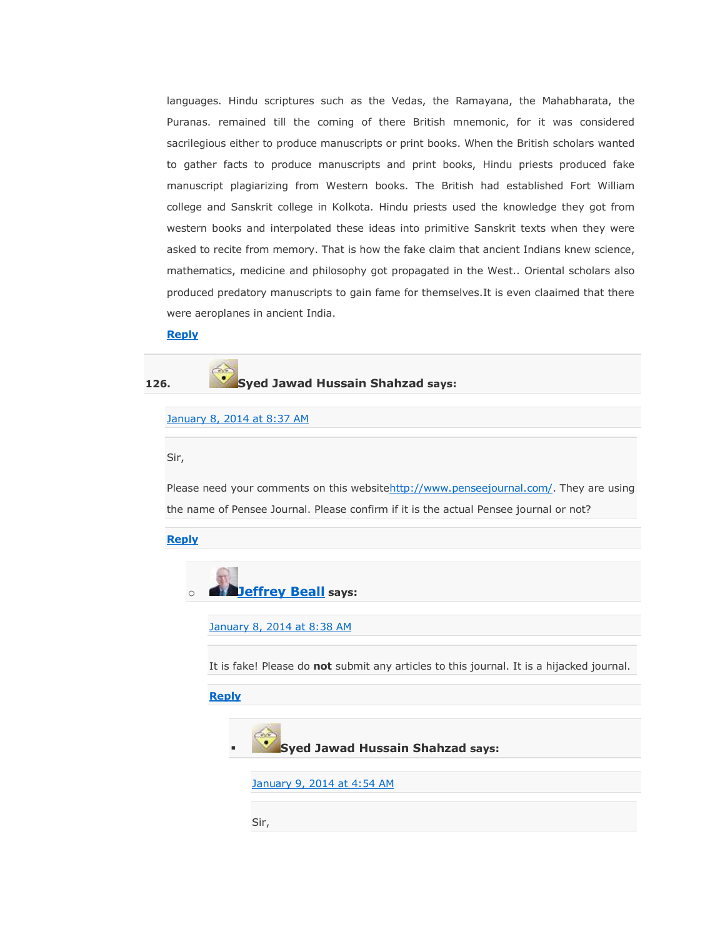languages. Hindu scriptures such as the Vedas, the Ramayana, the Mahabharata, the Puranas. remained till the coming of there British mnemonic, for it was considered sacrilegious either to produce manuscripts or print books. When the British scholars wanted to gather facts to produce manuscripts and print books, Hindu priests produced fake manuscript plagiarizing from Western books. The British had established Fort William college and Sanskrit college in Kolkota. Hindu priests used the knowledge they got from western books and interpolated these ideas into primitive Sanskrit texts when they were asked to recite from memory. That is how the fake claim that ancient Indians knew science, mathematics, medicine and philosophy got propagated in the West.. Oriental scholars also produced predatory manuscripts to gain fame for themselves.It is even claaimed that there were aeroplanes in ancient India.

#### **[Reply](https://scholarlyoa.com/2012/12/06/bealls-list-of-predatory-publishers-2013/?replytocom=37186#respond)**

#### **126. Syed Jawad Hussain Shahzad says:**

#### [January 8, 2014 at 8:37 AM](https://scholarlyoa.com/2012/12/06/bealls-list-of-predatory-publishers-2013/#comment-37578)

#### Sir,

Please need your comments on this websit[ehttp://www.penseejournal.com/.](http://www.penseejournal.com/) They are using the name of Pensee Journal. Please confirm if it is the actual Pensee journal or not?

#### **[Reply](https://scholarlyoa.com/2012/12/06/bealls-list-of-predatory-publishers-2013/?replytocom=37578#respond)**



[January 8, 2014 at 8:38 AM](https://scholarlyoa.com/2012/12/06/bealls-list-of-predatory-publishers-2013/#comment-37579)

It is fake! Please do **not** submit any articles to this journal. It is a hijacked journal.

#### **[Reply](https://scholarlyoa.com/2012/12/06/bealls-list-of-predatory-publishers-2013/?replytocom=37579#respond)**



[January 9, 2014 at 4:54 AM](https://scholarlyoa.com/2012/12/06/bealls-list-of-predatory-publishers-2013/#comment-37800)

Sir,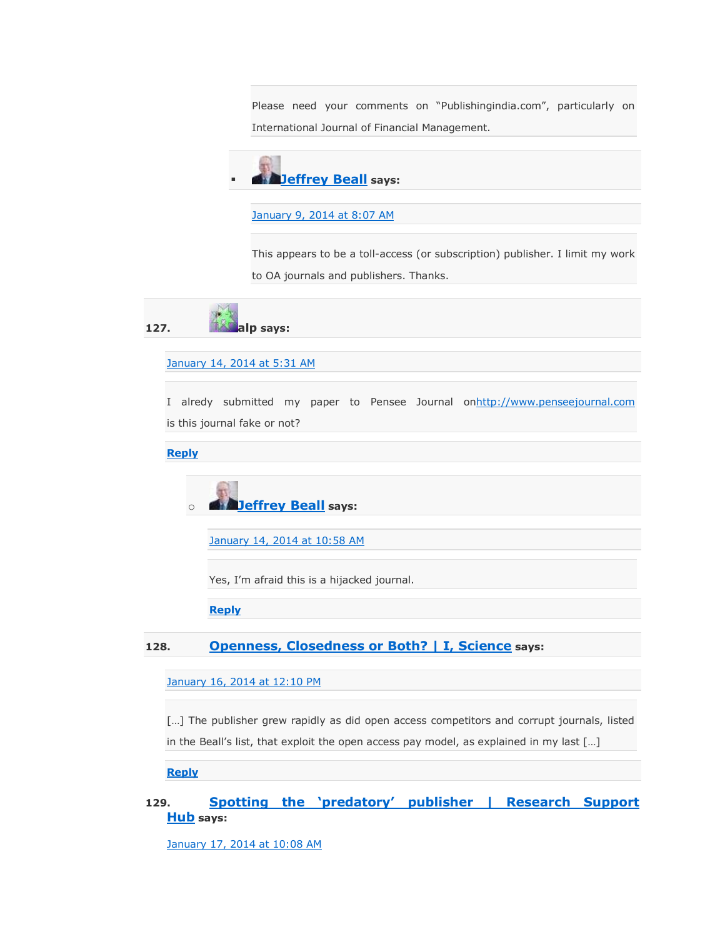Please need your comments on "Publishingindia.com", particularly on International Journal of Financial Management.



[January 9, 2014 at 8:07 AM](https://scholarlyoa.com/2012/12/06/bealls-list-of-predatory-publishers-2013/#comment-37821)

This appears to be a toll-access (or subscription) publisher. I limit my work to OA journals and publishers. Thanks.



#### [January 14, 2014 at 5:31 AM](https://scholarlyoa.com/2012/12/06/bealls-list-of-predatory-publishers-2013/#comment-38542)

I alredy submitted my paper to Pensee Journal o[nhttp://www.penseejournal.com](http://www.penseejournal.com/) is this journal fake or not?

**[Reply](https://scholarlyoa.com/2012/12/06/bealls-list-of-predatory-publishers-2013/?replytocom=38542#respond)**



[January 14, 2014 at 10:58 AM](https://scholarlyoa.com/2012/12/06/bealls-list-of-predatory-publishers-2013/#comment-38590)

Yes, I'm afraid this is a hijacked journal.

**[Reply](https://scholarlyoa.com/2012/12/06/bealls-list-of-predatory-publishers-2013/?replytocom=38590#respond)**

#### **128. [Openness, Closedness or Both? | I, Science](http://www.isciencemag.co.uk/blog/openness-closedness-or-both/) says:**

[January 16, 2014 at 12:10 PM](https://scholarlyoa.com/2012/12/06/bealls-list-of-predatory-publishers-2013/#comment-38983)

[...] The publisher grew rapidly as did open access competitors and corrupt journals, listed in the Beall's list, that exploit the open access pay model, as explained in my last [...]

**[Reply](https://scholarlyoa.com/2012/12/06/bealls-list-of-predatory-publishers-2013/?replytocom=38983#respond)**

### 129. **Spotting the 'predatory' publisher | Research Support [Hub](http://researchsupporthub.northampton.ac.uk/2014/01/17/spotting-the-predatory-publisher/) says:**

[January 17, 2014 at 10:08 AM](https://scholarlyoa.com/2012/12/06/bealls-list-of-predatory-publishers-2013/#comment-39183)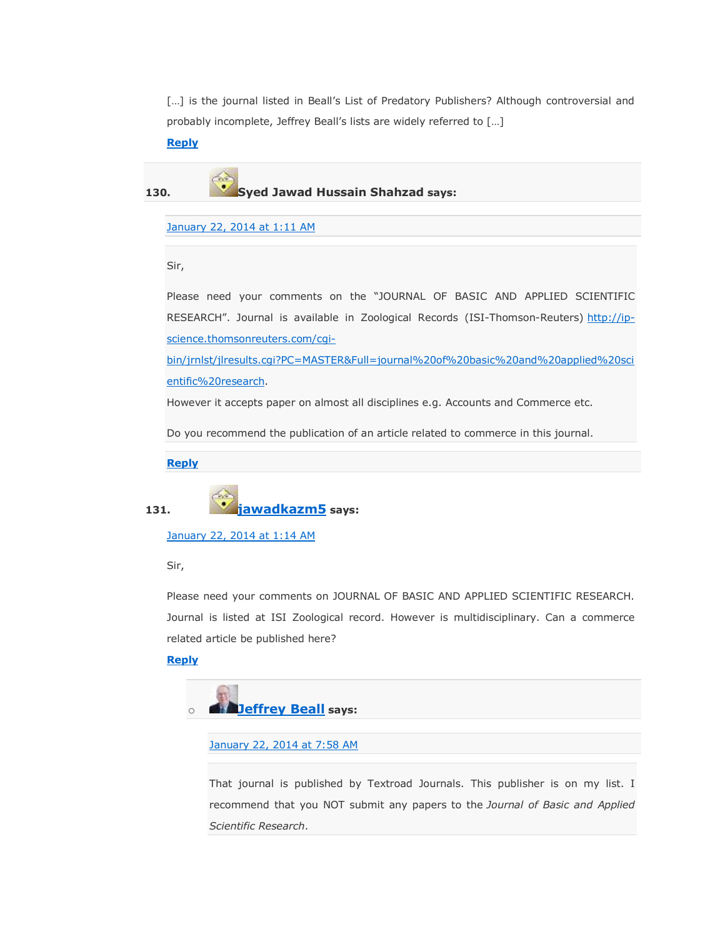[...] is the journal listed in Beall's List of Predatory Publishers? Although controversial and probably incomplete, Jeffrey Beall's lists are widely referred to […]

#### **[Reply](https://scholarlyoa.com/2012/12/06/bealls-list-of-predatory-publishers-2013/?replytocom=39183#respond)**

**130. Syed Jawad Hussain Shahzad says:**

#### [January 22, 2014 at 1:11 AM](https://scholarlyoa.com/2012/12/06/bealls-list-of-predatory-publishers-2013/#comment-39970)

Sir,

Please need your comments on the "JOURNAL OF BASIC AND APPLIED SCIENTIFIC RESEARCH". Journal is available in Zoological Records (ISI-Thomson-Reuters) [http://ip](http://ip-science.thomsonreuters.com/cgi-bin/jrnlst/jlresults.cgi?PC=MASTER&Full=journal%20of%20basic%20and%20applied%20scientific%20research)[science.thomsonreuters.com/cgi-](http://ip-science.thomsonreuters.com/cgi-bin/jrnlst/jlresults.cgi?PC=MASTER&Full=journal%20of%20basic%20and%20applied%20scientific%20research)

[bin/jrnlst/jlresults.cgi?PC=MASTER&Full=journal%20of%20basic%20and%20applied%20sci](http://ip-science.thomsonreuters.com/cgi-bin/jrnlst/jlresults.cgi?PC=MASTER&Full=journal%20of%20basic%20and%20applied%20scientific%20research) [entific%20research.](http://ip-science.thomsonreuters.com/cgi-bin/jrnlst/jlresults.cgi?PC=MASTER&Full=journal%20of%20basic%20and%20applied%20scientific%20research)

However it accepts paper on almost all disciplines e.g. Accounts and Commerce etc.

Do you recommend the publication of an article related to commerce in this journal.

**[Reply](https://scholarlyoa.com/2012/12/06/bealls-list-of-predatory-publishers-2013/?replytocom=39970#respond)**



[January 22, 2014 at 1:14 AM](https://scholarlyoa.com/2012/12/06/bealls-list-of-predatory-publishers-2013/#comment-39972)

Sir,

Please need your comments on JOURNAL OF BASIC AND APPLIED SCIENTIFIC RESEARCH. Journal is listed at ISI Zoological record. However is multidisciplinary. Can a commerce related article be published here?

#### **[Reply](https://scholarlyoa.com/2012/12/06/bealls-list-of-predatory-publishers-2013/?replytocom=39972#respond)**



[January 22, 2014 at 7:58 AM](https://scholarlyoa.com/2012/12/06/bealls-list-of-predatory-publishers-2013/#comment-40029)

That journal is published by Textroad Journals. This publisher is on my list. I recommend that you NOT submit any papers to the *Journal of Basic and Applied Scientific Research*.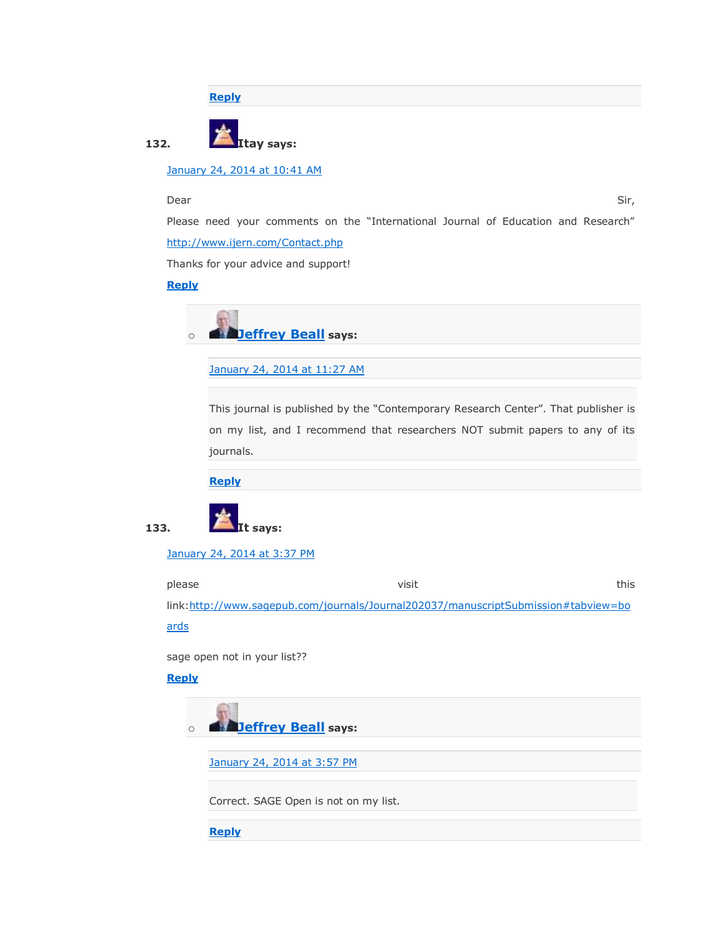**[Reply](https://scholarlyoa.com/2012/12/06/bealls-list-of-predatory-publishers-2013/?replytocom=40029#respond)**



[January 24, 2014 at 10:41 AM](https://scholarlyoa.com/2012/12/06/bealls-list-of-predatory-publishers-2013/#comment-40357)

#### المستخدم المستخدم المستخدم المستخدم المستخدم المستخدم المستخدم المستخدم المستخدم المستخدم المستخدم المستخدم المستخدم

Please need your comments on the "International Journal of Education and Research" <http://www.ijern.com/Contact.php>

Thanks for your advice and support!

#### **[Reply](https://scholarlyoa.com/2012/12/06/bealls-list-of-predatory-publishers-2013/?replytocom=40357#respond)**



[January 24, 2014 at 11:27 AM](https://scholarlyoa.com/2012/12/06/bealls-list-of-predatory-publishers-2013/#comment-40366)

This journal is published by the "Contemporary Research Center". That publisher is on my list, and I recommend that researchers NOT submit papers to any of its journals.

**[Reply](https://scholarlyoa.com/2012/12/06/bealls-list-of-predatory-publishers-2013/?replytocom=40366#respond)**



[January 24, 2014 at 3:37 PM](https://scholarlyoa.com/2012/12/06/bealls-list-of-predatory-publishers-2013/#comment-40386)

please the control of the visit this set of the visit this set of this set of this set of this set of this set link[:http://www.sagepub.com/journals/Journal202037/manuscriptSubmission#tabview=bo](http://www.sagepub.com/journals/Journal202037/manuscriptSubmission#tabview=boards) [ards](http://www.sagepub.com/journals/Journal202037/manuscriptSubmission#tabview=boards)

sage open not in your list??

#### **[Reply](https://scholarlyoa.com/2012/12/06/bealls-list-of-predatory-publishers-2013/?replytocom=40386#respond)**

o **[Jeffrey Beall](https://scholarlyoa.wordpress.com/) says:**

[January 24, 2014 at 3:57 PM](https://scholarlyoa.com/2012/12/06/bealls-list-of-predatory-publishers-2013/#comment-40388)

Correct. SAGE Open is not on my list.

**[Reply](https://scholarlyoa.com/2012/12/06/bealls-list-of-predatory-publishers-2013/?replytocom=40388#respond)**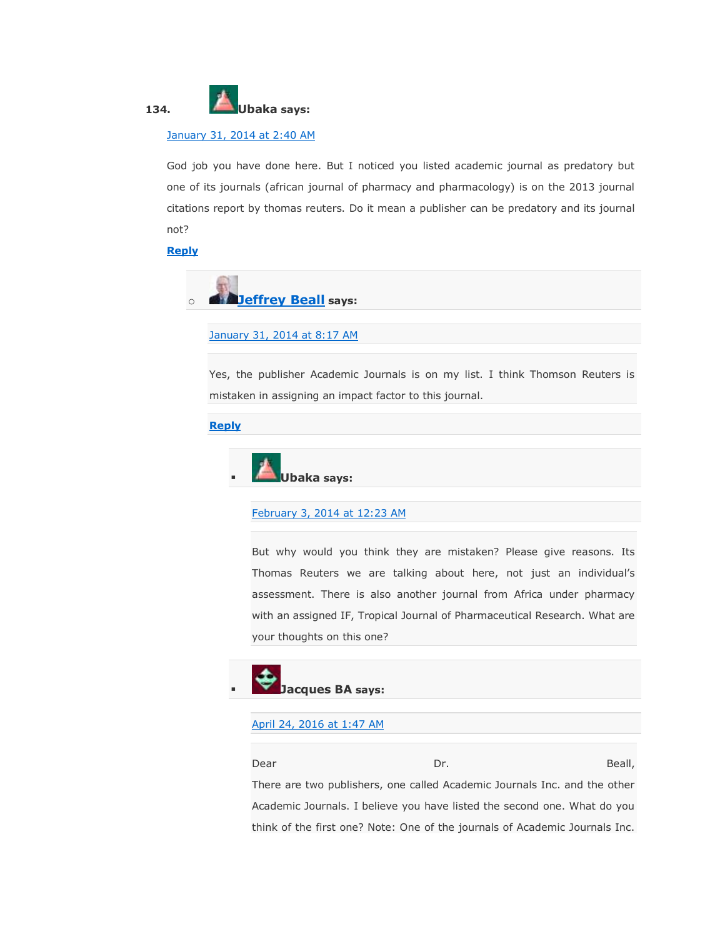

#### [January 31, 2014 at 2:40 AM](https://scholarlyoa.com/2012/12/06/bealls-list-of-predatory-publishers-2013/#comment-41372)

God job you have done here. But I noticed you listed academic journal as predatory but one of its journals (african journal of pharmacy and pharmacology) is on the 2013 journal citations report by thomas reuters. Do it mean a publisher can be predatory and its journal not?

#### **[Reply](https://scholarlyoa.com/2012/12/06/bealls-list-of-predatory-publishers-2013/?replytocom=41372#respond)**



[January 31, 2014 at 8:17 AM](https://scholarlyoa.com/2012/12/06/bealls-list-of-predatory-publishers-2013/#comment-41428)

Yes, the publisher Academic Journals is on my list. I think Thomson Reuters is mistaken in assigning an impact factor to this journal.

#### **[Reply](https://scholarlyoa.com/2012/12/06/bealls-list-of-predatory-publishers-2013/?replytocom=41428#respond)**



[February 3, 2014 at 12:23 AM](https://scholarlyoa.com/2012/12/06/bealls-list-of-predatory-publishers-2013/#comment-42143)

But why would you think they are mistaken? Please give reasons. Its Thomas Reuters we are talking about here, not just an individual's assessment. There is also another journal from Africa under pharmacy with an assigned IF, Tropical Journal of Pharmaceutical Research. What are your thoughts on this one?



#### [April 24, 2016 at 1:47 AM](https://scholarlyoa.com/2012/12/06/bealls-list-of-predatory-publishers-2013/#comment-409217)

Dear Dr. Beall, There are two publishers, one called Academic Journals Inc. and the other Academic Journals. I believe you have listed the second one. What do you think of the first one? Note: One of the journals of Academic Journals Inc.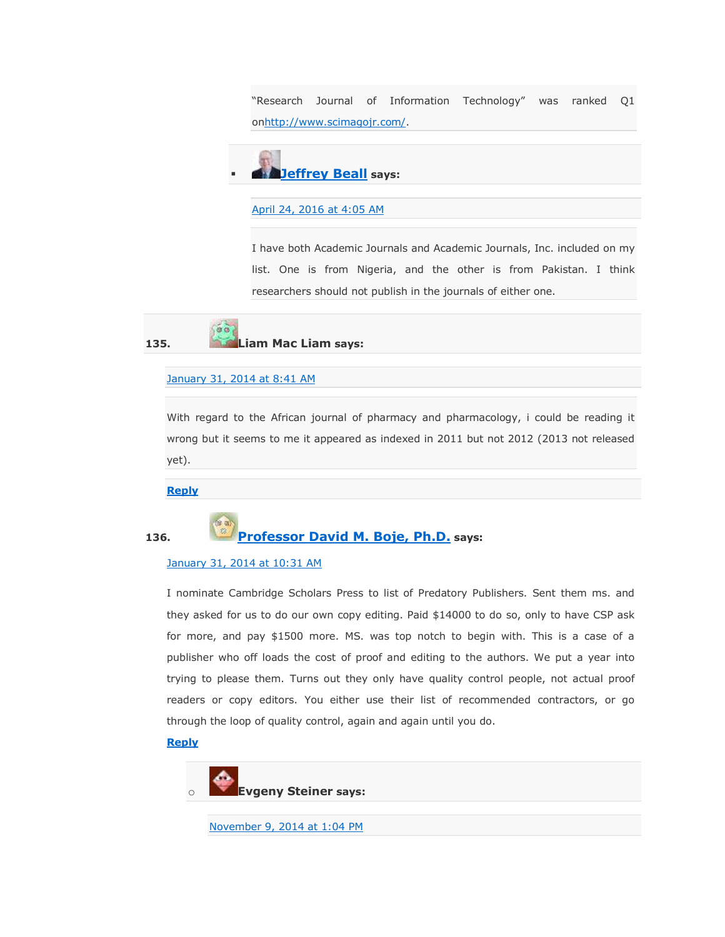"Research Journal of Information Technology" was ranked Q1 o[nhttp://www.scimagojr.com/.](http://www.scimagojr.com/)



[April 24, 2016 at 4:05 AM](https://scholarlyoa.com/2012/12/06/bealls-list-of-predatory-publishers-2013/#comment-409225)

I have both Academic Journals and Academic Journals, Inc. included on my list. One is from Nigeria, and the other is from Pakistan. I think researchers should not publish in the journals of either one.

**135. Liam Mac Liam says:**

#### [January 31, 2014 at 8:41 AM](https://scholarlyoa.com/2012/12/06/bealls-list-of-predatory-publishers-2013/#comment-41429)

 $\alpha$ 

With regard to the African journal of pharmacy and pharmacology, i could be reading it wrong but it seems to me it appeared as indexed in 2011 but not 2012 (2013 not released yet).

**[Reply](https://scholarlyoa.com/2012/12/06/bealls-list-of-predatory-publishers-2013/?replytocom=41429#respond)**

### **136. [Professor David M. Boje, Ph.D.](http://peaceaware.com/vita) says:**

#### [January 31, 2014 at 10:31 AM](https://scholarlyoa.com/2012/12/06/bealls-list-of-predatory-publishers-2013/#comment-41445)

I nominate Cambridge Scholars Press to list of Predatory Publishers. Sent them ms. and they asked for us to do our own copy editing. Paid \$14000 to do so, only to have CSP ask for more, and pay \$1500 more. MS. was top notch to begin with. This is a case of a publisher who off loads the cost of proof and editing to the authors. We put a year into trying to please them. Turns out they only have quality control people, not actual proof readers or copy editors. You either use their list of recommended contractors, or go through the loop of quality control, again and again until you do.

#### **[Reply](https://scholarlyoa.com/2012/12/06/bealls-list-of-predatory-publishers-2013/?replytocom=41445#respond)**



[November 9, 2014 at 1:04 PM](https://scholarlyoa.com/2012/12/06/bealls-list-of-predatory-publishers-2013/#comment-196950)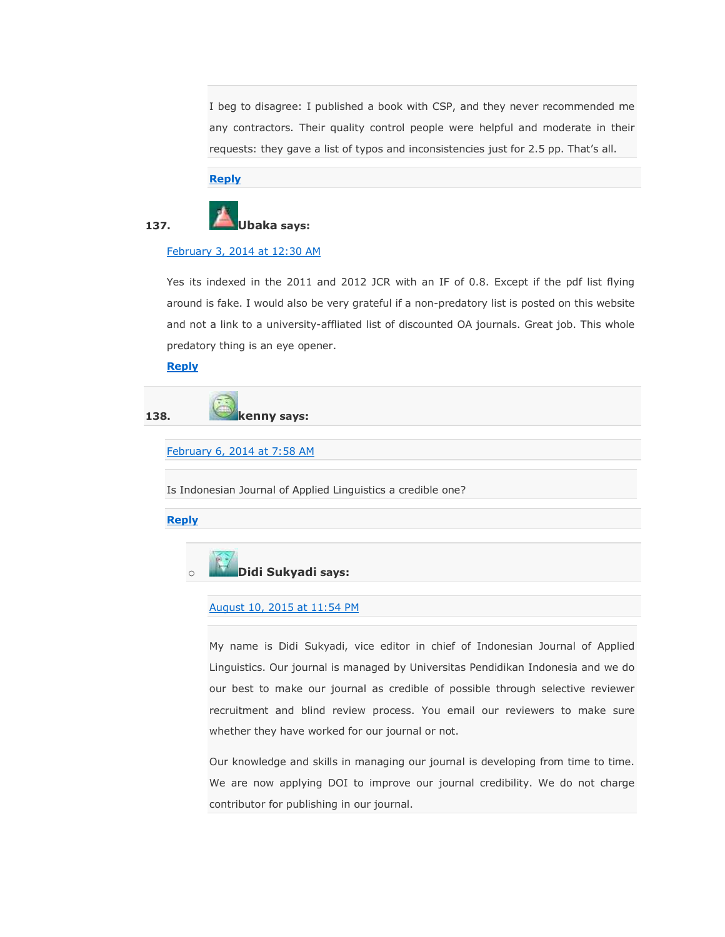I beg to disagree: I published a book with CSP, and they never recommended me any contractors. Their quality control people were helpful and moderate in their requests: they gave a list of typos and inconsistencies just for 2.5 pp. That's all.

**[Reply](https://scholarlyoa.com/2012/12/06/bealls-list-of-predatory-publishers-2013/?replytocom=196950#respond)**

# **137. Ubaka says:**

#### [February 3, 2014 at 12:30 AM](https://scholarlyoa.com/2012/12/06/bealls-list-of-predatory-publishers-2013/#comment-42145)

Yes its indexed in the 2011 and 2012 JCR with an IF of 0.8. Except if the pdf list flying around is fake. I would also be very grateful if a non-predatory list is posted on this website and not a link to a university-affliated list of discounted OA journals. Great job. This whole predatory thing is an eye opener.

#### **[Reply](https://scholarlyoa.com/2012/12/06/bealls-list-of-predatory-publishers-2013/?replytocom=42145#respond)**

**138. kenny says:**

[February 6, 2014 at 7:58 AM](https://scholarlyoa.com/2012/12/06/bealls-list-of-predatory-publishers-2013/#comment-42973)

Is Indonesian Journal of Applied Linguistics a credible one?

**[Reply](https://scholarlyoa.com/2012/12/06/bealls-list-of-predatory-publishers-2013/?replytocom=42973#respond)**



#### [August 10, 2015 at 11:54 PM](https://scholarlyoa.com/2012/12/06/bealls-list-of-predatory-publishers-2013/#comment-335132)

My name is Didi Sukyadi, vice editor in chief of Indonesian Journal of Applied Linguistics. Our journal is managed by Universitas Pendidikan Indonesia and we do our best to make our journal as credible of possible through selective reviewer recruitment and blind review process. You email our reviewers to make sure whether they have worked for our journal or not.

Our knowledge and skills in managing our journal is developing from time to time. We are now applying DOI to improve our journal credibility. We do not charge contributor for publishing in our journal.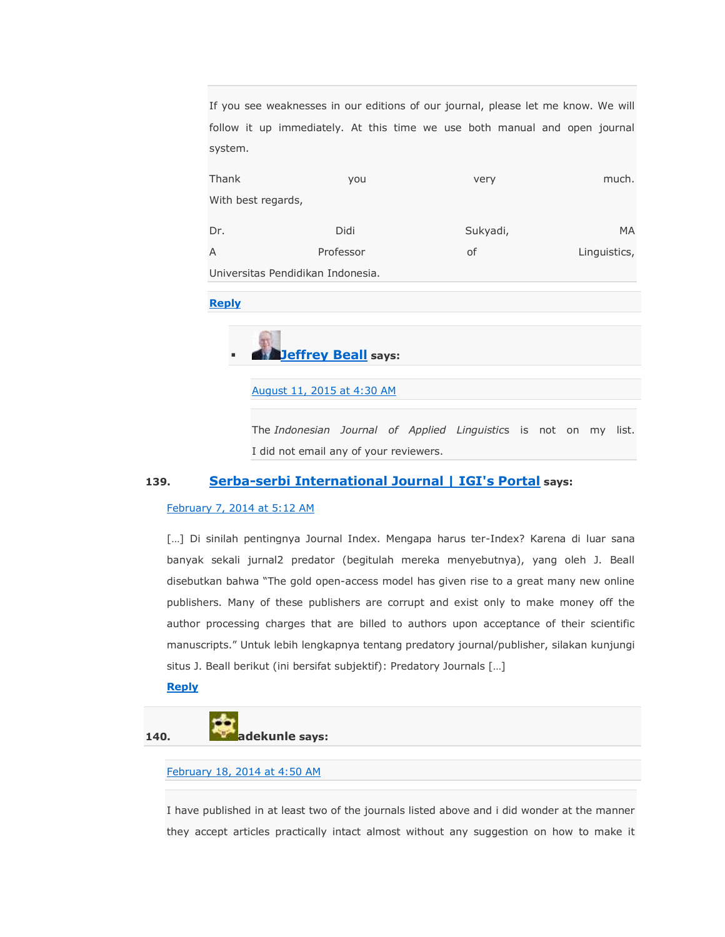If you see weaknesses in our editions of our journal, please let me know. We will follow it up immediately. At this time we use both manual and open journal system.

| Thank<br>you                      |           | very     | much.        |  |  |  |  |  |
|-----------------------------------|-----------|----------|--------------|--|--|--|--|--|
| With best regards,                |           |          |              |  |  |  |  |  |
|                                   |           |          |              |  |  |  |  |  |
| Dr.                               | Didi      | Sukyadi, | MA           |  |  |  |  |  |
| $\overline{A}$                    | Professor | of       | Linguistics, |  |  |  |  |  |
| Universitas Pendidikan Indonesia. |           |          |              |  |  |  |  |  |

#### **[Reply](https://scholarlyoa.com/2012/12/06/bealls-list-of-predatory-publishers-2013/?replytocom=335132#respond)**

## **[Jeffrey Beall](https://scholarlyoa.wordpress.com/) says:**

[August 11, 2015 at 4:30 AM](https://scholarlyoa.com/2012/12/06/bealls-list-of-predatory-publishers-2013/#comment-335227)

The *Indonesian Journal of Applied Linguistic*s is not on my list. I did not email any of your reviewers.

#### **139. [Serba-serbi International Journal | IGI's Portal](http://te.ugm.ac.id/~igi/?p=390) says:**

#### [February 7, 2014 at 5:12 AM](https://scholarlyoa.com/2012/12/06/bealls-list-of-predatory-publishers-2013/#comment-43178)

[...] Di sinilah pentingnya Journal Index. Mengapa harus ter-Index? Karena di luar sana banyak sekali jurnal2 predator (begitulah mereka menyebutnya), yang oleh J. Beall disebutkan bahwa "The gold open-access model has given rise to a great many new online publishers. Many of these publishers are corrupt and exist only to make money off the author processing charges that are billed to authors upon acceptance of their scientific manuscripts.‖ Untuk lebih lengkapnya tentang predatory journal/publisher, silakan kunjungi situs J. Beall berikut (ini bersifat subjektif): Predatory Journals […]

#### **[Reply](https://scholarlyoa.com/2012/12/06/bealls-list-of-predatory-publishers-2013/?replytocom=43178#respond)**

**140. adekunle** says:

#### [February 18, 2014 at 4:50 AM](https://scholarlyoa.com/2012/12/06/bealls-list-of-predatory-publishers-2013/#comment-45725)

I have published in at least two of the journals listed above and i did wonder at the manner they accept articles practically intact almost without any suggestion on how to make it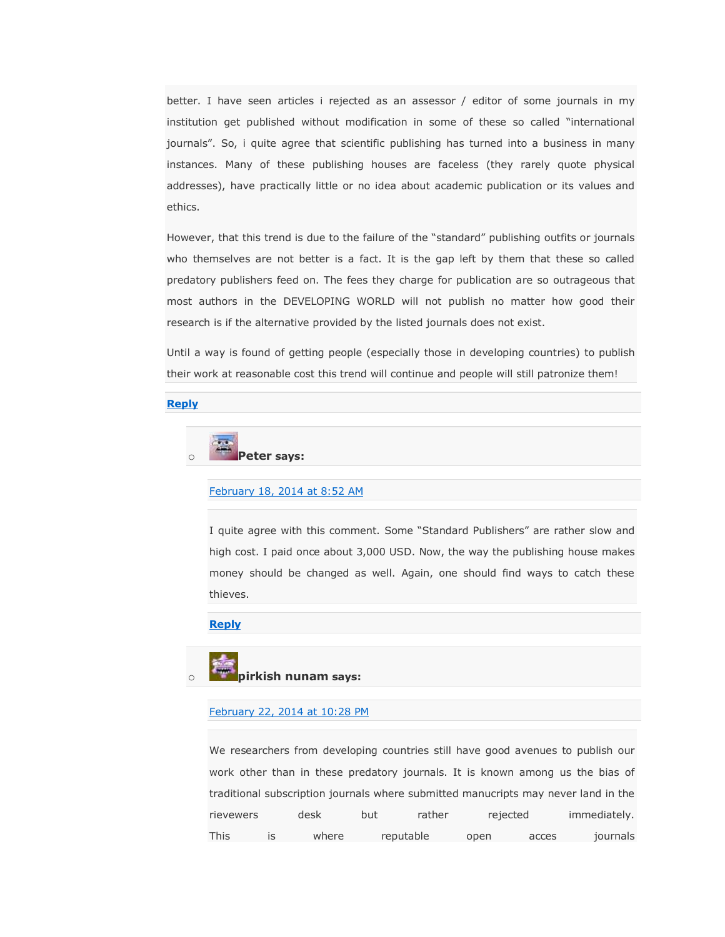better. I have seen articles i rejected as an assessor / editor of some journals in my institution get published without modification in some of these so called "international journals". So, i quite agree that scientific publishing has turned into a business in many instances. Many of these publishing houses are faceless (they rarely quote physical addresses), have practically little or no idea about academic publication or its values and ethics.

However, that this trend is due to the failure of the "standard" publishing outfits or journals who themselves are not better is a fact. It is the gap left by them that these so called predatory publishers feed on. The fees they charge for publication are so outrageous that most authors in the DEVELOPING WORLD will not publish no matter how good their research is if the alternative provided by the listed journals does not exist.

Until a way is found of getting people (especially those in developing countries) to publish their work at reasonable cost this trend will continue and people will still patronize them!

#### **[Reply](https://scholarlyoa.com/2012/12/06/bealls-list-of-predatory-publishers-2013/?replytocom=45725#respond)**



[February 18, 2014 at 8:52 AM](https://scholarlyoa.com/2012/12/06/bealls-list-of-predatory-publishers-2013/#comment-45765)

I quite agree with this comment. Some "Standard Publishers" are rather slow and high cost. I paid once about 3,000 USD. Now, the way the publishing house makes money should be changed as well. Again, one should find ways to catch these thieves.

#### **[Reply](https://scholarlyoa.com/2012/12/06/bealls-list-of-predatory-publishers-2013/?replytocom=45765#respond)**

## o **pirkish nunam says:**

#### [February 22, 2014 at 10:28 PM](https://scholarlyoa.com/2012/12/06/bealls-list-of-predatory-publishers-2013/#comment-47073)

We researchers from developing countries still have good avenues to publish our work other than in these predatory journals. It is known among us the bias of traditional subscription journals where submitted manucripts may never land in the rievewers desk but rather rejected immediately. This is where reputable open acces journals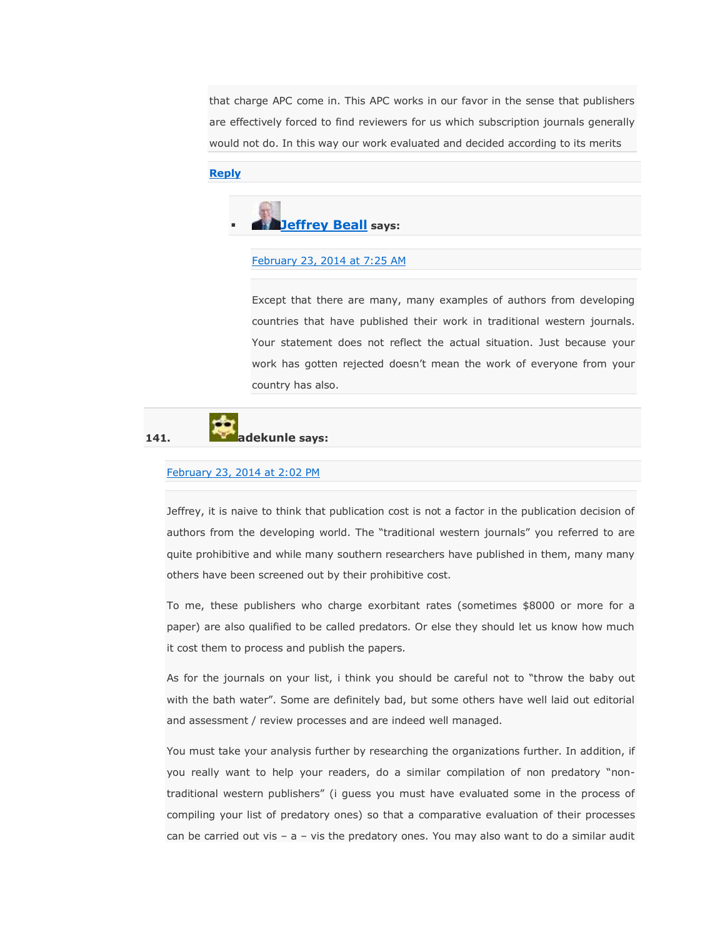that charge APC come in. This APC works in our favor in the sense that publishers are effectively forced to find reviewers for us which subscription journals generally would not do. In this way our work evaluated and decided according to its merits

#### **[Reply](https://scholarlyoa.com/2012/12/06/bealls-list-of-predatory-publishers-2013/?replytocom=47073#respond)**



#### [February 23, 2014 at 7:25 AM](https://scholarlyoa.com/2012/12/06/bealls-list-of-predatory-publishers-2013/#comment-47171)

Except that there are many, many examples of authors from developing countries that have published their work in traditional western journals. Your statement does not reflect the actual situation. Just because your work has gotten rejected doesn't mean the work of everyone from your country has also.



#### [February 23, 2014 at 2:02 PM](https://scholarlyoa.com/2012/12/06/bealls-list-of-predatory-publishers-2013/#comment-47271)

Jeffrey, it is naive to think that publication cost is not a factor in the publication decision of authors from the developing world. The "traditional western journals" you referred to are quite prohibitive and while many southern researchers have published in them, many many others have been screened out by their prohibitive cost.

To me, these publishers who charge exorbitant rates (sometimes \$8000 or more for a paper) are also qualified to be called predators. Or else they should let us know how much it cost them to process and publish the papers.

As for the journals on your list, i think you should be careful not to "throw the baby out with the bath water". Some are definitely bad, but some others have well laid out editorial and assessment / review processes and are indeed well managed.

You must take your analysis further by researching the organizations further. In addition, if you really want to help your readers, do a similar compilation of non predatory "nontraditional western publishers‖ (i guess you must have evaluated some in the process of compiling your list of predatory ones) so that a comparative evaluation of their processes can be carried out vis –  $a$  – vis the predatory ones. You may also want to do a similar audit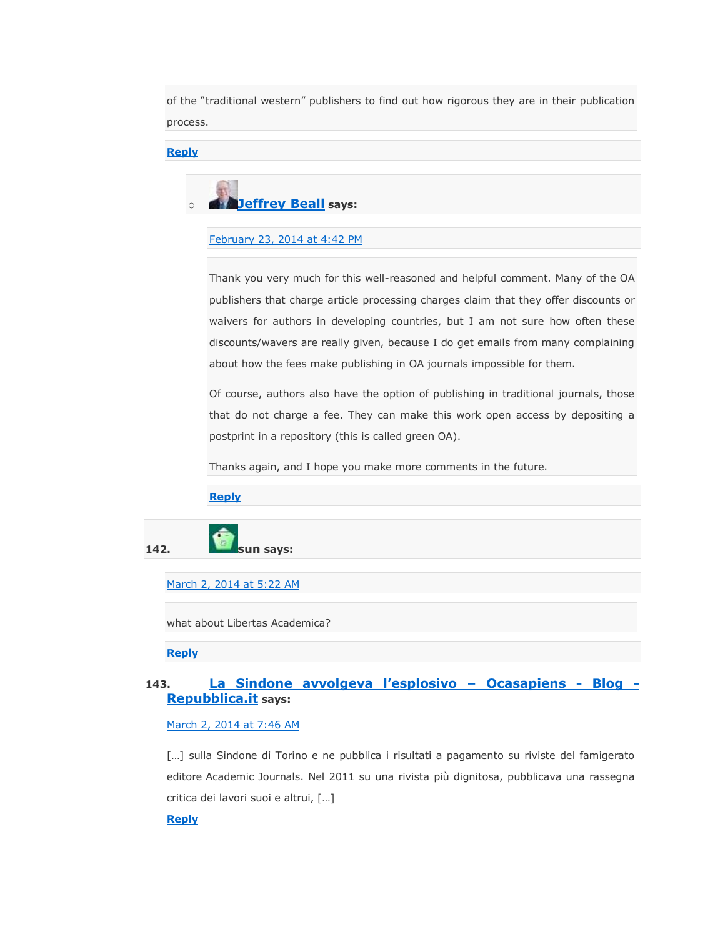of the "traditional western" publishers to find out how rigorous they are in their publication process.

#### **[Reply](https://scholarlyoa.com/2012/12/06/bealls-list-of-predatory-publishers-2013/?replytocom=47271#respond)**



[February 23, 2014 at 4:42 PM](https://scholarlyoa.com/2012/12/06/bealls-list-of-predatory-publishers-2013/#comment-47305)

Thank you very much for this well-reasoned and helpful comment. Many of the OA publishers that charge article processing charges claim that they offer discounts or waivers for authors in developing countries, but I am not sure how often these discounts/wavers are really given, because I do get emails from many complaining about how the fees make publishing in OA journals impossible for them.

Of course, authors also have the option of publishing in traditional journals, those that do not charge a fee. They can make this work open access by depositing a postprint in a repository (this is called green OA).

Thanks again, and I hope you make more comments in the future.

#### **[Reply](https://scholarlyoa.com/2012/12/06/bealls-list-of-predatory-publishers-2013/?replytocom=47305#respond)**



[March 2, 2014 at 5:22 AM](https://scholarlyoa.com/2012/12/06/bealls-list-of-predatory-publishers-2013/#comment-49390)

what about Libertas Academica?

**[Reply](https://scholarlyoa.com/2012/12/06/bealls-list-of-predatory-publishers-2013/?replytocom=49390#respond)**

### **143. [La Sindone avvolgeva l'esplosivo –](http://ocasapiens-dweb.blogautore.repubblica.it/2014/03/01/la-sindone-avvolgeva-lesplosivo/) Ocasapiens - Blog - [Repubblica.it](http://ocasapiens-dweb.blogautore.repubblica.it/2014/03/01/la-sindone-avvolgeva-lesplosivo/) says:**

#### [March 2, 2014 at 7:46 AM](https://scholarlyoa.com/2012/12/06/bealls-list-of-predatory-publishers-2013/#comment-49419)

[...] sulla Sindone di Torino e ne pubblica i risultati a pagamento su riviste del famigerato editore Academic Journals. Nel 2011 su una rivista più dignitosa, pubblicava una rassegna critica dei lavori suoi e altrui, […]

#### **[Reply](https://scholarlyoa.com/2012/12/06/bealls-list-of-predatory-publishers-2013/?replytocom=49419#respond)**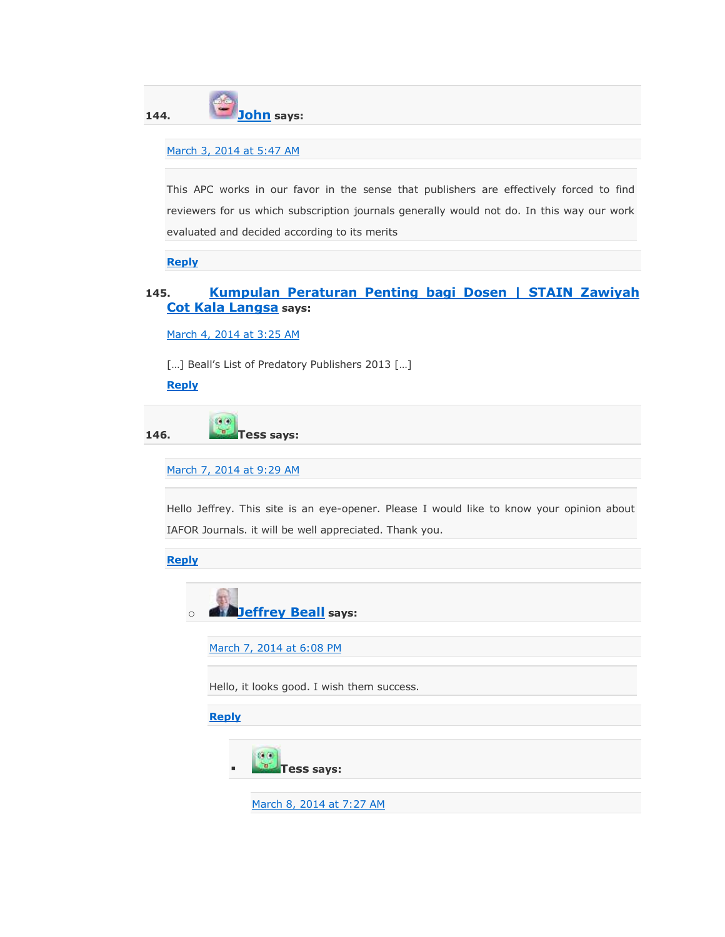**144. [John](http://buywomenfragrance.com/) says:**

#### [March 3, 2014 at 5:47 AM](https://scholarlyoa.com/2012/12/06/bealls-list-of-predatory-publishers-2013/#comment-49737)

This APC works in our favor in the sense that publishers are effectively forced to find reviewers for us which subscription journals generally would not do. In this way our work evaluated and decided according to its merits

**[Reply](https://scholarlyoa.com/2012/12/06/bealls-list-of-predatory-publishers-2013/?replytocom=49737#respond)**

### **145. [Kumpulan Peraturan Penting bagi Dosen | STAIN Zawiyah](http://stainzck.wordpress.com/2014/03/04/informasi_penting_dosen/)  [Cot Kala Langsa](http://stainzck.wordpress.com/2014/03/04/informasi_penting_dosen/) says:**

[March 4, 2014 at 3:25 AM](https://scholarlyoa.com/2012/12/06/bealls-list-of-predatory-publishers-2013/#comment-50044)

[…] Beall's List of Predatory Publishers 2013 […]

**[Reply](https://scholarlyoa.com/2012/12/06/bealls-list-of-predatory-publishers-2013/?replytocom=50044#respond)**

**146. Tess says:**

[March 7, 2014 at 9:29 AM](https://scholarlyoa.com/2012/12/06/bealls-list-of-predatory-publishers-2013/#comment-51358)

Hello Jeffrey. This site is an eye-opener. Please I would like to know your opinion about IAFOR Journals. it will be well appreciated. Thank you.

**[Reply](https://scholarlyoa.com/2012/12/06/bealls-list-of-predatory-publishers-2013/?replytocom=51358#respond)**



[March 7, 2014 at 6:08 PM](https://scholarlyoa.com/2012/12/06/bealls-list-of-predatory-publishers-2013/#comment-51514)

Hello, it looks good. I wish them success.

**[Reply](https://scholarlyoa.com/2012/12/06/bealls-list-of-predatory-publishers-2013/?replytocom=51514#respond)**



[March 8, 2014 at 7:27 AM](https://scholarlyoa.com/2012/12/06/bealls-list-of-predatory-publishers-2013/#comment-51747)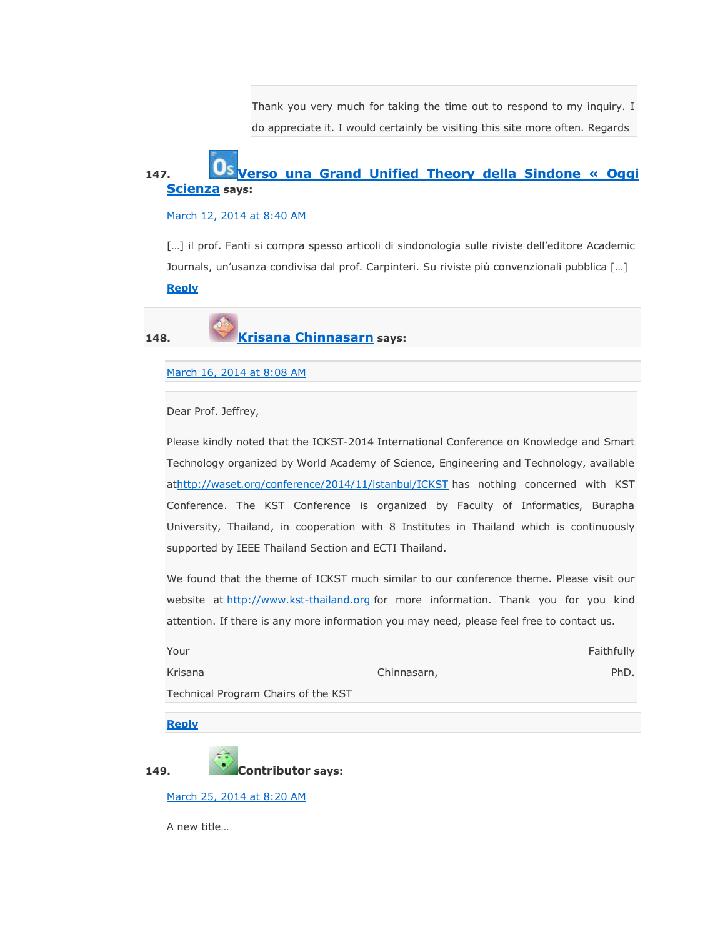Thank you very much for taking the time out to respond to my inquiry. I do appreciate it. I would certainly be visiting this site more often. Regards

## **147. [Verso una Grand Unified Theory della Sindone « Oggi](http://oggiscienza.wordpress.com/2014/03/12/verso-una-grand-unified-theory-della-sindone/)  [Scienza](http://oggiscienza.wordpress.com/2014/03/12/verso-una-grand-unified-theory-della-sindone/) says:**

#### [March 12, 2014 at 8:40 AM](https://scholarlyoa.com/2012/12/06/bealls-list-of-predatory-publishers-2013/#comment-53553)

[...] il prof. Fanti si compra spesso articoli di sindonologia sulle riviste dell'editore Academic Journals, un'usanza condivisa dal prof. Carpinteri. Su riviste più convenzionali pubblica […] **[Reply](https://scholarlyoa.com/2012/12/06/bealls-list-of-predatory-publishers-2013/?replytocom=53553#respond)**

**148. [Krisana Chinnasarn](http://www.kst-thailand.org/) says:**

#### [March 16, 2014 at 8:08 AM](https://scholarlyoa.com/2012/12/06/bealls-list-of-predatory-publishers-2013/#comment-55542)

Dear Prof. Jeffrey,

Please kindly noted that the ICKST-2014 International Conference on Knowledge and Smart Technology organized by World Academy of Science, Engineering and Technology, available a[thttp://waset.org/conference/2014/11/istanbul/ICKST](http://waset.org/conference/2014/11/istanbul/ICKST) has nothing concerned with KST Conference. The KST Conference is organized by Faculty of Informatics, Burapha University, Thailand, in cooperation with 8 Institutes in Thailand which is continuously supported by IEEE Thailand Section and ECTI Thailand.

We found that the theme of ICKST much similar to our conference theme. Please visit our website at [http://www.kst-thailand.org](http://www.kst-thailand.org/) for more information. Thank you for you kind attention. If there is any more information you may need, please feel free to contact us.

| Your                                |             | Faithfully |  |  |
|-------------------------------------|-------------|------------|--|--|
| Krisana                             | Chinnasarn, | PhD.       |  |  |
| Technical Program Chairs of the KST |             |            |  |  |

**[Reply](https://scholarlyoa.com/2012/12/06/bealls-list-of-predatory-publishers-2013/?replytocom=55542#respond)**



**149. Contributor says:**

[March 25, 2014 at 8:20 AM](https://scholarlyoa.com/2012/12/06/bealls-list-of-predatory-publishers-2013/#comment-60005)

A new title…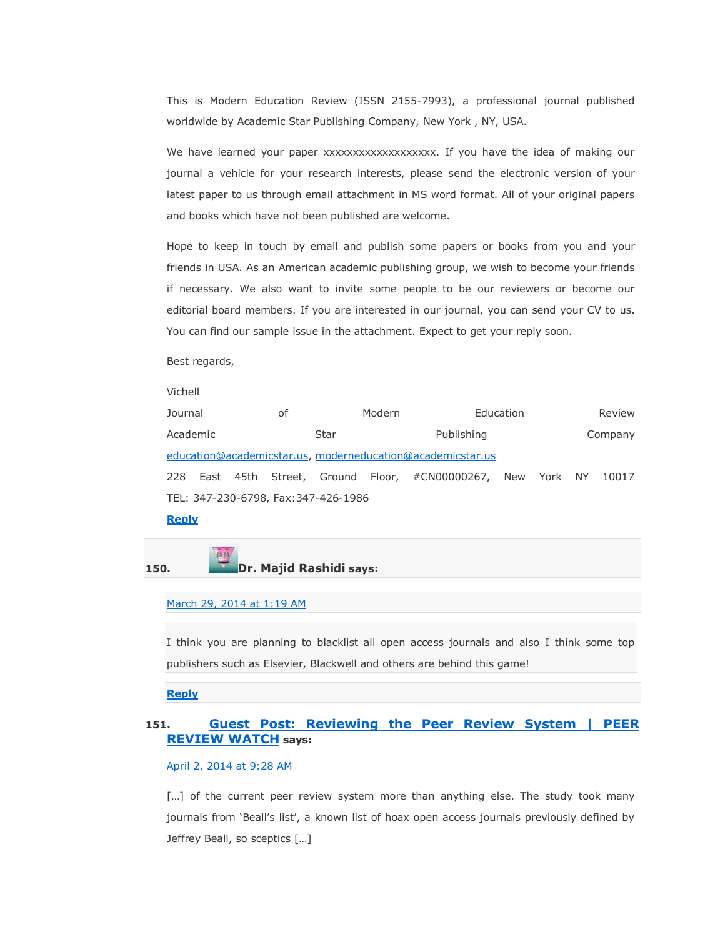This is Modern Education Review (ISSN 2155-7993), a professional journal published worldwide by Academic Star Publishing Company, New York , NY, USA.

We have learned your paper xxxxxxxxxxxxxxxxxxxx. If you have the idea of making our journal a vehicle for your research interests, please send the electronic version of your latest paper to us through email attachment in MS word format. All of your original papers and books which have not been published are welcome.

Hope to keep in touch by email and publish some papers or books from you and your friends in USA. As an American academic publishing group, we wish to become your friends if necessary. We also want to invite some people to be our reviewers or become our editorial board members. If you are interested in our journal, you can send your CV to us. You can find our sample issue in the attachment. Expect to get your reply soon.

Best regards,

Vichell

| Journal<br>οf                                              |  | Modern |                    |  | Education                                                    |         | Review |  |       |
|------------------------------------------------------------|--|--------|--------------------|--|--------------------------------------------------------------|---------|--------|--|-------|
| Academic                                                   |  |        | Star<br>Publishing |  |                                                              | Company |        |  |       |
| education@academicstar.us, moderneducation@academicstar.us |  |        |                    |  |                                                              |         |        |  |       |
|                                                            |  |        |                    |  | 228 East 45th Street, Ground Floor, #CN00000267, New York NY |         |        |  | 10017 |
| TEL: 347-230-6798, Fax:347-426-1986                        |  |        |                    |  |                                                              |         |        |  |       |

#### **[Reply](https://scholarlyoa.com/2012/12/06/bealls-list-of-predatory-publishers-2013/?replytocom=60005#respond)**

#### **150. Dr. Majid Rashidi says:**

[March 29, 2014 at 1:19 AM](https://scholarlyoa.com/2012/12/06/bealls-list-of-predatory-publishers-2013/#comment-61634)

I think you are planning to blacklist all open access journals and also I think some top publishers such as Elsevier, Blackwell and others are behind this game!

#### **[Reply](https://scholarlyoa.com/2012/12/06/bealls-list-of-predatory-publishers-2013/?replytocom=61634#respond)**

#### **151. [Guest Post: Reviewing the Peer Review System | PEER](http://peerreviewwatch.wordpress.com/2014/03/23/533/)  [REVIEW WATCH](http://peerreviewwatch.wordpress.com/2014/03/23/533/) says:**

#### [April 2, 2014 at 9:28 AM](https://scholarlyoa.com/2012/12/06/bealls-list-of-predatory-publishers-2013/#comment-63385)

[...] of the current peer review system more than anything else. The study took many journals from 'Beall's list', a known list of hoax open access journals previously defined by Jeffrey Beall, so sceptics […]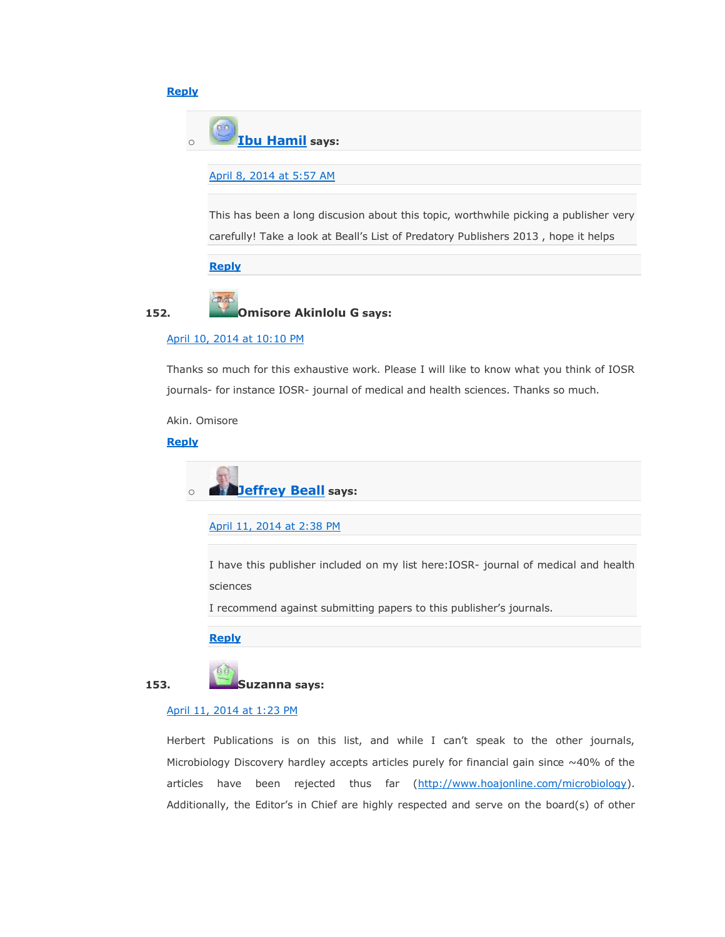#### **[Reply](https://scholarlyoa.com/2012/12/06/bealls-list-of-predatory-publishers-2013/?replytocom=63385#respond)**



#### [April 8, 2014 at 5:57 AM](https://scholarlyoa.com/2012/12/06/bealls-list-of-predatory-publishers-2013/#comment-65561)

This has been a long discusion about this topic, worthwhile picking a publisher very carefully! Take a look at Beall's List of Predatory Publishers 2013 , hope it helps

#### **[Reply](https://scholarlyoa.com/2012/12/06/bealls-list-of-predatory-publishers-2013/?replytocom=65561#respond)**

#### **152. Omisore Akinlolu G says:**

#### [April 10, 2014 at 10:10 PM](https://scholarlyoa.com/2012/12/06/bealls-list-of-predatory-publishers-2013/#comment-66531)

Thanks so much for this exhaustive work. Please I will like to know what you think of IOSR journals- for instance IOSR- journal of medical and health sciences. Thanks so much.

Akin. Omisore

#### **[Reply](https://scholarlyoa.com/2012/12/06/bealls-list-of-predatory-publishers-2013/?replytocom=66531#respond)**

o **[Jeffrey Beall](https://scholarlyoa.wordpress.com/) says:**

[April 11, 2014 at 2:38 PM](https://scholarlyoa.com/2012/12/06/bealls-list-of-predatory-publishers-2013/#comment-66791)

I have this publisher included on my list here:IOSR- journal of medical and health sciences

I recommend against submitting papers to this publisher's journals.

**[Reply](https://scholarlyoa.com/2012/12/06/bealls-list-of-predatory-publishers-2013/?replytocom=66791#respond)**



**153. Suzanna says:**

#### [April 11, 2014 at 1:23 PM](https://scholarlyoa.com/2012/12/06/bealls-list-of-predatory-publishers-2013/#comment-66770)

Herbert Publications is on this list, and while I can't speak to the other journals, Microbiology Discovery hardley accepts articles purely for financial gain since  $\sim40\%$  of the articles have been rejected thus far [\(http://www.hoajonline.com/microbiology\)](http://www.hoajonline.com/microbiology). Additionally, the Editor's in Chief are highly respected and serve on the board(s) of other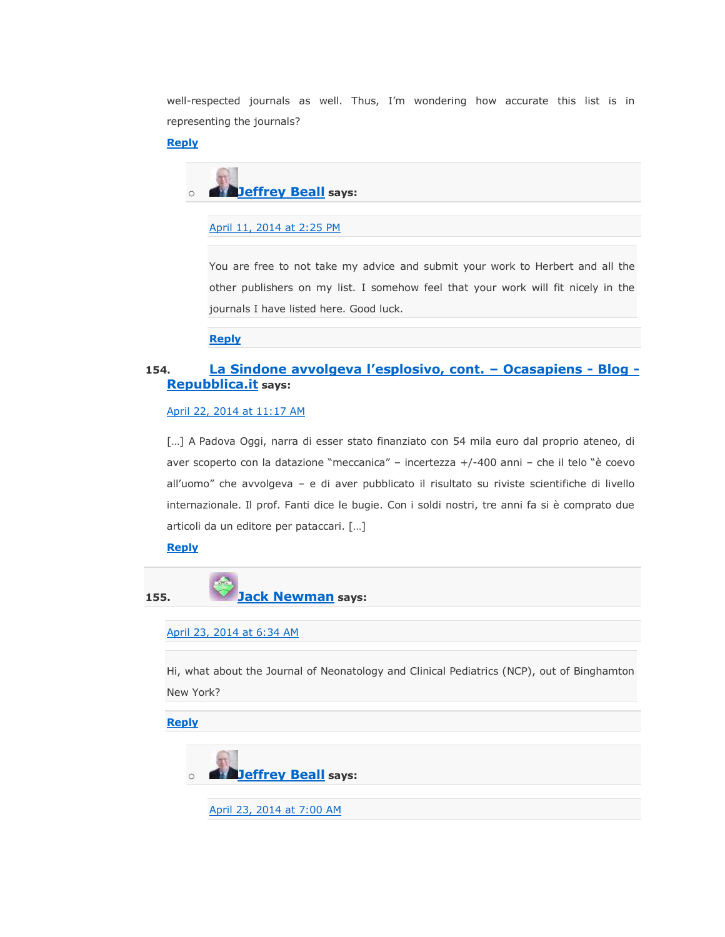well-respected journals as well. Thus, I'm wondering how accurate this list is in representing the journals?

#### **[Reply](https://scholarlyoa.com/2012/12/06/bealls-list-of-predatory-publishers-2013/?replytocom=66770#respond)**



#### [April 11, 2014 at 2:25 PM](https://scholarlyoa.com/2012/12/06/bealls-list-of-predatory-publishers-2013/#comment-66787)

You are free to not take my advice and submit your work to Herbert and all the other publishers on my list. I somehow feel that your work will fit nicely in the journals I have listed here. Good luck.

**[Reply](https://scholarlyoa.com/2012/12/06/bealls-list-of-predatory-publishers-2013/?replytocom=66787#respond)**

#### **154. [La Sindone avvolgeva l'esplosivo, cont. –](http://ocasapiens-dweb.blogautore.repubblica.it/2014/04/22/la-sindone-avvolgeva-lesplosivo-cont-2/) Ocasapiens - Blog - [Repubblica.it](http://ocasapiens-dweb.blogautore.repubblica.it/2014/04/22/la-sindone-avvolgeva-lesplosivo-cont-2/) says:**

#### [April 22, 2014 at 11:17 AM](https://scholarlyoa.com/2012/12/06/bealls-list-of-predatory-publishers-2013/#comment-71764)

[...] A Padova Oggi, narra di esser stato finanziato con 54 mila euro dal proprio ateneo, di aver scoperto con la datazione "meccanica" – incertezza +/-400 anni – che il telo "è coevo all'uomo" che avvolgeva – e di aver pubblicato il risultato su riviste scientifiche di livello internazionale. Il prof. Fanti dice le bugie. Con i soldi nostri, tre anni fa si è comprato due articoli da un editore per pataccari. […]

#### **[Reply](https://scholarlyoa.com/2012/12/06/bealls-list-of-predatory-publishers-2013/?replytocom=71764#respond)**



**155. [Jack Newman](http://www.breastfeedinginc.ca/) says:**

#### [April 23, 2014 at 6:34 AM](https://scholarlyoa.com/2012/12/06/bealls-list-of-predatory-publishers-2013/#comment-72194)

Hi, what about the Journal of Neonatology and Clinical Pediatrics (NCP), out of Binghamton New York?

**[Reply](https://scholarlyoa.com/2012/12/06/bealls-list-of-predatory-publishers-2013/?replytocom=72194#respond)**



[April 23, 2014 at 7:00 AM](https://scholarlyoa.com/2012/12/06/bealls-list-of-predatory-publishers-2013/#comment-72201)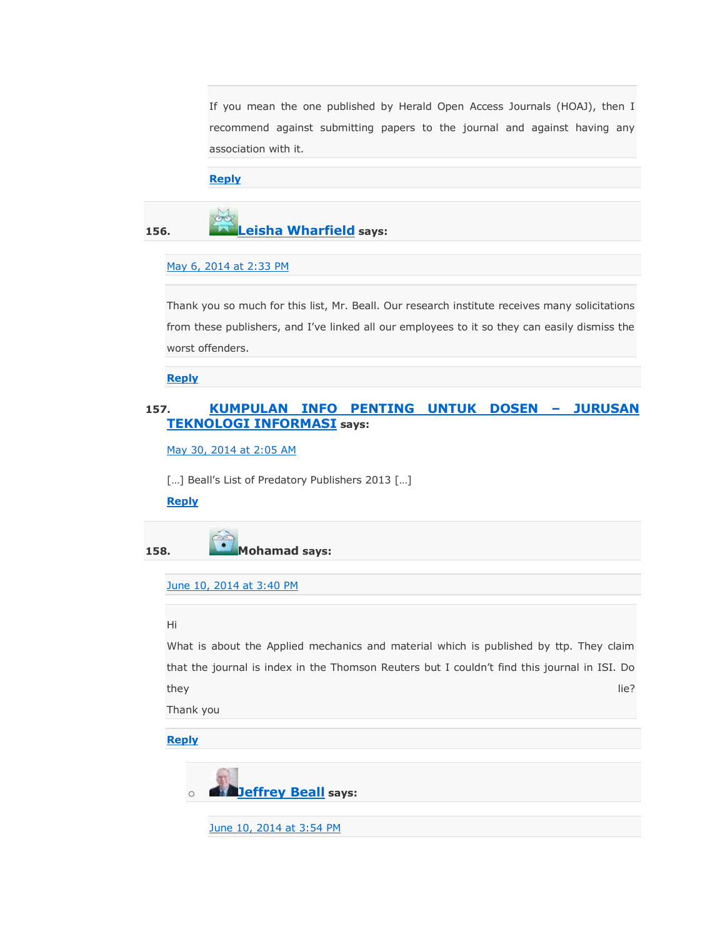If you mean the one published by Herald Open Access Journals (HOAJ), then I recommend against submitting papers to the journal and against having any association with it.

#### **[Reply](https://scholarlyoa.com/2012/12/06/bealls-list-of-predatory-publishers-2013/?replytocom=72201#respond)**

# **156. [Leisha Wharfield](http://www.decisionresearch.org/) says:**

#### [May 6, 2014 at 2:33 PM](https://scholarlyoa.com/2012/12/06/bealls-list-of-predatory-publishers-2013/#comment-81230)

Thank you so much for this list, Mr. Beall. Our research institute receives many solicitations from these publishers, and I've linked all our employees to it so they can easily dismiss the worst offenders.

**[Reply](https://scholarlyoa.com/2012/12/06/bealls-list-of-predatory-publishers-2013/?replytocom=81230#respond)**

### **157. [KUMPULAN INFO PENTING UNTUK DOSEN](http://ti.polinpdg.ac.id/?p=658) – JURUSAN [TEKNOLOGI INFORMASI](http://ti.polinpdg.ac.id/?p=658) says:**

[May 30, 2014 at 2:05 AM](https://scholarlyoa.com/2012/12/06/bealls-list-of-predatory-publishers-2013/#comment-102422)

[...] Beall's List of Predatory Publishers 2013 [...]

#### **[Reply](https://scholarlyoa.com/2012/12/06/bealls-list-of-predatory-publishers-2013/?replytocom=102422#respond)**

**158. Mohamad says:**

[June 10, 2014 at 3:40 PM](https://scholarlyoa.com/2012/12/06/bealls-list-of-predatory-publishers-2013/#comment-110314)

#### Hi

What is about the Applied mechanics and material which is published by ttp. They claim that the journal is index in the Thomson Reuters but I couldn't find this journal in ISI. Do they life? In the set of the set of the set of the set of the set of the set of the set of the set of the set o

Thank you

#### **[Reply](https://scholarlyoa.com/2012/12/06/bealls-list-of-predatory-publishers-2013/?replytocom=110314#respond)**



[June 10, 2014 at 3:54 PM](https://scholarlyoa.com/2012/12/06/bealls-list-of-predatory-publishers-2013/#comment-110327)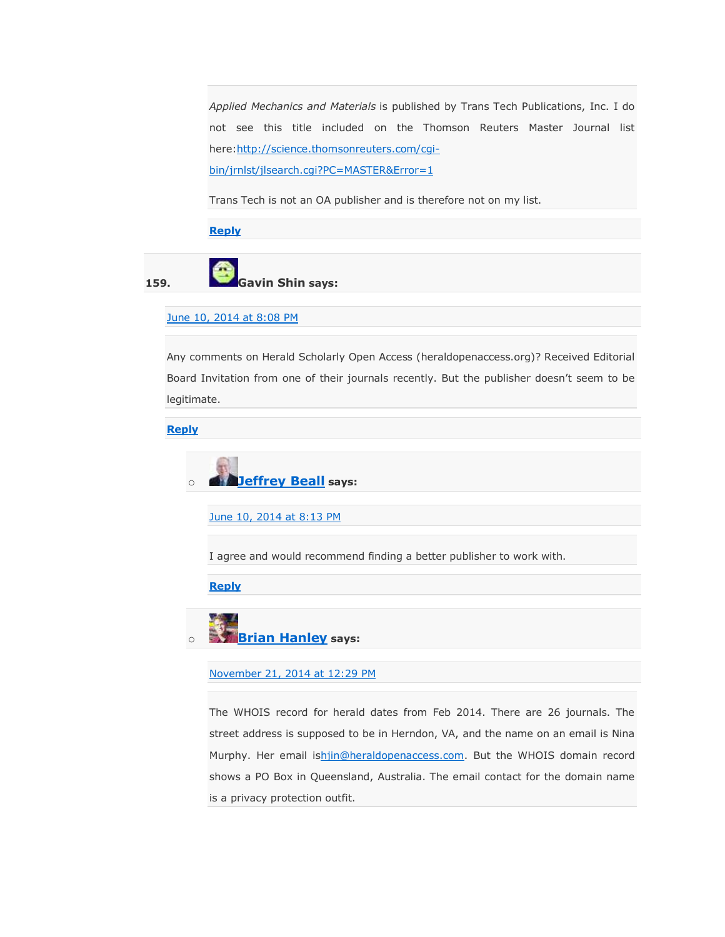*Applied Mechanics and Materials* is published by Trans Tech Publications, Inc. I do not see this title included on the Thomson Reuters Master Journal list here: http://science.thomsonreuters.com/cqi-

[bin/jrnlst/jlsearch.cgi?PC=MASTER&Error=1](http://science.thomsonreuters.com/cgi-bin/jrnlst/jlsearch.cgi?PC=MASTER&Error=1)

Trans Tech is not an OA publisher and is therefore not on my list.

**[Reply](https://scholarlyoa.com/2012/12/06/bealls-list-of-predatory-publishers-2013/?replytocom=110327#respond)**

**159. Gavin Shin says:**

#### [June 10, 2014 at 8:08 PM](https://scholarlyoa.com/2012/12/06/bealls-list-of-predatory-publishers-2013/#comment-110513)

Any comments on Herald Scholarly Open Access (heraldopenaccess.org)? Received Editorial Board Invitation from one of their journals recently. But the publisher doesn't seem to be legitimate.

**[Reply](https://scholarlyoa.com/2012/12/06/bealls-list-of-predatory-publishers-2013/?replytocom=110513#respond)**



[June 10, 2014 at 8:13 PM](https://scholarlyoa.com/2012/12/06/bealls-list-of-predatory-publishers-2013/#comment-110515)

I agree and would recommend finding a better publisher to work with.

**[Reply](https://scholarlyoa.com/2012/12/06/bealls-list-of-predatory-publishers-2013/?replytocom=110515#respond)**

o **[Brian Hanley](https://www.facebook.com/BrianPHanley) says:**

#### [November 21, 2014 at 12:29 PM](https://scholarlyoa.com/2012/12/06/bealls-list-of-predatory-publishers-2013/#comment-204841)

The WHOIS record for herald dates from Feb 2014. There are 26 journals. The street address is supposed to be in Herndon, VA, and the name on an email is Nina Murphy. Her email i[shjin@heraldopenaccess.com.](mailto:hjin@heraldopenaccess.com) But the WHOIS domain record shows a PO Box in Queensland, Australia. The email contact for the domain name is a privacy protection outfit.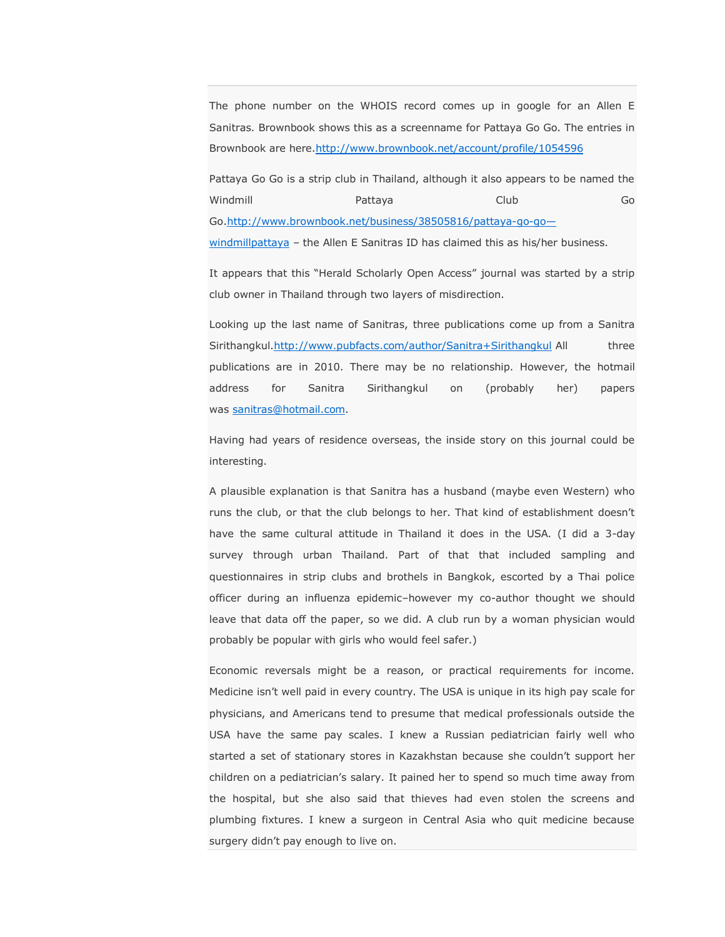The phone number on the WHOIS record comes up in google for an Allen E Sanitras. Brownbook shows this as a screenname for Pattaya Go Go. The entries in Brownbook are here[.http://www.brownbook.net/account/profile/1054596](http://www.brownbook.net/account/profile/1054596)

Pattaya Go Go is a strip club in Thailand, although it also appears to be named the Windmill Pattaya Club Go Go[.http://www.brownbook.net/business/38505816/pattaya-go-go](http://www.brownbook.net/business/38505816/pattaya-go-go---windmillpattaya) [windmillpattaya](http://www.brownbook.net/business/38505816/pattaya-go-go---windmillpattaya) – the Allen E Sanitras ID has claimed this as his/her business.

It appears that this "Herald Scholarly Open Access" journal was started by a strip club owner in Thailand through two layers of misdirection.

Looking up the last name of Sanitras, three publications come up from a Sanitra Sirithangkul[.http://www.pubfacts.com/author/Sanitra+Sirithangkul](http://www.pubfacts.com/author/Sanitra+Sirithangkul) All three publications are in 2010. There may be no relationship. However, the hotmail address for Sanitra Sirithangkul on (probably her) papers was [sanitras@hotmail.com.](mailto:sanitras@hotmail.com)

Having had years of residence overseas, the inside story on this journal could be interesting.

A plausible explanation is that Sanitra has a husband (maybe even Western) who runs the club, or that the club belongs to her. That kind of establishment doesn't have the same cultural attitude in Thailand it does in the USA. (I did a 3-day survey through urban Thailand. Part of that that included sampling and questionnaires in strip clubs and brothels in Bangkok, escorted by a Thai police officer during an influenza epidemic–however my co-author thought we should leave that data off the paper, so we did. A club run by a woman physician would probably be popular with girls who would feel safer.)

Economic reversals might be a reason, or practical requirements for income. Medicine isn't well paid in every country. The USA is unique in its high pay scale for physicians, and Americans tend to presume that medical professionals outside the USA have the same pay scales. I knew a Russian pediatrician fairly well who started a set of stationary stores in Kazakhstan because she couldn't support her children on a pediatrician's salary. It pained her to spend so much time away from the hospital, but she also said that thieves had even stolen the screens and plumbing fixtures. I knew a surgeon in Central Asia who quit medicine because surgery didn't pay enough to live on.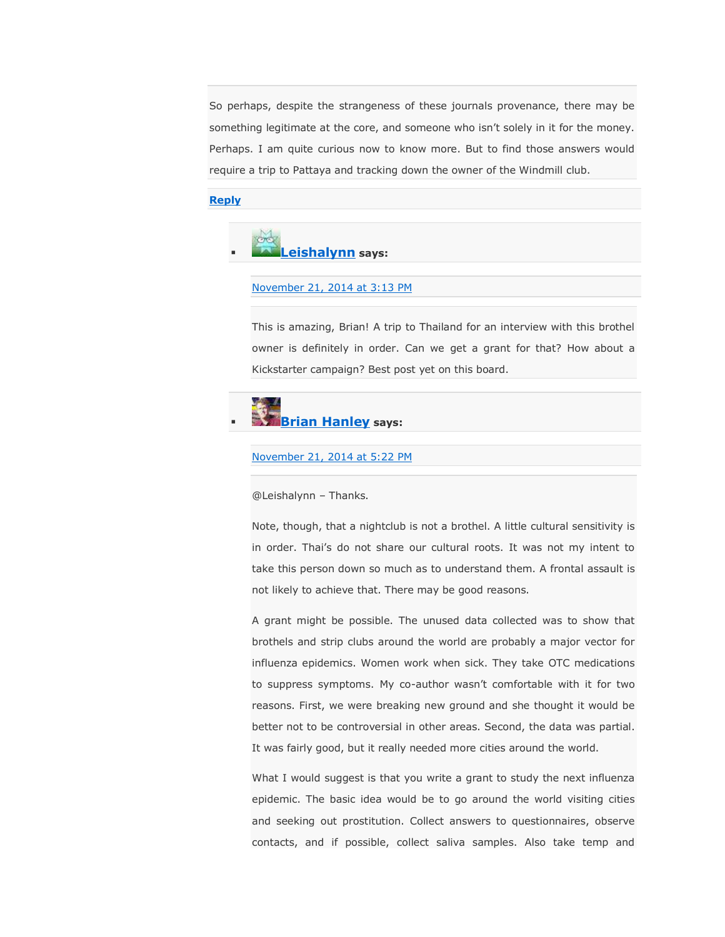So perhaps, despite the strangeness of these journals provenance, there may be something legitimate at the core, and someone who isn't solely in it for the money. Perhaps. I am quite curious now to know more. But to find those answers would require a trip to Pattaya and tracking down the owner of the Windmill club.

#### **[Reply](https://scholarlyoa.com/2012/12/06/bealls-list-of-predatory-publishers-2013/?replytocom=204841#respond)**



#### [November 21, 2014 at 3:13 PM](https://scholarlyoa.com/2012/12/06/bealls-list-of-predatory-publishers-2013/#comment-204904)

This is amazing, Brian! A trip to Thailand for an interview with this brothel owner is definitely in order. Can we get a grant for that? How about a Kickstarter campaign? Best post yet on this board.

# **[Brian Hanley](https://www.facebook.com/BrianPHanley) says:**

[November 21, 2014 at 5:22 PM](https://scholarlyoa.com/2012/12/06/bealls-list-of-predatory-publishers-2013/#comment-204960)

@Leishalynn – Thanks.

Note, though, that a nightclub is not a brothel. A little cultural sensitivity is in order. Thai's do not share our cultural roots. It was not my intent to take this person down so much as to understand them. A frontal assault is not likely to achieve that. There may be good reasons.

A grant might be possible. The unused data collected was to show that brothels and strip clubs around the world are probably a major vector for influenza epidemics. Women work when sick. They take OTC medications to suppress symptoms. My co-author wasn't comfortable with it for two reasons. First, we were breaking new ground and she thought it would be better not to be controversial in other areas. Second, the data was partial. It was fairly good, but it really needed more cities around the world.

What I would suggest is that you write a grant to study the next influenza epidemic. The basic idea would be to go around the world visiting cities and seeking out prostitution. Collect answers to questionnaires, observe contacts, and if possible, collect saliva samples. Also take temp and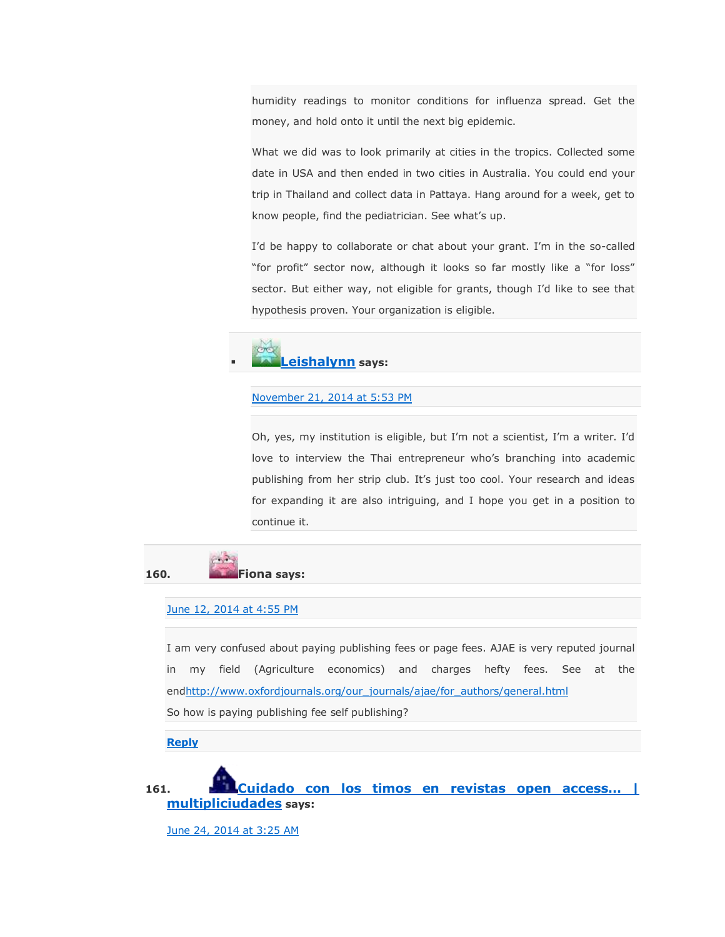humidity readings to monitor conditions for influenza spread. Get the money, and hold onto it until the next big epidemic.

What we did was to look primarily at cities in the tropics. Collected some date in USA and then ended in two cities in Australia. You could end your trip in Thailand and collect data in Pattaya. Hang around for a week, get to know people, find the pediatrician. See what's up.

I'd be happy to collaborate or chat about your grant. I'm in the so-called "for profit" sector now, although it looks so far mostly like a "for loss" sector. But either way, not eligible for grants, though I'd like to see that hypothesis proven. Your organization is eligible.



#### [November 21, 2014 at 5:53 PM](https://scholarlyoa.com/2012/12/06/bealls-list-of-predatory-publishers-2013/#comment-204974)

Oh, yes, my institution is eligible, but I'm not a scientist, I'm a writer. I'd love to interview the Thai entrepreneur who's branching into academic publishing from her strip club. It's just too cool. Your research and ideas for expanding it are also intriguing, and I hope you get in a position to continue it.



#### [June 12, 2014 at 4:55 PM](https://scholarlyoa.com/2012/12/06/bealls-list-of-predatory-publishers-2013/#comment-111982)

I am very confused about paying publishing fees or page fees. AJAE is very reputed journal in my field (Agriculture economics) and charges hefty fees. See at the en[dhttp://www.oxfordjournals.org/our\\_journals/ajae/for\\_authors/general.html](http://www.oxfordjournals.org/our_journals/ajae/for_authors/general.html) So how is paying publishing fee self publishing?

**[Reply](https://scholarlyoa.com/2012/12/06/bealls-list-of-predatory-publishers-2013/?replytocom=111982#respond)**

**161. [Cuidado con los timos en revistas open access… |](http://multipliciudades.org/2014/06/24/cuidado-con-los-timos-en-revistas-open-access/)  [multipliciudades](http://multipliciudades.org/2014/06/24/cuidado-con-los-timos-en-revistas-open-access/) says:**

[June 24, 2014 at 3:25 AM](https://scholarlyoa.com/2012/12/06/bealls-list-of-predatory-publishers-2013/#comment-120103)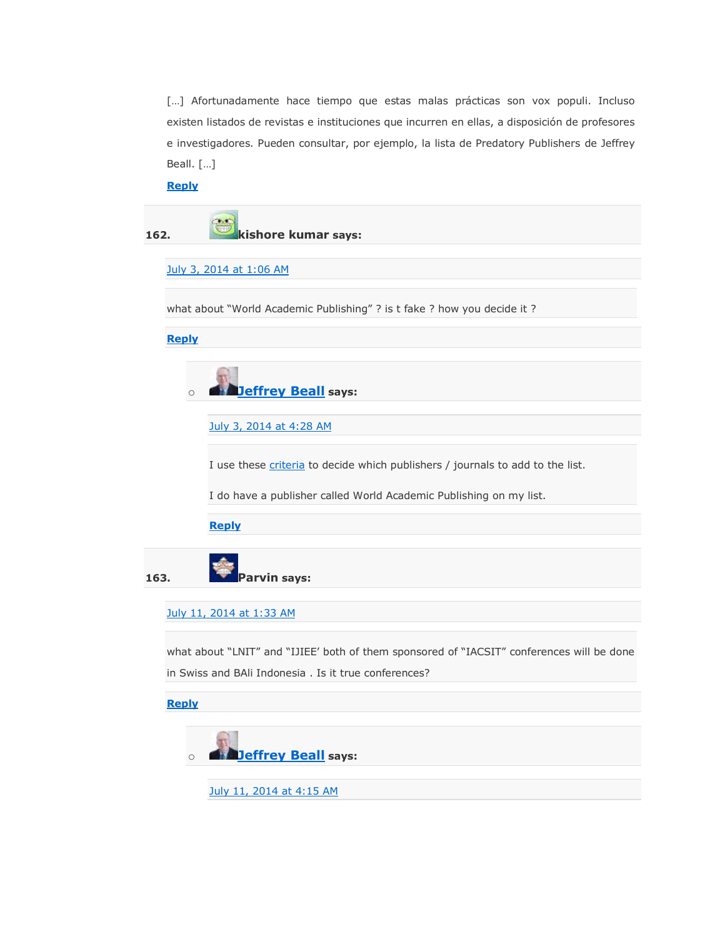[...] Afortunadamente hace tiempo que estas malas prácticas son vox populi. Incluso existen listados de revistas e instituciones que incurren en ellas, a disposición de profesores e investigadores. Pueden consultar, por ejemplo, la lista de Predatory Publishers de Jeffrey Beall. […]

**[Reply](https://scholarlyoa.com/2012/12/06/bealls-list-of-predatory-publishers-2013/?replytocom=120103#respond)**



o **[Jeffrey Beall](https://scholarlyoa.wordpress.com/) says:**

[July 3, 2014 at 4:28 AM](https://scholarlyoa.com/2012/12/06/bealls-list-of-predatory-publishers-2013/#comment-123539)

I use these *[criteria](http://wp.me/p280Ch-g5)* to decide which publishers / journals to add to the list.

I do have a publisher called World Academic Publishing on my list.

**[Reply](https://scholarlyoa.com/2012/12/06/bealls-list-of-predatory-publishers-2013/?replytocom=123539#respond)**

**163. Parvin says:**

#### [July 11, 2014 at 1:33 AM](https://scholarlyoa.com/2012/12/06/bealls-list-of-predatory-publishers-2013/#comment-127439)

what about "LNIT" and "IJIEE' both of them sponsored of "IACSIT" conferences will be done in Swiss and BAli Indonesia . Is it true conferences?

#### **[Reply](https://scholarlyoa.com/2012/12/06/bealls-list-of-predatory-publishers-2013/?replytocom=127439#respond)**



[July 11, 2014 at 4:15 AM](https://scholarlyoa.com/2012/12/06/bealls-list-of-predatory-publishers-2013/#comment-127506)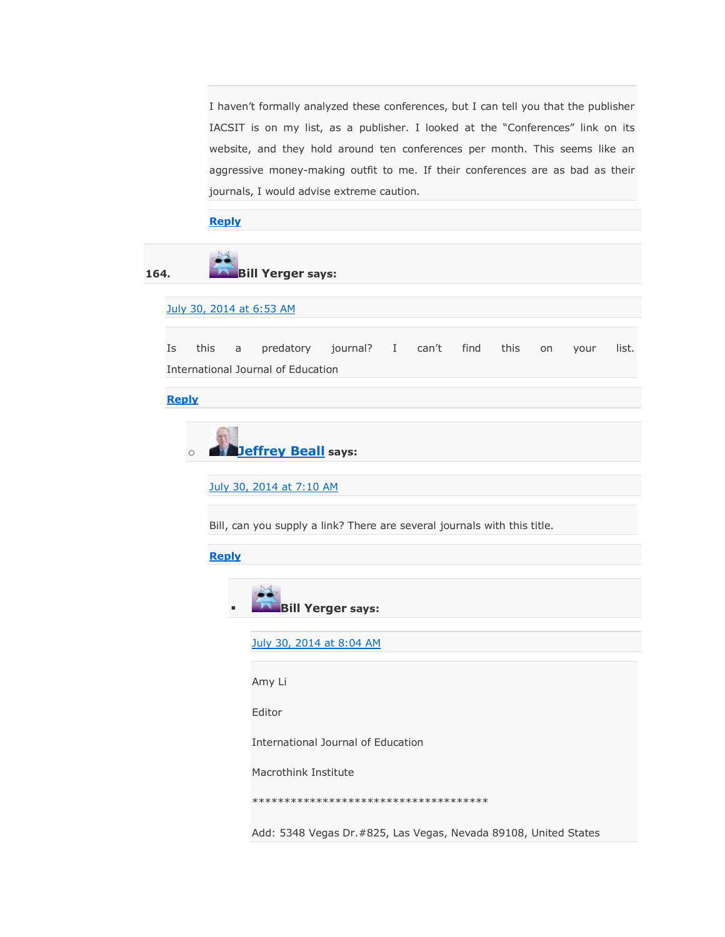I haven't formally analyzed these conferences, but I can tell you that the publisher IACSIT is on my list, as a publisher. I looked at the "Conferences" link on its website, and they hold around ten conferences per month. This seems like an aggressive money-making outfit to me. If their conferences are as bad as their journals, I would advise extreme caution.

#### **[Reply](https://scholarlyoa.com/2012/12/06/bealls-list-of-predatory-publishers-2013/?replytocom=127506#respond)**

**164. Bill Yerger says:**

[July 30, 2014 at 6:53 AM](https://scholarlyoa.com/2012/12/06/bealls-list-of-predatory-publishers-2013/#comment-136322)

Is this a predatory journal? I can't find this on your list. International Journal of Education

**[Reply](https://scholarlyoa.com/2012/12/06/bealls-list-of-predatory-publishers-2013/?replytocom=136322#respond)**

o **[Jeffrey Beall](https://scholarlyoa.wordpress.com/) says:**

[July 30, 2014 at 7:10 AM](https://scholarlyoa.com/2012/12/06/bealls-list-of-predatory-publishers-2013/#comment-136329)

Bill, can you supply a link? There are several journals with this title.

**[Reply](https://scholarlyoa.com/2012/12/06/bealls-list-of-predatory-publishers-2013/?replytocom=136329#respond)**



[July 30, 2014 at 8:04 AM](https://scholarlyoa.com/2012/12/06/bealls-list-of-predatory-publishers-2013/#comment-136348)

Amy Li

Editor

International Journal of Education

Macrothink Institute

\*\*\*\*\*\*\*\*\*\*\*\*\*\*\*\*\*\*\*\*\*\*\*\*\*\*\*\*\*\*\*\*\*\*\*\*\*

Add: 5348 Vegas Dr.#825, Las Vegas, Nevada 89108, United States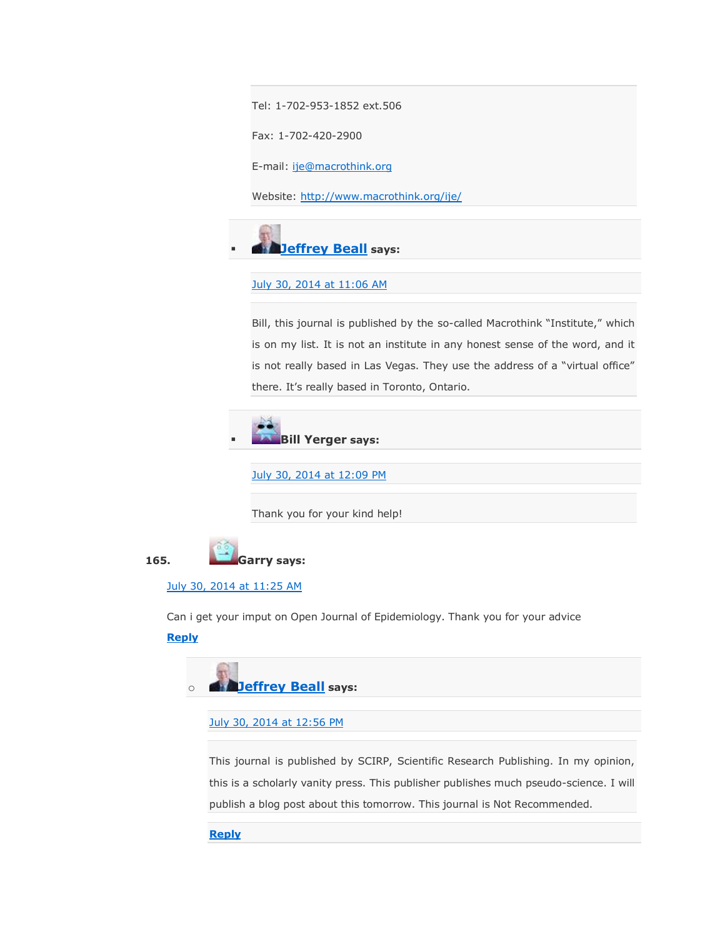Tel: 1-702-953-1852 ext.506

Fax: 1-702-420-2900

E-mail: [ije@macrothink.org](mailto:ije@macrothink.org)

Website: <http://www.macrothink.org/ije/>



### [July 30, 2014 at 11:06 AM](https://scholarlyoa.com/2012/12/06/bealls-list-of-predatory-publishers-2013/#comment-136404)

Bill, this journal is published by the so-called Macrothink "Institute," which is on my list. It is not an institute in any honest sense of the word, and it is not really based in Las Vegas. They use the address of a "virtual office" there. It's really based in Toronto, Ontario.



[July 30, 2014 at 12:09 PM](https://scholarlyoa.com/2012/12/06/bealls-list-of-predatory-publishers-2013/#comment-136420)

Thank you for your kind help!



### [July 30, 2014 at 11:25 AM](https://scholarlyoa.com/2012/12/06/bealls-list-of-predatory-publishers-2013/#comment-136408)

Can i get your imput on Open Journal of Epidemiology. Thank you for your advice

### **[Reply](https://scholarlyoa.com/2012/12/06/bealls-list-of-predatory-publishers-2013/?replytocom=136408#respond)**



### [July 30, 2014 at 12:56 PM](https://scholarlyoa.com/2012/12/06/bealls-list-of-predatory-publishers-2013/#comment-136434)

This journal is published by SCIRP, Scientific Research Publishing. In my opinion, this is a scholarly vanity press. This publisher publishes much pseudo-science. I will publish a blog post about this tomorrow. This journal is Not Recommended.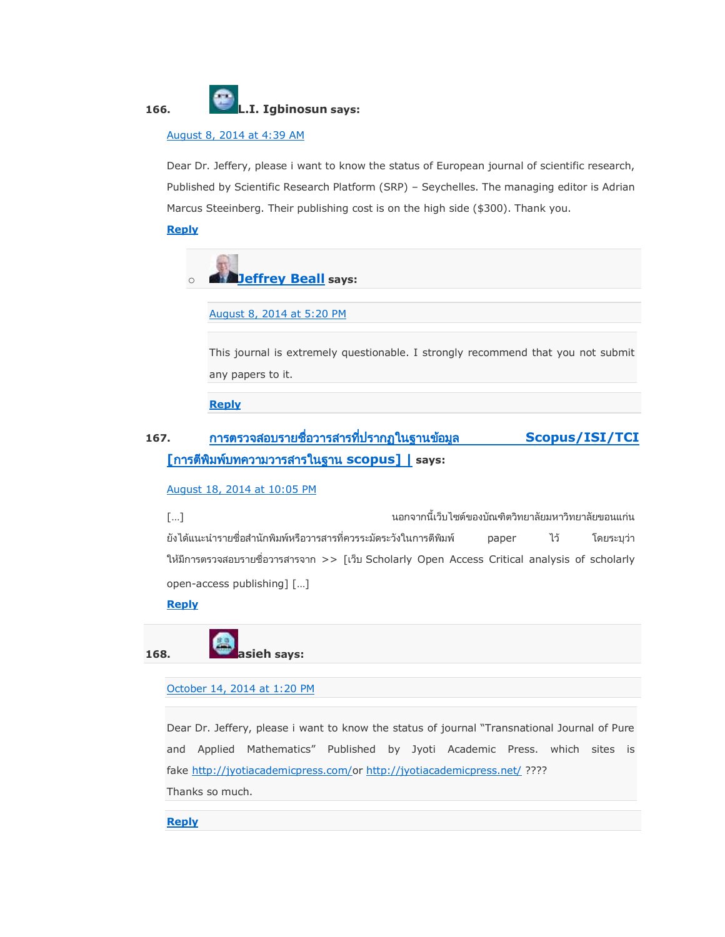

### [August 8, 2014 at 4:39 AM](https://scholarlyoa.com/2012/12/06/bealls-list-of-predatory-publishers-2013/#comment-140305)

Dear Dr. Jeffery, please i want to know the status of European journal of scientific research, Published by Scientific Research Platform (SRP) – Seychelles. The managing editor is Adrian Marcus Steeinberg. Their publishing cost is on the high side (\$300). Thank you.

### **[Reply](https://scholarlyoa.com/2012/12/06/bealls-list-of-predatory-publishers-2013/?replytocom=140305#respond)**



[August 8, 2014 at 5:20 PM](https://scholarlyoa.com/2012/12/06/bealls-list-of-predatory-publishers-2013/#comment-140495)

This journal is extremely questionable. I strongly recommend that you not submit any papers to it.

**[Reply](https://scholarlyoa.com/2012/12/06/bealls-list-of-predatory-publishers-2013/?replytocom=140495#respond)**

## **167. [Scopus/ISI/TCI](http://www.anantasook.com/scopus-database-checking/)  [ [scopus\] |](http://www.anantasook.com/scopus-database-checking/) says:**

### [August 18, 2014 at 10:05 PM](https://scholarlyoa.com/2012/12/06/bealls-list-of-predatory-publishers-2013/#comment-144762)

็นอกจากนี้เว็บไซต์ของบัณฑิตวิทยาลัยมหาวิทยาลัยขอนแก่น […] ยังได้แนะนำรายชื่อสำนักพิมพ์หรือวารสารที่ควรระมัดระวังในการตีพิมพ์ paper ไว้ โดยระบุว่า ให้มีการตรวจสอบรายชื่อวารสารจาก >> [เว็บ Scholarly Open Access Critical analysis of scholarly open-access publishing] […]

### **[Reply](https://scholarlyoa.com/2012/12/06/bealls-list-of-predatory-publishers-2013/?replytocom=144762#respond)**

**168. asieh says:**

### [October 14, 2014 at 1:20 PM](https://scholarlyoa.com/2012/12/06/bealls-list-of-predatory-publishers-2013/#comment-178741)

Dear Dr. Jeffery, please i want to know the status of journal "Transnational Journal of Pure and Applied Mathematics" Published by Jyoti Academic Press. which sites is fake [http://jyotiacademicpress.com/o](http://jyotiacademicpress.com/)r <http://jyotiacademicpress.net/> ????

Thanks so much.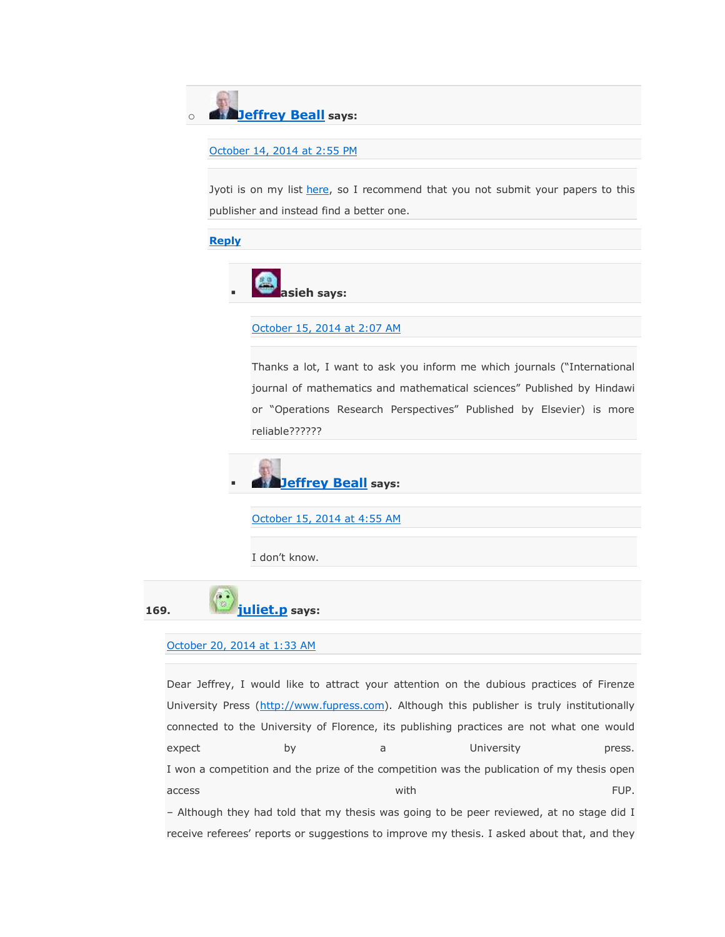o **[Jeffrey Beall](https://scholarlyoa.wordpress.com/) says:**

[October 14, 2014 at 2:55 PM](https://scholarlyoa.com/2012/12/06/bealls-list-of-predatory-publishers-2013/#comment-178801)

Jyoti is on my list [here,](https://scholarlyoa.com/publishers/) so I recommend that you not submit your papers to this publisher and instead find a better one.

**[Reply](https://scholarlyoa.com/2012/12/06/bealls-list-of-predatory-publishers-2013/?replytocom=178801#respond)**



### [October 15, 2014 at 2:07 AM](https://scholarlyoa.com/2012/12/06/bealls-list-of-predatory-publishers-2013/#comment-179140)

Thanks a lot, I want to ask you inform me which journals ("International journal of mathematics and mathematical sciences" Published by Hindawi or "Operations Research Perspectives" Published by Elsevier) is more reliable??????



[October 15, 2014 at 4:55 AM](https://scholarlyoa.com/2012/12/06/bealls-list-of-predatory-publishers-2013/#comment-179233)

I don't know.



#### [October 20, 2014 at 1:33 AM](https://scholarlyoa.com/2012/12/06/bealls-list-of-predatory-publishers-2013/#comment-182335)

Dear Jeffrey, I would like to attract your attention on the dubious practices of Firenze University Press [\(http://www.fupress.com\)](http://www.fupress.com/). Although this publisher is truly institutionally connected to the University of Florence, its publishing practices are not what one would expect by a University press. I won a competition and the prize of the competition was the publication of my thesis open access and the control of the control of the control of the control of the control of the control of the control of the control of the control of the control of the control of the control of the control of the control of t – Although they had told that my thesis was going to be peer reviewed, at no stage did I

receive referees' reports or suggestions to improve my thesis. I asked about that, and they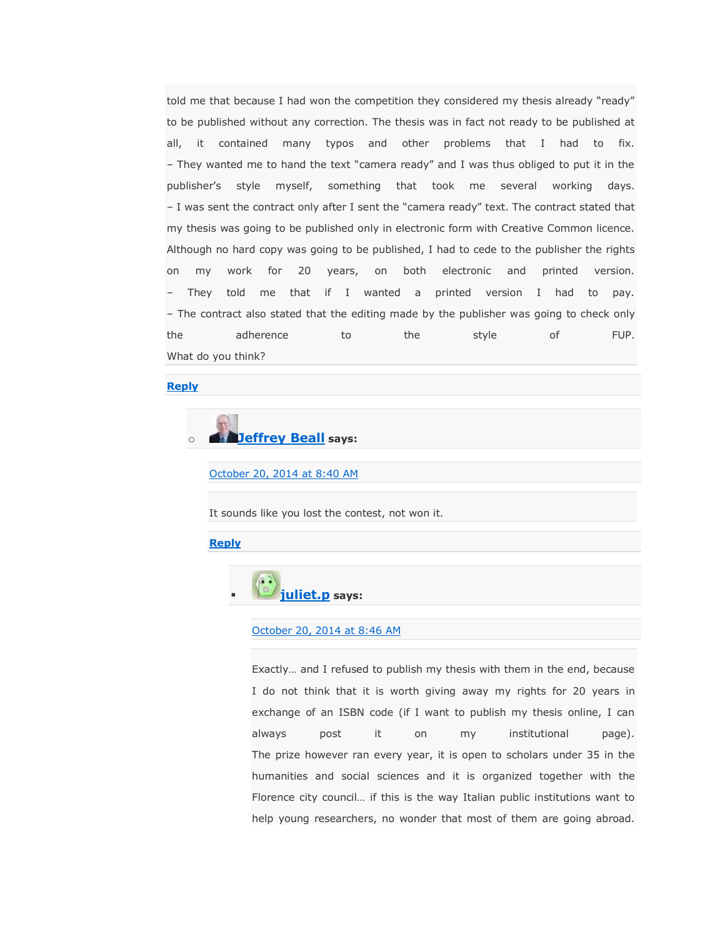told me that because I had won the competition they considered my thesis already "ready" to be published without any correction. The thesis was in fact not ready to be published at all, it contained many typos and other problems that I had to fix. – They wanted me to hand the text "camera ready" and I was thus obliged to put it in the publisher's style myself, something that took me several working days. – I was sent the contract only after I sent the "camera ready" text. The contract stated that my thesis was going to be published only in electronic form with Creative Common licence. Although no hard copy was going to be published, I had to cede to the publisher the rights on my work for 20 years, on both electronic and printed version. – They told me that if I wanted a printed version I had to pay. – The contract also stated that the editing made by the publisher was going to check only the adherence to the style of FUP. What do you think?

#### **[Reply](https://scholarlyoa.com/2012/12/06/bealls-list-of-predatory-publishers-2013/?replytocom=182335#respond)**

# o **[Jeffrey Beall](https://scholarlyoa.wordpress.com/) says:**

[October 20, 2014 at 8:40 AM](https://scholarlyoa.com/2012/12/06/bealls-list-of-predatory-publishers-2013/#comment-182524)

It sounds like you lost the contest, not won it.

#### **[Reply](https://scholarlyoa.com/2012/12/06/bealls-list-of-predatory-publishers-2013/?replytocom=182524#respond)**



[October 20, 2014 at 8:46 AM](https://scholarlyoa.com/2012/12/06/bealls-list-of-predatory-publishers-2013/#comment-182530)

Exactly… and I refused to publish my thesis with them in the end, because I do not think that it is worth giving away my rights for 20 years in exchange of an ISBN code (if I want to publish my thesis online, I can always post it on my institutional page). The prize however ran every year, it is open to scholars under 35 in the humanities and social sciences and it is organized together with the Florence city council… if this is the way Italian public institutions want to help young researchers, no wonder that most of them are going abroad.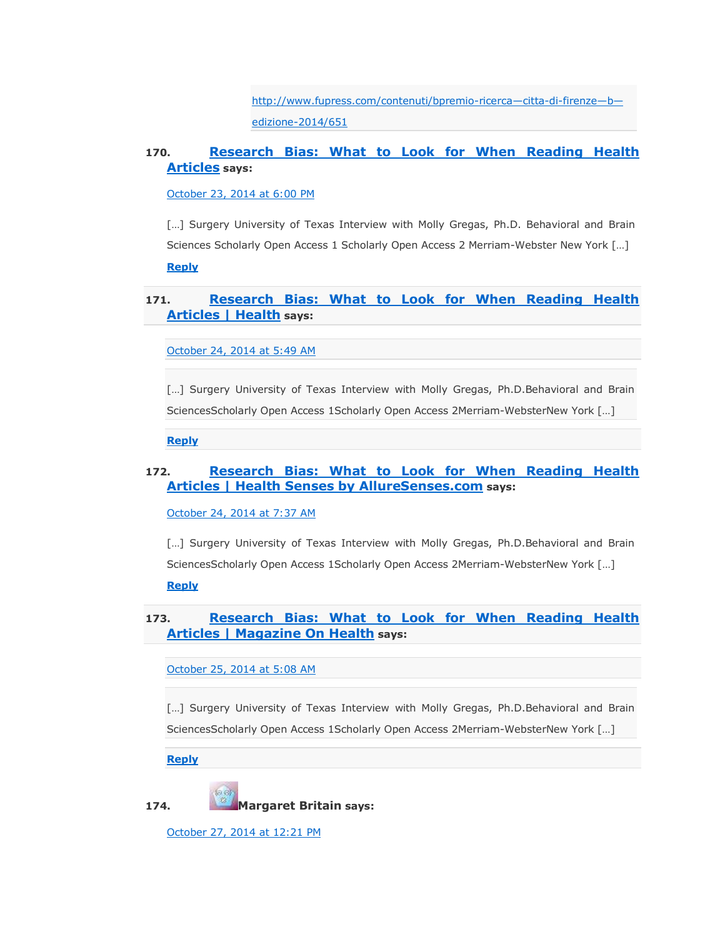[http://www.fupress.com/contenuti/bpremio-ricerca](http://www.fupress.com/contenuti/bpremio-ricerca---citta-di-firenze---b---edizione-2014/651)—citta-di-firenze—b [edizione-2014/651](http://www.fupress.com/contenuti/bpremio-ricerca---citta-di-firenze---b---edizione-2014/651)

### **170. [Research Bias: What to Look for When Reading Health](http://guardianlv.com/2014/10/research-bias-what-to-look-for-when-reading-health-articles/)  [Articles](http://guardianlv.com/2014/10/research-bias-what-to-look-for-when-reading-health-articles/) says:**

[October 23, 2014 at 6:00 PM](https://scholarlyoa.com/2012/12/06/bealls-list-of-predatory-publishers-2013/#comment-184736)

[...] Surgery University of Texas Interview with Molly Gregas, Ph.D. Behavioral and Brain Sciences Scholarly Open Access 1 Scholarly Open Access 2 Merriam-Webster New York […] **[Reply](https://scholarlyoa.com/2012/12/06/bealls-list-of-predatory-publishers-2013/?replytocom=184736#respond)**

### **171. [Research Bias: What to Look for When Reading Health](http://health.growperfectpeppers.com/research-bias-what-to-look-for-when-reading-health-articles/)  [Articles | Health](http://health.growperfectpeppers.com/research-bias-what-to-look-for-when-reading-health-articles/) says:**

[October 24, 2014 at 5:49 AM](https://scholarlyoa.com/2012/12/06/bealls-list-of-predatory-publishers-2013/#comment-185117)

[...] Surgery University of Texas Interview with Molly Gregas, Ph.D.Behavioral and Brain SciencesScholarly Open Access 1Scholarly Open Access 2Merriam-WebsterNew York […]

**[Reply](https://scholarlyoa.com/2012/12/06/bealls-list-of-predatory-publishers-2013/?replytocom=185117#respond)**

### **172. [Research Bias: What to Look for When Reading Health](http://health.alluresenses.com/research-bias-what-to-look-for-when-reading-health-articles/)  [Articles | Health Senses by AllureSenses.com](http://health.alluresenses.com/research-bias-what-to-look-for-when-reading-health-articles/) says:**

[October 24, 2014 at 7:37 AM](https://scholarlyoa.com/2012/12/06/bealls-list-of-predatory-publishers-2013/#comment-185162)

[...] Surgery University of Texas Interview with Molly Gregas, Ph.D.Behavioral and Brain SciencesScholarly Open Access 1Scholarly Open Access 2Merriam-WebsterNew York […] **[Reply](https://scholarlyoa.com/2012/12/06/bealls-list-of-predatory-publishers-2013/?replytocom=185162#respond)**

### **173. Research Bias: [What to Look for When Reading Health](http://magazineonhealth.com/research-bias-what-to-look-for-when-reading-health-articles/)  [Articles | Magazine On Health](http://magazineonhealth.com/research-bias-what-to-look-for-when-reading-health-articles/) says:**

[October 25, 2014 at 5:08 AM](https://scholarlyoa.com/2012/12/06/bealls-list-of-predatory-publishers-2013/#comment-185838)

[...] Surgery University of Texas Interview with Molly Gregas, Ph.D.Behavioral and Brain SciencesScholarly Open Access 1Scholarly Open Access 2Merriam-WebsterNew York […]

**[Reply](https://scholarlyoa.com/2012/12/06/bealls-list-of-predatory-publishers-2013/?replytocom=185838#respond)**

**174. Margaret Britain says:**

[October 27, 2014 at 12:21 PM](https://scholarlyoa.com/2012/12/06/bealls-list-of-predatory-publishers-2013/#comment-187233)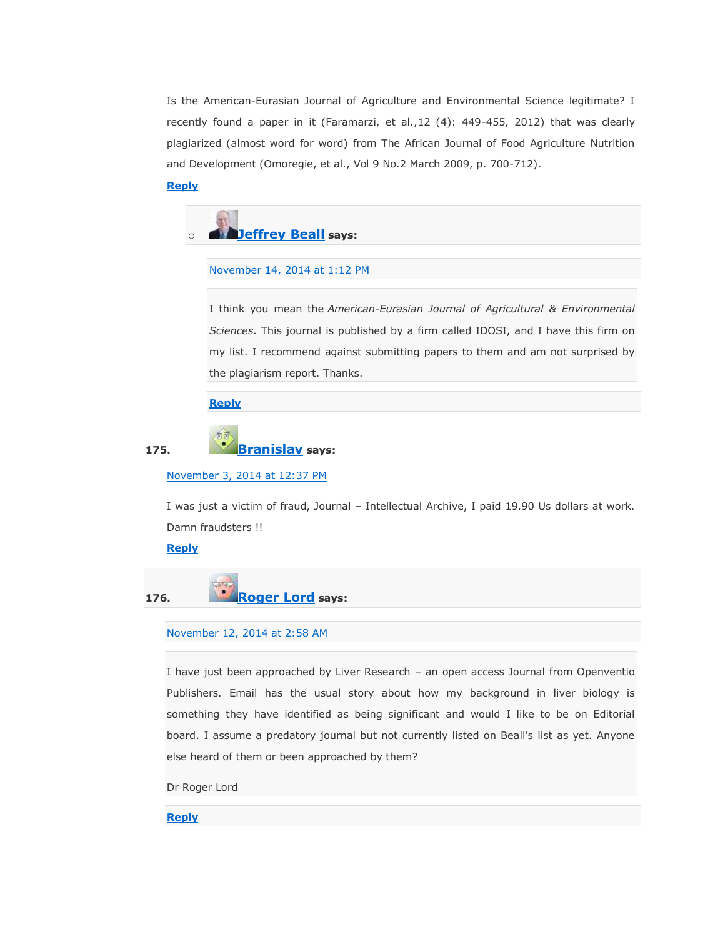Is the American-Eurasian Journal of Agriculture and Environmental Science legitimate? I recently found a paper in it (Faramarzi, et al.,12 (4): 449-455, 2012) that was clearly plagiarized (almost word for word) from The African Journal of Food Agriculture Nutrition and Development (Omoregie, et al., Vol 9 No.2 March 2009, p. 700-712).

### **[Reply](https://scholarlyoa.com/2012/12/06/bealls-list-of-predatory-publishers-2013/?replytocom=187233#respond)**

# o **[Jeffrey Beall](https://scholarlyoa.wordpress.com/) says:**

#### [November 14, 2014 at 1:12 PM](https://scholarlyoa.com/2012/12/06/bealls-list-of-predatory-publishers-2013/#comment-200615)

I think you mean the *American-Eurasian Journal of Agricultural & Environmental Sciences*. This journal is published by a firm called IDOSI, and I have this firm on my list. I recommend against submitting papers to them and am not surprised by the plagiarism report. Thanks.

### **[Reply](https://scholarlyoa.com/2012/12/06/bealls-list-of-predatory-publishers-2013/?replytocom=200615#respond)**

### **175. [Branislav](http://-/) says:**

### [November 3, 2014 at 12:37 PM](https://scholarlyoa.com/2012/12/06/bealls-list-of-predatory-publishers-2013/#comment-192256)

I was just a victim of fraud, Journal – Intellectual Archive, I paid 19.90 Us dollars at work. Damn fraudsters !!

#### **[Reply](https://scholarlyoa.com/2012/12/06/bealls-list-of-predatory-publishers-2013/?replytocom=192256#respond)**

**176. [Roger Lord](http://openventio.org/OpenJournal/LiverResearch.html) says:**

### [November 12, 2014 at 2:58 AM](https://scholarlyoa.com/2012/12/06/bealls-list-of-predatory-publishers-2013/#comment-198940)

I have just been approached by Liver Research – an open access Journal from Openventio Publishers. Email has the usual story about how my background in liver biology is something they have identified as being significant and would I like to be on Editorial board. I assume a predatory journal but not currently listed on Beall's list as yet. Anyone else heard of them or been approached by them?

Dr Roger Lord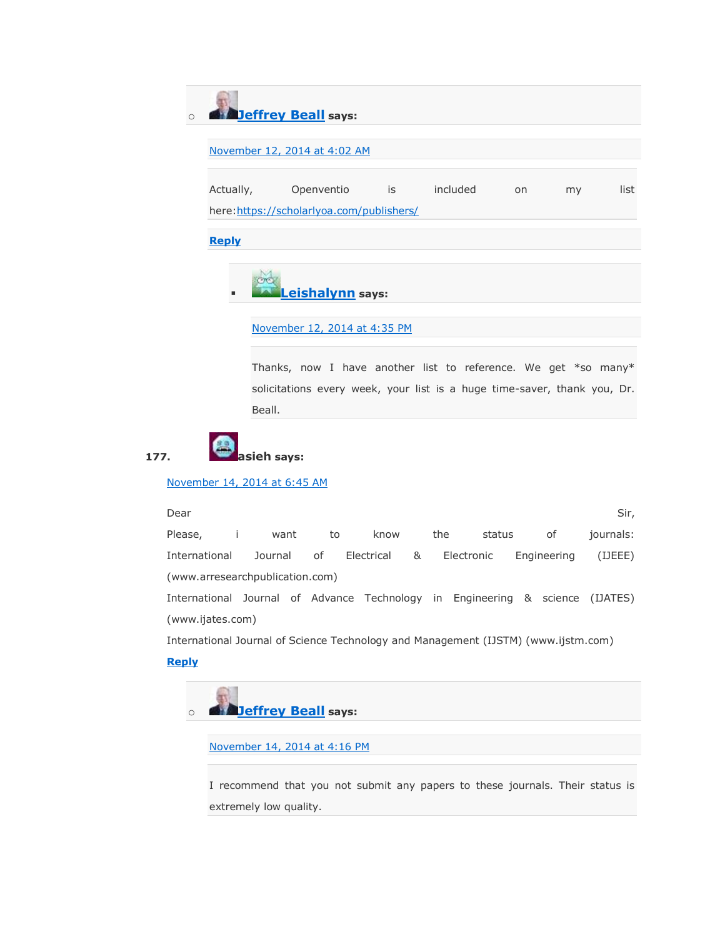o **[Jeffrey Beall](https://scholarlyoa.wordpress.com/) says:**

### [November 12, 2014 at 4:02 AM](https://scholarlyoa.com/2012/12/06/bealls-list-of-predatory-publishers-2013/#comment-198974)

Actually, Openventio is included on my list here[:https://scholarlyoa.com/publishers/](https://scholarlyoa.com/publishers/)

**[Reply](https://scholarlyoa.com/2012/12/06/bealls-list-of-predatory-publishers-2013/?replytocom=198974#respond)**



### [November 12, 2014 at 4:35 PM](https://scholarlyoa.com/2012/12/06/bealls-list-of-predatory-publishers-2013/#comment-199363)

Thanks, now I have another list to reference. We get \*so many\* solicitations every week, your list is a huge time-saver, thank you, Dr. Beall.



### [November 14, 2014 at 6:45 AM](https://scholarlyoa.com/2012/12/06/bealls-list-of-predatory-publishers-2013/#comment-200446)

المستخدم المستخدم المستخدم المستخدم المستخدم المستخدم المستخدم المستخدم المستخدم المستخدم المستخدم المستخدم المستخدم Please, i want to know the status of journals: International Journal of Electrical & Electronic Engineering (IJEEE) (www.arresearchpublication.com) International Journal of Advance Technology in Engineering & science (IJATES) (www.ijates.com)

International Journal of Science Technology and Management (IJSTM) (www.ijstm.com)

### **[Reply](https://scholarlyoa.com/2012/12/06/bealls-list-of-predatory-publishers-2013/?replytocom=200446#respond)**



[November 14, 2014 at 4:16 PM](https://scholarlyoa.com/2012/12/06/bealls-list-of-predatory-publishers-2013/#comment-200706)

I recommend that you not submit any papers to these journals. Their status is extremely low quality.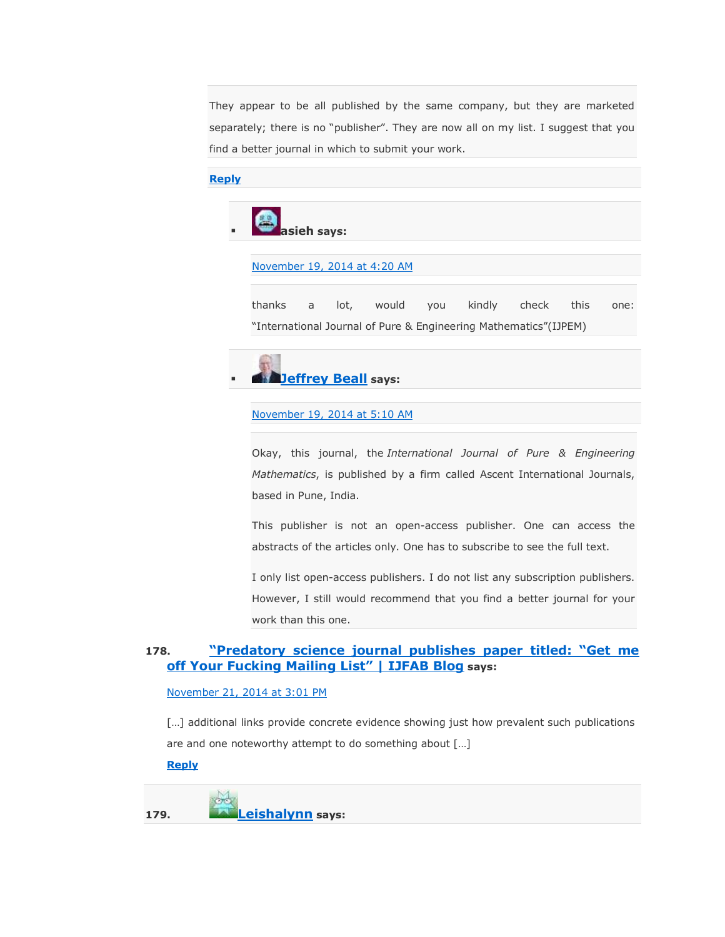They appear to be all published by the same company, but they are marketed separately; there is no "publisher". They are now all on my list. I suggest that you find a better journal in which to submit your work.

### **[Reply](https://scholarlyoa.com/2012/12/06/bealls-list-of-predatory-publishers-2013/?replytocom=200706#respond)**



### [November 19, 2014 at 4:20 AM](https://scholarlyoa.com/2012/12/06/bealls-list-of-predatory-publishers-2013/#comment-203505)

thanks a lot, would you kindly check this one: "International Journal of Pure & Engineering Mathematics"(IJPEM)



#### [November 19, 2014 at 5:10 AM](https://scholarlyoa.com/2012/12/06/bealls-list-of-predatory-publishers-2013/#comment-203527)

Okay, this journal, the *International Journal of Pure & Engineering Mathematics*, is published by a firm called Ascent International Journals, based in Pune, India.

This publisher is not an open-access publisher. One can access the abstracts of the articles only. One has to subscribe to see the full text.

I only list open-access publishers. I do not list any subscription publishers. However, I still would recommend that you find a better journal for your work than this one.

### 178. **<b>Predatory science journal publishes paper titled: "Get me [off Your Fucking Mailing List‖ | IJFAB Blog](http://www.ijfab.org/blog/predatory-science-journal-publishes-paper-titled-get-me-off-your-fucking-mailing-list/) says:**

### [November 21, 2014 at 3:01 PM](https://scholarlyoa.com/2012/12/06/bealls-list-of-predatory-publishers-2013/#comment-204902)

[...] additional links provide concrete evidence showing just how prevalent such publications are and one noteworthy attempt to do something about […]

### **[Reply](https://scholarlyoa.com/2012/12/06/bealls-list-of-predatory-publishers-2013/?replytocom=204902#respond)**

**179. [Leishalynn](http://www.decisionresearch.org/) says:**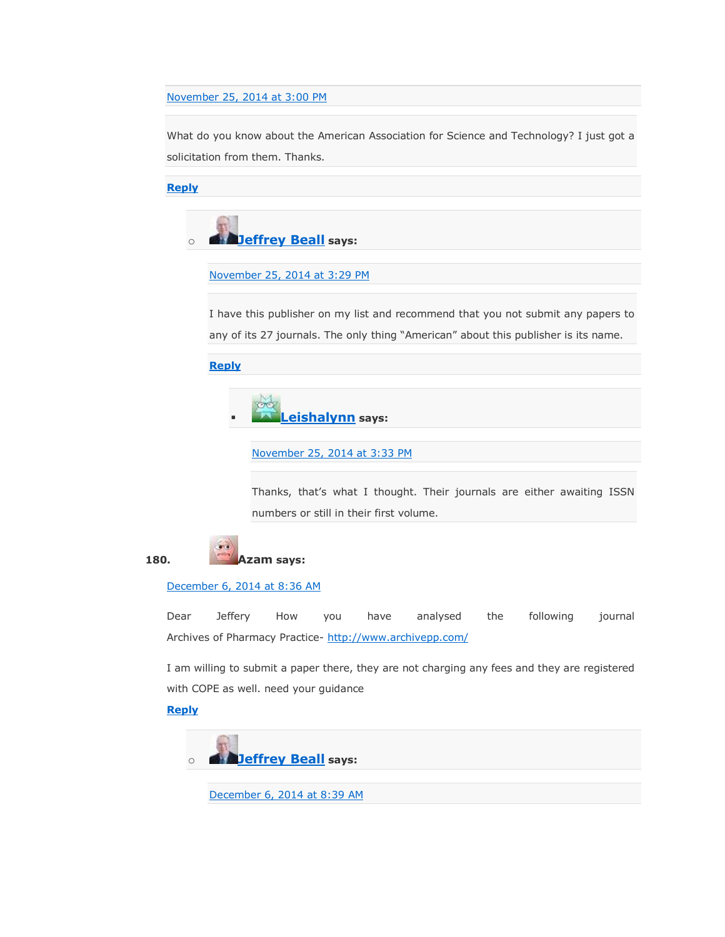### [November 25, 2014 at 3:00 PM](https://scholarlyoa.com/2012/12/06/bealls-list-of-predatory-publishers-2013/#comment-206931)

What do you know about the American Association for Science and Technology? I just got a solicitation from them. Thanks.

**[Reply](https://scholarlyoa.com/2012/12/06/bealls-list-of-predatory-publishers-2013/?replytocom=206931#respond)**



### [November 25, 2014 at 3:29 PM](https://scholarlyoa.com/2012/12/06/bealls-list-of-predatory-publishers-2013/#comment-206949)

I have this publisher on my list and recommend that you not submit any papers to any of its 27 journals. The only thing "American" about this publisher is its name.

**[Reply](https://scholarlyoa.com/2012/12/06/bealls-list-of-predatory-publishers-2013/?replytocom=206949#respond)**



[November 25, 2014 at 3:33 PM](https://scholarlyoa.com/2012/12/06/bealls-list-of-predatory-publishers-2013/#comment-206950)

Thanks, that's what I thought. Their journals are either awaiting ISSN numbers or still in their first volume.



[December 6, 2014 at 8:36 AM](https://scholarlyoa.com/2012/12/06/bealls-list-of-predatory-publishers-2013/#comment-212439)

Dear Jeffery How you have analysed the following journal Archives of Pharmacy Practice- <http://www.archivepp.com/>

I am willing to submit a paper there, they are not charging any fees and they are registered with COPE as well. need your guidance

### **[Reply](https://scholarlyoa.com/2012/12/06/bealls-list-of-predatory-publishers-2013/?replytocom=212439#respond)**



[December 6, 2014 at 8:39](https://scholarlyoa.com/2012/12/06/bealls-list-of-predatory-publishers-2013/#comment-212440) AM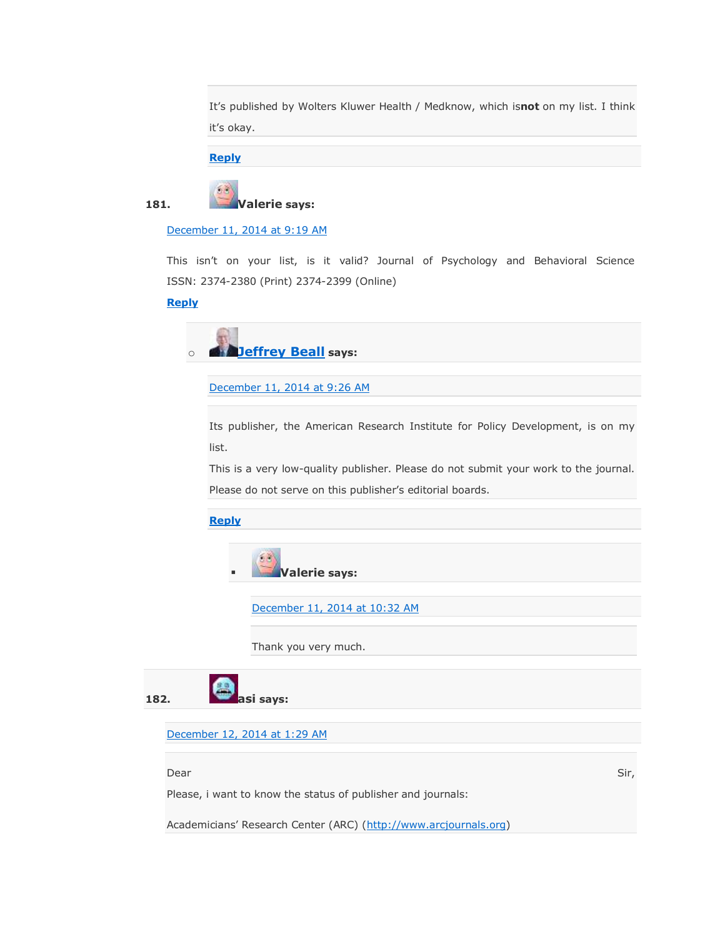It's published by Wolters Kluwer Health / Medknow, which is**not** on my list. I think it's okay.

**[Reply](https://scholarlyoa.com/2012/12/06/bealls-list-of-predatory-publishers-2013/?replytocom=212440#respond)**



[December 11, 2014 at 9:19 AM](https://scholarlyoa.com/2012/12/06/bealls-list-of-predatory-publishers-2013/#comment-214834)

This isn't on your list, is it valid? Journal of Psychology and Behavioral Science ISSN: 2374-2380 (Print) 2374-2399 (Online)

### **[Reply](https://scholarlyoa.com/2012/12/06/bealls-list-of-predatory-publishers-2013/?replytocom=214834#respond)**



[December 11, 2014 at 9:26 AM](https://scholarlyoa.com/2012/12/06/bealls-list-of-predatory-publishers-2013/#comment-214838)

Its publisher, the American Research Institute for Policy Development, is on my list.

This is a very low-quality publisher. Please do not submit your work to the journal. Please do not serve on this publisher's editorial boards.

**[Reply](https://scholarlyoa.com/2012/12/06/bealls-list-of-predatory-publishers-2013/?replytocom=214838#respond)**



[December 11, 2014 at 10:32 AM](https://scholarlyoa.com/2012/12/06/bealls-list-of-predatory-publishers-2013/#comment-214856)

Thank you very much.



[December 12, 2014 at 1:29 AM](https://scholarlyoa.com/2012/12/06/bealls-list-of-predatory-publishers-2013/#comment-215155)

المستخدم المستخدم المستخدم المستخدم المستخدم المستخدم المستخدم المستخدم المستخدم المستخدم المستخدم المستخدم المستخدم

Please, i want to know the status of publisher and journals:

Academicians' Research Center (ARC) ([http://www.arcjournals.org\)](http://www.arcjournals.org/)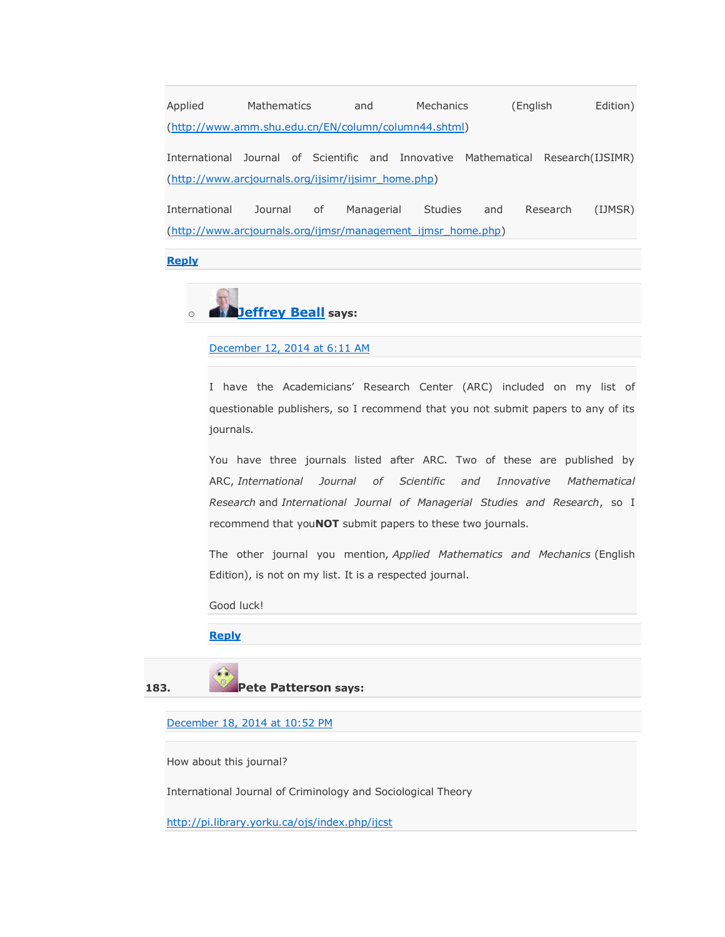Applied Mathematics and Mechanics (English Edition) [\(http://www.amm.shu.edu.cn/EN/column/column44.shtml\)](http://www.amm.shu.edu.cn/EN/column/column44.shtml)

International Journal of Scientific and Innovative Mathematical Research(IJSIMR) [\(http://www.arcjournals.org/ijsimr/ijsimr\\_home.php\)](http://www.arcjournals.org/ijsimr/ijsimr_home.php)

International Journal of Managerial Studies and Research (IJMSR) [\(http://www.arcjournals.org/ijmsr/management\\_ijmsr\\_home.php\)](http://www.arcjournals.org/ijmsr/management_ijmsr_home.php)

**[Reply](https://scholarlyoa.com/2012/12/06/bealls-list-of-predatory-publishers-2013/?replytocom=215155#respond)**



### [December 12, 2014 at 6:11 AM](https://scholarlyoa.com/2012/12/06/bealls-list-of-predatory-publishers-2013/#comment-215247)

I have the Academicians' Research Center (ARC) included on my list of questionable publishers, so I recommend that you not submit papers to any of its journals.

You have three journals listed after ARC. Two of these are published by ARC, *International Journal of Scientific and Innovative Mathematical Research* and *International Journal of Managerial Studies and Research*, so I recommend that you**NOT** submit papers to these two journals.

The other journal you mention, *Applied Mathematics and Mechanics* (English Edition), is not on my list. It is a respected journal.

Good luck!

#### **[Reply](https://scholarlyoa.com/2012/12/06/bealls-list-of-predatory-publishers-2013/?replytocom=215247#respond)**



[December 18, 2014 at 10:52 PM](https://scholarlyoa.com/2012/12/06/bealls-list-of-predatory-publishers-2013/#comment-220116)

How about this journal?

International Journal of Criminology and Sociological Theory

<http://pi.library.yorku.ca/ojs/index.php/ijcst>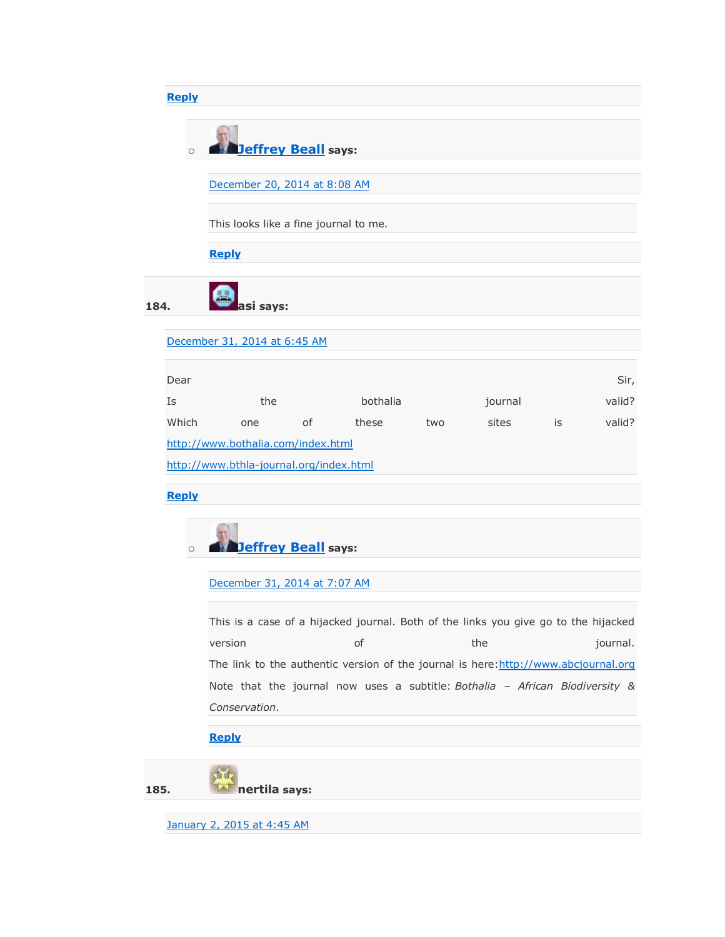# **[Reply](https://scholarlyoa.com/2012/12/06/bealls-list-of-predatory-publishers-2013/?replytocom=220116#respond)** o **[Jeffrey Beall](https://scholarlyoa.wordpress.com/) says:** [December 20, 2014 at 8:08 AM](https://scholarlyoa.com/2012/12/06/bealls-list-of-predatory-publishers-2013/#comment-220988) This looks like a fine journal to me. **[Reply](https://scholarlyoa.com/2012/12/06/bealls-list-of-predatory-publishers-2013/?replytocom=220988#respond) 184. asi says:** [December 31, 2014 at 6:45 AM](https://scholarlyoa.com/2012/12/06/bealls-list-of-predatory-publishers-2013/#comment-228120) Dear Sir, and the state of the state of the state of the state of the state of the state of the Sir, Is the bothalia journal valid? Which one of these two sites is valid? <http://www.bothalia.com/index.html> <http://www.bthla-journal.org/index.html> **[Reply](https://scholarlyoa.com/2012/12/06/bealls-list-of-predatory-publishers-2013/?replytocom=228120#respond)** o **[Jeffrey Beall](https://scholarlyoa.wordpress.com/) says:** [December 31, 2014 at 7:07 AM](https://scholarlyoa.com/2012/12/06/bealls-list-of-predatory-publishers-2013/#comment-228127) This is a case of a hijacked journal. Both of the links you give go to the hijacked version and the second of the the second interval. The link to the authentic version of the journal is here: http://www.abcjournal.org Note that the journal now uses a subtitle: *Bothalia – African Biodiversity & Conservation*. **[Reply](https://scholarlyoa.com/2012/12/06/bealls-list-of-predatory-publishers-2013/?replytocom=228127#respond)** Óù. **185. nertila says:**

[January 2, 2015 at 4:45 AM](https://scholarlyoa.com/2012/12/06/bealls-list-of-predatory-publishers-2013/#comment-229327)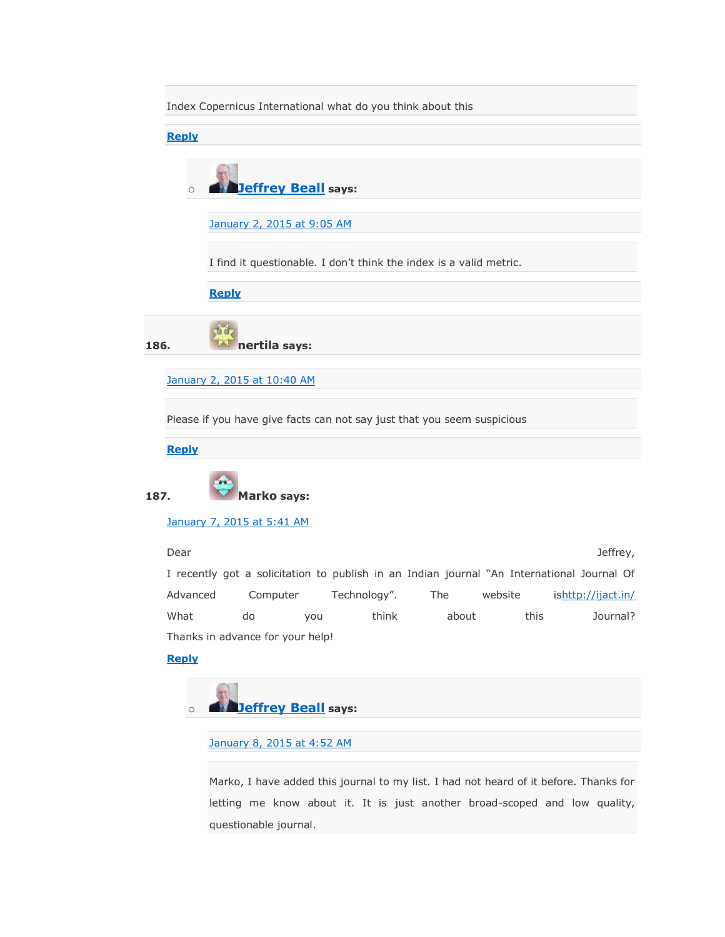Index Copernicus International what do you think about this

**[Reply](https://scholarlyoa.com/2012/12/06/bealls-list-of-predatory-publishers-2013/?replytocom=229327#respond)**

| <b>Deffrey Beall says:</b> |  |
|----------------------------|--|

[January 2, 2015 at 9:05 AM](https://scholarlyoa.com/2012/12/06/bealls-list-of-predatory-publishers-2013/#comment-229432)

I find it questionable. I don't think the index is a valid metric.

**[Reply](https://scholarlyoa.com/2012/12/06/bealls-list-of-predatory-publishers-2013/?replytocom=229432#respond)**

 $56$ **186. nertila says:**

[January 2, 2015 at 10:40 AM](https://scholarlyoa.com/2012/12/06/bealls-list-of-predatory-publishers-2013/#comment-229478)

Please if you have give facts can not say just that you seem suspicious

**[Reply](https://scholarlyoa.com/2012/12/06/bealls-list-of-predatory-publishers-2013/?replytocom=229478#respond)**



**187. Marko says:**

[January 7, 2015 at 5:41 AM](https://scholarlyoa.com/2012/12/06/bealls-list-of-predatory-publishers-2013/#comment-232552)

Dear Jeffrey,

I recently got a solicitation to publish in an Indian journal "An International Journal Of Advanced Computer Technology". The website is<http://ijact.in/> What do you think about this Journal? Thanks in advance for your help!

**[Reply](https://scholarlyoa.com/2012/12/06/bealls-list-of-predatory-publishers-2013/?replytocom=232552#respond)**



[January 8, 2015 at 4:52 AM](https://scholarlyoa.com/2012/12/06/bealls-list-of-predatory-publishers-2013/#comment-233090)

Marko, I have added this journal to my list. I had not heard of it before. Thanks for letting me know about it. It is just another broad-scoped and low quality, questionable journal.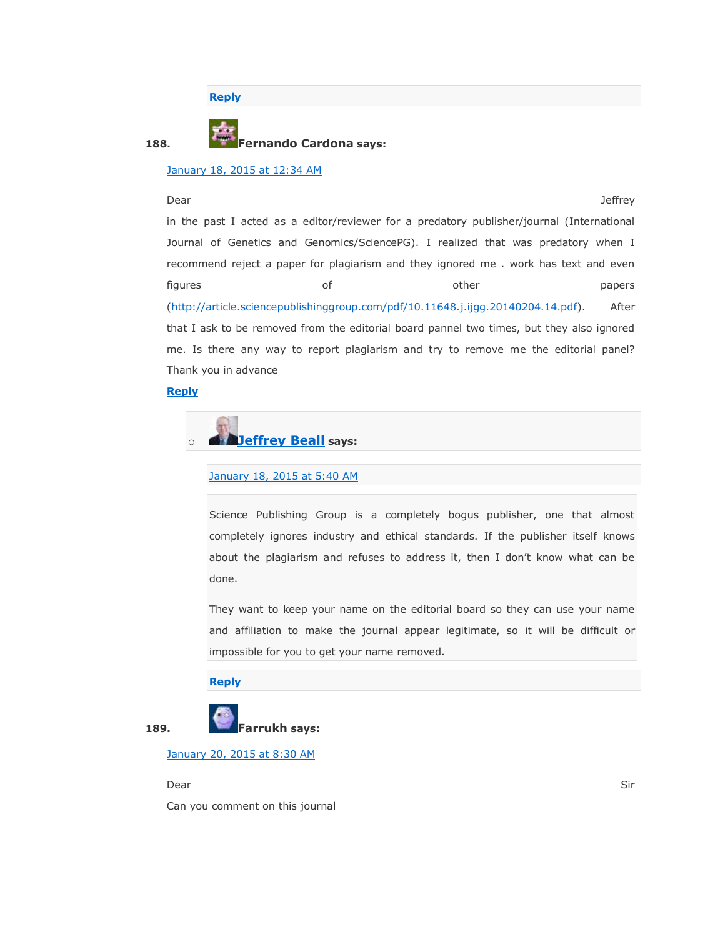**[Reply](https://scholarlyoa.com/2012/12/06/bealls-list-of-predatory-publishers-2013/?replytocom=233090#respond)**

### **188. Fernando Cardona says:**

### [January 18, 2015 at 12:34 AM](https://scholarlyoa.com/2012/12/06/bealls-list-of-predatory-publishers-2013/#comment-238973)

Dear Jeffrey

in the past I acted as a editor/reviewer for a predatory publisher/journal (International Journal of Genetics and Genomics/SciencePG). I realized that was predatory when I recommend reject a paper for plagiarism and they ignored me . work has text and even figures and of the papers of the papers of the papers of the papers of the papers of the papers of the papers of the papers of the papers of the papers of the papers of the papers of the papers of the papers of the papers [\(http://article.sciencepublishinggroup.com/pdf/10.11648.j.ijgg.20140204.14.pdf\)](http://article.sciencepublishinggroup.com/pdf/10.11648.j.ijgg.20140204.14.pdf). After that I ask to be removed from the editorial board pannel two times, but they also ignored me. Is there any way to report plagiarism and try to remove me the editorial panel? Thank you in advance

### **[Reply](https://scholarlyoa.com/2012/12/06/bealls-list-of-predatory-publishers-2013/?replytocom=238973#respond)**



#### [January 18, 2015 at 5:40 AM](https://scholarlyoa.com/2012/12/06/bealls-list-of-predatory-publishers-2013/#comment-239109)

Science Publishing Group is a completely bogus publisher, one that almost completely ignores industry and ethical standards. If the publisher itself knows about the plagiarism and refuses to address it, then I don't know what can be done.

They want to keep your name on the editorial board so they can use your name and affiliation to make the journal appear legitimate, so it will be difficult or impossible for you to get your name removed.

### **[Reply](https://scholarlyoa.com/2012/12/06/bealls-list-of-predatory-publishers-2013/?replytocom=239109#respond)**



[January 20, 2015 at 8:30 AM](https://scholarlyoa.com/2012/12/06/bealls-list-of-predatory-publishers-2013/#comment-240587)

dear in the state of the state of the state of the state of the state of the state of the Sir

Can you comment on this journal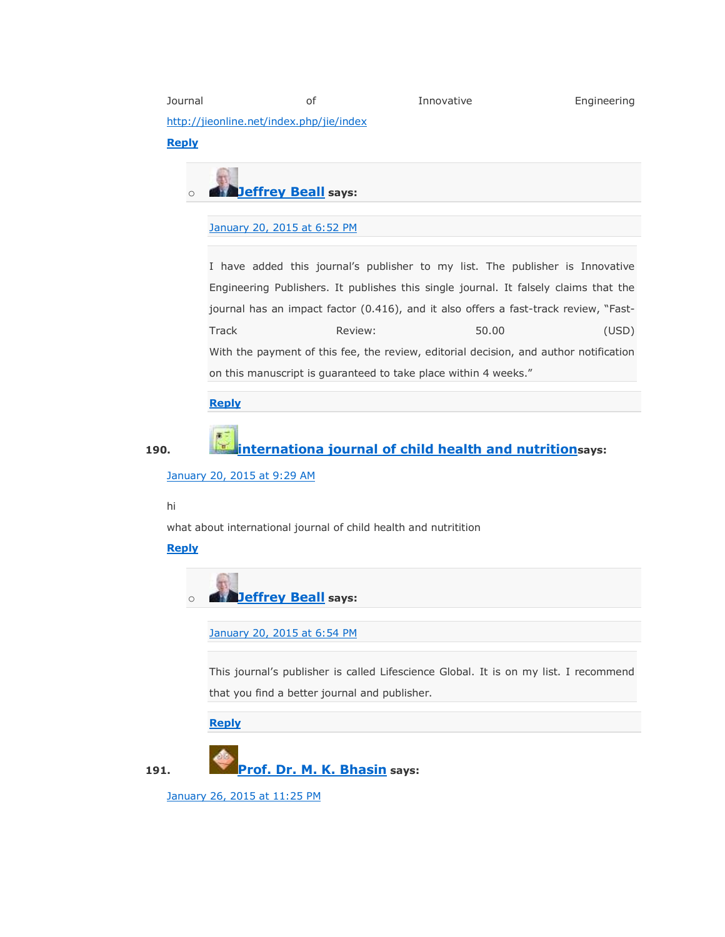Journal of Innovative Engineering <http://jieonline.net/index.php/jie/index> **[Reply](https://scholarlyoa.com/2012/12/06/bealls-list-of-predatory-publishers-2013/?replytocom=240587#respond)**

o **[Jeffrey Beall](https://scholarlyoa.wordpress.com/) says:**

### [January 20, 2015 at 6:52 PM](https://scholarlyoa.com/2012/12/06/bealls-list-of-predatory-publishers-2013/#comment-240916)

I have added this journal's publisher to my list. The publisher is Innovative Engineering Publishers. It publishes this single journal. It falsely claims that the journal has an impact factor (0.416), and it also offers a fast-track review, "Fast-Track Review: 50.00 (USD) With the payment of this fee, the review, editorial decision, and author notification on this manuscript is guaranteed to take place within 4 weeks."

### **[Reply](https://scholarlyoa.com/2012/12/06/bealls-list-of-predatory-publishers-2013/?replytocom=240916#respond)**

## **190. [internationa journal of child health and nutrition](http://golballifescience/)says:**

[January 20, 2015 at 9:29 AM](https://scholarlyoa.com/2012/12/06/bealls-list-of-predatory-publishers-2013/#comment-240609)

#### hi

what about international journal of child health and nutritition

**[Reply](https://scholarlyoa.com/2012/12/06/bealls-list-of-predatory-publishers-2013/?replytocom=240609#respond)**

o **[Jeffrey Beall](https://scholarlyoa.wordpress.com/) says:**

[January 20, 2015 at 6:54 PM](https://scholarlyoa.com/2012/12/06/bealls-list-of-predatory-publishers-2013/#comment-240918)

This journal's publisher is called Lifescience Global. It is on my list. I recommend that you find a better journal and publisher.

**[Reply](https://scholarlyoa.com/2012/12/06/bealls-list-of-predatory-publishers-2013/?replytocom=240918#respond)**



[January 26, 2015 at 11:25 PM](https://scholarlyoa.com/2012/12/06/bealls-list-of-predatory-publishers-2013/#comment-245189)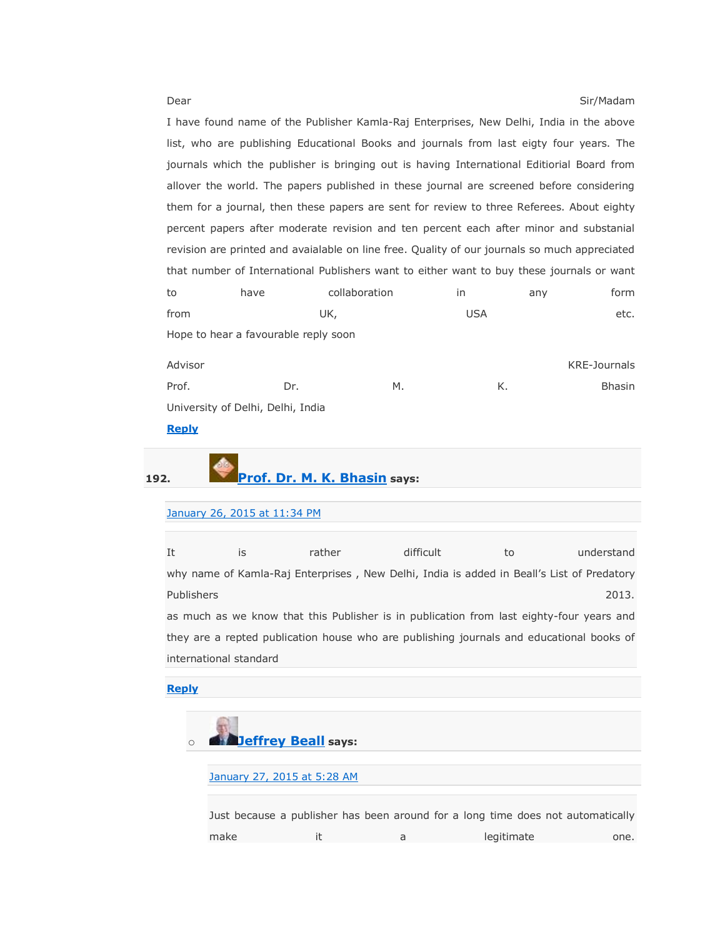Dear Sir/Madam Sir/Madam Sir/Madam Sir/Madam Sir/Madam Sir/Madam Sir/Madam Sir/Madam Sir/Madam Sir/Madam Sir/Madam Sir/Madam Sir/Madam Sir/Madam Sir/Madam Sir/Madam Sir/Madam Sir/Madam Sir/Madam Sir/Madam Sir/Madam Sir/Mad I have found name of the Publisher Kamla-Raj Enterprises, New Delhi, India in the above list, who are publishing Educational Books and journals from last eigty four years. The journals which the publisher is bringing out is having International Editiorial Board from allover the world. The papers published in these journal are screened before considering them for a journal, then these papers are sent for review to three Referees. About eighty percent papers after moderate revision and ten percent each after minor and substanial revision are printed and avaialable on line free. Quality of our journals so much appreciated that number of International Publishers want to either want to buy these journals or want to have collaboration in any form from UK, USA etc. Hope to hear a favourable reply soon

| Advisor                           |     |    | <b>KRE-Journals</b> |               |
|-----------------------------------|-----|----|---------------------|---------------|
| Prof.                             | Dr. | М. | Κ.                  | <b>Bhasin</b> |
| University of Delhi, Delhi, India |     |    |                     |               |

### **[Reply](https://scholarlyoa.com/2012/12/06/bealls-list-of-predatory-publishers-2013/?replytocom=245189#respond)**



## **192. [Prof. Dr. M. K. Bhasin](http://www.krepublishers.com/) says:**

### [January 26, 2015 at 11:34 PM](https://scholarlyoa.com/2012/12/06/bealls-list-of-predatory-publishers-2013/#comment-245194)

| It                     | is | rather | difficult                                                                                 | to | understand |
|------------------------|----|--------|-------------------------------------------------------------------------------------------|----|------------|
|                        |    |        | why name of Kamla-Raj Enterprises, New Delhi, India is added in Beall's List of Predatory |    |            |
| Publishers             |    |        |                                                                                           |    | 2013.      |
|                        |    |        | as much as we know that this Publisher is in publication from last eighty-four years and  |    |            |
|                        |    |        | they are a repted publication house who are publishing journals and educational books of  |    |            |
| international standard |    |        |                                                                                           |    |            |

### **[Reply](https://scholarlyoa.com/2012/12/06/bealls-list-of-predatory-publishers-2013/?replytocom=245194#respond)**



make it a legitimate one.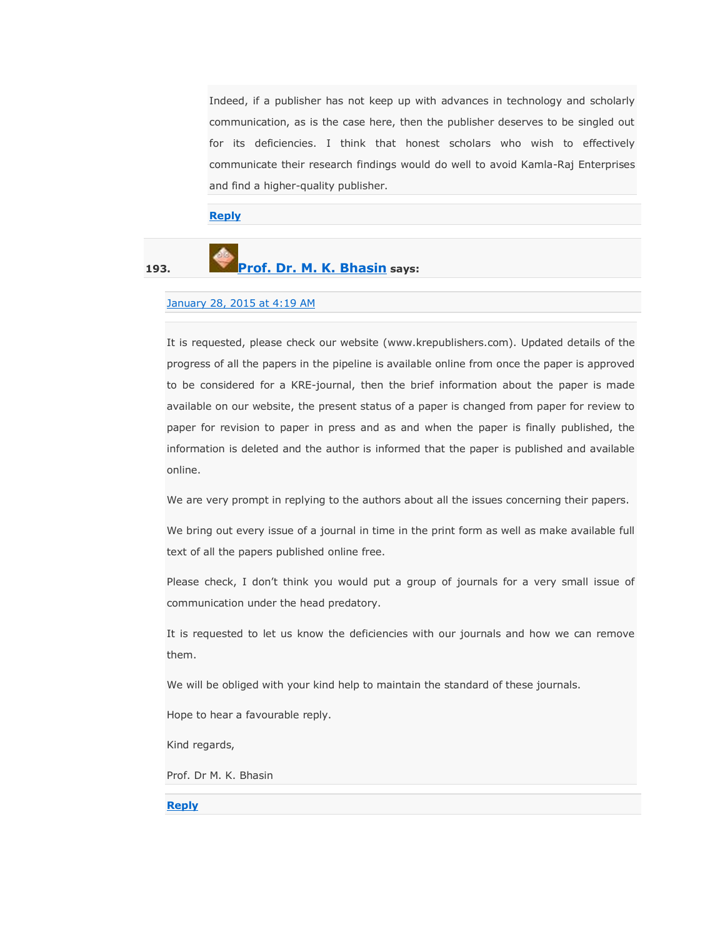Indeed, if a publisher has not keep up with advances in technology and scholarly communication, as is the case here, then the publisher deserves to be singled out for its deficiencies. I think that honest scholars who wish to effectively communicate their research findings would do well to avoid Kamla-Raj Enterprises and find a higher-quality publisher.

**[Reply](https://scholarlyoa.com/2012/12/06/bealls-list-of-predatory-publishers-2013/?replytocom=245325#respond)**

# **193. [Prof. Dr. M. K. Bhasin](http://www.krepublishers.com/) says:**

#### [January 28, 2015 at 4:19 AM](https://scholarlyoa.com/2012/12/06/bealls-list-of-predatory-publishers-2013/#comment-245967)

It is requested, please check our website (www.krepublishers.com). Updated details of the progress of all the papers in the pipeline is available online from once the paper is approved to be considered for a KRE-journal, then the brief information about the paper is made available on our website, the present status of a paper is changed from paper for review to paper for revision to paper in press and as and when the paper is finally published, the information is deleted and the author is informed that the paper is published and available online.

We are very prompt in replying to the authors about all the issues concerning their papers.

We bring out every issue of a journal in time in the print form as well as make available full text of all the papers published online free.

Please check, I don't think you would put a group of journals for a very small issue of communication under the head predatory.

It is requested to let us know the deficiencies with our journals and how we can remove them.

We will be obliged with your kind help to maintain the standard of these journals.

Hope to hear a favourable reply.

Kind regards,

Prof. Dr M. K. Bhasin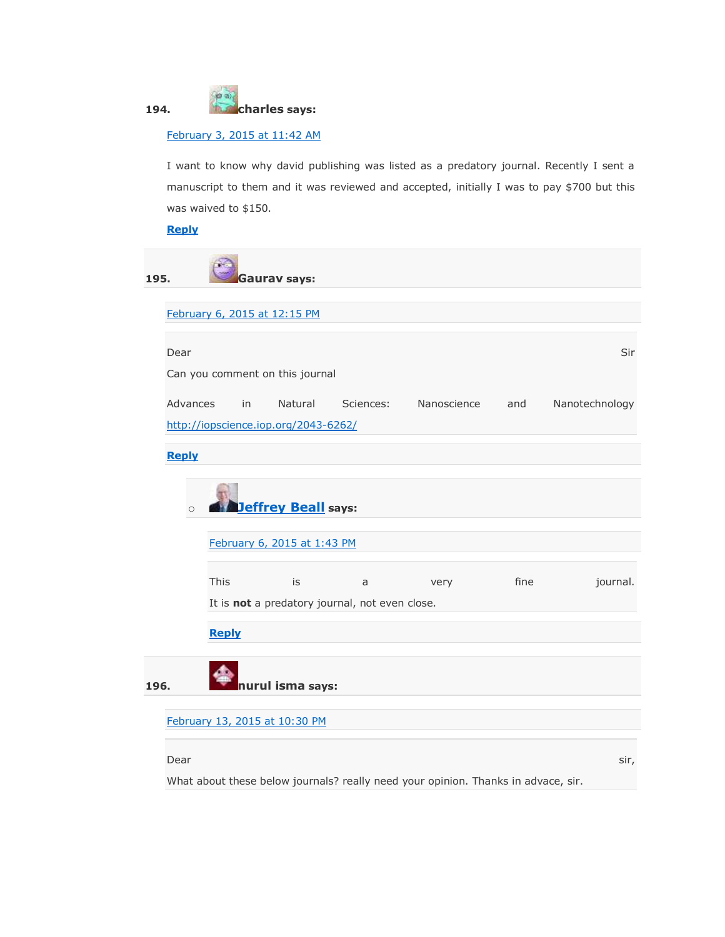

### [February 3, 2015 at 11:42 AM](https://scholarlyoa.com/2012/12/06/bealls-list-of-predatory-publishers-2013/#comment-252423)

I want to know why david publishing was listed as a predatory journal. Recently I sent a manuscript to them and it was reviewed and accepted, initially I was to pay \$700 but this was waived to \$150.

### **[Reply](https://scholarlyoa.com/2012/12/06/bealls-list-of-predatory-publishers-2013/?replytocom=252423#respond)**

| 195. |              |              | Gaurav says:                         |                                                |             |      |                |
|------|--------------|--------------|--------------------------------------|------------------------------------------------|-------------|------|----------------|
|      |              |              | February 6, 2015 at 12:15 PM         |                                                |             |      |                |
|      | Dear         |              |                                      |                                                |             |      | Sir            |
|      |              |              | Can you comment on this journal      |                                                |             |      |                |
|      | Advances     | in           | Natural                              | Sciences:                                      | Nanoscience | and  | Nanotechnology |
|      |              |              | http://iopscience.iop.org/2043-6262/ |                                                |             |      |                |
|      | <b>Reply</b> |              |                                      |                                                |             |      |                |
|      | $\circ$      |              | <b>Jeffrey Beall</b> says:           |                                                |             |      |                |
|      |              |              | February 6, 2015 at 1:43 PM          |                                                |             |      |                |
|      |              | This         | is                                   | a                                              | very        | fine | journal.       |
|      |              |              |                                      | It is not a predatory journal, not even close. |             |      |                |
|      |              | <b>Reply</b> |                                      |                                                |             |      |                |
| 196. |              |              | nurul isma says:                     |                                                |             |      |                |
|      |              |              | February 13, 2015 at 10:30 PM        |                                                |             |      |                |
|      |              |              |                                      |                                                |             |      |                |
|      | Dear         |              |                                      |                                                |             |      | sir,           |

What about these below journals? really need your opinion. Thanks in advace, sir.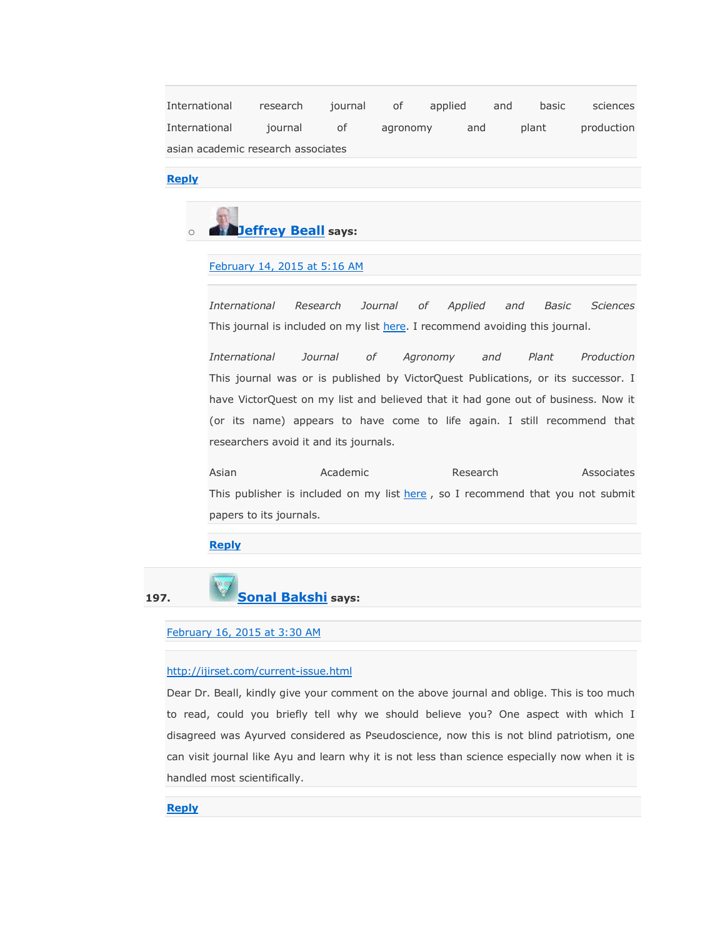International research journal of applied and basic sciences International journal of agronomy and plant production asian academic research associates

### **[Reply](https://scholarlyoa.com/2012/12/06/bealls-list-of-predatory-publishers-2013/?replytocom=259097#respond)**



### [February 14, 2015 at 5:16 AM](https://scholarlyoa.com/2012/12/06/bealls-list-of-predatory-publishers-2013/#comment-259210)

*International Research Journal of Applied and Basic Sciences* This journal is included on my list [here.](https://scholarlyoa.com/individual-journals/) I recommend avoiding this journal.

*International Journal of Agronomy and Plant Production* This journal was or is published by VictorQuest Publications, or its successor. I have VictorQuest on my list and believed that it had gone out of business. Now it (or its name) appears to have come to life again. I still recommend that researchers avoid it and its journals.

Asian **Academic** Research Associates This publisher is included on my list [here](https://scholarlyoa.com/publishers/), so I recommend that you not submit papers to its journals.

#### **[Reply](https://scholarlyoa.com/2012/12/06/bealls-list-of-predatory-publishers-2013/?replytocom=259210#respond)**

### **197. [Sonal Bakshi](http://www.nirmauni.ac.in/is/faculty) says:**

### [February 16, 2015 at 3:30 AM](https://scholarlyoa.com/2012/12/06/bealls-list-of-predatory-publishers-2013/#comment-260005)

#### <http://ijirset.com/current-issue.html>

Dear Dr. Beall, kindly give your comment on the above journal and oblige. This is too much to read, could you briefly tell why we should believe you? One aspect with which I disagreed was Ayurved considered as Pseudoscience, now this is not blind patriotism, one can visit journal like Ayu and learn why it is not less than science especially now when it is handled most scientifically.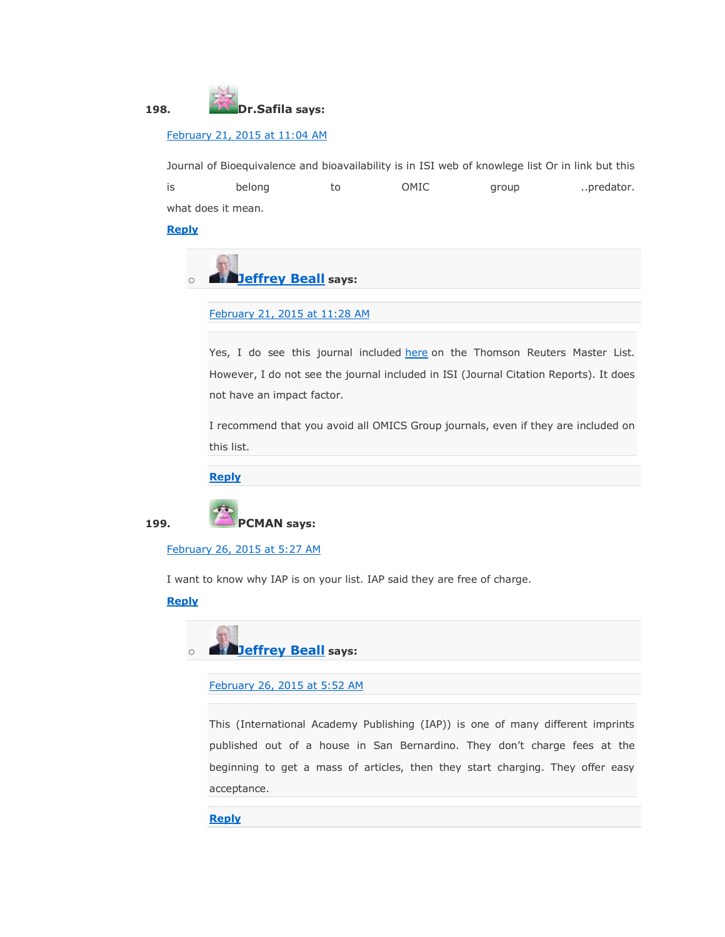

### [February 21, 2015 at 11:04 AM](https://scholarlyoa.com/2012/12/06/bealls-list-of-predatory-publishers-2013/#comment-261669)

Journal of Bioequivalence and bioavailability is in ISI web of knowlege list Or in link but this is belong to OMIC group ..predator. what does it mean.

**[Reply](https://scholarlyoa.com/2012/12/06/bealls-list-of-predatory-publishers-2013/?replytocom=261669#respond)**



[February 21, 2015 at 11:28 AM](https://scholarlyoa.com/2012/12/06/bealls-list-of-predatory-publishers-2013/#comment-261673)

Yes, I do see this journal included [here](http://ip-science.thomsonreuters.com/cgi-bin/jrnlst/jlresults.cgi?PC=MASTER&ISSN=0975-0851) on the Thomson Reuters Master List. However, I do not see the journal included in ISI (Journal Citation Reports). It does not have an impact factor.

I recommend that you avoid all OMICS Group journals, even if they are included on this list.

**[Reply](https://scholarlyoa.com/2012/12/06/bealls-list-of-predatory-publishers-2013/?replytocom=261673#respond)**



[February 26, 2015 at 5:27 AM](https://scholarlyoa.com/2012/12/06/bealls-list-of-predatory-publishers-2013/#comment-263123)

I want to know why IAP is on your list. IAP said they are free of charge.

### **[Reply](https://scholarlyoa.com/2012/12/06/bealls-list-of-predatory-publishers-2013/?replytocom=263123#respond)**

o **[Jeffrey Beall](https://scholarlyoa.wordpress.com/) says:**

[February 26, 2015 at 5:52 AM](https://scholarlyoa.com/2012/12/06/bealls-list-of-predatory-publishers-2013/#comment-263129)

This (International Academy Publishing (IAP)) is one of many different imprints published out of a house in San Bernardino. They don't charge fees at the beginning to get a mass of articles, then they start charging. They offer easy acceptance.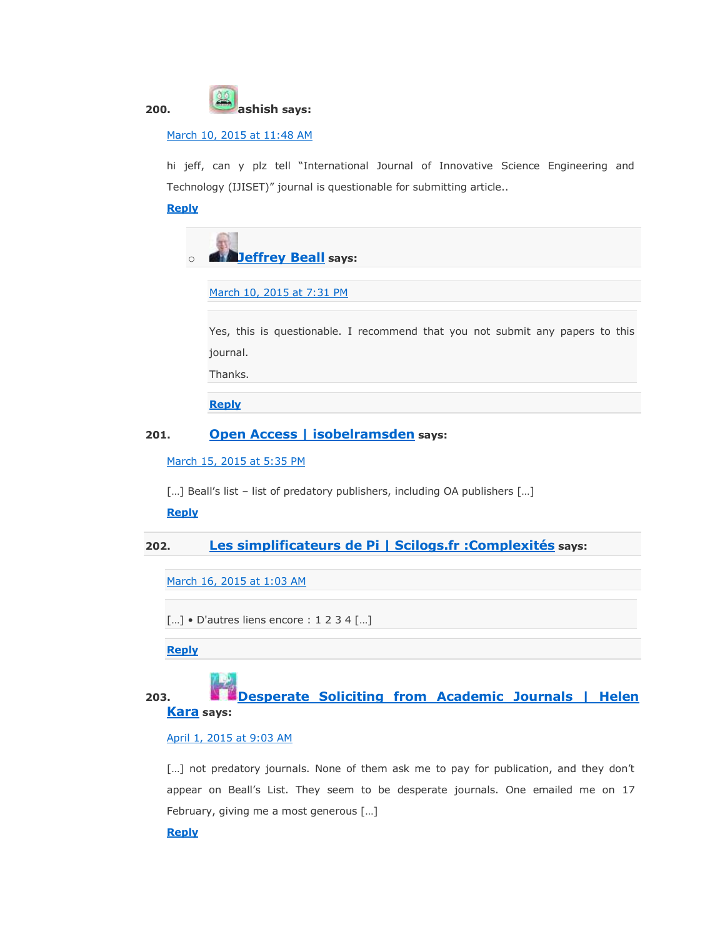

### [March 10, 2015 at 11:48 AM](https://scholarlyoa.com/2012/12/06/bealls-list-of-predatory-publishers-2013/#comment-267401)

hi jeff, can y plz tell "International Journal of Innovative Science Engineering and Technology (IJISET)" journal is questionable for submitting article..

### **[Reply](https://scholarlyoa.com/2012/12/06/bealls-list-of-predatory-publishers-2013/?replytocom=267401#respond)**

|  | <b>Deffrey Beall says:</b> |
|--|----------------------------|

[March 10, 2015 at 7:31 PM](https://scholarlyoa.com/2012/12/06/bealls-list-of-predatory-publishers-2013/#comment-267528)

Yes, this is questionable. I recommend that you not submit any papers to this journal.

Thanks.

**[Reply](https://scholarlyoa.com/2012/12/06/bealls-list-of-predatory-publishers-2013/?replytocom=267528#respond)**

### **201. [Open Access | isobelramsden](https://isobelramsden.wordpress.com/2015/03/15/open-access/) says:**

### [March 15, 2015 at 5:35 PM](https://scholarlyoa.com/2012/12/06/bealls-list-of-predatory-publishers-2013/#comment-269010)

[...] Beall's list - list of predatory publishers, including OA publishers [...]

### **[Reply](https://scholarlyoa.com/2012/12/06/bealls-list-of-predatory-publishers-2013/?replytocom=269010#respond)**

**202. [Les simplificateurs de Pi | Scilogs.fr :Complexités](http://www.scilogs.fr/complexites/les-simplificateurs-de-pi/) says:**

[March 16, 2015 at 1:03 AM](https://scholarlyoa.com/2012/12/06/bealls-list-of-predatory-publishers-2013/#comment-269094)

[...] • D'autres liens encore : 1 2 3 4 [...]

**[Reply](https://scholarlyoa.com/2012/12/06/bealls-list-of-predatory-publishers-2013/?replytocom=269094#respond)**

## **203. [Desperate Soliciting from Academic Journals | Helen](http://helenkara.com/2015/04/01/desperate-soliciting-from-academic-journals/)  [Kara](http://helenkara.com/2015/04/01/desperate-soliciting-from-academic-journals/) says:**

### [April 1, 2015 at 9:03 AM](https://scholarlyoa.com/2012/12/06/bealls-list-of-predatory-publishers-2013/#comment-274597)

[...] not predatory journals. None of them ask me to pay for publication, and they don't appear on Beall's List. They seem to be desperate journals. One emailed me on 17 February, giving me a most generous […]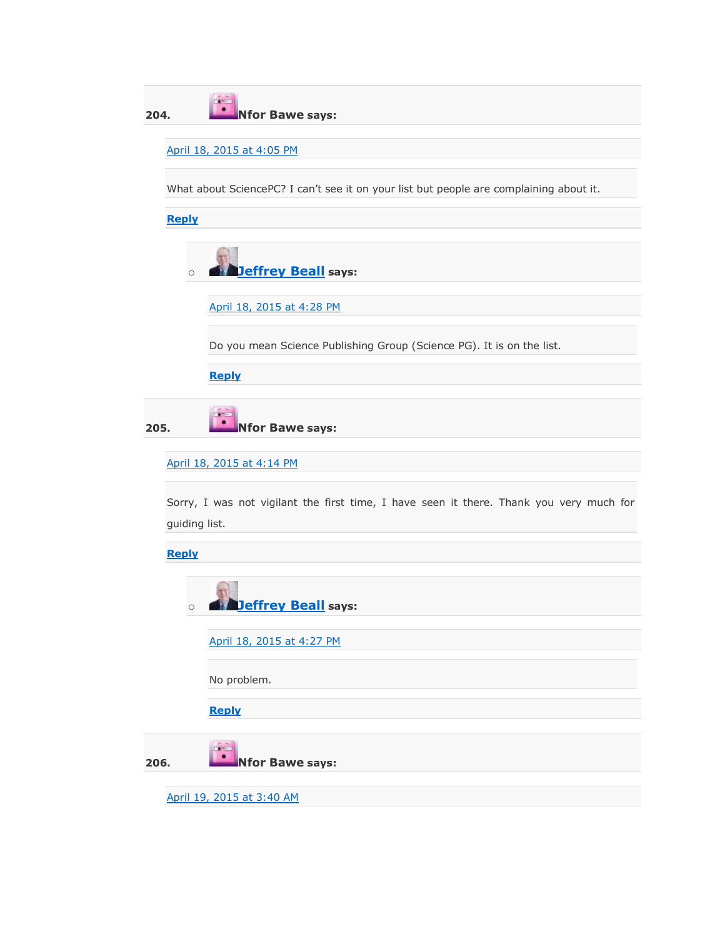| 204. |               | <b>Nfor Bawe says:</b>                                                                  |
|------|---------------|-----------------------------------------------------------------------------------------|
|      |               | April 18, 2015 at 4:05 PM                                                               |
|      |               | What about SciencePC? I can't see it on your list but people are complaining about it.  |
|      | <b>Reply</b>  |                                                                                         |
|      | $\circ$       | <b>Jeffrey Beall</b> says:                                                              |
|      |               | April 18, 2015 at 4:28 PM                                                               |
|      |               | Do you mean Science Publishing Group (Science PG). It is on the list.                   |
|      |               | <b>Reply</b>                                                                            |
| 205. |               | <b>Nfor Bawe says:</b>                                                                  |
|      |               | April 18, 2015 at 4:14 PM                                                               |
|      | guiding list. | Sorry, I was not vigilant the first time, I have seen it there. Thank you very much for |
|      | <b>Reply</b>  |                                                                                         |
|      | $\circ$       | <b>Jeffrey Beall says:</b>                                                              |
|      |               | April 18, 2015 at 4:27 PM                                                               |
|      |               | No problem.                                                                             |
|      |               | <b>Reply</b>                                                                            |
| 206. |               | <b>Nfor Bawe says:</b>                                                                  |
|      |               | April 19, 2015 at 3:40 AM                                                               |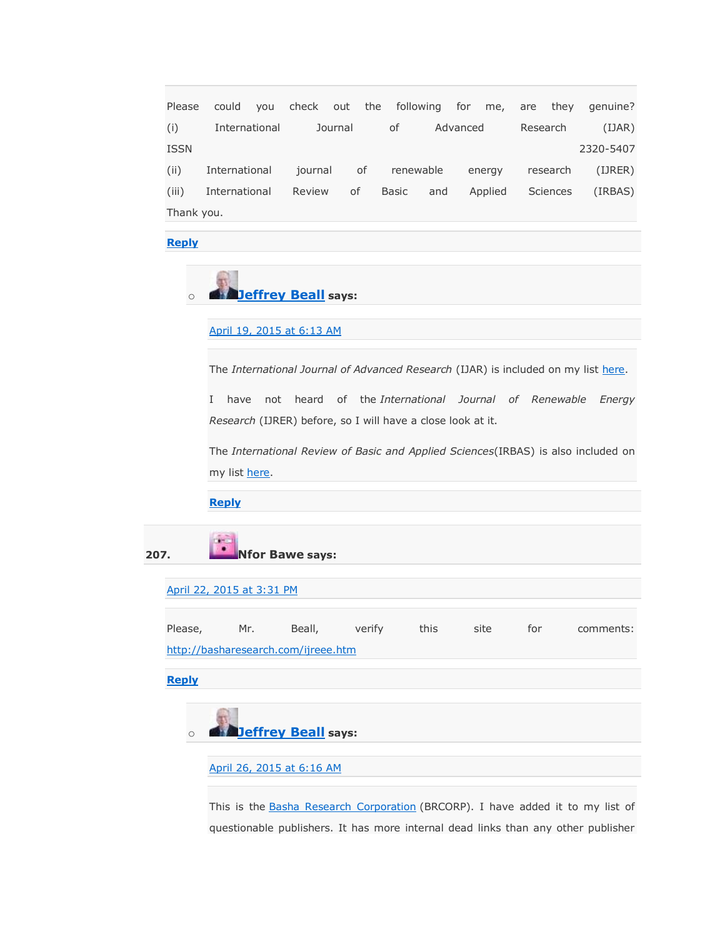Please could you check out the following for me, are they genuine? (i) International Journal of Advanced Research (IJAR) ISSN 2320-5407 (ii) International journal of renewable energy research (IJRER) (iii) International Review of Basic and Applied Sciences (IRBAS) Thank you.

**[Reply](https://scholarlyoa.com/2012/12/06/bealls-list-of-predatory-publishers-2013/?replytocom=281122#respond)**

### o **[Jeffrey Beall](https://scholarlyoa.wordpress.com/) says:**

[April 19, 2015 at 6:13 AM](https://scholarlyoa.com/2012/12/06/bealls-list-of-predatory-publishers-2013/#comment-281160)

The *International Journal of Advanced Research* (IJAR) is included on my list [here.](https://scholarlyoa.com/individual-journals/)

I have not heard of the *International Journal of Renewable Energy Research* (IJRER) before, so I will have a close look at it.

The *International Review of Basic and Applied Sciences*(IRBAS) is also included on my list [here.](https://scholarlyoa.com/individual-journals/)

**[Reply](https://scholarlyoa.com/2012/12/06/bealls-list-of-predatory-publishers-2013/?replytocom=281160#respond)**

**207. Nfor Bawe says:**

#### [April 22, 2015 at 3:31 PM](https://scholarlyoa.com/2012/12/06/bealls-list-of-predatory-publishers-2013/#comment-282466)

Please, Mr. Beall, verify this site for comments: <http://basharesearch.com/ijreee.htm>

**[Reply](https://scholarlyoa.com/2012/12/06/bealls-list-of-predatory-publishers-2013/?replytocom=282466#respond)**



[April 26, 2015 at 6:16 AM](https://scholarlyoa.com/2012/12/06/bealls-list-of-predatory-publishers-2013/#comment-283605)

This is the [Basha Research Corporation](http://basharesearch.com/journals.htm) (BRCORP). I have added it to my list of questionable publishers. It has more internal dead links than any other publisher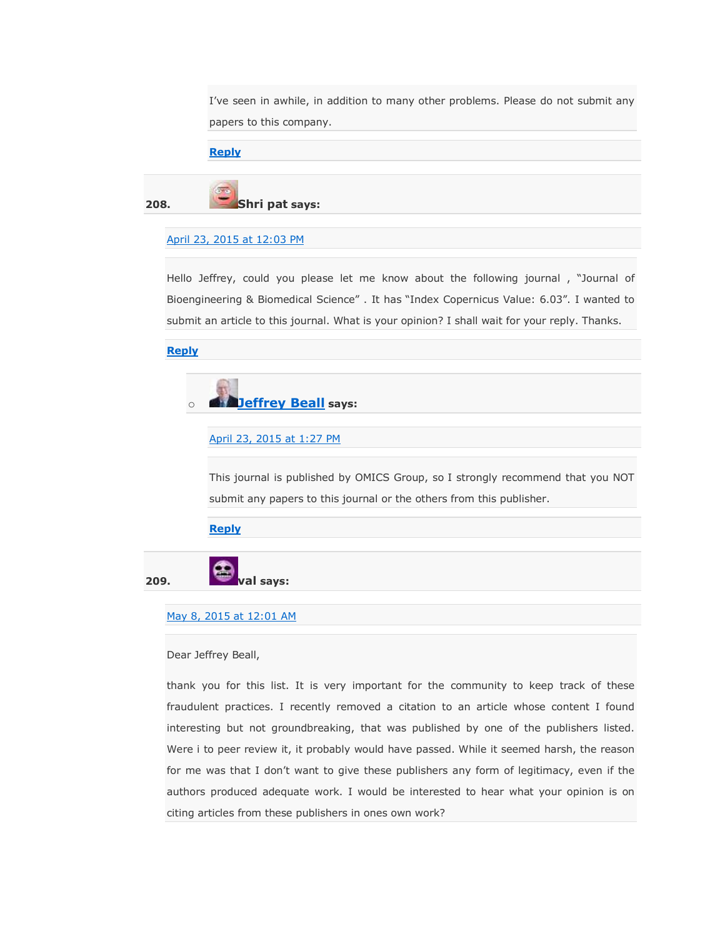I've seen in awhile, in addition to many other problems. Please do not submit any papers to this company.

### **[Reply](https://scholarlyoa.com/2012/12/06/bealls-list-of-predatory-publishers-2013/?replytocom=283605#respond)**

**208. Shri pat says:**

### [April 23, 2015 at 12:03 PM](https://scholarlyoa.com/2012/12/06/bealls-list-of-predatory-publishers-2013/#comment-282815)

Hello Jeffrey, could you please let me know about the following journal, "Journal of Bioengineering & Biomedical Science". It has "Index Copernicus Value: 6.03". I wanted to submit an article to this journal. What is your opinion? I shall wait for your reply. Thanks.

**[Reply](https://scholarlyoa.com/2012/12/06/bealls-list-of-predatory-publishers-2013/?replytocom=282815#respond)**



### [April 23, 2015 at 1:27 PM](https://scholarlyoa.com/2012/12/06/bealls-list-of-predatory-publishers-2013/#comment-282841)

This journal is published by OMICS Group, so I strongly recommend that you NOT submit any papers to this journal or the others from this publisher.

**[Reply](https://scholarlyoa.com/2012/12/06/bealls-list-of-predatory-publishers-2013/?replytocom=282841#respond)**

**209. val says:**

### [May 8, 2015 at 12:01 AM](https://scholarlyoa.com/2012/12/06/bealls-list-of-predatory-publishers-2013/#comment-286802)

#### Dear Jeffrey Beall,

thank you for this list. It is very important for the community to keep track of these fraudulent practices. I recently removed a citation to an article whose content I found interesting but not groundbreaking, that was published by one of the publishers listed. Were i to peer review it, it probably would have passed. While it seemed harsh, the reason for me was that I don't want to give these publishers any form of legitimacy, even if the authors produced adequate work. I would be interested to hear what your opinion is on citing articles from these publishers in ones own work?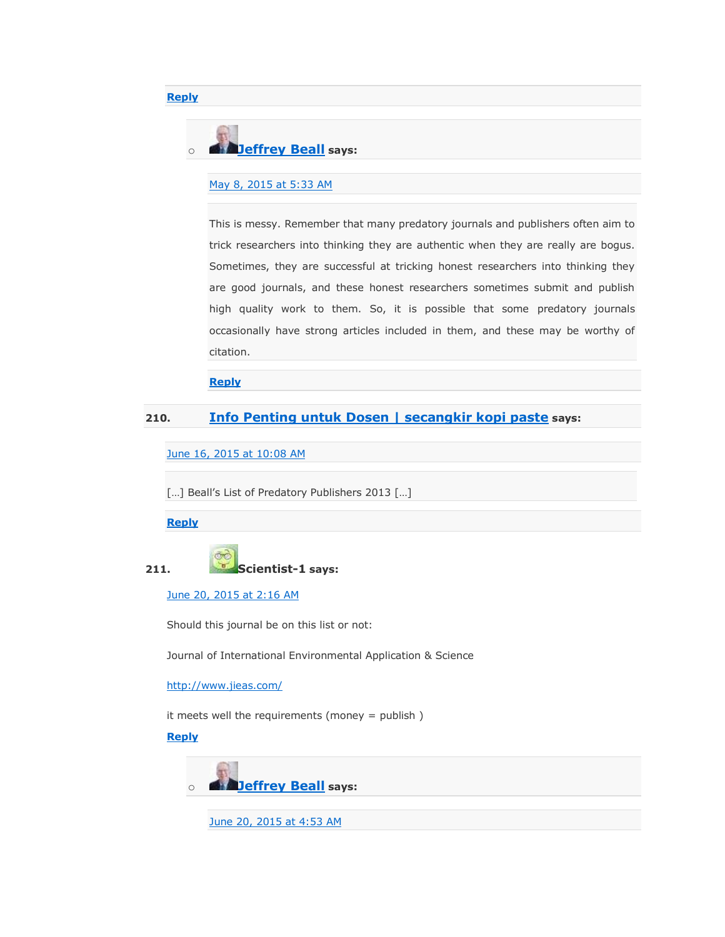

### [May 8, 2015 at 5:33 AM](https://scholarlyoa.com/2012/12/06/bealls-list-of-predatory-publishers-2013/#comment-286883)

This is messy. Remember that many predatory journals and publishers often aim to trick researchers into thinking they are authentic when they are really are bogus. Sometimes, they are successful at tricking honest researchers into thinking they are good journals, and these honest researchers sometimes submit and publish high quality work to them. So, it is possible that some predatory journals occasionally have strong articles included in them, and these may be worthy of citation.

### **[Reply](https://scholarlyoa.com/2012/12/06/bealls-list-of-predatory-publishers-2013/?replytocom=286883#respond)**

### **210. [Info Penting untuk Dosen | secangkir kopi paste](https://masboi.wordpress.com/2015/06/16/info-penting-untuk-dosen/) says:**

[June 16, 2015 at 10:08 AM](https://scholarlyoa.com/2012/12/06/bealls-list-of-predatory-publishers-2013/#comment-302805)

[...] Beall's List of Predatory Publishers 2013 [...]

**[Reply](https://scholarlyoa.com/2012/12/06/bealls-list-of-predatory-publishers-2013/?replytocom=302805#respond)**

**[Reply](https://scholarlyoa.com/2012/12/06/bealls-list-of-predatory-publishers-2013/?replytocom=286802#respond)**



#### [June 20, 2015 at 2:16 AM](https://scholarlyoa.com/2012/12/06/bealls-list-of-predatory-publishers-2013/#comment-305928)

Should this journal be on this list or not:

Journal of International Environmental Application & Science

<http://www.jieas.com/>

it meets well the requirements (money = publish )

### **[Reply](https://scholarlyoa.com/2012/12/06/bealls-list-of-predatory-publishers-2013/?replytocom=305928#respond)**



[June 20, 2015 at 4:53 AM](https://scholarlyoa.com/2012/12/06/bealls-list-of-predatory-publishers-2013/#comment-306002)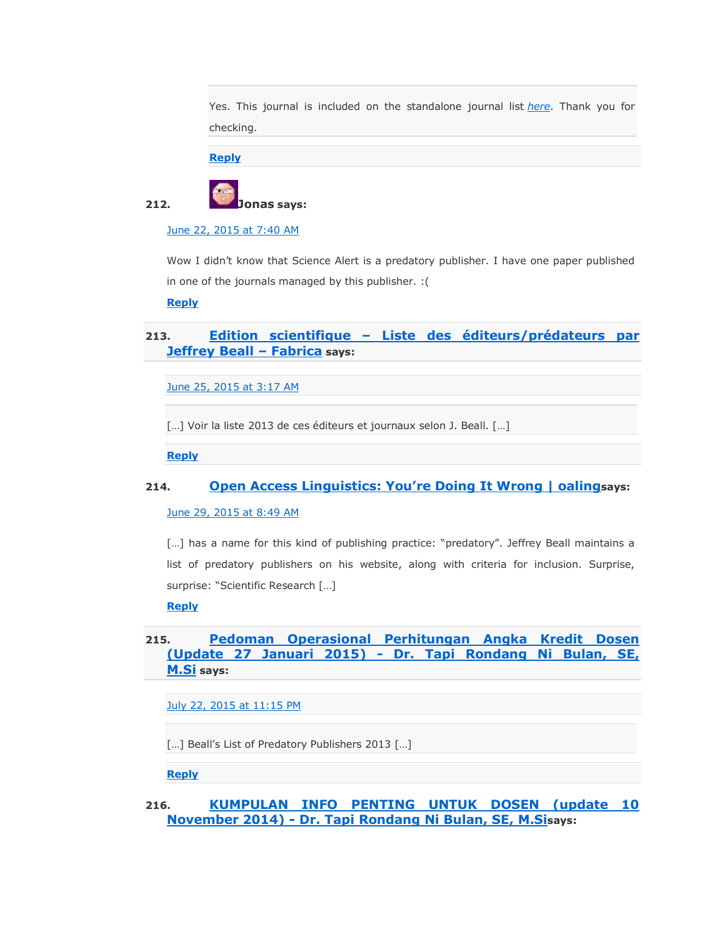Yes. This journal is included on the standalone journal list *[here](https://scholarlyoa.com/individual-journals/)*. Thank you for checking.

**[Reply](https://scholarlyoa.com/2012/12/06/bealls-list-of-predatory-publishers-2013/?replytocom=306002#respond)**



[June 22, 2015 at 7:40 AM](https://scholarlyoa.com/2012/12/06/bealls-list-of-predatory-publishers-2013/#comment-307632)

Wow I didn't know that Science Alert is a predatory publisher. I have one paper published in one of the journals managed by this publisher. :(

**[Reply](https://scholarlyoa.com/2012/12/06/bealls-list-of-predatory-publishers-2013/?replytocom=307632#respond)**

### **213. Edition scientifique – [Liste des éditeurs/prédateurs par](https://fabrica.inria.fr/edition-scientifique-liste-des-editeurspredateurs-par-jeffrey-beall/)  [Jeffrey Beall](https://fabrica.inria.fr/edition-scientifique-liste-des-editeurspredateurs-par-jeffrey-beall/) – Fabrica says:**

[June 25, 2015 at 3:17 AM](https://scholarlyoa.com/2012/12/06/bealls-list-of-predatory-publishers-2013/#comment-309945)

[...] Voir la liste 2013 de ces éditeurs et journaux selon J. Beall. [...]

**[Reply](https://scholarlyoa.com/2012/12/06/bealls-list-of-predatory-publishers-2013/?replytocom=309945#respond)**

### **214. [Open Access Linguistics: You're Doing It Wrong | oaling](https://oaling.wordpress.com/2015/06/29/open-access-linguistics-youre-doing-it-wrong/)says:**

[June 29, 2015 at 8:49 AM](https://scholarlyoa.com/2012/12/06/bealls-list-of-predatory-publishers-2013/#comment-313783)

[...] has a name for this kind of publishing practice: "predatory". Jeffrey Beall maintains a list of predatory publishers on his website, along with criteria for inclusion. Surprise, surprise: "Scientific Research [...]

**[Reply](https://scholarlyoa.com/2012/12/06/bealls-list-of-predatory-publishers-2013/?replytocom=313783#respond)**

### **215. [Pedoman Operasional Perhitungan Angka Kredit Dosen](http://tapibulan.com/index.php/2015/07/23/pedoman-operasional-perhitungan-angka-kredit-dosen-update-27-januari-2015/) (Update 27 Januari 2015) - [Dr. Tapi Rondang Ni Bulan, SE,](http://tapibulan.com/index.php/2015/07/23/pedoman-operasional-perhitungan-angka-kredit-dosen-update-27-januari-2015/)  [M.Si](http://tapibulan.com/index.php/2015/07/23/pedoman-operasional-perhitungan-angka-kredit-dosen-update-27-januari-2015/) says:**

[July 22, 2015 at 11:15 PM](https://scholarlyoa.com/2012/12/06/bealls-list-of-predatory-publishers-2013/#comment-326442)

[...] Beall's List of Predatory Publishers 2013 [...]

**[Reply](https://scholarlyoa.com/2012/12/06/bealls-list-of-predatory-publishers-2013/?replytocom=326442#respond)**

**216. [KUMPULAN INFO PENTING UNTUK DOSEN \(update 10](http://tapibulan.com/index.php/2015/07/23/kumpulan-info-penting-untuk-dosen-update-10-november-2014/)  November 2014) - [Dr. Tapi Rondang Ni Bulan, SE, M.Si](http://tapibulan.com/index.php/2015/07/23/kumpulan-info-penting-untuk-dosen-update-10-november-2014/)says:**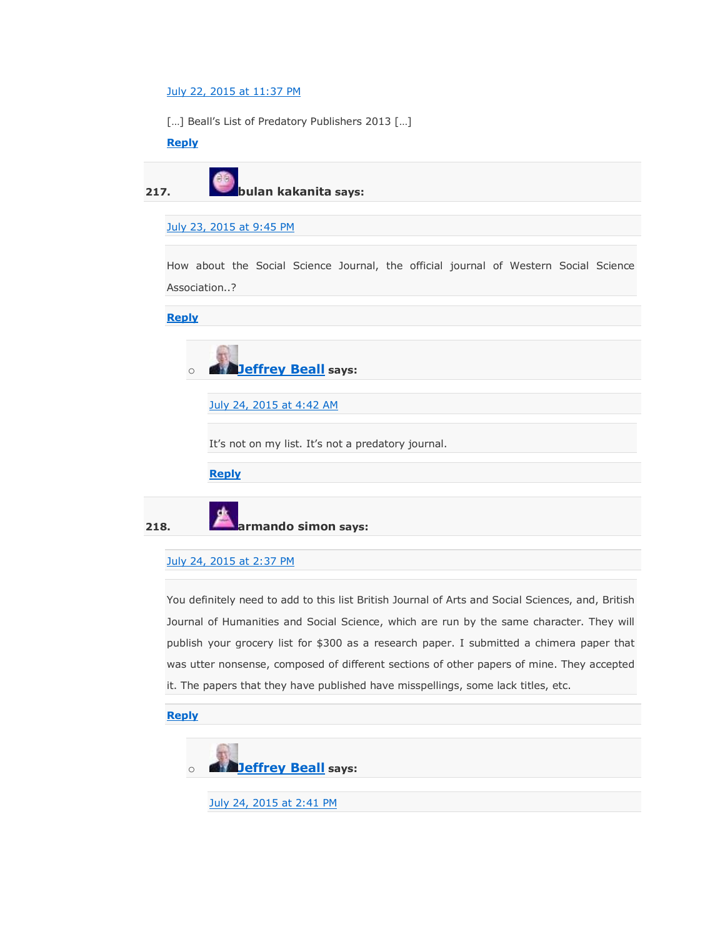### [July 22, 2015 at 11:37 PM](https://scholarlyoa.com/2012/12/06/bealls-list-of-predatory-publishers-2013/#comment-326449)

[...] Beall's List of Predatory Publishers 2013 [...]

### **[Reply](https://scholarlyoa.com/2012/12/06/bealls-list-of-predatory-publishers-2013/?replytocom=326449#respond)**

**217. bulan kakanita says:**

### [July 23, 2015 at 9:45 PM](https://scholarlyoa.com/2012/12/06/bealls-list-of-predatory-publishers-2013/#comment-326855)

How about the Social Science Journal, the official journal of Western Social Science Association..?

**[Reply](https://scholarlyoa.com/2012/12/06/bealls-list-of-predatory-publishers-2013/?replytocom=326855#respond)**



[July 24, 2015 at 4:42 AM](https://scholarlyoa.com/2012/12/06/bealls-list-of-predatory-publishers-2013/#comment-326968)

It's not on my list. It's not a predatory journal.

**[Reply](https://scholarlyoa.com/2012/12/06/bealls-list-of-predatory-publishers-2013/?replytocom=326968#respond)**

**218. armando simon says:**

### [July 24, 2015 at 2:37 PM](https://scholarlyoa.com/2012/12/06/bealls-list-of-predatory-publishers-2013/#comment-327123)

You definitely need to add to this list British Journal of Arts and Social Sciences, and, British Journal of Humanities and Social Science, which are run by the same character. They will publish your grocery list for \$300 as a research paper. I submitted a chimera paper that was utter nonsense, composed of different sections of other papers of mine. They accepted it. The papers that they have published have misspellings, some lack titles, etc.

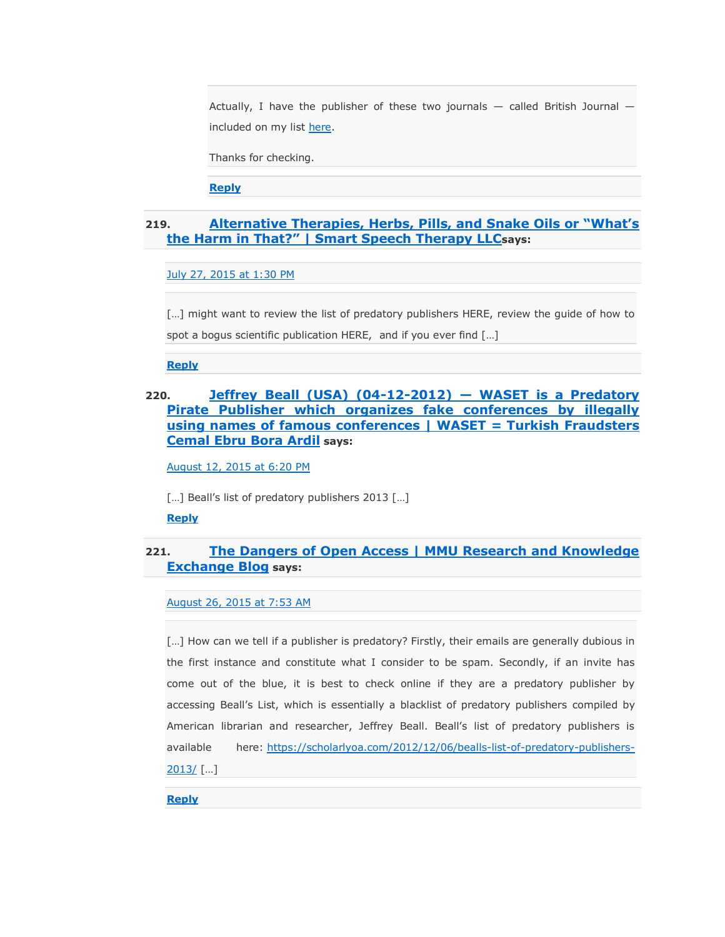Actually, I have the publisher of these two journals — called British Journal included on my list [here.](https://scholarlyoa.com/publishers/)

Thanks for checking.

**[Reply](https://scholarlyoa.com/2012/12/06/bealls-list-of-predatory-publishers-2013/?replytocom=327125#respond)**

### **219. [Alternative Therapies, Herbs, Pills, and Snake Oils or ―What's](http://www.smartspeechtherapy.com/alternative-therapies-herbs-pills-and-snake-oils-or-whats-the-harm-in-that/)  [the Harm in That?‖ | Smart Speech Therapy LLC](http://www.smartspeechtherapy.com/alternative-therapies-herbs-pills-and-snake-oils-or-whats-the-harm-in-that/)says:**

### [July 27, 2015 at 1:30 PM](https://scholarlyoa.com/2012/12/06/bealls-list-of-predatory-publishers-2013/#comment-328322)

[...] might want to review the list of predatory publishers HERE, review the guide of how to spot a bogus scientific publication HERE, and if you ever find […]

**[Reply](https://scholarlyoa.com/2012/12/06/bealls-list-of-predatory-publishers-2013/?replytocom=328322#respond)**

### **220. [Jeffrey Beall \(USA\) \(04-12-2012\)](https://wasetmania.wordpress.com/2015/08/12/jeffrey-beall-usa-04-12-2012-waset-is-a-predatory-pirate-publisher-which-organizes-fake-conferences-by-illegally-using-names-of-other-conferences/) — WASET is a Predatory [Pirate Publisher which organizes fake conferences by illegally](https://wasetmania.wordpress.com/2015/08/12/jeffrey-beall-usa-04-12-2012-waset-is-a-predatory-pirate-publisher-which-organizes-fake-conferences-by-illegally-using-names-of-other-conferences/)  [using names of famous conferences | WASET = Turkish Fraudsters](https://wasetmania.wordpress.com/2015/08/12/jeffrey-beall-usa-04-12-2012-waset-is-a-predatory-pirate-publisher-which-organizes-fake-conferences-by-illegally-using-names-of-other-conferences/)  [Cemal Ebru Bora Ardil](https://wasetmania.wordpress.com/2015/08/12/jeffrey-beall-usa-04-12-2012-waset-is-a-predatory-pirate-publisher-which-organizes-fake-conferences-by-illegally-using-names-of-other-conferences/) says:**

[August 12, 2015 at 6:20 PM](https://scholarlyoa.com/2012/12/06/bealls-list-of-predatory-publishers-2013/#comment-335891)

[...] Beall's list of predatory publishers 2013 [...]

**[Reply](https://scholarlyoa.com/2012/12/06/bealls-list-of-predatory-publishers-2013/?replytocom=335891#respond)**

### **221. [The Dangers of Open Access | MMU Research and Knowledge](https://mmuresearchblog.wordpress.com/2015/08/26/the-dangers-of-open-access/)  [Exchange Blog](https://mmuresearchblog.wordpress.com/2015/08/26/the-dangers-of-open-access/) says:**

[August 26, 2015 at 7:53 AM](https://scholarlyoa.com/2012/12/06/bealls-list-of-predatory-publishers-2013/#comment-341436)

[...] How can we tell if a publisher is predatory? Firstly, their emails are generally dubious in the first instance and constitute what I consider to be spam. Secondly, if an invite has come out of the blue, it is best to check online if they are a predatory publisher by accessing Beall's List, which is essentially a blacklist of predatory publishers compiled by American librarian and researcher, Jeffrey Beall. Beall's list of predatory publishers is available here: [https://scholarlyoa.com/2012/12/06/bealls-list-of-predatory-publishers-](https://scholarlyoa.com/2012/12/06/bealls-list-of-predatory-publishers-2013/)[2013/](https://scholarlyoa.com/2012/12/06/bealls-list-of-predatory-publishers-2013/) […]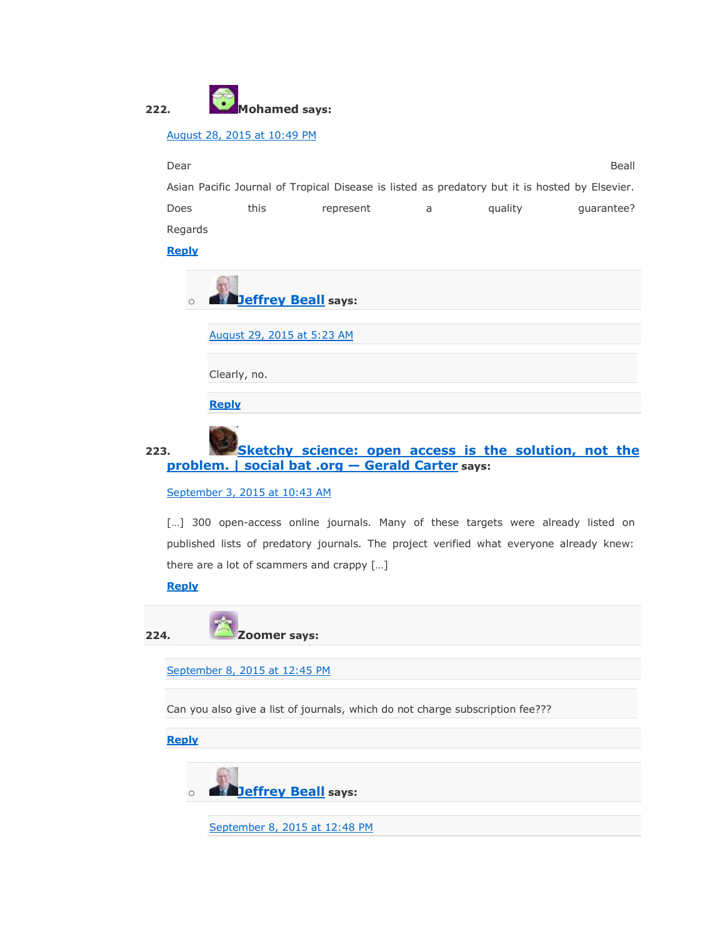

### [August 28, 2015 at 10:49 PM](https://scholarlyoa.com/2012/12/06/bealls-list-of-predatory-publishers-2013/#comment-342672)

Dear Beall and the contract of the contract of the contract of the contract of the contract of the contract of Asian Pacific Journal of Tropical Disease is listed as predatory but it is hosted by Elsevier. Does this represent a quality guarantee? Regards

### **[Reply](https://scholarlyoa.com/2012/12/06/bealls-list-of-predatory-publishers-2013/?replytocom=342672#respond)**

| $\circ$ | <b>Deffrey Beall</b> says: |
|---------|----------------------------|
|         | August 29, 2015 at 5:23 AM |
|         | Clearly, no.               |
|         | <b>Reply</b>               |

## **223. [Sketchy science: open access is the solution, not the](http://socialbat.org/2013/10/04/sketchy-science-open-access-is-the-solution-not-the-problem/)  [problem. | social bat .org](http://socialbat.org/2013/10/04/sketchy-science-open-access-is-the-solution-not-the-problem/) — Gerald Carter says:**

[September 3, 2015 at 10:43 AM](https://scholarlyoa.com/2012/12/06/bealls-list-of-predatory-publishers-2013/#comment-345369)

[...] 300 open-access online journals. Many of these targets were already listed on published lists of predatory journals. The project verified what everyone already knew: there are a lot of scammers and crappy […]

**[Reply](https://scholarlyoa.com/2012/12/06/bealls-list-of-predatory-publishers-2013/?replytocom=345369#respond)**

**224. Zoomer says:**

[September 8, 2015 at 12:45 PM](https://scholarlyoa.com/2012/12/06/bealls-list-of-predatory-publishers-2013/#comment-348929)

Can you also give a list of journals, which do not charge subscription fee???

**[Reply](https://scholarlyoa.com/2012/12/06/bealls-list-of-predatory-publishers-2013/?replytocom=348929#respond)**

o **[Jeffrey Beall](https://scholarlyoa.wordpress.com/) says:**

[September 8, 2015 at 12:48 PM](https://scholarlyoa.com/2012/12/06/bealls-list-of-predatory-publishers-2013/#comment-348933)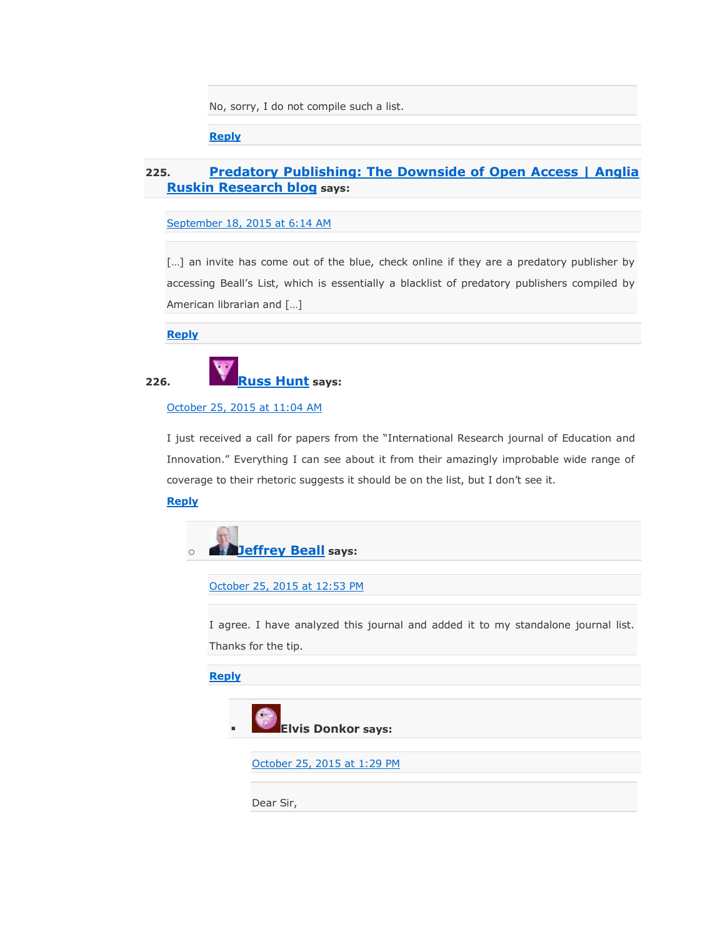No, sorry, I do not compile such a list.

**[Reply](https://scholarlyoa.com/2012/12/06/bealls-list-of-predatory-publishers-2013/?replytocom=348933#respond)**

### **225. [Predatory Publishing: The Downside of Open Access | Anglia](http://research.blogs.anglia.ac.uk/2015/09/18/predatory-publishing-the-downside-of-open-access/)  [Ruskin Research blog](http://research.blogs.anglia.ac.uk/2015/09/18/predatory-publishing-the-downside-of-open-access/) says:**

[September 18, 2015 at 6:14 AM](https://scholarlyoa.com/2012/12/06/bealls-list-of-predatory-publishers-2013/#comment-355850)

[...] an invite has come out of the blue, check online if they are a predatory publisher by accessing Beall's List, which is essentially a blacklist of predatory publishers compiled by American librarian and […]

**[Reply](https://scholarlyoa.com/2012/12/06/bealls-list-of-predatory-publishers-2013/?replytocom=355850#respond)**



**226. [Russ Hunt](http://www.stu.ca/~hunt) says:**

[October 25, 2015 at 11:04 AM](https://scholarlyoa.com/2012/12/06/bealls-list-of-predatory-publishers-2013/#comment-376112)

I just received a call for papers from the "International Research journal of Education and Innovation." Everything I can see about it from their amazingly improbable wide range of coverage to their rhetoric suggests it should be on the list, but I don't see it.

### **[Reply](https://scholarlyoa.com/2012/12/06/bealls-list-of-predatory-publishers-2013/?replytocom=376112#respond)**



[October 25, 2015 at 12:53 PM](https://scholarlyoa.com/2012/12/06/bealls-list-of-predatory-publishers-2013/#comment-376150)

I agree. I have analyzed this journal and added it to my standalone journal list. Thanks for the tip.

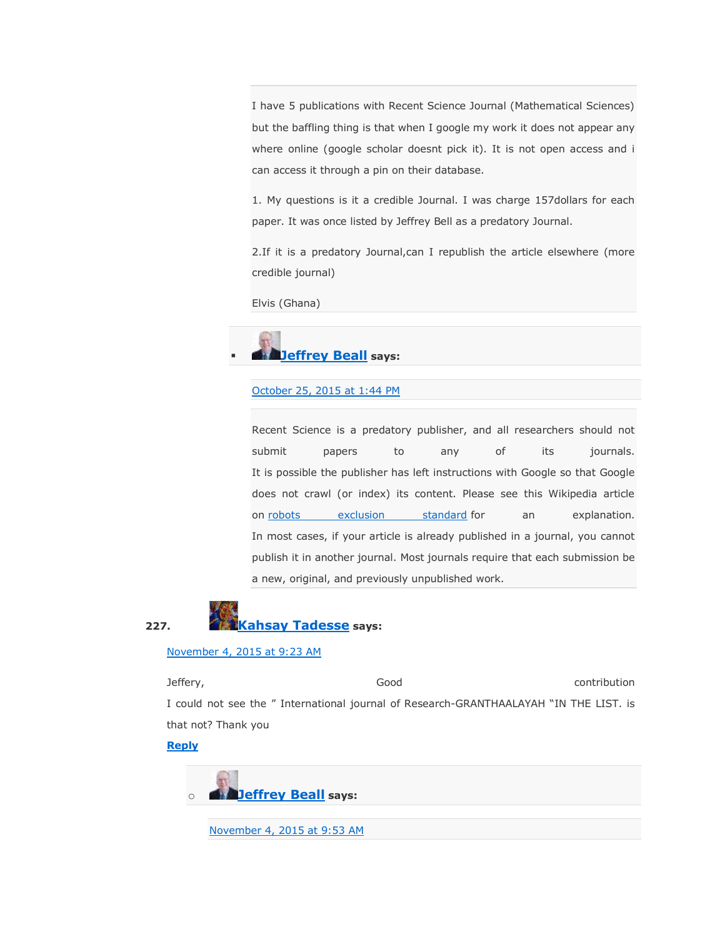I have 5 publications with Recent Science Journal (Mathematical Sciences) but the baffling thing is that when I google my work it does not appear any where online (google scholar doesnt pick it). It is not open access and i can access it through a pin on their database.

1. My questions is it a credible Journal. I was charge 157dollars for each paper. It was once listed by Jeffrey Bell as a predatory Journal.

2.If it is a predatory Journal,can I republish the article elsewhere (more credible journal)

Elvis (Ghana)

# **[Jeffrey Beall](https://scholarlyoa.wordpress.com/) says:**

### [October 25, 2015 at 1:44 PM](https://scholarlyoa.com/2012/12/06/bealls-list-of-predatory-publishers-2013/#comment-376170)

Recent Science is a predatory publisher, and all researchers should not submit papers to any of its journals. It is possible the publisher has left instructions with Google so that Google does not crawl (or index) its content. Please see this Wikipedia article on [robots exclusion standard](https://en.wikipedia.org/wiki/Robots_exclusion_standard) for an explanation. In most cases, if your article is already published in a journal, you cannot publish it in another journal. Most journals require that each submission be a new, original, and previously unpublished work.



### [November 4, 2015 at 9:23 AM](https://scholarlyoa.com/2012/12/06/bealls-list-of-predatory-publishers-2013/#comment-382157)

Jeffery, Good contribution I could not see the " International journal of Research-GRANTHAALAYAH "IN THE LIST. is that not? Thank you

### **[Reply](https://scholarlyoa.com/2012/12/06/bealls-list-of-predatory-publishers-2013/?replytocom=382157#respond)**

o **[Jeffrey Beall](https://scholarlyoa.wordpress.com/) says:**

[November 4, 2015 at 9:53 AM](https://scholarlyoa.com/2012/12/06/bealls-list-of-predatory-publishers-2013/#comment-382165)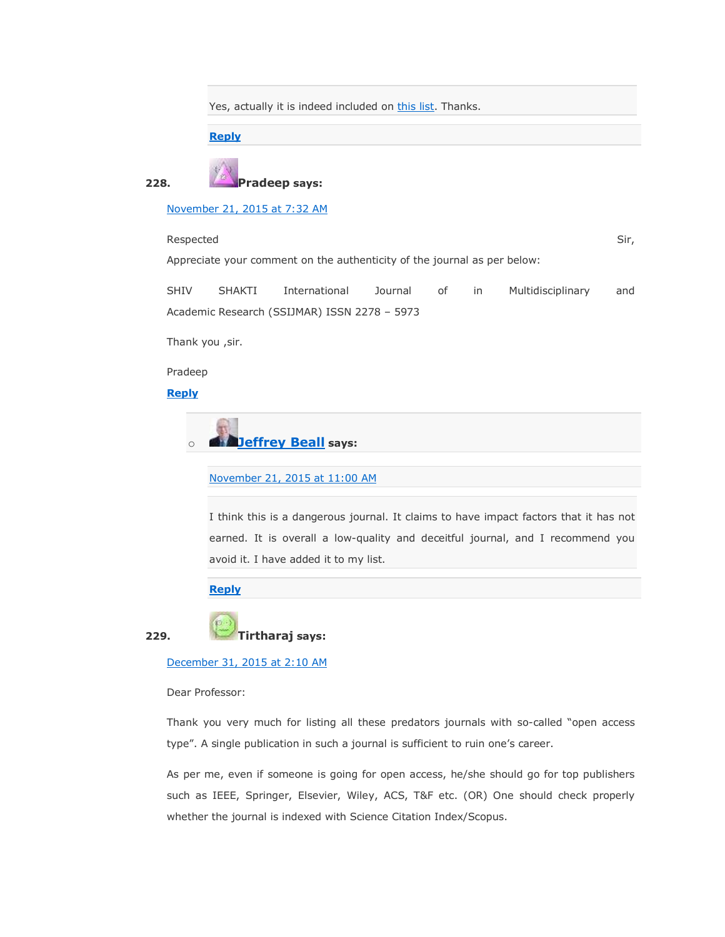Yes, actually it is indeed included on [this list.](https://scholarlyoa.com/individual-journals/) Thanks.

#### **[Reply](https://scholarlyoa.com/2012/12/06/bealls-list-of-predatory-publishers-2013/?replytocom=382165#respond)**



[November 21, 2015 at 7:32 AM](https://scholarlyoa.com/2012/12/06/bealls-list-of-predatory-publishers-2013/#comment-386352)

Respected Sir, and the state of the state of the state of the state of the state of the state of the state of the state of the state of the state of the state of the state of the state of the state of the state of the stat

Appreciate your comment on the authenticity of the journal as per below:



Thank you ,sir.

Pradeep

**[Reply](https://scholarlyoa.com/2012/12/06/bealls-list-of-predatory-publishers-2013/?replytocom=386352#respond)**

o **[Jeffrey Beall](https://scholarlyoa.wordpress.com/) says:**

[November 21, 2015 at 11:00 AM](https://scholarlyoa.com/2012/12/06/bealls-list-of-predatory-publishers-2013/#comment-386370)

I think this is a dangerous journal. It claims to have impact factors that it has not earned. It is overall a low-quality and deceitful journal, and I recommend you avoid it. I have added it to my list.

**[Reply](https://scholarlyoa.com/2012/12/06/bealls-list-of-predatory-publishers-2013/?replytocom=386370#respond)**

**229. Tirtharaj says:**

[December 31, 2015 at 2:10 AM](https://scholarlyoa.com/2012/12/06/bealls-list-of-predatory-publishers-2013/#comment-394047)

Dear Professor:

Thank you very much for listing all these predators journals with so-called "open access type". A single publication in such a journal is sufficient to ruin one's career.

As per me, even if someone is going for open access, he/she should go for top publishers such as IEEE, Springer, Elsevier, Wiley, ACS, T&F etc. (OR) One should check properly whether the journal is indexed with Science Citation Index/Scopus.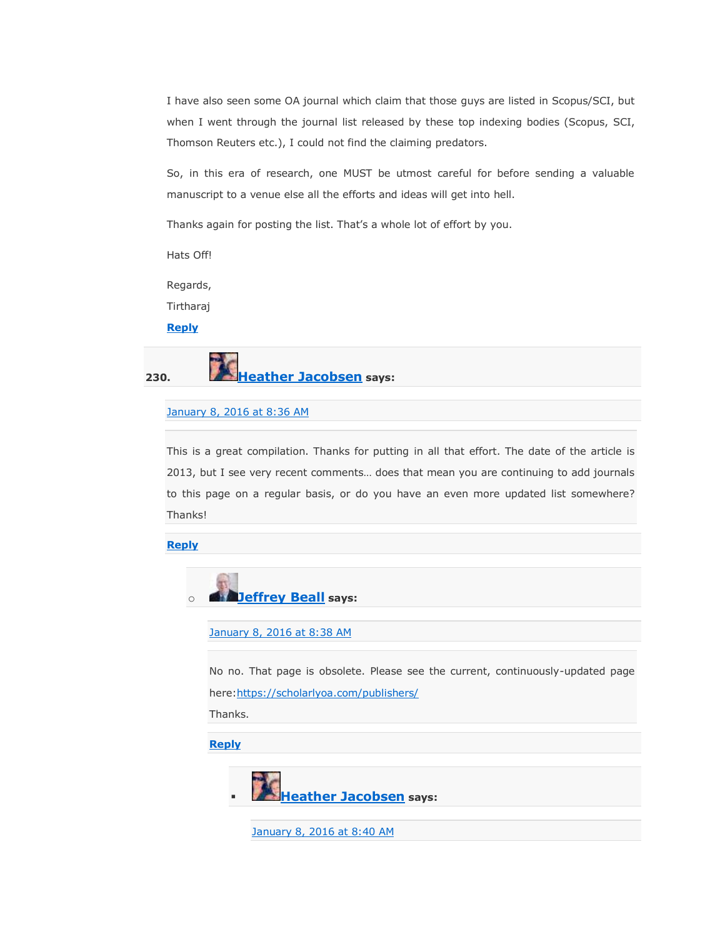I have also seen some OA journal which claim that those guys are listed in Scopus/SCI, but when I went through the journal list released by these top indexing bodies (Scopus, SCI, Thomson Reuters etc.), I could not find the claiming predators.

So, in this era of research, one MUST be utmost careful for before sending a valuable manuscript to a venue else all the efforts and ideas will get into hell.

Thanks again for posting the list. That's a whole lot of effort by you.

Hats Off!

Regards,

Tirtharaj

### **[Reply](https://scholarlyoa.com/2012/12/06/bealls-list-of-predatory-publishers-2013/?replytocom=394047#respond)**



### [January 8, 2016 at 8:36 AM](https://scholarlyoa.com/2012/12/06/bealls-list-of-predatory-publishers-2013/#comment-395615)

This is a great compilation. Thanks for putting in all that effort. The date of the article is 2013, but I see very recent comments… does that mean you are continuing to add journals to this page on a regular basis, or do you have an even more updated list somewhere? Thanks!

**[Reply](https://scholarlyoa.com/2012/12/06/bealls-list-of-predatory-publishers-2013/?replytocom=395615#respond)**



[January 8, 2016 at 8:38 AM](https://scholarlyoa.com/2012/12/06/bealls-list-of-predatory-publishers-2013/#comment-395616)

No no. That page is obsolete. Please see the current, continuously-updated page here[:https://scholarlyoa.com/publishers/](https://scholarlyoa.com/publishers/)

Thanks.

**[Reply](https://scholarlyoa.com/2012/12/06/bealls-list-of-predatory-publishers-2013/?replytocom=395616#respond)**



[January 8, 2016 at 8:40 AM](https://scholarlyoa.com/2012/12/06/bealls-list-of-predatory-publishers-2013/#comment-395617)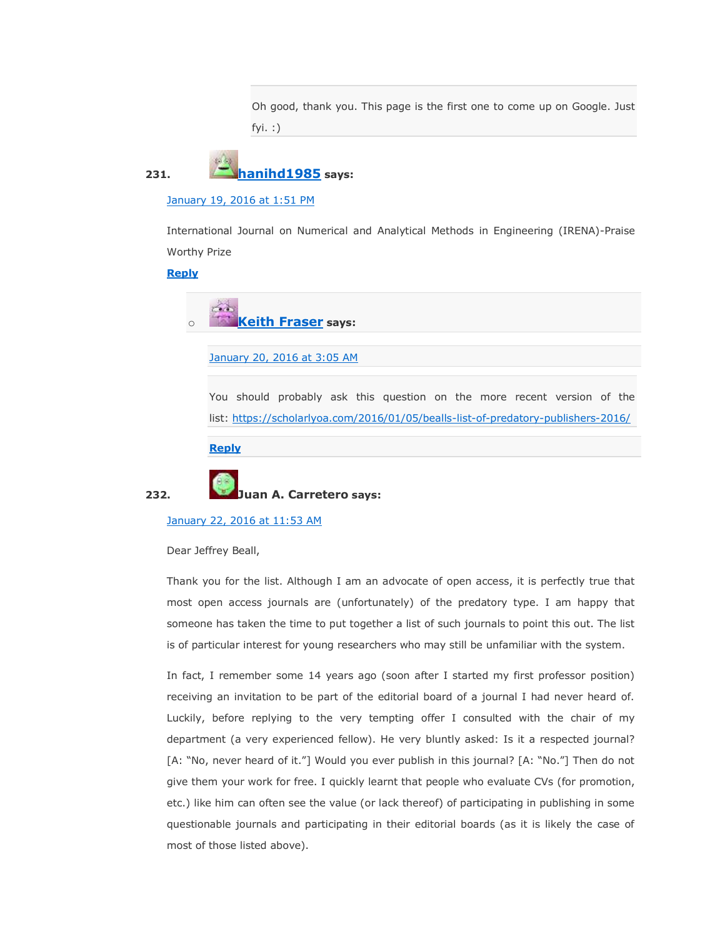Oh good, thank you. This page is the first one to come up on Google. Just fyi. :)

**231. [hanihd1985](http://gravatar.com/hanihd1985) says:**

[January 19, 2016 at 1:51 PM](https://scholarlyoa.com/2012/12/06/bealls-list-of-predatory-publishers-2013/#comment-398572)

International Journal on Numerical and Analytical Methods in Engineering (IRENA)-Praise Worthy Prize

**[Reply](https://scholarlyoa.com/2012/12/06/bealls-list-of-predatory-publishers-2013/?replytocom=398572#respond)**



### [January 20, 2016 at 3:05 AM](https://scholarlyoa.com/2012/12/06/bealls-list-of-predatory-publishers-2013/#comment-398817)

You should probably ask this question on the more recent version of the list: <https://scholarlyoa.com/2016/01/05/bealls-list-of-predatory-publishers-2016/>

**[Reply](https://scholarlyoa.com/2012/12/06/bealls-list-of-predatory-publishers-2013/?replytocom=398817#respond)**



**232. Juan A. Carretero says:**

### [January 22, 2016 at 11:53 AM](https://scholarlyoa.com/2012/12/06/bealls-list-of-predatory-publishers-2013/#comment-399697)

Dear Jeffrey Beall,

Thank you for the list. Although I am an advocate of open access, it is perfectly true that most open access journals are (unfortunately) of the predatory type. I am happy that someone has taken the time to put together a list of such journals to point this out. The list is of particular interest for young researchers who may still be unfamiliar with the system.

In fact, I remember some 14 years ago (soon after I started my first professor position) receiving an invitation to be part of the editorial board of a journal I had never heard of. Luckily, before replying to the very tempting offer I consulted with the chair of my department (a very experienced fellow). He very bluntly asked: Is it a respected journal? [A: "No, never heard of it."] Would you ever publish in this journal? [A: "No."] Then do not give them your work for free. I quickly learnt that people who evaluate CVs (for promotion, etc.) like him can often see the value (or lack thereof) of participating in publishing in some questionable journals and participating in their editorial boards (as it is likely the case of most of those listed above).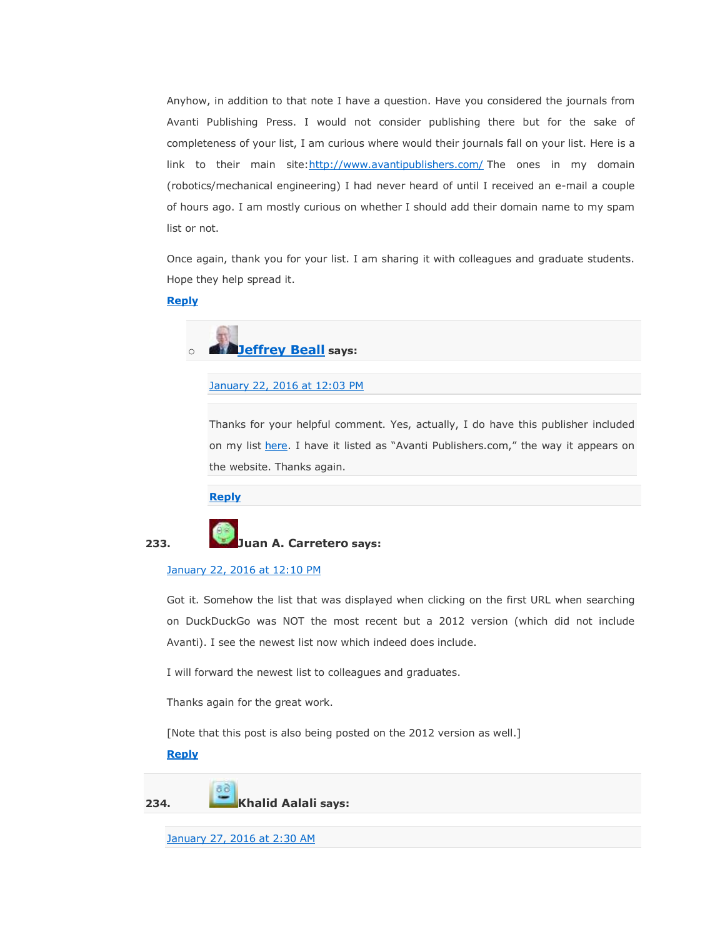Anyhow, in addition to that note I have a question. Have you considered the journals from Avanti Publishing Press. I would not consider publishing there but for the sake of completeness of your list, I am curious where would their journals fall on your list. Here is a link to their main site[:http://www.avantipublishers.com/](http://www.avantipublishers.com/) The ones in my domain (robotics/mechanical engineering) I had never heard of until I received an e-mail a couple of hours ago. I am mostly curious on whether I should add their domain name to my spam list or not.

Once again, thank you for your list. I am sharing it with colleagues and graduate students. Hope they help spread it.

### **[Reply](https://scholarlyoa.com/2012/12/06/bealls-list-of-predatory-publishers-2013/?replytocom=399697#respond)**



[January 22, 2016 at 12:03 PM](https://scholarlyoa.com/2012/12/06/bealls-list-of-predatory-publishers-2013/#comment-399700)

Thanks for your helpful comment. Yes, actually, I do have this publisher included on my list [here](https://scholarlyoa.com/publishers/). I have it listed as "Avanti Publishers.com," the way it appears on the website. Thanks again.

**[Reply](https://scholarlyoa.com/2012/12/06/bealls-list-of-predatory-publishers-2013/?replytocom=399700#respond)**



### **233. Juan A. Carretero says:**

#### [January 22, 2016 at 12:10 PM](https://scholarlyoa.com/2012/12/06/bealls-list-of-predatory-publishers-2013/#comment-399705)

Got it. Somehow the list that was displayed when clicking on the first URL when searching on DuckDuckGo was NOT the most recent but a 2012 version (which did not include Avanti). I see the newest list now which indeed does include.

I will forward the newest list to colleagues and graduates.

Thanks again for the great work.

[Note that this post is also being posted on the 2012 version as well.]

### **[Reply](https://scholarlyoa.com/2012/12/06/bealls-list-of-predatory-publishers-2013/?replytocom=399705#respond)**

**234. Khalid Aalali says:**

[January 27, 2016 at 2:30 AM](https://scholarlyoa.com/2012/12/06/bealls-list-of-predatory-publishers-2013/#comment-400594)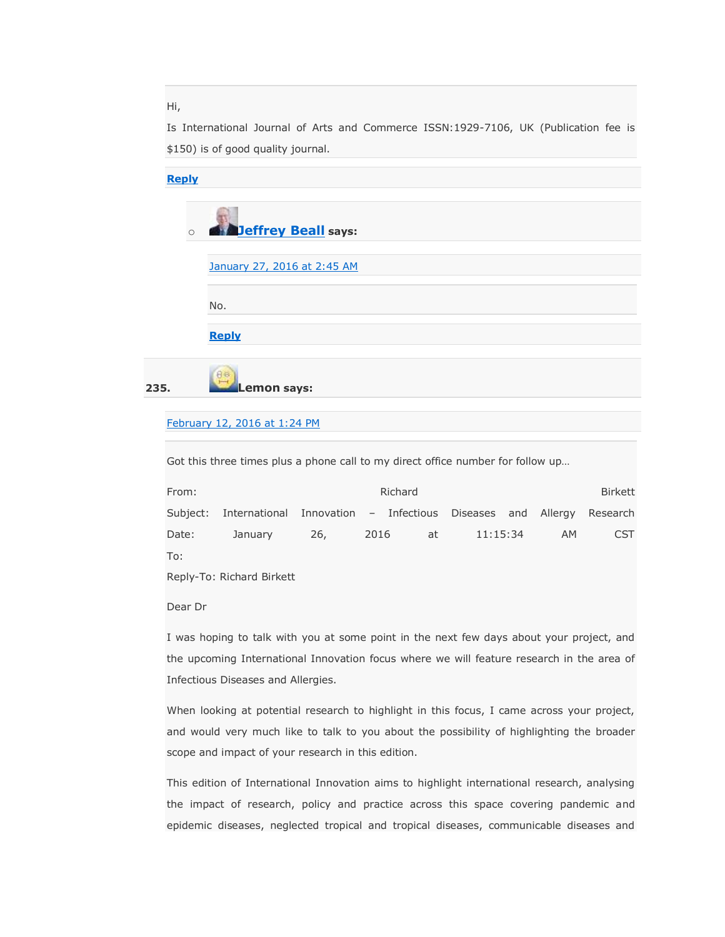Hi,

Is International Journal of Arts and Commerce ISSN:1929-7106, UK (Publication fee is \$150) is of good quality journal.

| <b>Reply</b> |         |                             |
|--------------|---------|-----------------------------|
|              |         |                             |
|              | $\circ$ | <b>Deffrey Beall</b> says:  |
|              |         |                             |
|              |         | January 27, 2016 at 2:45 AM |
|              |         |                             |
|              |         | No.                         |
|              |         |                             |
|              |         | <b>Reply</b>                |
|              |         |                             |
| 235.         |         | Aa<br><b>Lemon says:</b>    |
|              |         |                             |

# [February 12, 2016 at 1:24 PM](https://scholarlyoa.com/2012/12/06/bealls-list-of-predatory-publishers-2013/#comment-403104)

Got this three times plus a phone call to my direct office number for follow up…

| From:         |                                                                              |     | Richard    |          |     | Birkett    |
|---------------|------------------------------------------------------------------------------|-----|------------|----------|-----|------------|
|               | Subject: International Innovation – Infectious Diseases and Allergy Research |     |            |          |     |            |
| Date:         | January                                                                      | 26, | 2016<br>at | 11:15:34 | AM. | <b>CST</b> |
| To:           |                                                                              |     |            |          |     |            |
| $\sim$ $\sim$ |                                                                              |     |            |          |     |            |

Reply-To: Richard Birkett

Dear Dr

I was hoping to talk with you at some point in the next few days about your project, and the upcoming International Innovation focus where we will feature research in the area of Infectious Diseases and Allergies.

When looking at potential research to highlight in this focus, I came across your project, and would very much like to talk to you about the possibility of highlighting the broader scope and impact of your research in this edition.

This edition of International Innovation aims to highlight international research, analysing the impact of research, policy and practice across this space covering pandemic and epidemic diseases, neglected tropical and tropical diseases, communicable diseases and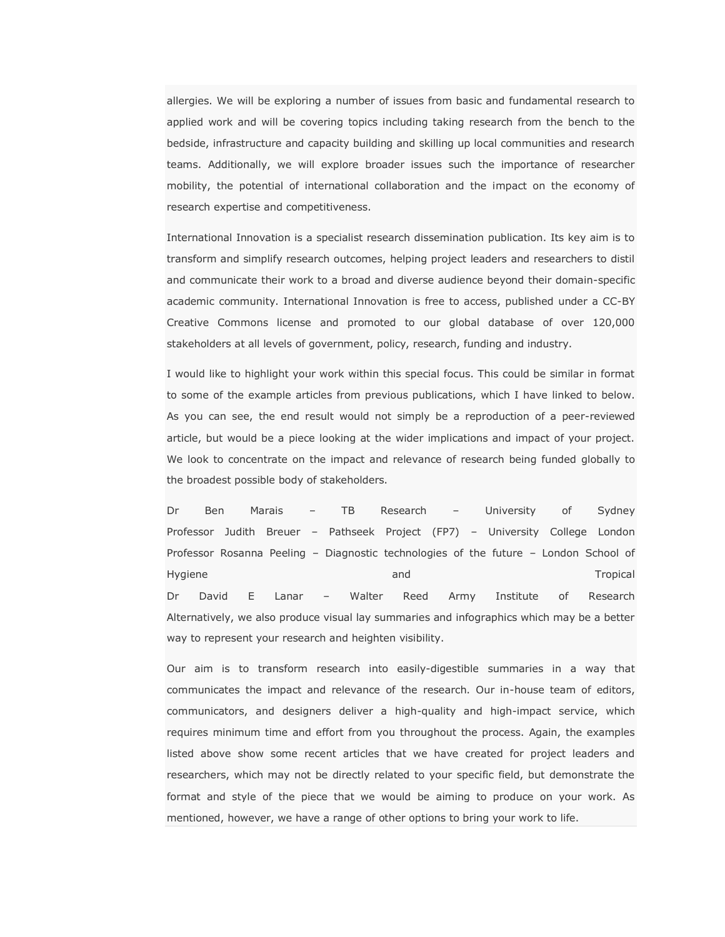allergies. We will be exploring a number of issues from basic and fundamental research to applied work and will be covering topics including taking research from the bench to the bedside, infrastructure and capacity building and skilling up local communities and research teams. Additionally, we will explore broader issues such the importance of researcher mobility, the potential of international collaboration and the impact on the economy of research expertise and competitiveness.

International Innovation is a specialist research dissemination publication. Its key aim is to transform and simplify research outcomes, helping project leaders and researchers to distil and communicate their work to a broad and diverse audience beyond their domain-specific academic community. International Innovation is free to access, published under a CC-BY Creative Commons license and promoted to our global database of over 120,000 stakeholders at all levels of government, policy, research, funding and industry.

I would like to highlight your work within this special focus. This could be similar in format to some of the example articles from previous publications, which I have linked to below. As you can see, the end result would not simply be a reproduction of a peer-reviewed article, but would be a piece looking at the wider implications and impact of your project. We look to concentrate on the impact and relevance of research being funded globally to the broadest possible body of stakeholders.

Dr Ben Marais – TB Research – University of Sydney Professor Judith Breuer – Pathseek Project (FP7) – University College London Professor Rosanna Peeling – Diagnostic technologies of the future – London School of Hygiene and Tropical Dr David E Lanar – Walter Reed Army Institute of Research Alternatively, we also produce visual lay summaries and infographics which may be a better way to represent your research and heighten visibility.

Our aim is to transform research into easily-digestible summaries in a way that communicates the impact and relevance of the research. Our in-house team of editors, communicators, and designers deliver a high-quality and high-impact service, which requires minimum time and effort from you throughout the process. Again, the examples listed above show some recent articles that we have created for project leaders and researchers, which may not be directly related to your specific field, but demonstrate the format and style of the piece that we would be aiming to produce on your work. As mentioned, however, we have a range of other options to bring your work to life.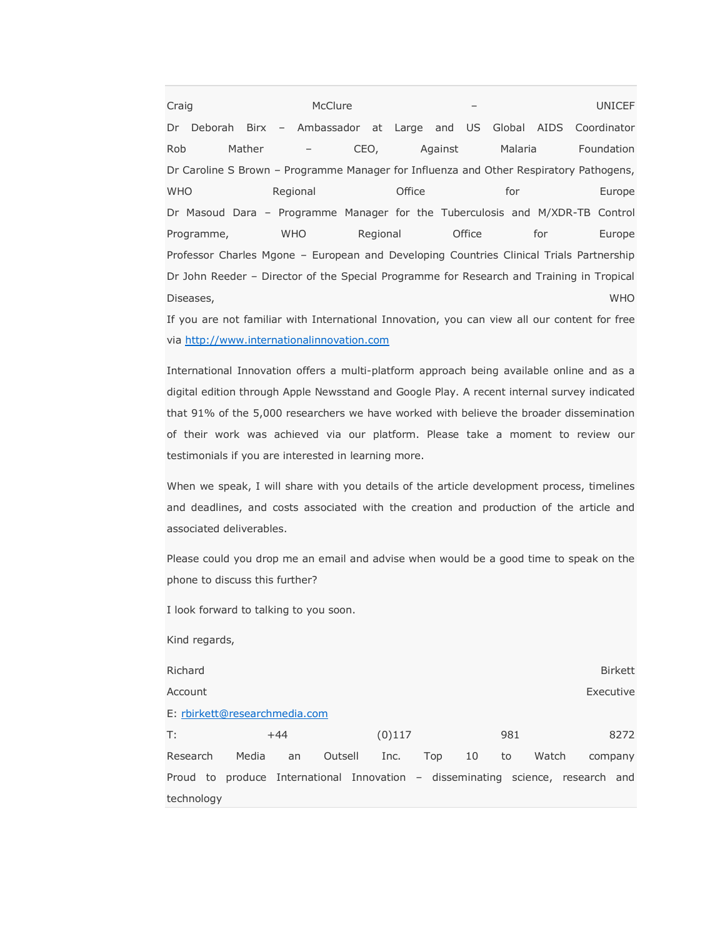Craig and McClure – Craig and McClure – UNICEF Dr Deborah Birx – Ambassador at Large and US Global AIDS Coordinator Rob Mather – CEO, Against Malaria Foundation Dr Caroline S Brown – Programme Manager for Influenza and Other Respiratory Pathogens, WHO Regional Office for Europe Dr Masoud Dara – Programme Manager for the Tuberculosis and M/XDR-TB Control Programme, WHO Regional Office for Europe Professor Charles Mgone – European and Developing Countries Clinical Trials Partnership Dr John Reeder – Director of the Special Programme for Research and Training in Tropical Diseases, WHO

If you are not familiar with International Innovation, you can view all our content for free via [http://www.internationalinnovation.com](http://www.internationalinnovation.com/)

International Innovation offers a multi-platform approach being available online and as a digital edition through Apple Newsstand and Google Play. A recent internal survey indicated that 91% of the 5,000 researchers we have worked with believe the broader dissemination of their work was achieved via our platform. Please take a moment to review our testimonials if you are interested in learning more.

When we speak, I will share with you details of the article development process, timelines and deadlines, and costs associated with the creation and production of the article and associated deliverables.

Please could you drop me an email and advise when would be a good time to speak on the phone to discuss this further?

I look forward to talking to you soon.

Kind regards, Richard Birkett Account **Executive Executive Control** Proposition in the control Proposition in the Executive E: [rbirkett@researchmedia.com](mailto:rbirkett@researchmedia.com) T: +44 (0)117 981 8272 Research Media an Outsell Inc. Top 10 to Watch company Proud to produce International Innovation – disseminating science, research and technology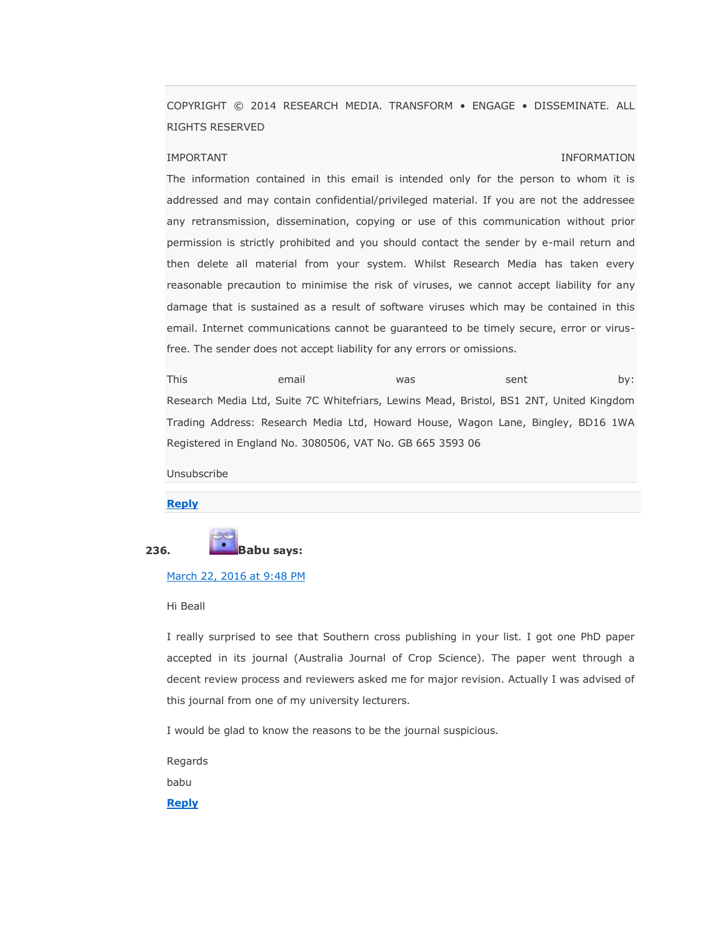COPYRIGHT © 2014 RESEARCH MEDIA. TRANSFORM • ENGAGE • DISSEMINATE. ALL RIGHTS RESERVED

## IMPORTANT INFORMATION

The information contained in this email is intended only for the person to whom it is addressed and may contain confidential/privileged material. If you are not the addressee any retransmission, dissemination, copying or use of this communication without prior permission is strictly prohibited and you should contact the sender by e-mail return and then delete all material from your system. Whilst Research Media has taken every reasonable precaution to minimise the risk of viruses, we cannot accept liability for any damage that is sustained as a result of software viruses which may be contained in this email. Internet communications cannot be guaranteed to be timely secure, error or virusfree. The sender does not accept liability for any errors or omissions.

This email was sent by: Research Media Ltd, Suite 7C Whitefriars, Lewins Mead, Bristol, BS1 2NT, United Kingdom Trading Address: Research Media Ltd, Howard House, Wagon Lane, Bingley, BD16 1WA Registered in England No. 3080506, VAT No. GB 665 3593 06

Unsubscribe

#### **[Reply](https://scholarlyoa.com/2012/12/06/bealls-list-of-predatory-publishers-2013/?replytocom=403104#respond)**



#### [March 22, 2016 at 9:48 PM](https://scholarlyoa.com/2012/12/06/bealls-list-of-predatory-publishers-2013/#comment-406523)

### Hi Beall

I really surprised to see that Southern cross publishing in your list. I got one PhD paper accepted in its journal (Australia Journal of Crop Science). The paper went through a decent review process and reviewers asked me for major revision. Actually I was advised of this journal from one of my university lecturers.

I would be glad to know the reasons to be the journal suspicious.

Regards

babu

**[Reply](https://scholarlyoa.com/2012/12/06/bealls-list-of-predatory-publishers-2013/?replytocom=406523#respond)**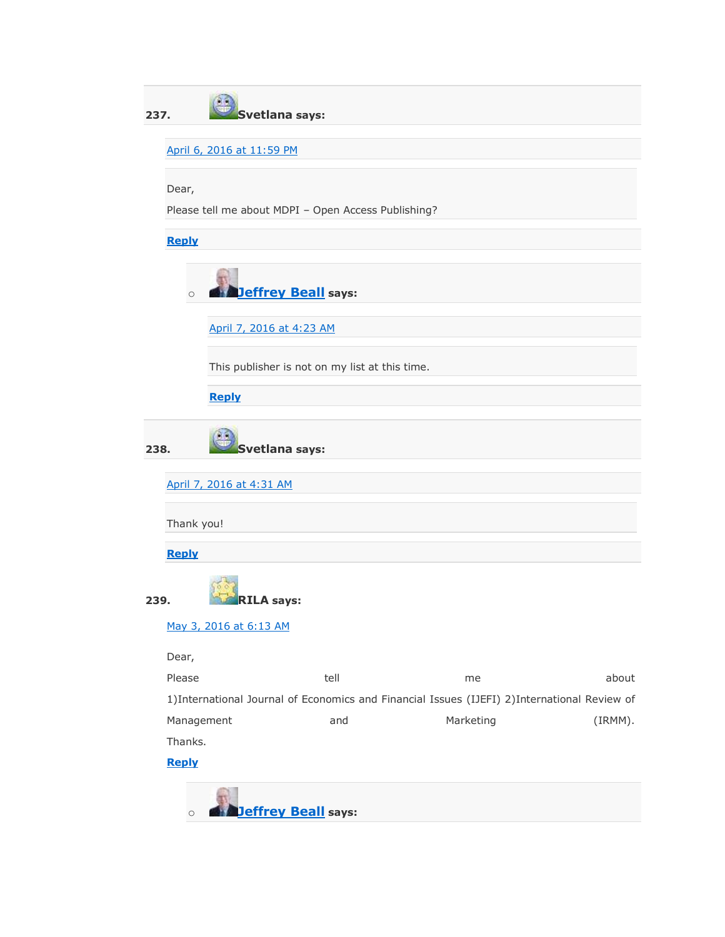| 237. |                                                                                               | Svetlana says:           |                                                |           |         |  |  |  |  |
|------|-----------------------------------------------------------------------------------------------|--------------------------|------------------------------------------------|-----------|---------|--|--|--|--|
|      |                                                                                               |                          |                                                |           |         |  |  |  |  |
|      | April 6, 2016 at 11:59 PM                                                                     |                          |                                                |           |         |  |  |  |  |
|      | Dear,                                                                                         |                          |                                                |           |         |  |  |  |  |
|      | Please tell me about MDPI - Open Access Publishing?                                           |                          |                                                |           |         |  |  |  |  |
|      |                                                                                               |                          |                                                |           |         |  |  |  |  |
|      | <b>Reply</b>                                                                                  |                          |                                                |           |         |  |  |  |  |
|      | <b>Jeffrey Beall</b> says:<br>$\circ$                                                         |                          |                                                |           |         |  |  |  |  |
|      |                                                                                               | April 7, 2016 at 4:23 AM |                                                |           |         |  |  |  |  |
|      |                                                                                               |                          | This publisher is not on my list at this time. |           |         |  |  |  |  |
|      |                                                                                               | <b>Reply</b>             |                                                |           |         |  |  |  |  |
| 238. |                                                                                               | Svetlana says:           |                                                |           |         |  |  |  |  |
|      |                                                                                               | April 7, 2016 at 4:31 AM |                                                |           |         |  |  |  |  |
|      | Thank you!                                                                                    |                          |                                                |           |         |  |  |  |  |
|      | <b>Reply</b>                                                                                  |                          |                                                |           |         |  |  |  |  |
| 239. |                                                                                               | <b>RILA says:</b>        |                                                |           |         |  |  |  |  |
|      |                                                                                               | May 3, 2016 at 6:13 AM   |                                                |           |         |  |  |  |  |
|      | Dear,                                                                                         |                          |                                                |           |         |  |  |  |  |
|      | Please                                                                                        |                          | tell                                           | me        | about   |  |  |  |  |
|      | 1) International Journal of Economics and Financial Issues (IJEFI) 2) International Review of |                          |                                                |           |         |  |  |  |  |
|      | Management                                                                                    |                          | and                                            | Marketing | (IRMM). |  |  |  |  |
|      | Thanks.                                                                                       |                          |                                                |           |         |  |  |  |  |
|      | <b>Reply</b>                                                                                  |                          |                                                |           |         |  |  |  |  |
|      | $\circ$                                                                                       |                          | <b>Jeffrey Beall</b> says:                     |           |         |  |  |  |  |